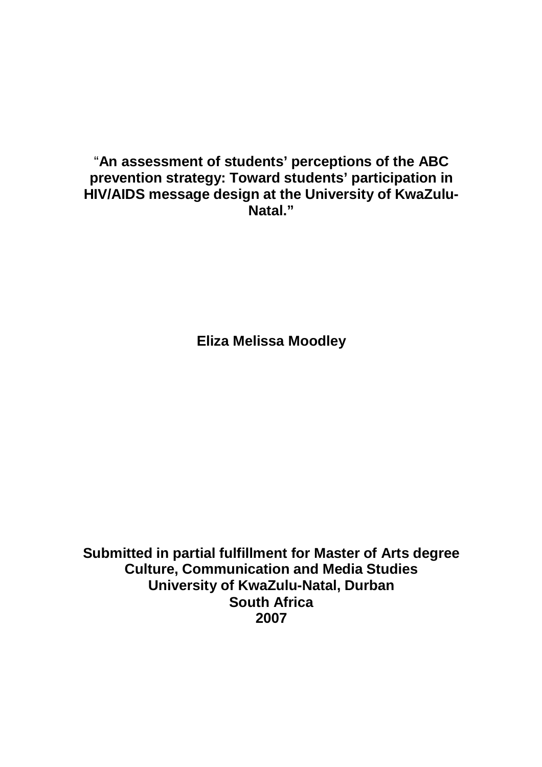"**An assessment of students' perceptions of the ABC prevention strategy: Toward students' participation in HIV/AIDS message design at the University of KwaZulu-Natal."**

**Eliza Melissa Moodley**

**Submitted in partial fulfillment for Master of Arts degree Culture, Communication and Media Studies University of KwaZulu-Natal, Durban South Africa 2007**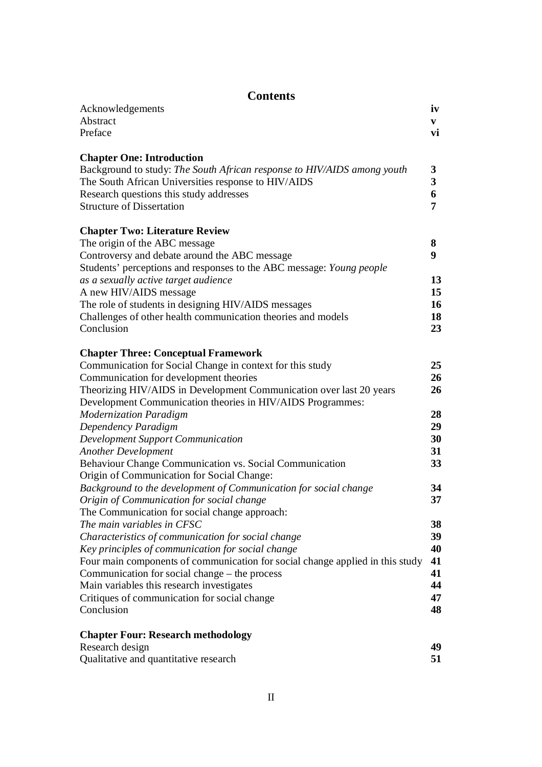| <b>Contents</b>                                                                                       |                          |  |  |  |  |
|-------------------------------------------------------------------------------------------------------|--------------------------|--|--|--|--|
| Acknowledgements<br>Abstract<br>Preface                                                               | iv<br>$\mathbf{V}$<br>vi |  |  |  |  |
| <b>Chapter One: Introduction</b>                                                                      |                          |  |  |  |  |
| Background to study: The South African response to HIV/AIDS among youth                               | 3                        |  |  |  |  |
| The South African Universities response to HIV/AIDS                                                   | 3                        |  |  |  |  |
| Research questions this study addresses                                                               | 6                        |  |  |  |  |
| <b>Structure of Dissertation</b>                                                                      | 7                        |  |  |  |  |
| <b>Chapter Two: Literature Review</b>                                                                 |                          |  |  |  |  |
| The origin of the ABC message                                                                         | 8                        |  |  |  |  |
| Controversy and debate around the ABC message                                                         | 9                        |  |  |  |  |
| Students' perceptions and responses to the ABC message: Young people                                  |                          |  |  |  |  |
| as a sexually active target audience                                                                  | 13                       |  |  |  |  |
| A new HIV/AIDS message                                                                                | 15                       |  |  |  |  |
| The role of students in designing HIV/AIDS messages                                                   | 16                       |  |  |  |  |
| Challenges of other health communication theories and models                                          | 18                       |  |  |  |  |
| Conclusion                                                                                            | 23                       |  |  |  |  |
| <b>Chapter Three: Conceptual Framework</b>                                                            |                          |  |  |  |  |
| Communication for Social Change in context for this study                                             | 25                       |  |  |  |  |
| Communication for development theories                                                                | 26                       |  |  |  |  |
| Theorizing HIV/AIDS in Development Communication over last 20 years                                   | 26                       |  |  |  |  |
| Development Communication theories in HIV/AIDS Programmes:                                            |                          |  |  |  |  |
| <b>Modernization Paradigm</b>                                                                         | 28                       |  |  |  |  |
| Dependency Paradigm                                                                                   | 29                       |  |  |  |  |
| <b>Development Support Communication</b>                                                              | 30                       |  |  |  |  |
| <b>Another Development</b>                                                                            | 31                       |  |  |  |  |
| Behaviour Change Communication vs. Social Communication<br>Origin of Communication for Social Change: | 33                       |  |  |  |  |
| Background to the development of Communication for social change                                      | 34                       |  |  |  |  |
| Origin of Communication for social change                                                             | 37                       |  |  |  |  |
| The Communication for social change approach:                                                         |                          |  |  |  |  |
| The main variables in CFSC                                                                            | 38                       |  |  |  |  |
| Characteristics of communication for social change                                                    | 39                       |  |  |  |  |
| Key principles of communication for social change                                                     | 40                       |  |  |  |  |
| Four main components of communication for social change applied in this study                         | 41                       |  |  |  |  |
| Communication for social change – the process                                                         | 41                       |  |  |  |  |
| Main variables this research investigates                                                             | 44                       |  |  |  |  |
| Critiques of communication for social change<br>Conclusion                                            | 47<br>48                 |  |  |  |  |
|                                                                                                       |                          |  |  |  |  |
| <b>Chapter Four: Research methodology</b>                                                             |                          |  |  |  |  |
| Research design                                                                                       | 49                       |  |  |  |  |
| Qualitative and quantitative research                                                                 | 51                       |  |  |  |  |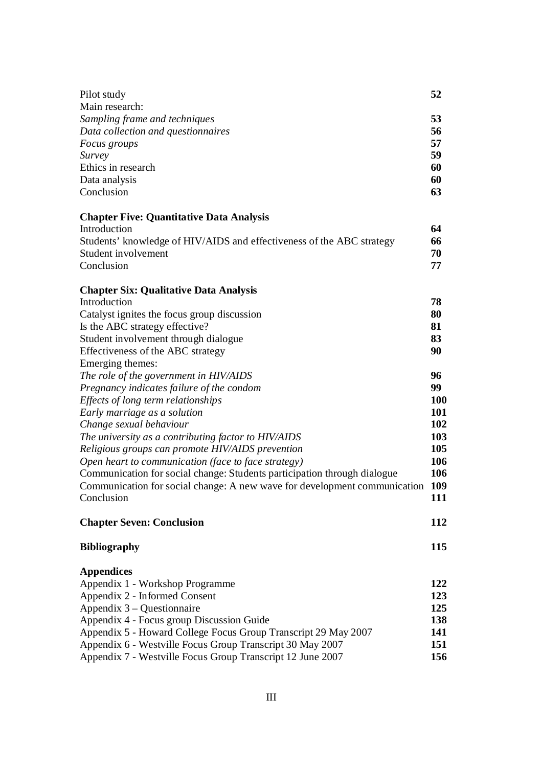| Pilot study                                                               | 52         |  |  |  |
|---------------------------------------------------------------------------|------------|--|--|--|
| Main research:                                                            |            |  |  |  |
| Sampling frame and techniques                                             | 53         |  |  |  |
| Data collection and questionnaires                                        | 56         |  |  |  |
| Focus groups                                                              | 57         |  |  |  |
| Survey                                                                    | 59         |  |  |  |
| Ethics in research                                                        | 60         |  |  |  |
| Data analysis                                                             | 60         |  |  |  |
| Conclusion                                                                | 63         |  |  |  |
| <b>Chapter Five: Quantitative Data Analysis</b>                           |            |  |  |  |
| Introduction                                                              | 64         |  |  |  |
| Students' knowledge of HIV/AIDS and effectiveness of the ABC strategy     |            |  |  |  |
| Student involvement                                                       | 70         |  |  |  |
| Conclusion                                                                | 77         |  |  |  |
| <b>Chapter Six: Qualitative Data Analysis</b>                             |            |  |  |  |
| Introduction                                                              | 78         |  |  |  |
| Catalyst ignites the focus group discussion                               | 80         |  |  |  |
| Is the ABC strategy effective?                                            | 81         |  |  |  |
| Student involvement through dialogue                                      | 83         |  |  |  |
| Effectiveness of the ABC strategy                                         | 90         |  |  |  |
| Emerging themes:                                                          |            |  |  |  |
| The role of the government in HIV/AIDS                                    | 96         |  |  |  |
| Pregnancy indicates failure of the condom                                 | 99         |  |  |  |
| Effects of long term relationships                                        | <b>100</b> |  |  |  |
| Early marriage as a solution                                              | 101        |  |  |  |
| Change sexual behaviour                                                   | 102        |  |  |  |
| The university as a contributing factor to HIV/AIDS                       | 103        |  |  |  |
| Religious groups can promote HIV/AIDS prevention                          | 105        |  |  |  |
| Open heart to communication (face to face strategy)                       | 106        |  |  |  |
| Communication for social change: Students participation through dialogue  | 106        |  |  |  |
| Communication for social change: A new wave for development communication | 109        |  |  |  |
| Conclusion                                                                | 111        |  |  |  |
| <b>Chapter Seven: Conclusion</b>                                          | 112        |  |  |  |
| <b>Bibliography</b>                                                       | 115        |  |  |  |
| <b>Appendices</b>                                                         |            |  |  |  |
| Appendix 1 - Workshop Programme                                           | 122        |  |  |  |
| Appendix 2 - Informed Consent                                             | 123        |  |  |  |
| Appendix $3 - Q$ uestion naire<br>125                                     |            |  |  |  |
| Appendix 4 - Focus group Discussion Guide                                 |            |  |  |  |
| Appendix 5 - Howard College Focus Group Transcript 29 May 2007            |            |  |  |  |
| Appendix 6 - Westville Focus Group Transcript 30 May 2007                 |            |  |  |  |
| Appendix 7 - Westville Focus Group Transcript 12 June 2007                |            |  |  |  |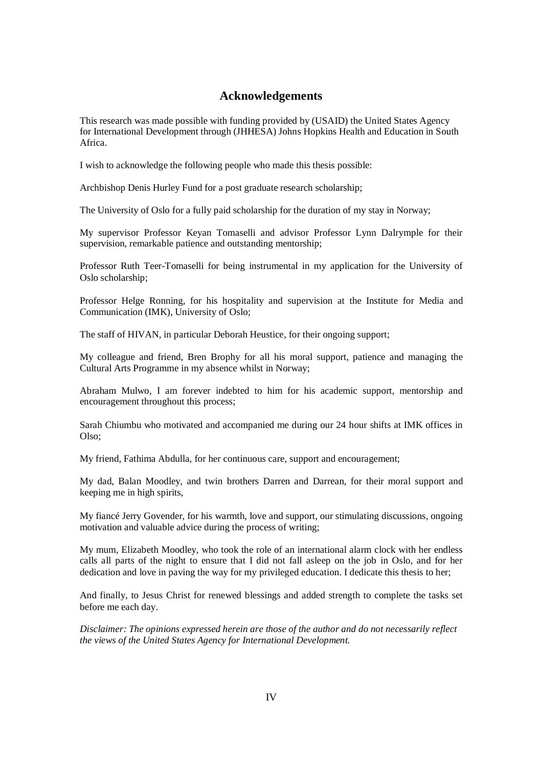# **Acknowledgements**

This research was made possible with funding provided by (USAID) the United States Agency for International Development through (JHHESA) Johns Hopkins Health and Education in South Africa.

I wish to acknowledge the following people who made this thesis possible:

Archbishop Denis Hurley Fund for a post graduate research scholarship;

The University of Oslo for a fully paid scholarship for the duration of my stay in Norway;

My supervisor Professor Keyan Tomaselli and advisor Professor Lynn Dalrymple for their supervision, remarkable patience and outstanding mentorship;

Professor Ruth Teer-Tomaselli for being instrumental in my application for the University of Oslo scholarship;

Professor Helge Ronning, for his hospitality and supervision at the Institute for Media and Communication (IMK), University of Oslo;

The staff of HIVAN, in particular Deborah Heustice, for their ongoing support;

My colleague and friend, Bren Brophy for all his moral support, patience and managing the Cultural Arts Programme in my absence whilst in Norway;

Abraham Mulwo, I am forever indebted to him for his academic support, mentorship and encouragement throughout this process;

Sarah Chiumbu who motivated and accompanied me during our 24 hour shifts at IMK offices in Olso;

My friend, Fathima Abdulla, for her continuous care, support and encouragement;

My dad, Balan Moodley, and twin brothers Darren and Darrean, for their moral support and keeping me in high spirits,

My fiancé Jerry Govender, for his warmth, love and support, our stimulating discussions, ongoing motivation and valuable advice during the process of writing;

My mum, Elizabeth Moodley, who took the role of an international alarm clock with her endless calls all parts of the night to ensure that I did not fall asleep on the job in Oslo, and for her dedication and love in paving the way for my privileged education. I dedicate this thesis to her;

And finally, to Jesus Christ for renewed blessings and added strength to complete the tasks set before me each day.

*Disclaimer: The opinions expressed herein are those of the author and do not necessarily reflect the views of the United States Agency for International Development.*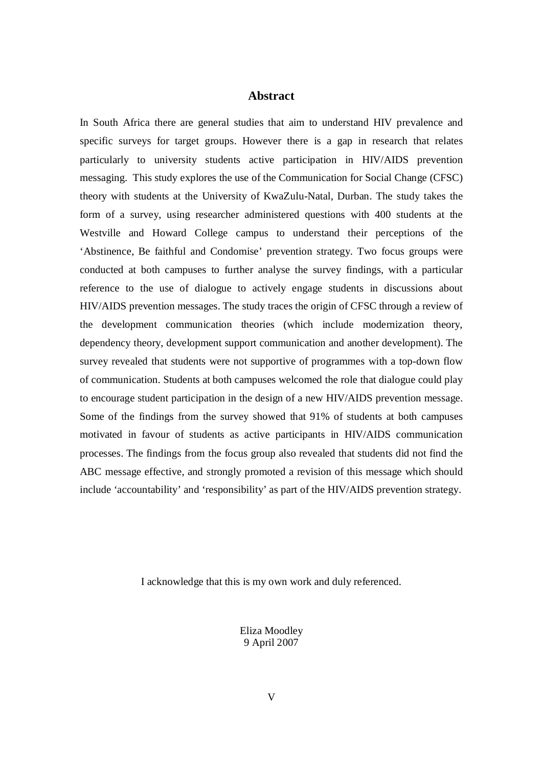## **Abstract**

In South Africa there are general studies that aim to understand HIV prevalence and specific surveys for target groups. However there is a gap in research that relates particularly to university students active participation in HIV/AIDS prevention messaging. This study explores the use of the Communication for Social Change (CFSC) theory with students at the University of KwaZulu-Natal, Durban. The study takes the form of a survey, using researcher administered questions with 400 students at the Westville and Howard College campus to understand their perceptions of the 'Abstinence, Be faithful and Condomise' prevention strategy. Two focus groups were conducted at both campuses to further analyse the survey findings, with a particular reference to the use of dialogue to actively engage students in discussions about HIV/AIDS prevention messages. The study traces the origin of CFSC through a review of the development communication theories (which include modernization theory, dependency theory, development support communication and another development). The survey revealed that students were not supportive of programmes with a top-down flow of communication. Students at both campuses welcomed the role that dialogue could play to encourage student participation in the design of a new HIV/AIDS prevention message. Some of the findings from the survey showed that 91% of students at both campuses motivated in favour of students as active participants in HIV/AIDS communication processes. The findings from the focus group also revealed that students did not find the ABC message effective, and strongly promoted a revision of this message which should include 'accountability' and 'responsibility' as part of the HIV/AIDS prevention strategy.

I acknowledge that this is my own work and duly referenced.

Eliza Moodley 9 April 2007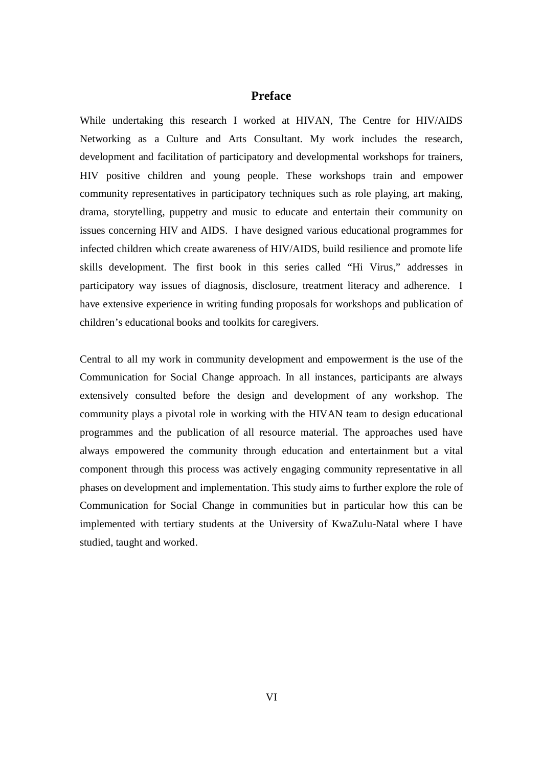# **Preface**

While undertaking this research I worked at HIVAN, The Centre for HIV/AIDS Networking as a Culture and Arts Consultant. My work includes the research, development and facilitation of participatory and developmental workshops for trainers, HIV positive children and young people. These workshops train and empower community representatives in participatory techniques such as role playing, art making, drama, storytelling, puppetry and music to educate and entertain their community on issues concerning HIV and AIDS. I have designed various educational programmes for infected children which create awareness of HIV/AIDS, build resilience and promote life skills development. The first book in this series called "Hi Virus," addresses in participatory way issues of diagnosis, disclosure, treatment literacy and adherence. I have extensive experience in writing funding proposals for workshops and publication of children's educational books and toolkits for caregivers.

Central to all my work in community development and empowerment is the use of the Communication for Social Change approach. In all instances, participants are always extensively consulted before the design and development of any workshop. The community plays a pivotal role in working with the HIVAN team to design educational programmes and the publication of all resource material. The approaches used have always empowered the community through education and entertainment but a vital component through this process was actively engaging community representative in all phases on development and implementation. This study aims to further explore the role of Communication for Social Change in communities but in particular how this can be implemented with tertiary students at the University of KwaZulu-Natal where I have studied, taught and worked.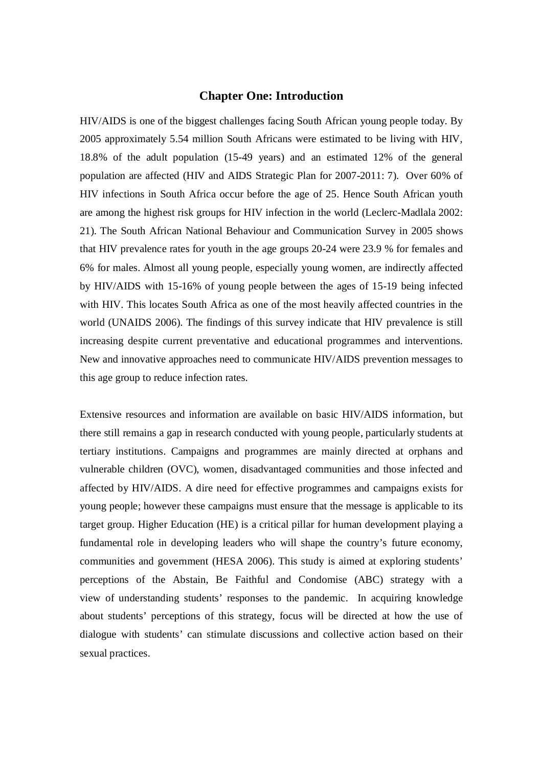## **Chapter One: Introduction**

HIV/AIDS is one of the biggest challenges facing South African young people today. By 2005 approximately 5.54 million South Africans were estimated to be living with HIV, 18.8% of the adult population (15-49 years) and an estimated 12% of the general population are affected (HIV and AIDS Strategic Plan for 2007-2011: 7). Over 60% of HIV infections in South Africa occur before the age of 25. Hence South African youth are among the highest risk groups for HIV infection in the world (Leclerc-Madlala 2002: 21). The South African National Behaviour and Communication Survey in 2005 shows that HIV prevalence rates for youth in the age groups 20-24 were 23.9 % for females and 6% for males. Almost all young people, especially young women, are indirectly affected by HIV/AIDS with 15-16% of young people between the ages of 15-19 being infected with HIV. This locates South Africa as one of the most heavily affected countries in the world (UNAIDS 2006). The findings of this survey indicate that HIV prevalence is still increasing despite current preventative and educational programmes and interventions. New and innovative approaches need to communicate HIV/AIDS prevention messages to this age group to reduce infection rates.

Extensive resources and information are available on basic HIV/AIDS information, but there still remains a gap in research conducted with young people, particularly students at tertiary institutions. Campaigns and programmes are mainly directed at orphans and vulnerable children (OVC), women, disadvantaged communities and those infected and affected by HIV/AIDS. A dire need for effective programmes and campaigns exists for young people; however these campaigns must ensure that the message is applicable to its target group. Higher Education (HE) is a critical pillar for human development playing a fundamental role in developing leaders who will shape the country's future economy, communities and government (HESA 2006). This study is aimed at exploring students' perceptions of the Abstain, Be Faithful and Condomise (ABC) strategy with a view of understanding students' responses to the pandemic. In acquiring knowledge about students' perceptions of this strategy, focus will be directed at how the use of dialogue with students' can stimulate discussions and collective action based on their sexual practices.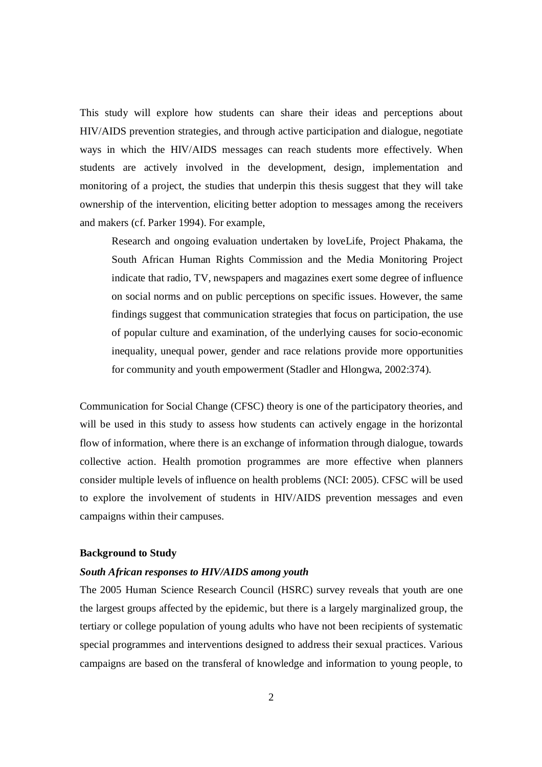This study will explore how students can share their ideas and perceptions about HIV/AIDS prevention strategies, and through active participation and dialogue, negotiate ways in which the HIV/AIDS messages can reach students more effectively. When students are actively involved in the development, design, implementation and monitoring of a project, the studies that underpin this thesis suggest that they will take ownership of the intervention, eliciting better adoption to messages among the receivers and makers (cf. Parker 1994). For example,

Research and ongoing evaluation undertaken by loveLife, Project Phakama, the South African Human Rights Commission and the Media Monitoring Project indicate that radio, TV, newspapers and magazines exert some degree of influence on social norms and on public perceptions on specific issues. However, the same findings suggest that communication strategies that focus on participation, the use of popular culture and examination, of the underlying causes for socio-economic inequality, unequal power, gender and race relations provide more opportunities for community and youth empowerment (Stadler and Hlongwa, 2002:374).

Communication for Social Change (CFSC) theory is one of the participatory theories, and will be used in this study to assess how students can actively engage in the horizontal flow of information, where there is an exchange of information through dialogue, towards collective action. Health promotion programmes are more effective when planners consider multiple levels of influence on health problems (NCI: 2005). CFSC will be used to explore the involvement of students in HIV/AIDS prevention messages and even campaigns within their campuses.

#### **Background to Study**

#### *South African responses to HIV/AIDS among youth*

The 2005 Human Science Research Council (HSRC) survey reveals that youth are one the largest groups affected by the epidemic, but there is a largely marginalized group, the tertiary or college population of young adults who have not been recipients of systematic special programmes and interventions designed to address their sexual practices. Various campaigns are based on the transferal of knowledge and information to young people, to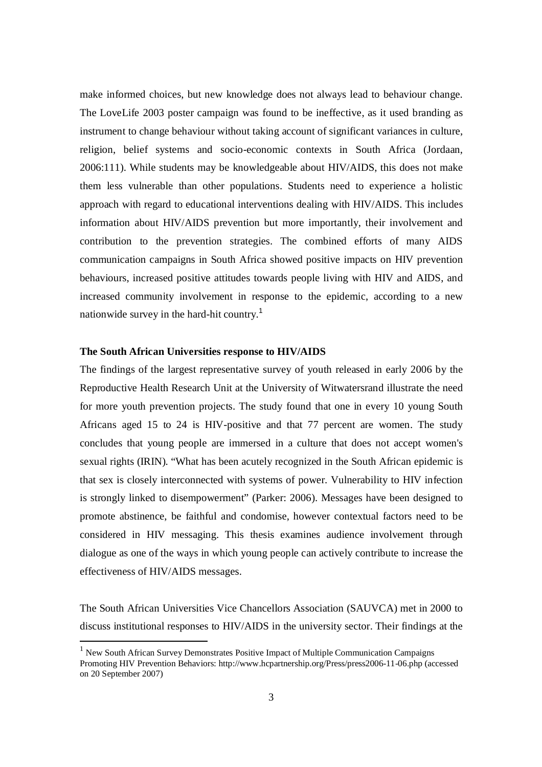make informed choices, but new knowledge does not always lead to behaviour change. The LoveLife 2003 poster campaign was found to be ineffective, as it used branding as instrument to change behaviour without taking account of significant variances in culture, religion, belief systems and socio-economic contexts in South Africa (Jordaan, 2006:111). While students may be knowledgeable about HIV/AIDS, this does not make them less vulnerable than other populations. Students need to experience a holistic approach with regard to educational interventions dealing with HIV/AIDS. This includes information about HIV/AIDS prevention but more importantly, their involvement and contribution to the prevention strategies. The combined efforts of many AIDS communication campaigns in South Africa showed positive impacts on HIV prevention behaviours, increased positive attitudes towards people living with HIV and AIDS, and increased community involvement in response to the epidemic, according to a new nationwide survey in the hard-hit country.<sup>1</sup>

#### **The South African Universities response to HIV/AIDS**

-

The findings of the largest representative survey of youth released in early 2006 by the Reproductive Health Research Unit at the University of Witwatersrand illustrate the need for more youth prevention projects. The study found that one in every 10 young South Africans aged 15 to 24 is HIV-positive and that 77 percent are women. The study concludes that young people are immersed in a culture that does not accept women's sexual rights (IRIN). "What has been acutely recognized in the South African epidemic is that sex is closely interconnected with systems of power. Vulnerability to HIV infection is strongly linked to disempowerment" (Parker: 2006). Messages have been designed to promote abstinence, be faithful and condomise, however contextual factors need to be considered in HIV messaging. This thesis examines audience involvement through dialogue as one of the ways in which young people can actively contribute to increase the effectiveness of HIV/AIDS messages.

The South African Universities Vice Chancellors Association (SAUVCA) met in 2000 to discuss institutional responses to HIV/AIDS in the university sector. Their findings at the

<sup>&</sup>lt;sup>1</sup> New South African Survey Demonstrates Positive Impact of Multiple Communication Campaigns Promoting HIV Prevention Behaviors: http://www.hcpartnership.org/Press/press2006-11-06.php (accessed on 20 September 2007)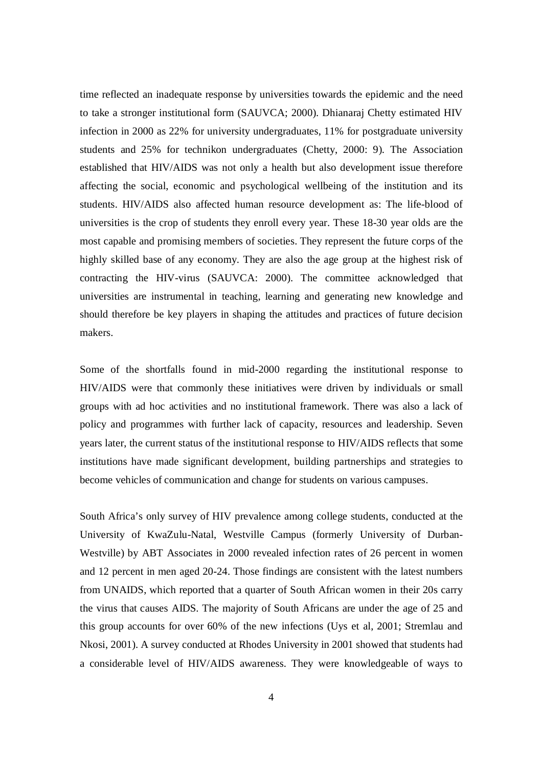time reflected an inadequate response by universities towards the epidemic and the need to take a stronger institutional form (SAUVCA; 2000). Dhianaraj Chetty estimated HIV infection in 2000 as 22% for university undergraduates, 11% for postgraduate university students and 25% for technikon undergraduates (Chetty, 2000: 9). The Association established that HIV/AIDS was not only a health but also development issue therefore affecting the social, economic and psychological wellbeing of the institution and its students. HIV/AIDS also affected human resource development as: The life-blood of universities is the crop of students they enroll every year. These 18-30 year olds are the most capable and promising members of societies. They represent the future corps of the highly skilled base of any economy. They are also the age group at the highest risk of contracting the HIV-virus (SAUVCA: 2000). The committee acknowledged that universities are instrumental in teaching, learning and generating new knowledge and should therefore be key players in shaping the attitudes and practices of future decision makers.

Some of the shortfalls found in mid-2000 regarding the institutional response to HIV/AIDS were that commonly these initiatives were driven by individuals or small groups with ad hoc activities and no institutional framework. There was also a lack of policy and programmes with further lack of capacity, resources and leadership. Seven years later, the current status of the institutional response to HIV/AIDS reflects that some institutions have made significant development, building partnerships and strategies to become vehicles of communication and change for students on various campuses.

South Africa's only survey of HIV prevalence among college students, conducted at the University of KwaZulu-Natal, Westville Campus (formerly University of Durban-Westville) by ABT Associates in 2000 revealed infection rates of 26 percent in women and 12 percent in men aged 20-24. Those findings are consistent with the latest numbers from UNAIDS, which reported that a quarter of South African women in their 20s carry the virus that causes AIDS. The majority of South Africans are under the age of 25 and this group accounts for over 60% of the new infections (Uys et al, 2001; Stremlau and Nkosi, 2001). A survey conducted at Rhodes University in 2001 showed that students had a considerable level of HIV/AIDS awareness. They were knowledgeable of ways to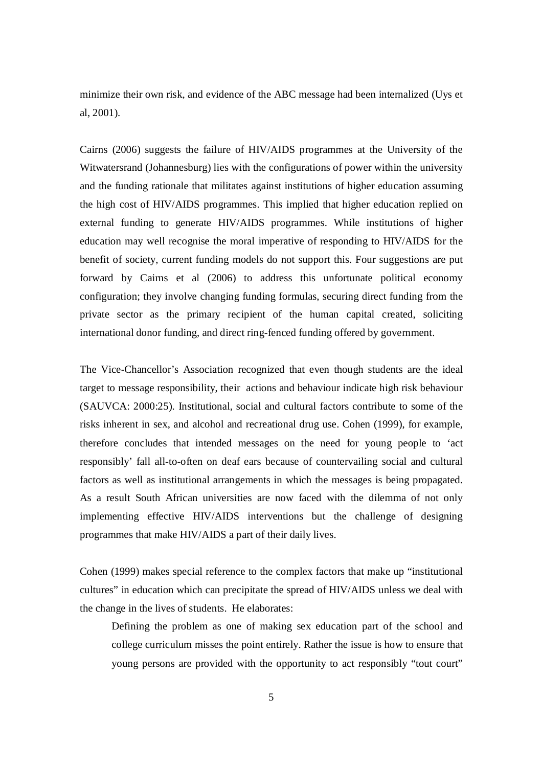minimize their own risk, and evidence of the ABC message had been internalized (Uys et al, 2001).

Cairns (2006) suggests the failure of HIV/AIDS programmes at the University of the Witwatersrand (Johannesburg) lies with the configurations of power within the university and the funding rationale that militates against institutions of higher education assuming the high cost of HIV/AIDS programmes. This implied that higher education replied on external funding to generate HIV/AIDS programmes. While institutions of higher education may well recognise the moral imperative of responding to HIV/AIDS for the benefit of society, current funding models do not support this. Four suggestions are put forward by Cairns et al (2006) to address this unfortunate political economy configuration; they involve changing funding formulas, securing direct funding from the private sector as the primary recipient of the human capital created, soliciting international donor funding, and direct ring-fenced funding offered by government.

The Vice-Chancellor's Association recognized that even though students are the ideal target to message responsibility, their actions and behaviour indicate high risk behaviour (SAUVCA: 2000:25). Institutional, social and cultural factors contribute to some of the risks inherent in sex, and alcohol and recreational drug use. Cohen (1999), for example, therefore concludes that intended messages on the need for young people to 'act responsibly' fall all-to-often on deaf ears because of countervailing social and cultural factors as well as institutional arrangements in which the messages is being propagated. As a result South African universities are now faced with the dilemma of not only implementing effective HIV/AIDS interventions but the challenge of designing programmes that make HIV/AIDS a part of their daily lives.

Cohen (1999) makes special reference to the complex factors that make up "institutional cultures" in education which can precipitate the spread of HIV/AIDS unless we deal with the change in the lives of students. He elaborates:

Defining the problem as one of making sex education part of the school and college curriculum misses the point entirely. Rather the issue is how to ensure that young persons are provided with the opportunity to act responsibly "tout court"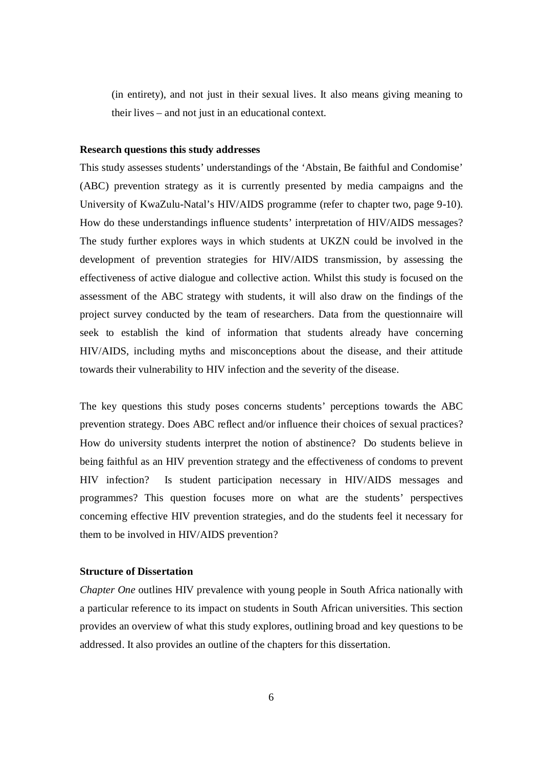(in entirety), and not just in their sexual lives. It also means giving meaning to their lives – and not just in an educational context.

#### **Research questions this study addresses**

This study assesses students' understandings of the 'Abstain, Be faithful and Condomise' (ABC) prevention strategy as it is currently presented by media campaigns and the University of KwaZulu-Natal's HIV/AIDS programme (refer to chapter two, page 9-10). How do these understandings influence students' interpretation of HIV/AIDS messages? The study further explores ways in which students at UKZN could be involved in the development of prevention strategies for HIV/AIDS transmission, by assessing the effectiveness of active dialogue and collective action. Whilst this study is focused on the assessment of the ABC strategy with students, it will also draw on the findings of the project survey conducted by the team of researchers. Data from the questionnaire will seek to establish the kind of information that students already have concerning HIV/AIDS, including myths and misconceptions about the disease, and their attitude towards their vulnerability to HIV infection and the severity of the disease.

The key questions this study poses concerns students' perceptions towards the ABC prevention strategy. Does ABC reflect and/or influence their choices of sexual practices? How do university students interpret the notion of abstinence? Do students believe in being faithful as an HIV prevention strategy and the effectiveness of condoms to prevent HIV infection? Is student participation necessary in HIV/AIDS messages and programmes? This question focuses more on what are the students' perspectives concerning effective HIV prevention strategies, and do the students feel it necessary for them to be involved in HIV/AIDS prevention?

### **Structure of Dissertation**

*Chapter One* outlines HIV prevalence with young people in South Africa nationally with a particular reference to its impact on students in South African universities. This section provides an overview of what this study explores, outlining broad and key questions to be addressed. It also provides an outline of the chapters for this dissertation.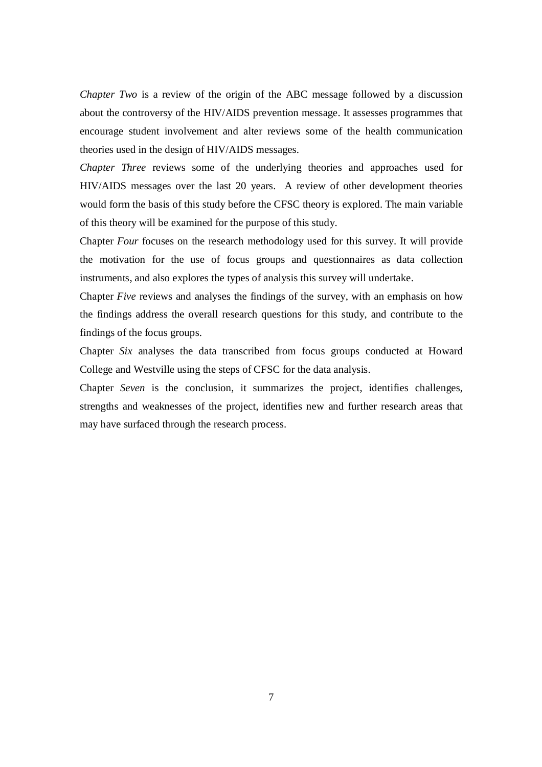*Chapter Two* is a review of the origin of the ABC message followed by a discussion about the controversy of the HIV/AIDS prevention message. It assesses programmes that encourage student involvement and alter reviews some of the health communication theories used in the design of HIV/AIDS messages.

*Chapter Three* reviews some of the underlying theories and approaches used for HIV/AIDS messages over the last 20 years. A review of other development theories would form the basis of this study before the CFSC theory is explored. The main variable of this theory will be examined for the purpose of this study.

Chapter *Four* focuses on the research methodology used for this survey. It will provide the motivation for the use of focus groups and questionnaires as data collection instruments, and also explores the types of analysis this survey will undertake.

Chapter *Five* reviews and analyses the findings of the survey, with an emphasis on how the findings address the overall research questions for this study, and contribute to the findings of the focus groups.

Chapter *Six* analyses the data transcribed from focus groups conducted at Howard College and Westville using the steps of CFSC for the data analysis.

Chapter *Seven* is the conclusion, it summarizes the project, identifies challenges, strengths and weaknesses of the project, identifies new and further research areas that may have surfaced through the research process.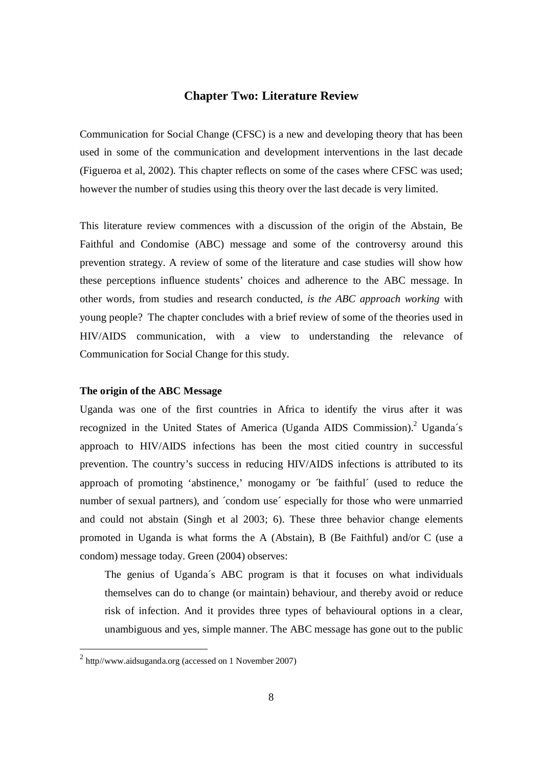# **Chapter Two: Literature Review**

Communication for Social Change (CFSC) is a new and developing theory that has been used in some of the communication and development interventions in the last decade (Figueroa et al, 2002). This chapter reflects on some of the cases where CFSC was used; however the number of studies using this theory over the last decade is very limited.

This literature review commences with a discussion of the origin of the Abstain, Be Faithful and Condomise (ABC) message and some of the controversy around this prevention strategy. A review of some of the literature and case studies will show how these perceptions influence students' choices and adherence to the ABC message. In other words, from studies and research conducted, *is the ABC approach working* with young people? The chapter concludes with a brief review of some of the theories used in HIV/AIDS communication, with a view to understanding the relevance of Communication for Social Change for this study.

#### **The origin of the ABC Message**

Uganda was one of the first countries in Africa to identify the virus after it was recognized in the United States of America (Uganda AIDS Commission).<sup>2</sup> Uganda's approach to HIV/AIDS infections has been the most citied country in successful prevention. The country's success in reducing HIV/AIDS infections is attributed to its approach of promoting 'abstinence,' monogamy or ´be faithful´ (used to reduce the number of sexual partners), and 'condom use' especially for those who were unmarried and could not abstain (Singh et al 2003; 6). These three behavior change elements promoted in Uganda is what forms the A (Abstain), B (Be Faithful) and/or C (use a condom) message today. Green (2004) observes:

The genius of Uganda´s ABC program is that it focuses on what individuals themselves can do to change (or maintain) behaviour, and thereby avoid or reduce risk of infection. And it provides three types of behavioural options in a clear, unambiguous and yes, simple manner. The ABC message has gone out to the public

 2 http//www.aidsuganda.org (accessed on 1 November 2007)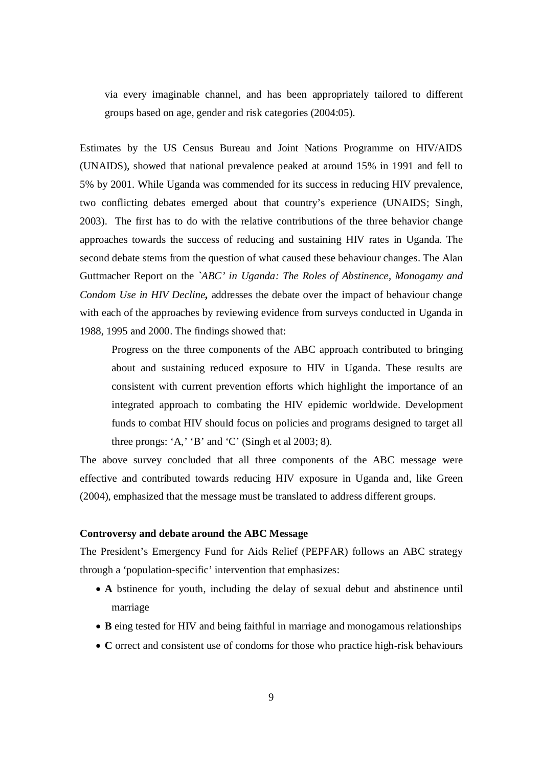via every imaginable channel, and has been appropriately tailored to different groups based on age, gender and risk categories (2004:05).

Estimates by the US Census Bureau and Joint Nations Programme on HIV/AIDS (UNAIDS), showed that national prevalence peaked at around 15% in 1991 and fell to 5% by 2001. While Uganda was commended for its success in reducing HIV prevalence, two conflicting debates emerged about that country's experience (UNAIDS; Singh, 2003). The first has to do with the relative contributions of the three behavior change approaches towards the success of reducing and sustaining HIV rates in Uganda. The second debate stems from the question of what caused these behaviour changes. The Alan Guttmacher Report on the *`ABC' in Uganda: The Roles of Abstinence, Monogamy and Condom Use in HIV Decline,* addresses the debate over the impact of behaviour change with each of the approaches by reviewing evidence from surveys conducted in Uganda in 1988, 1995 and 2000. The findings showed that:

Progress on the three components of the ABC approach contributed to bringing about and sustaining reduced exposure to HIV in Uganda. These results are consistent with current prevention efforts which highlight the importance of an integrated approach to combating the HIV epidemic worldwide. Development funds to combat HIV should focus on policies and programs designed to target all three prongs: 'A,' 'B' and 'C' (Singh et al  $2003; 8$ ).

The above survey concluded that all three components of the ABC message were effective and contributed towards reducing HIV exposure in Uganda and, like Green (2004), emphasized that the message must be translated to address different groups.

### **Controversy and debate around the ABC Message**

The President's Emergency Fund for Aids Relief (PEPFAR) follows an ABC strategy through a 'population-specific' intervention that emphasizes:

- **A** bstinence for youth, including the delay of sexual debut and abstinence until marriage
- **B** eing tested for HIV and being faithful in marriage and monogamous relationships
- **C** orrect and consistent use of condoms for those who practice high-risk behaviours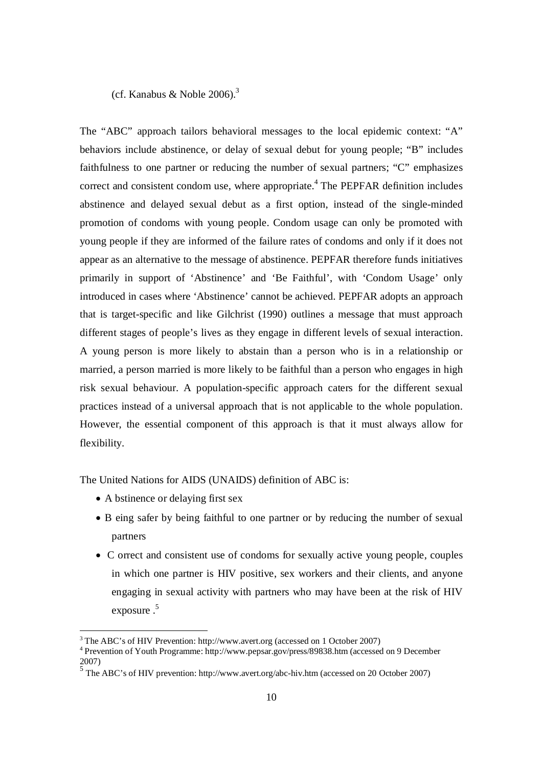(cf. Kanabus & Noble 2006). 3

The "ABC" approach tailors behavioral messages to the local epidemic context: "A" behaviors include abstinence, or delay of sexual debut for young people; "B" includes faithfulness to one partner or reducing the number of sexual partners; "C" emphasizes correct and consistent condom use, where appropriate.<sup> $4$ </sup> The PEPFAR definition includes abstinence and delayed sexual debut as a first option, instead of the single-minded promotion of condoms with young people. Condom usage can only be promoted with young people if they are informed of the failure rates of condoms and only if it does not appear as an alternative to the message of abstinence. PEPFAR therefore funds initiatives primarily in support of 'Abstinence' and 'Be Faithful', with 'Condom Usage' only introduced in cases where 'Abstinence' cannot be achieved. PEPFAR adopts an approach that is target-specific and like Gilchrist (1990) outlines a message that must approach different stages of people's lives as they engage in different levels of sexual interaction. A young person is more likely to abstain than a person who is in a relationship or married, a person married is more likely to be faithful than a person who engages in high risk sexual behaviour. A population-specific approach caters for the different sexual practices instead of a universal approach that is not applicable to the whole population. However, the essential component of this approach is that it must always allow for flexibility.

The United Nations for AIDS (UNAIDS) definition of ABC is:

- A bstinence or delaying first sex
- B eing safer by being faithful to one partner or by reducing the number of sexual partners
- C orrect and consistent use of condoms for sexually active young people, couples in which one partner is HIV positive, sex workers and their clients, and anyone engaging in sexual activity with partners who may have been at the risk of HIV exposure . 5

 3 The ABC's of HIV Prevention: http://www.avert.org (accessed on 1 October 2007)

<sup>4</sup> Prevention of Youth Programme: http://www.pepsar.gov/press/89838.htm (accessed on 9 December 2007)

<sup>&</sup>lt;sup>5</sup> The ABC's of HIV prevention: http://www.avert.org/abc-hiv.htm (accessed on 20 October 2007)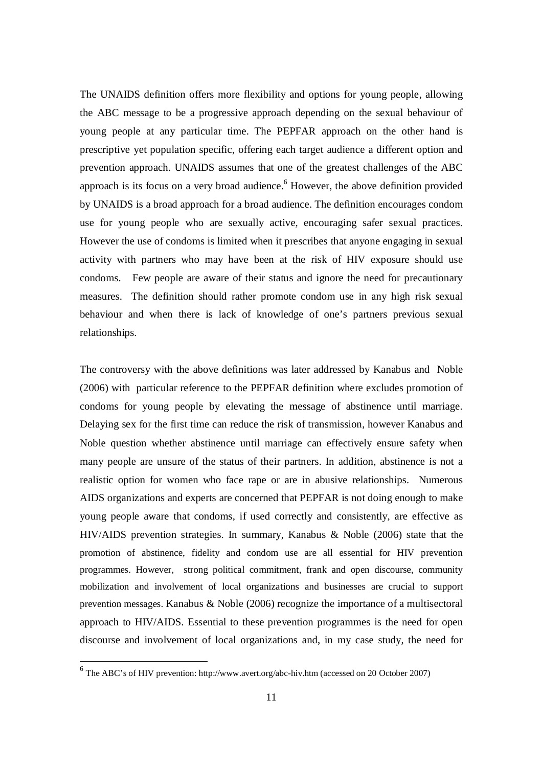The UNAIDS definition offers more flexibility and options for young people, allowing the ABC message to be a progressive approach depending on the sexual behaviour of young people at any particular time. The PEPFAR approach on the other hand is prescriptive yet population specific, offering each target audience a different option and prevention approach. UNAIDS assumes that one of the greatest challenges of the ABC approach is its focus on a very broad audience.<sup>6</sup> However, the above definition provided by UNAIDS is a broad approach for a broad audience. The definition encourages condom use for young people who are sexually active, encouraging safer sexual practices. However the use of condoms is limited when it prescribes that anyone engaging in sexual activity with partners who may have been at the risk of HIV exposure should use condoms. Few people are aware of their status and ignore the need for precautionary measures. The definition should rather promote condom use in any high risk sexual behaviour and when there is lack of knowledge of one's partners previous sexual relationships.

The controversy with the above definitions was later addressed by Kanabus and Noble (2006) with particular reference to the PEPFAR definition where excludes promotion of condoms for young people by elevating the message of abstinence until marriage. Delaying sex for the first time can reduce the risk of transmission, however Kanabus and Noble question whether abstinence until marriage can effectively ensure safety when many people are unsure of the status of their partners. In addition, abstinence is not a realistic option for women who face rape or are in abusive relationships. Numerous AIDS organizations and experts are concerned that PEPFAR is not doing enough to make young people aware that condoms, if used correctly and consistently, are effective as HIV/AIDS prevention strategies. In summary, Kanabus & Noble (2006) state that the promotion of abstinence, fidelity and condom use are all essential for HIV prevention programmes. However, strong political commitment, frank and open discourse, community mobilization and involvement of local organizations and businesses are crucial to support prevention messages. Kanabus & Noble (2006) recognize the importance of a multisectoral approach to HIV/AIDS. Essential to these prevention programmes is the need for open discourse and involvement of local organizations and, in my case study, the need for

The ABC's of HIV prevention: http://www.avert.org/abc-hiv.htm (accessed on 20 October 2007)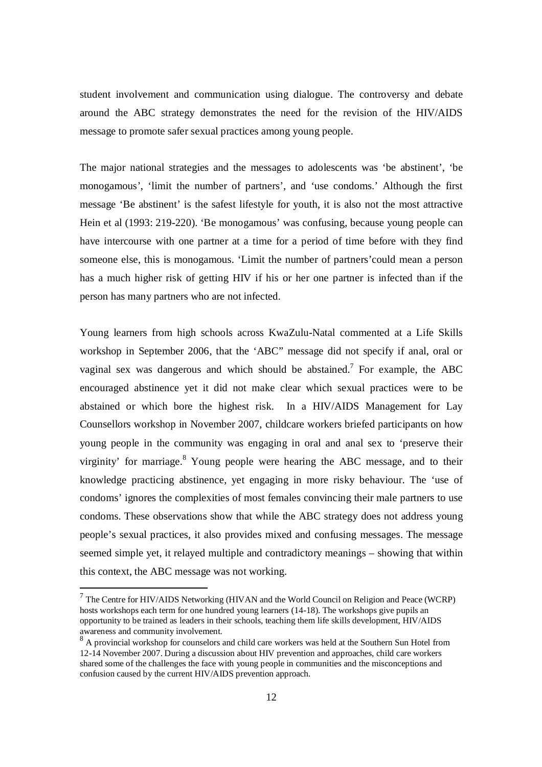student involvement and communication using dialogue. The controversy and debate around the ABC strategy demonstrates the need for the revision of the HIV/AIDS message to promote safer sexual practices among young people.

The major national strategies and the messages to adolescents was 'be abstinent', 'be monogamous', 'limit the number of partners', and 'use condoms.' Although the first message 'Be abstinent' is the safest lifestyle for youth, it is also not the most attractive Hein et al (1993: 219-220). 'Be monogamous' was confusing, because young people can have intercourse with one partner at a time for a period of time before with they find someone else, this is monogamous. 'Limit the number of partners'could mean a person has a much higher risk of getting HIV if his or her one partner is infected than if the person has many partners who are not infected.

Young learners from high schools across KwaZulu-Natal commented at a Life Skills workshop in September 2006, that the 'ABC" message did not specify if anal, oral or vaginal sex was dangerous and which should be abstained.<sup>7</sup> For example, the ABC encouraged abstinence yet it did not make clear which sexual practices were to be abstained or which bore the highest risk. In a HIV/AIDS Management for Lay Counsellors workshop in November 2007, childcare workers briefed participants on how young people in the community was engaging in oral and anal sex to 'preserve their virginity' for marriage.<sup>8</sup> Young people were hearing the ABC message, and to their knowledge practicing abstinence, yet engaging in more risky behaviour. The 'use of condoms' ignores the complexities of most females convincing their male partners to use condoms. These observations show that while the ABC strategy does not address young people's sexual practices, it also provides mixed and confusing messages. The message seemed simple yet, it relayed multiple and contradictory meanings – showing that within this context, the ABC message was not working.

The Centre for HIV/AIDS Networking (HIVAN and the World Council on Religion and Peace (WCRP) hosts workshops each term for one hundred young learners (14-18). The workshops give pupils an opportunity to be trained as leaders in their schools, teaching them life skills development, HIV/AIDS awareness and community involvement.

<sup>&</sup>lt;sup>8</sup> A provincial workshop for counselors and child care workers was held at the Southern Sun Hotel from 12-14 November 2007. During a discussion about HIV prevention and approaches, child care workers shared some of the challenges the face with young people in communities and the misconceptions and confusion caused by the current HIV/AIDS prevention approach.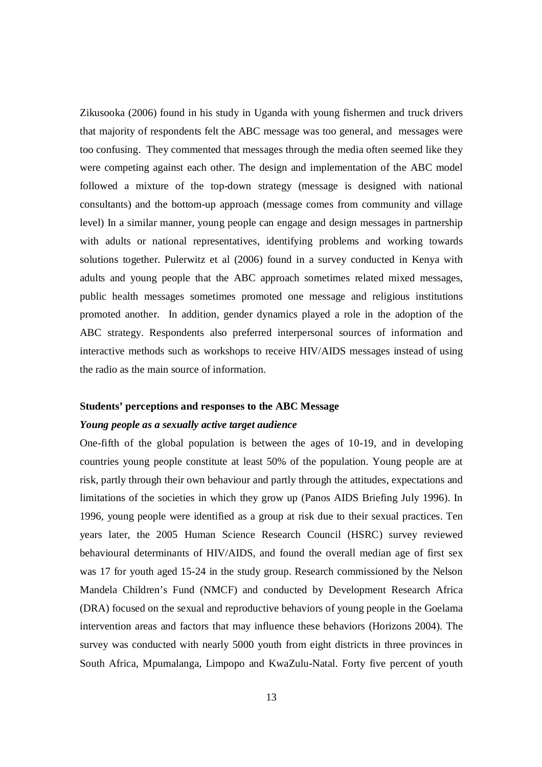Zikusooka (2006) found in his study in Uganda with young fishermen and truck drivers that majority of respondents felt the ABC message was too general, and messages were too confusing. They commented that messages through the media often seemed like they were competing against each other. The design and implementation of the ABC model followed a mixture of the top-down strategy (message is designed with national consultants) and the bottom-up approach (message comes from community and village level) In a similar manner, young people can engage and design messages in partnership with adults or national representatives, identifying problems and working towards solutions together. Pulerwitz et al (2006) found in a survey conducted in Kenya with adults and young people that the ABC approach sometimes related mixed messages, public health messages sometimes promoted one message and religious institutions promoted another. In addition, gender dynamics played a role in the adoption of the ABC strategy. Respondents also preferred interpersonal sources of information and interactive methods such as workshops to receive HIV/AIDS messages instead of using the radio as the main source of information.

# **Students' perceptions and responses to the ABC Message**

## *Young people as a sexually active target audience*

One-fifth of the global population is between the ages of 10-19, and in developing countries young people constitute at least 50% of the population. Young people are at risk, partly through their own behaviour and partly through the attitudes, expectations and limitations of the societies in which they grow up (Panos AIDS Briefing July 1996). In 1996, young people were identified as a group at risk due to their sexual practices. Ten years later, the 2005 Human Science Research Council (HSRC) survey reviewed behavioural determinants of HIV/AIDS, and found the overall median age of first sex was 17 for youth aged 15-24 in the study group. Research commissioned by the Nelson Mandela Children's Fund (NMCF) and conducted by Development Research Africa (DRA) focused on the sexual and reproductive behaviors of young people in the Goelama intervention areas and factors that may influence these behaviors (Horizons 2004). The survey was conducted with nearly 5000 youth from eight districts in three provinces in South Africa, Mpumalanga, Limpopo and KwaZulu-Natal. Forty five percent of youth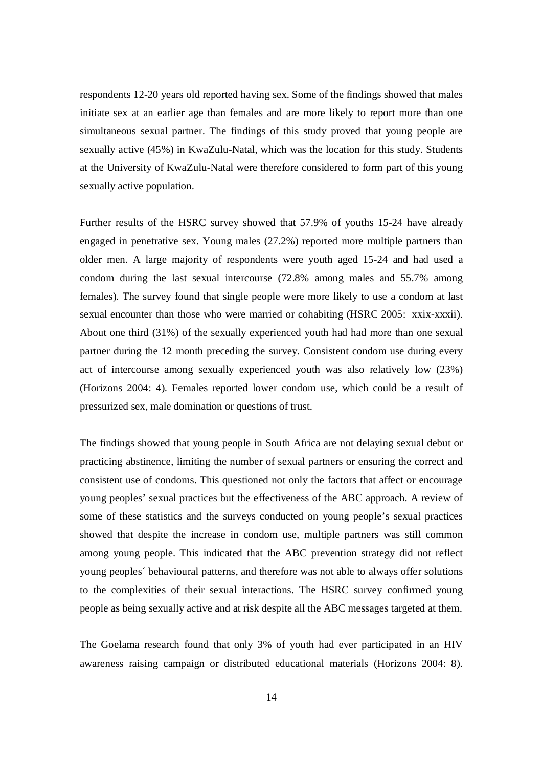respondents 12-20 years old reported having sex. Some of the findings showed that males initiate sex at an earlier age than females and are more likely to report more than one simultaneous sexual partner. The findings of this study proved that young people are sexually active (45%) in KwaZulu-Natal, which was the location for this study. Students at the University of KwaZulu-Natal were therefore considered to form part of this young sexually active population.

Further results of the HSRC survey showed that 57.9% of youths 15-24 have already engaged in penetrative sex. Young males (27.2%) reported more multiple partners than older men. A large majority of respondents were youth aged 15-24 and had used a condom during the last sexual intercourse (72.8% among males and 55.7% among females). The survey found that single people were more likely to use a condom at last sexual encounter than those who were married or cohabiting (HSRC 2005: xxix-xxxii). About one third (31%) of the sexually experienced youth had had more than one sexual partner during the 12 month preceding the survey. Consistent condom use during every act of intercourse among sexually experienced youth was also relatively low (23%) (Horizons 2004: 4). Females reported lower condom use, which could be a result of pressurized sex, male domination or questions of trust.

The findings showed that young people in South Africa are not delaying sexual debut or practicing abstinence, limiting the number of sexual partners or ensuring the correct and consistent use of condoms. This questioned not only the factors that affect or encourage young peoples' sexual practices but the effectiveness of the ABC approach. A review of some of these statistics and the surveys conducted on young people's sexual practices showed that despite the increase in condom use, multiple partners was still common among young people. This indicated that the ABC prevention strategy did not reflect young peoples´ behavioural patterns, and therefore was not able to always offer solutions to the complexities of their sexual interactions. The HSRC survey confirmed young people as being sexually active and at risk despite all the ABC messages targeted at them.

The Goelama research found that only 3% of youth had ever participated in an HIV awareness raising campaign or distributed educational materials (Horizons 2004: 8).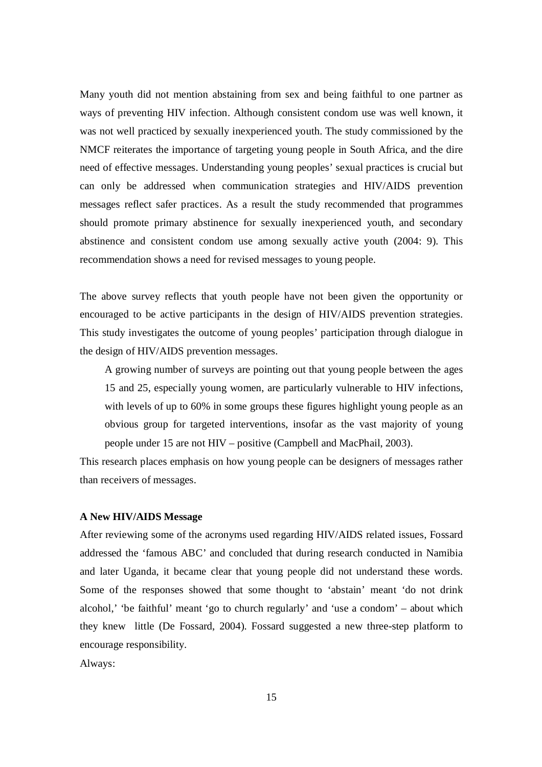Many youth did not mention abstaining from sex and being faithful to one partner as ways of preventing HIV infection. Although consistent condom use was well known, it was not well practiced by sexually inexperienced youth. The study commissioned by the NMCF reiterates the importance of targeting young people in South Africa, and the dire need of effective messages. Understanding young peoples' sexual practices is crucial but can only be addressed when communication strategies and HIV/AIDS prevention messages reflect safer practices. As a result the study recommended that programmes should promote primary abstinence for sexually inexperienced youth, and secondary abstinence and consistent condom use among sexually active youth (2004: 9). This recommendation shows a need for revised messages to young people.

The above survey reflects that youth people have not been given the opportunity or encouraged to be active participants in the design of HIV/AIDS prevention strategies. This study investigates the outcome of young peoples' participation through dialogue in the design of HIV/AIDS prevention messages.

A growing number of surveys are pointing out that young people between the ages 15 and 25, especially young women, are particularly vulnerable to HIV infections, with levels of up to 60% in some groups these figures highlight young people as an obvious group for targeted interventions, insofar as the vast majority of young people under 15 are not HIV – positive (Campbell and MacPhail, 2003).

This research places emphasis on how young people can be designers of messages rather than receivers of messages.

### **A New HIV/AIDS Message**

After reviewing some of the acronyms used regarding HIV/AIDS related issues, Fossard addressed the 'famous ABC' and concluded that during research conducted in Namibia and later Uganda, it became clear that young people did not understand these words. Some of the responses showed that some thought to 'abstain' meant 'do not drink alcohol,' 'be faithful' meant 'go to church regularly' and 'use a condom' – about which they knew little (De Fossard, 2004). Fossard suggested a new three-step platform to encourage responsibility.

Always: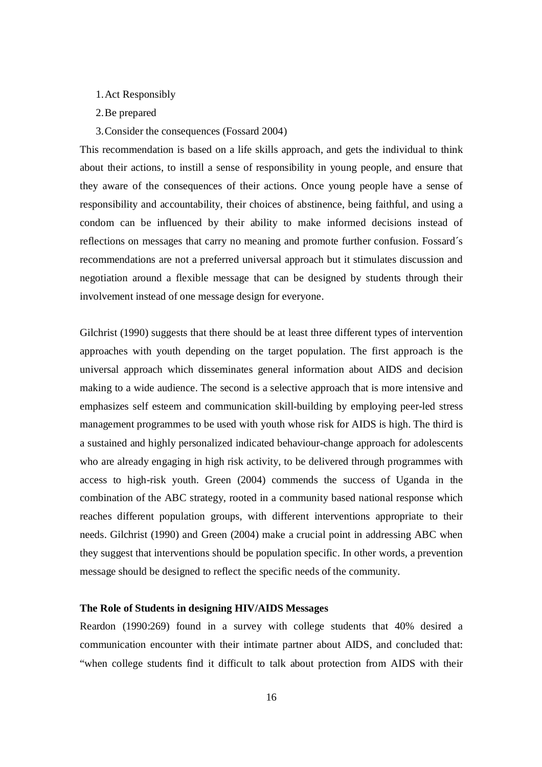- 1.Act Responsibly
- 2.Be prepared
- 3.Consider the consequences (Fossard 2004)

This recommendation is based on a life skills approach, and gets the individual to think about their actions, to instill a sense of responsibility in young people, and ensure that they aware of the consequences of their actions. Once young people have a sense of responsibility and accountability, their choices of abstinence, being faithful, and using a condom can be influenced by their ability to make informed decisions instead of reflections on messages that carry no meaning and promote further confusion. Fossard´s recommendations are not a preferred universal approach but it stimulates discussion and negotiation around a flexible message that can be designed by students through their involvement instead of one message design for everyone.

Gilchrist (1990) suggests that there should be at least three different types of intervention approaches with youth depending on the target population. The first approach is the universal approach which disseminates general information about AIDS and decision making to a wide audience. The second is a selective approach that is more intensive and emphasizes self esteem and communication skill-building by employing peer-led stress management programmes to be used with youth whose risk for AIDS is high. The third is a sustained and highly personalized indicated behaviour-change approach for adolescents who are already engaging in high risk activity, to be delivered through programmes with access to high-risk youth. Green (2004) commends the success of Uganda in the combination of the ABC strategy, rooted in a community based national response which reaches different population groups, with different interventions appropriate to their needs. Gilchrist (1990) and Green (2004) make a crucial point in addressing ABC when they suggest that interventions should be population specific. In other words, a prevention message should be designed to reflect the specific needs of the community.

#### **The Role of Students in designing HIV/AIDS Messages**

Reardon (1990:269) found in a survey with college students that 40% desired a communication encounter with their intimate partner about AIDS, and concluded that: "when college students find it difficult to talk about protection from AIDS with their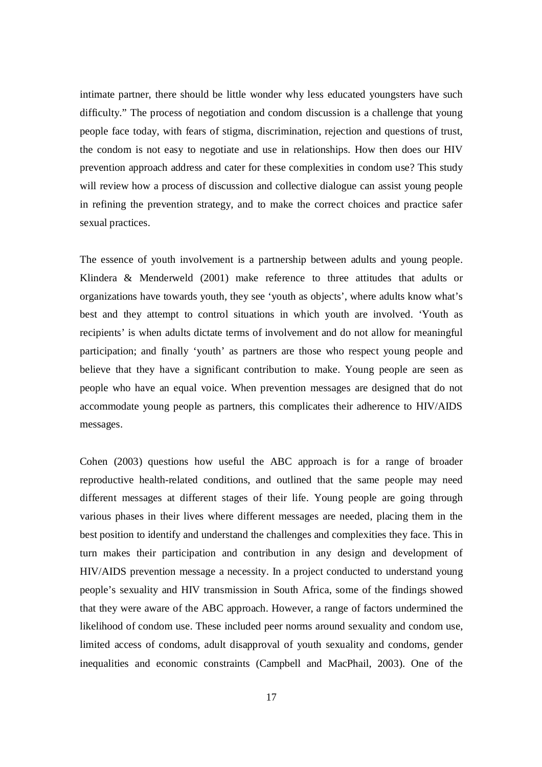intimate partner, there should be little wonder why less educated youngsters have such difficulty." The process of negotiation and condom discussion is a challenge that young people face today, with fears of stigma, discrimination, rejection and questions of trust, the condom is not easy to negotiate and use in relationships. How then does our HIV prevention approach address and cater for these complexities in condom use? This study will review how a process of discussion and collective dialogue can assist young people in refining the prevention strategy, and to make the correct choices and practice safer sexual practices.

The essence of youth involvement is a partnership between adults and young people. Klindera & Menderweld (2001) make reference to three attitudes that adults or organizations have towards youth, they see 'youth as objects', where adults know what's best and they attempt to control situations in which youth are involved. 'Youth as recipients' is when adults dictate terms of involvement and do not allow for meaningful participation; and finally 'youth' as partners are those who respect young people and believe that they have a significant contribution to make. Young people are seen as people who have an equal voice. When prevention messages are designed that do not accommodate young people as partners, this complicates their adherence to HIV/AIDS messages.

Cohen (2003) questions how useful the ABC approach is for a range of broader reproductive health-related conditions, and outlined that the same people may need different messages at different stages of their life. Young people are going through various phases in their lives where different messages are needed, placing them in the best position to identify and understand the challenges and complexities they face. This in turn makes their participation and contribution in any design and development of HIV/AIDS prevention message a necessity. In a project conducted to understand young people's sexuality and HIV transmission in South Africa, some of the findings showed that they were aware of the ABC approach. However, a range of factors undermined the likelihood of condom use. These included peer norms around sexuality and condom use, limited access of condoms, adult disapproval of youth sexuality and condoms, gender inequalities and economic constraints (Campbell and MacPhail, 2003). One of the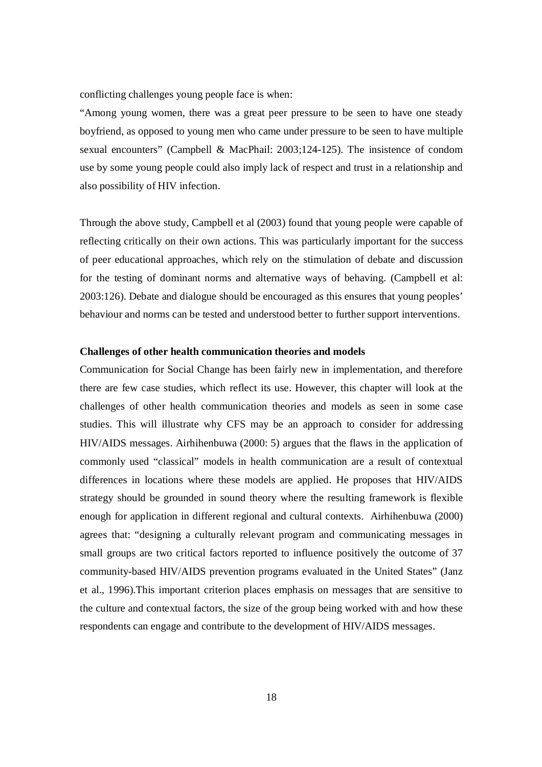conflicting challenges young people face is when:

"Among young women, there was a great peer pressure to be seen to have one steady boyfriend, as opposed to young men who came under pressure to be seen to have multiple sexual encounters" (Campbell & MacPhail: 2003;124-125). The insistence of condom use by some young people could also imply lack of respect and trust in a relationship and also possibility of HIV infection.

Through the above study, Campbell et al (2003) found that young people were capable of reflecting critically on their own actions. This was particularly important for the success of peer educational approaches, which rely on the stimulation of debate and discussion for the testing of dominant norms and alternative ways of behaving. (Campbell et al: 2003:126). Debate and dialogue should be encouraged as this ensures that young peoples' behaviour and norms can be tested and understood better to further support interventions.

#### **Challenges of other health communication theories and models**

Communication for Social Change has been fairly new in implementation, and therefore there are few case studies, which reflect its use. However, this chapter will look at the challenges of other health communication theories and models as seen in some case studies. This will illustrate why CFS may be an approach to consider for addressing HIV/AIDS messages. Airhihenbuwa (2000: 5) argues that the flaws in the application of commonly used "classical" models in health communication are a result of contextual differences in locations where these models are applied. He proposes that HIV/AIDS strategy should be grounded in sound theory where the resulting framework is flexible enough for application in different regional and cultural contexts. Airhihenbuwa (2000) agrees that: "designing a culturally relevant program and communicating messages in small groups are two critical factors reported to influence positively the outcome of 37 community-based HIV/AIDS prevention programs evaluated in the United States" (Janz et al., 1996).This important criterion places emphasis on messages that are sensitive to the culture and contextual factors, the size of the group being worked with and how these respondents can engage and contribute to the development of HIV/AIDS messages.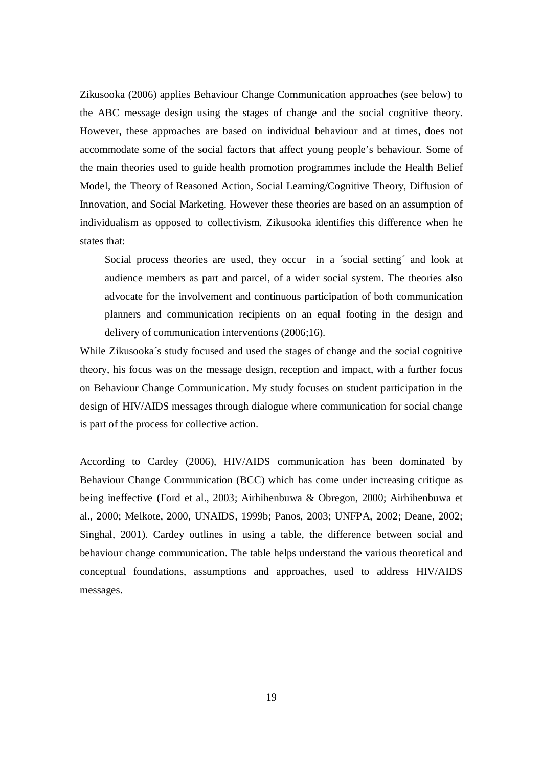Zikusooka (2006) applies Behaviour Change Communication approaches (see below) to the ABC message design using the stages of change and the social cognitive theory. However, these approaches are based on individual behaviour and at times, does not accommodate some of the social factors that affect young people's behaviour. Some of the main theories used to guide health promotion programmes include the Health Belief Model, the Theory of Reasoned Action, Social Learning/Cognitive Theory, Diffusion of Innovation, and Social Marketing. However these theories are based on an assumption of individualism as opposed to collectivism. Zikusooka identifies this difference when he states that:

Social process theories are used, they occur in a ´social setting´ and look at audience members as part and parcel, of a wider social system. The theories also advocate for the involvement and continuous participation of both communication planners and communication recipients on an equal footing in the design and delivery of communication interventions (2006;16).

While Zikusooka´s study focused and used the stages of change and the social cognitive theory, his focus was on the message design, reception and impact, with a further focus on Behaviour Change Communication. My study focuses on student participation in the design of HIV/AIDS messages through dialogue where communication for social change is part of the process for collective action.

According to Cardey (2006), HIV/AIDS communication has been dominated by Behaviour Change Communication (BCC) which has come under increasing critique as being ineffective (Ford et al., 2003; Airhihenbuwa & Obregon, 2000; Airhihenbuwa et al., 2000; Melkote, 2000, UNAIDS, 1999b; Panos, 2003; UNFPA, 2002; Deane, 2002; Singhal, 2001). Cardey outlines in using a table, the difference between social and behaviour change communication. The table helps understand the various theoretical and conceptual foundations, assumptions and approaches, used to address HIV/AIDS messages.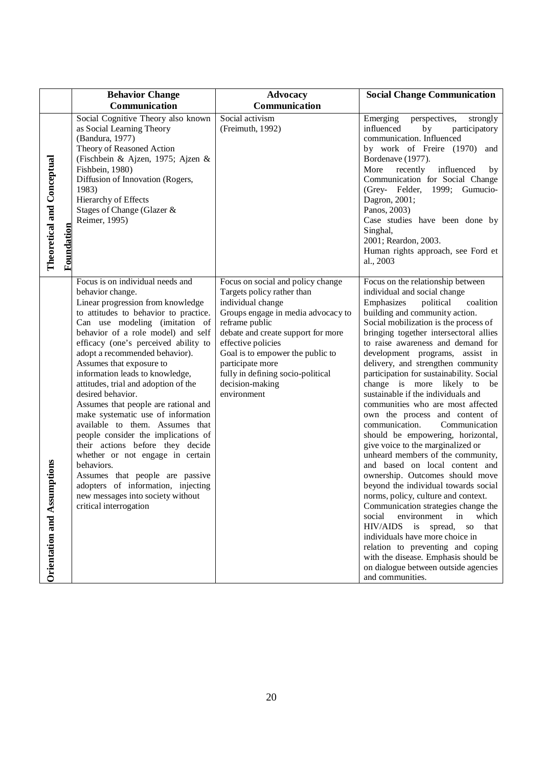|                                          | <b>Behavior Change</b>                                                                                                                                                                                                                                                                                                                                                                                                                                                                                                                                                                                                                                                                                                                                                                                 | <b>Advocacy</b>                                                                                                                                                                                                                                                                                                                         | <b>Social Change Communication</b>                                                                                                                                                                                                                                                                                                                                                                                                                                                                                                                                                                                                                                                                                                                                                                                                                                                                                                                                                                                                                                                                                                                      |
|------------------------------------------|--------------------------------------------------------------------------------------------------------------------------------------------------------------------------------------------------------------------------------------------------------------------------------------------------------------------------------------------------------------------------------------------------------------------------------------------------------------------------------------------------------------------------------------------------------------------------------------------------------------------------------------------------------------------------------------------------------------------------------------------------------------------------------------------------------|-----------------------------------------------------------------------------------------------------------------------------------------------------------------------------------------------------------------------------------------------------------------------------------------------------------------------------------------|---------------------------------------------------------------------------------------------------------------------------------------------------------------------------------------------------------------------------------------------------------------------------------------------------------------------------------------------------------------------------------------------------------------------------------------------------------------------------------------------------------------------------------------------------------------------------------------------------------------------------------------------------------------------------------------------------------------------------------------------------------------------------------------------------------------------------------------------------------------------------------------------------------------------------------------------------------------------------------------------------------------------------------------------------------------------------------------------------------------------------------------------------------|
|                                          | Communication                                                                                                                                                                                                                                                                                                                                                                                                                                                                                                                                                                                                                                                                                                                                                                                          | Communication                                                                                                                                                                                                                                                                                                                           |                                                                                                                                                                                                                                                                                                                                                                                                                                                                                                                                                                                                                                                                                                                                                                                                                                                                                                                                                                                                                                                                                                                                                         |
| Theoretical and Conceptual<br>Foundation | Social Cognitive Theory also known<br>as Social Learning Theory<br>(Bandura, 1977)<br>Theory of Reasoned Action<br>(Fischbein & Ajzen, 1975; Ajzen &<br>Fishbein, 1980)<br>Diffusion of Innovation (Rogers,<br>1983)<br>Hierarchy of Effects<br>Stages of Change (Glazer &<br>Reimer, 1995)                                                                                                                                                                                                                                                                                                                                                                                                                                                                                                            | Social activism<br>(Freimuth, 1992)                                                                                                                                                                                                                                                                                                     | Emerging<br>perspectives,<br>strongly<br>influenced<br>by<br>participatory<br>communication. Influenced<br>by work of Freire (1970) and<br>Bordenave (1977).<br>More<br>recently<br>influenced<br>by<br>Communication for Social Change<br>(Grey- Felder, 1999; Gumucio-<br>Dagron, 2001;<br>Panos, 2003)<br>Case studies have been done by<br>Singhal,<br>2001; Reardon, 2003.<br>Human rights approach, see Ford et<br>al., 2003                                                                                                                                                                                                                                                                                                                                                                                                                                                                                                                                                                                                                                                                                                                      |
| mptions<br>Orientation and Assu          | Focus is on individual needs and<br>behavior change.<br>Linear progression from knowledge<br>to attitudes to behavior to practice.<br>Can use modeling (imitation of<br>behavior of a role model) and self<br>efficacy (one's perceived ability to<br>adopt a recommended behavior).<br>Assumes that exposure to<br>information leads to knowledge,<br>attitudes, trial and adoption of the<br>desired behavior.<br>Assumes that people are rational and<br>make systematic use of information<br>available to them. Assumes that<br>people consider the implications of<br>their actions before they decide<br>whether or not engage in certain<br>behaviors.<br>Assumes that people are passive<br>adopters of information, injecting<br>new messages into society without<br>critical interrogation | Focus on social and policy change<br>Targets policy rather than<br>individual change<br>Groups engage in media advocacy to<br>reframe public<br>debate and create support for more<br>effective policies<br>Goal is to empower the public to<br>participate more<br>fully in defining socio-political<br>decision-making<br>environment | Focus on the relationship between<br>individual and social change<br>political<br>Emphasizes<br>coalition<br>building and community action.<br>Social mobilization is the process of<br>bringing together intersectoral allies<br>to raise awareness and demand for<br>development programs, assist in<br>delivery, and strengthen community<br>participation for sustainability. Social<br>change is more likely to be<br>sustainable if the individuals and<br>communities who are most affected<br>own the process and content of<br>communication.<br>Communication<br>should be empowering, horizontal,<br>give voice to the marginalized or<br>unheard members of the community,<br>and based on local content and<br>ownership. Outcomes should move<br>beyond the individual towards social<br>norms, policy, culture and context.<br>Communication strategies change the<br>social<br>environment<br>in<br>which<br>HIV/AIDS<br>spread,<br>that<br>is<br><b>SO</b><br>individuals have more choice in<br>relation to preventing and coping<br>with the disease. Emphasis should be<br>on dialogue between outside agencies<br>and communities. |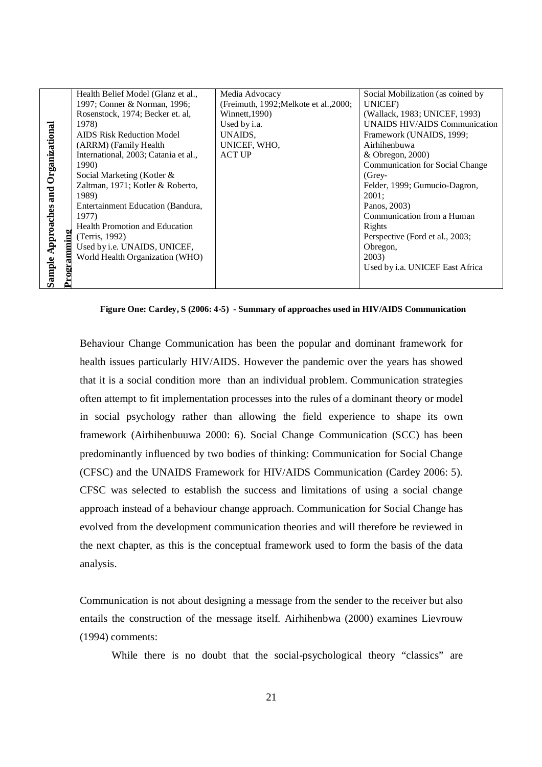|                                            | Health Belief Model (Glanz et al.,    | Media Advocacy                         | Social Mobilization (as coined by      |
|--------------------------------------------|---------------------------------------|----------------------------------------|----------------------------------------|
| Organizational<br>Approaches and<br>amming | 1997; Conner & Norman, 1996;          | (Freimuth, 1992; Melkote et al., 2000; | <b>UNICEF</b> )                        |
|                                            | Rosenstock, 1974; Becker et. al.      | Winnett, 1990)                         | (Wallack, 1983; UNICEF, 1993)          |
|                                            | 1978)                                 | Used by i.a.                           | UNAIDS HIV/AIDS Communication          |
|                                            | <b>AIDS Risk Reduction Model</b>      | UNAIDS,                                | Framework (UNAIDS, 1999;               |
|                                            | (ARRM) (Family Health                 | UNICEF, WHO,                           | Airhihenbuwa                           |
|                                            | International, 2003; Catania et al.,  | <b>ACT UP</b>                          | & Obregon, 2000)                       |
|                                            | 1990)                                 |                                        | <b>Communication for Social Change</b> |
|                                            | Social Marketing (Kotler &            |                                        | $(Grey-$                               |
|                                            | Zaltman, 1971; Kotler & Roberto,      |                                        | Felder, 1999; Gumucio-Dagron,          |
|                                            | 1989)                                 |                                        | 2001;                                  |
|                                            | Entertainment Education (Bandura,     |                                        | Panos, 2003)                           |
|                                            | 1977)                                 |                                        | Communication from a Human             |
|                                            | <b>Health Promotion and Education</b> |                                        | Rights                                 |
|                                            | (Terris, 1992)                        |                                        | Perspective (Ford et al., 2003;        |
|                                            | Used by i.e. UNAIDS, UNICEF,          |                                        | Obregon,                               |
|                                            | World Health Organization (WHO)       |                                        | 2003)                                  |
|                                            |                                       |                                        | Used by i.a. UNICEF East Africa        |
| Sample                                     |                                       |                                        |                                        |
|                                            |                                       |                                        |                                        |

#### **Figure One: Cardey, S (2006: 4-5) - Summary of approaches used in HIV/AIDS Communication**

Behaviour Change Communication has been the popular and dominant framework for health issues particularly HIV/AIDS. However the pandemic over the years has showed that it is a social condition more than an individual problem. Communication strategies often attempt to fit implementation processes into the rules of a dominant theory or model in social psychology rather than allowing the field experience to shape its own framework (Airhihenbuuwa 2000: 6). Social Change Communication (SCC) has been predominantly influenced by two bodies of thinking: Communication for Social Change (CFSC) and the UNAIDS Framework for HIV/AIDS Communication (Cardey 2006: 5). CFSC was selected to establish the success and limitations of using a social change approach instead of a behaviour change approach. Communication for Social Change has evolved from the development communication theories and will therefore be reviewed in the next chapter, as this is the conceptual framework used to form the basis of the data analysis.

Communication is not about designing a message from the sender to the receiver but also entails the construction of the message itself. Airhihenbwa (2000) examines Lievrouw (1994) comments:

While there is no doubt that the social-psychological theory "classics" are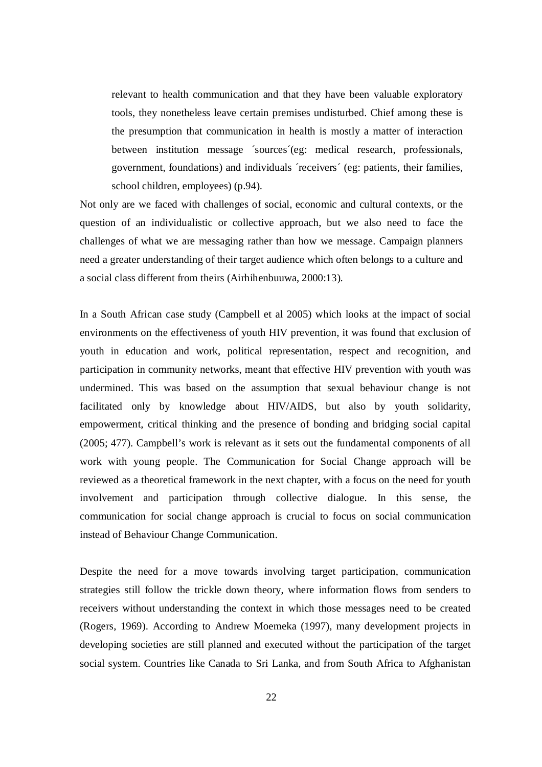relevant to health communication and that they have been valuable exploratory tools, they nonetheless leave certain premises undisturbed. Chief among these is the presumption that communication in health is mostly a matter of interaction between institution message ´sources´(eg: medical research, professionals, government, foundations) and individuals ´receivers´ (eg: patients, their families, school children, employees) (p.94).

Not only are we faced with challenges of social, economic and cultural contexts, or the question of an individualistic or collective approach, but we also need to face the challenges of what we are messaging rather than how we message. Campaign planners need a greater understanding of their target audience which often belongs to a culture and a social class different from theirs (Airhihenbuuwa, 2000:13).

In a South African case study (Campbell et al 2005) which looks at the impact of social environments on the effectiveness of youth HIV prevention, it was found that exclusion of youth in education and work, political representation, respect and recognition, and participation in community networks, meant that effective HIV prevention with youth was undermined. This was based on the assumption that sexual behaviour change is not facilitated only by knowledge about HIV/AIDS, but also by youth solidarity, empowerment, critical thinking and the presence of bonding and bridging social capital (2005; 477). Campbell's work is relevant as it sets out the fundamental components of all work with young people. The Communication for Social Change approach will be reviewed as a theoretical framework in the next chapter, with a focus on the need for youth involvement and participation through collective dialogue. In this sense, the communication for social change approach is crucial to focus on social communication instead of Behaviour Change Communication.

Despite the need for a move towards involving target participation, communication strategies still follow the trickle down theory, where information flows from senders to receivers without understanding the context in which those messages need to be created (Rogers, 1969). According to Andrew Moemeka (1997), many development projects in developing societies are still planned and executed without the participation of the target social system. Countries like Canada to Sri Lanka, and from South Africa to Afghanistan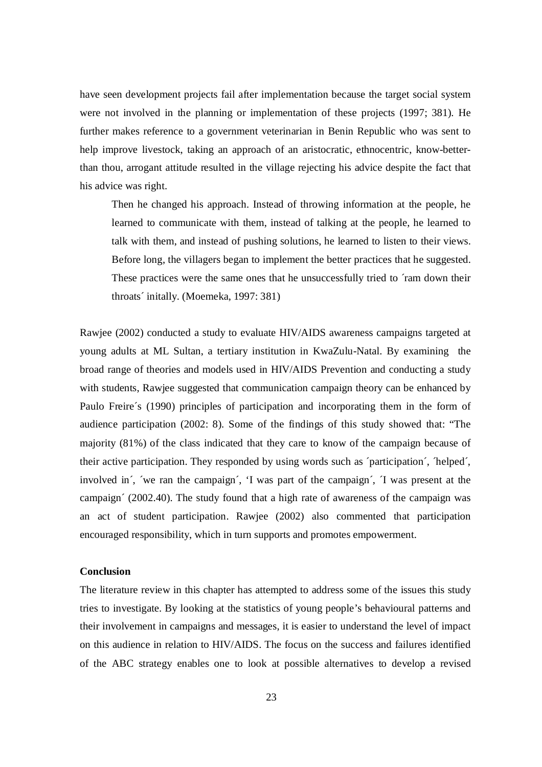have seen development projects fail after implementation because the target social system were not involved in the planning or implementation of these projects (1997; 381). He further makes reference to a government veterinarian in Benin Republic who was sent to help improve livestock, taking an approach of an aristocratic, ethnocentric, know-betterthan thou, arrogant attitude resulted in the village rejecting his advice despite the fact that his advice was right.

Then he changed his approach. Instead of throwing information at the people, he learned to communicate with them, instead of talking at the people, he learned to talk with them, and instead of pushing solutions, he learned to listen to their views. Before long, the villagers began to implement the better practices that he suggested. These practices were the same ones that he unsuccessfully tried to 'ram down their throats´ initally. (Moemeka, 1997: 381)

Rawjee (2002) conducted a study to evaluate HIV/AIDS awareness campaigns targeted at young adults at ML Sultan, a tertiary institution in KwaZulu-Natal. By examining the broad range of theories and models used in HIV/AIDS Prevention and conducting a study with students, Rawjee suggested that communication campaign theory can be enhanced by Paulo Freire´s (1990) principles of participation and incorporating them in the form of audience participation (2002: 8). Some of the findings of this study showed that: "The majority (81%) of the class indicated that they care to know of the campaign because of their active participation. They responded by using words such as ´participation´, ´helped´, involved in´, ´we ran the campaign´, 'I was part of the campaign´, ´I was present at the campaign´ (2002.40). The study found that a high rate of awareness of the campaign was an act of student participation. Rawjee (2002) also commented that participation encouraged responsibility, which in turn supports and promotes empowerment.

#### **Conclusion**

The literature review in this chapter has attempted to address some of the issues this study tries to investigate. By looking at the statistics of young people's behavioural patterns and their involvement in campaigns and messages, it is easier to understand the level of impact on this audience in relation to HIV/AIDS. The focus on the success and failures identified of the ABC strategy enables one to look at possible alternatives to develop a revised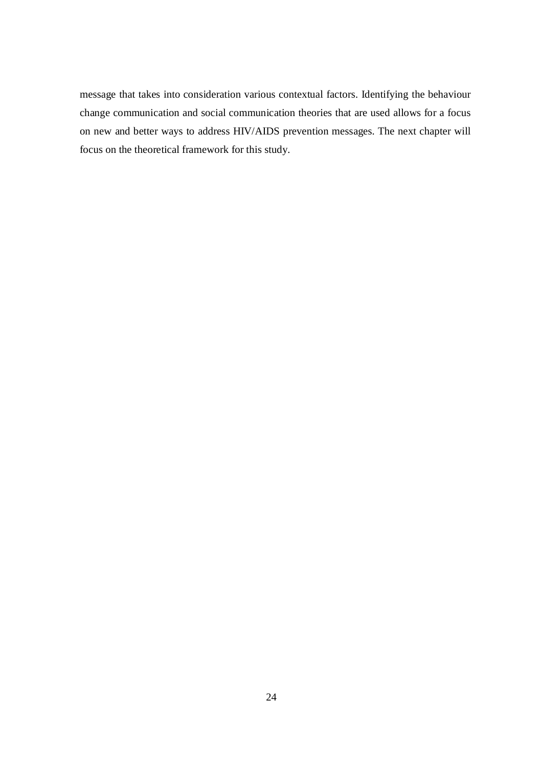message that takes into consideration various contextual factors. Identifying the behaviour change communication and social communication theories that are used allows for a focus on new and better ways to address HIV/AIDS prevention messages. The next chapter will focus on the theoretical framework for this study.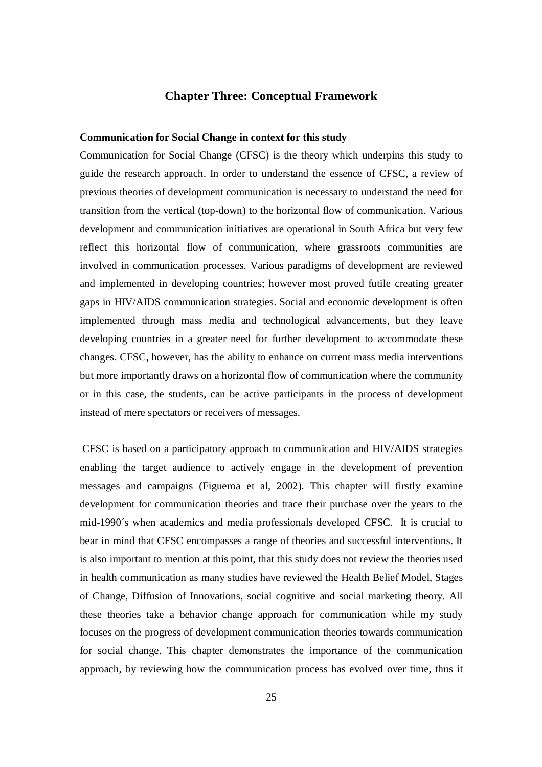# **Chapter Three: Conceptual Framework**

#### **Communication for Social Change in context for this study**

Communication for Social Change (CFSC) is the theory which underpins this study to guide the research approach. In order to understand the essence of CFSC, a review of previous theories of development communication is necessary to understand the need for transition from the vertical (top-down) to the horizontal flow of communication. Various development and communication initiatives are operational in South Africa but very few reflect this horizontal flow of communication, where grassroots communities are involved in communication processes. Various paradigms of development are reviewed and implemented in developing countries; however most proved futile creating greater gaps in HIV/AIDS communication strategies. Social and economic development is often implemented through mass media and technological advancements, but they leave developing countries in a greater need for further development to accommodate these changes. CFSC, however, has the ability to enhance on current mass media interventions but more importantly draws on a horizontal flow of communication where the community or in this case, the students, can be active participants in the process of development instead of mere spectators or receivers of messages.

 CFSC is based on a participatory approach to communication and HIV/AIDS strategies enabling the target audience to actively engage in the development of prevention messages and campaigns (Figueroa et al, 2002). This chapter will firstly examine development for communication theories and trace their purchase over the years to the mid-1990´s when academics and media professionals developed CFSC. It is crucial to bear in mind that CFSC encompasses a range of theories and successful interventions. It is also important to mention at this point, that this study does not review the theories used in health communication as many studies have reviewed the Health Belief Model, Stages of Change, Diffusion of Innovations, social cognitive and social marketing theory. All these theories take a behavior change approach for communication while my study focuses on the progress of development communication theories towards communication for social change. This chapter demonstrates the importance of the communication approach, by reviewing how the communication process has evolved over time, thus it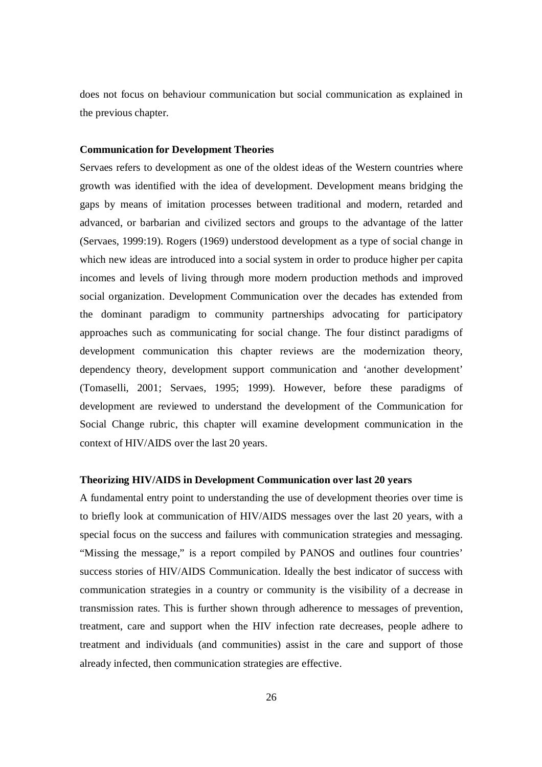does not focus on behaviour communication but social communication as explained in the previous chapter.

#### **Communication for Development Theories**

Servaes refers to development as one of the oldest ideas of the Western countries where growth was identified with the idea of development. Development means bridging the gaps by means of imitation processes between traditional and modern, retarded and advanced, or barbarian and civilized sectors and groups to the advantage of the latter (Servaes, 1999:19). Rogers (1969) understood development as a type of social change in which new ideas are introduced into a social system in order to produce higher per capita incomes and levels of living through more modern production methods and improved social organization. Development Communication over the decades has extended from the dominant paradigm to community partnerships advocating for participatory approaches such as communicating for social change. The four distinct paradigms of development communication this chapter reviews are the modernization theory, dependency theory, development support communication and 'another development' (Tomaselli, 2001; Servaes, 1995; 1999). However, before these paradigms of development are reviewed to understand the development of the Communication for Social Change rubric, this chapter will examine development communication in the context of HIV/AIDS over the last 20 years.

#### **Theorizing HIV/AIDS in Development Communication over last 20 years**

A fundamental entry point to understanding the use of development theories over time is to briefly look at communication of HIV/AIDS messages over the last 20 years, with a special focus on the success and failures with communication strategies and messaging. "Missing the message," is a report compiled by PANOS and outlines four countries' success stories of HIV/AIDS Communication. Ideally the best indicator of success with communication strategies in a country or community is the visibility of a decrease in transmission rates. This is further shown through adherence to messages of prevention, treatment, care and support when the HIV infection rate decreases, people adhere to treatment and individuals (and communities) assist in the care and support of those already infected, then communication strategies are effective.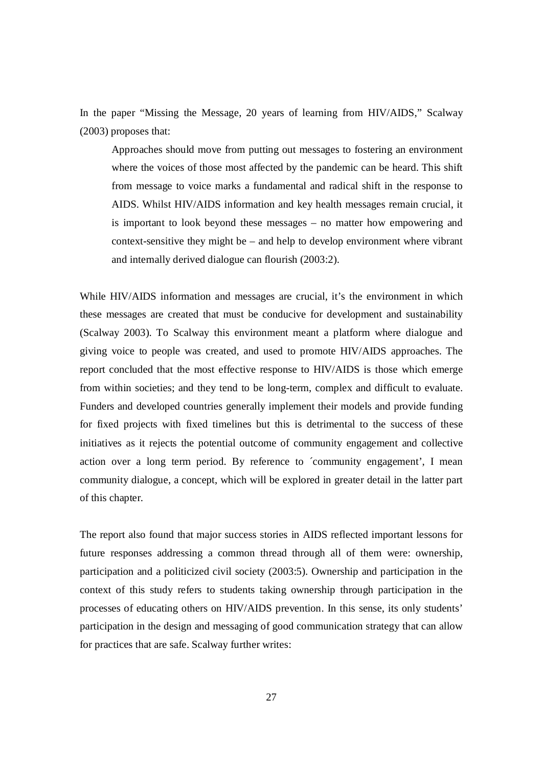In the paper "Missing the Message, 20 years of learning from HIV/AIDS," Scalway (2003) proposes that:

Approaches should move from putting out messages to fostering an environment where the voices of those most affected by the pandemic can be heard. This shift from message to voice marks a fundamental and radical shift in the response to AIDS. Whilst HIV/AIDS information and key health messages remain crucial, it is important to look beyond these messages – no matter how empowering and context-sensitive they might be – and help to develop environment where vibrant and internally derived dialogue can flourish (2003:2).

While HIV/AIDS information and messages are crucial, it's the environment in which these messages are created that must be conducive for development and sustainability (Scalway 2003). To Scalway this environment meant a platform where dialogue and giving voice to people was created, and used to promote HIV/AIDS approaches. The report concluded that the most effective response to HIV/AIDS is those which emerge from within societies; and they tend to be long-term, complex and difficult to evaluate. Funders and developed countries generally implement their models and provide funding for fixed projects with fixed timelines but this is detrimental to the success of these initiatives as it rejects the potential outcome of community engagement and collective action over a long term period. By reference to ´community engagement', I mean community dialogue, a concept, which will be explored in greater detail in the latter part of this chapter.

The report also found that major success stories in AIDS reflected important lessons for future responses addressing a common thread through all of them were: ownership, participation and a politicized civil society (2003:5). Ownership and participation in the context of this study refers to students taking ownership through participation in the processes of educating others on HIV/AIDS prevention. In this sense, its only students' participation in the design and messaging of good communication strategy that can allow for practices that are safe. Scalway further writes: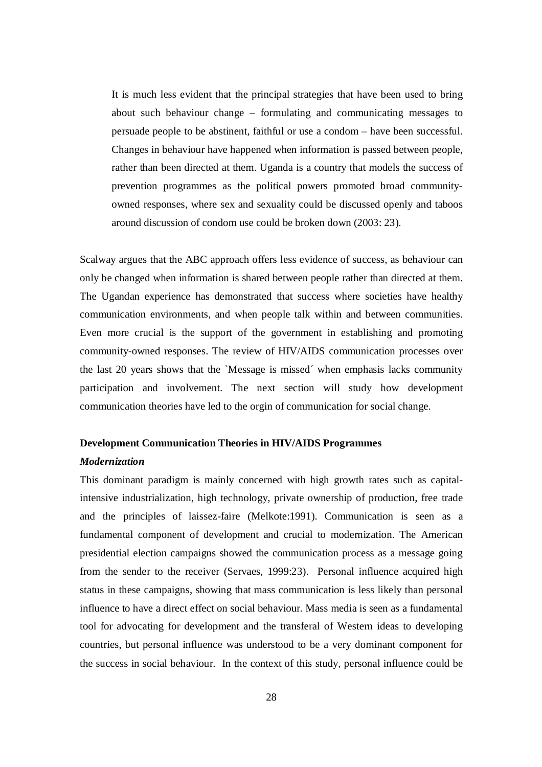It is much less evident that the principal strategies that have been used to bring about such behaviour change – formulating and communicating messages to persuade people to be abstinent, faithful or use a condom – have been successful. Changes in behaviour have happened when information is passed between people, rather than been directed at them. Uganda is a country that models the success of prevention programmes as the political powers promoted broad communityowned responses, where sex and sexuality could be discussed openly and taboos around discussion of condom use could be broken down (2003: 23).

Scalway argues that the ABC approach offers less evidence of success, as behaviour can only be changed when information is shared between people rather than directed at them. The Ugandan experience has demonstrated that success where societies have healthy communication environments, and when people talk within and between communities. Even more crucial is the support of the government in establishing and promoting community-owned responses. The review of HIV/AIDS communication processes over the last 20 years shows that the `Message is missed´ when emphasis lacks community participation and involvement. The next section will study how development communication theories have led to the orgin of communication for social change.

### **Development Communication Theories in HIV/AIDS Programmes**

#### *Modernization*

This dominant paradigm is mainly concerned with high growth rates such as capitalintensive industrialization, high technology, private ownership of production, free trade and the principles of laissez-faire (Melkote:1991). Communication is seen as a fundamental component of development and crucial to modernization. The American presidential election campaigns showed the communication process as a message going from the sender to the receiver (Servaes, 1999:23). Personal influence acquired high status in these campaigns, showing that mass communication is less likely than personal influence to have a direct effect on social behaviour. Mass media is seen as a fundamental tool for advocating for development and the transferal of Western ideas to developing countries, but personal influence was understood to be a very dominant component for the success in social behaviour. In the context of this study, personal influence could be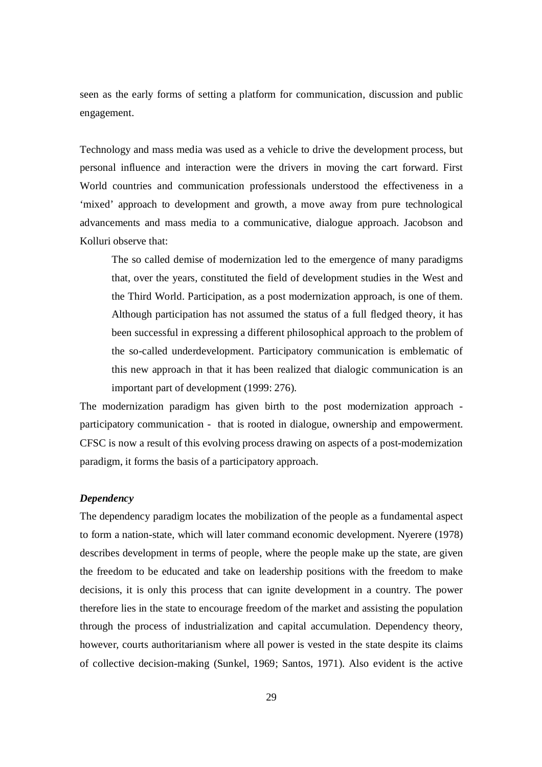seen as the early forms of setting a platform for communication, discussion and public engagement.

Technology and mass media was used as a vehicle to drive the development process, but personal influence and interaction were the drivers in moving the cart forward. First World countries and communication professionals understood the effectiveness in a 'mixed' approach to development and growth, a move away from pure technological advancements and mass media to a communicative, dialogue approach. Jacobson and Kolluri observe that:

The so called demise of modernization led to the emergence of many paradigms that, over the years, constituted the field of development studies in the West and the Third World. Participation, as a post modernization approach, is one of them. Although participation has not assumed the status of a full fledged theory, it has been successful in expressing a different philosophical approach to the problem of the so-called underdevelopment. Participatory communication is emblematic of this new approach in that it has been realized that dialogic communication is an important part of development (1999: 276).

The modernization paradigm has given birth to the post modernization approach participatory communication - that is rooted in dialogue, ownership and empowerment. CFSC is now a result of this evolving process drawing on aspects of a post-modernization paradigm, it forms the basis of a participatory approach.

## *Dependency*

The dependency paradigm locates the mobilization of the people as a fundamental aspect to form a nation-state, which will later command economic development. Nyerere (1978) describes development in terms of people, where the people make up the state, are given the freedom to be educated and take on leadership positions with the freedom to make decisions, it is only this process that can ignite development in a country. The power therefore lies in the state to encourage freedom of the market and assisting the population through the process of industrialization and capital accumulation. Dependency theory, however, courts authoritarianism where all power is vested in the state despite its claims of collective decision-making (Sunkel, 1969; Santos, 1971). Also evident is the active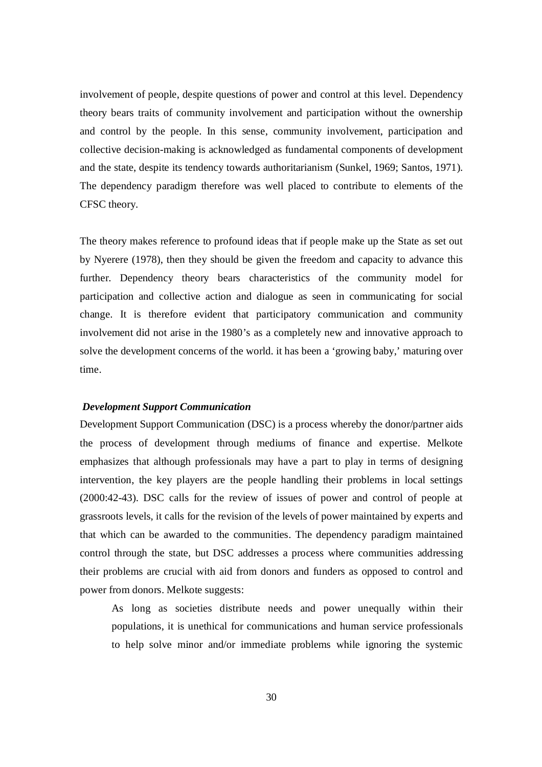involvement of people, despite questions of power and control at this level. Dependency theory bears traits of community involvement and participation without the ownership and control by the people. In this sense, community involvement, participation and collective decision-making is acknowledged as fundamental components of development and the state, despite its tendency towards authoritarianism (Sunkel, 1969; Santos, 1971). The dependency paradigm therefore was well placed to contribute to elements of the CFSC theory.

The theory makes reference to profound ideas that if people make up the State as set out by Nyerere (1978), then they should be given the freedom and capacity to advance this further. Dependency theory bears characteristics of the community model for participation and collective action and dialogue as seen in communicating for social change. It is therefore evident that participatory communication and community involvement did not arise in the 1980's as a completely new and innovative approach to solve the development concerns of the world. it has been a 'growing baby,' maturing over time.

#### *Development Support Communication*

Development Support Communication (DSC) is a process whereby the donor/partner aids the process of development through mediums of finance and expertise. Melkote emphasizes that although professionals may have a part to play in terms of designing intervention, the key players are the people handling their problems in local settings (2000:42-43). DSC calls for the review of issues of power and control of people at grassroots levels, it calls for the revision of the levels of power maintained by experts and that which can be awarded to the communities. The dependency paradigm maintained control through the state, but DSC addresses a process where communities addressing their problems are crucial with aid from donors and funders as opposed to control and power from donors. Melkote suggests:

As long as societies distribute needs and power unequally within their populations, it is unethical for communications and human service professionals to help solve minor and/or immediate problems while ignoring the systemic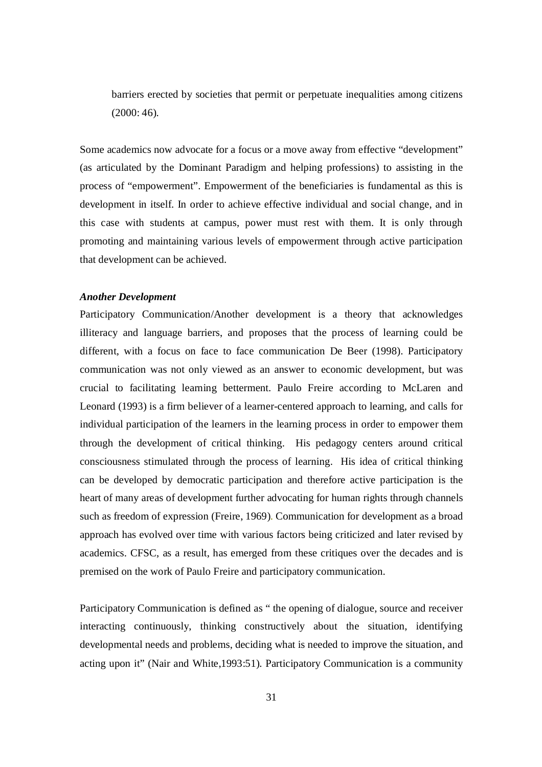barriers erected by societies that permit or perpetuate inequalities among citizens (2000: 46).

Some academics now advocate for a focus or a move away from effective "development" (as articulated by the Dominant Paradigm and helping professions) to assisting in the process of "empowerment". Empowerment of the beneficiaries is fundamental as this is development in itself. In order to achieve effective individual and social change, and in this case with students at campus, power must rest with them. It is only through promoting and maintaining various levels of empowerment through active participation that development can be achieved.

## *Another Development*

Participatory Communication/Another development is a theory that acknowledges illiteracy and language barriers, and proposes that the process of learning could be different, with a focus on face to face communication De Beer (1998). Participatory communication was not only viewed as an answer to economic development, but was crucial to facilitating learning betterment. Paulo Freire according to McLaren and Leonard (1993) is a firm believer of a learner-centered approach to learning, and calls for individual participation of the learners in the learning process in order to empower them through the development of critical thinking. His pedagogy centers around critical consciousness stimulated through the process of learning. His idea of critical thinking can be developed by democratic participation and therefore active participation is the heart of many areas of development further advocating for human rights through channels such as freedom of expression (Freire, 1969). Communication for development as a broad approach has evolved over time with various factors being criticized and later revised by academics. CFSC, as a result, has emerged from these critiques over the decades and is premised on the work of Paulo Freire and participatory communication.

Participatory Communication is defined as " the opening of dialogue, source and receiver interacting continuously, thinking constructively about the situation, identifying developmental needs and problems, deciding what is needed to improve the situation, and acting upon it" (Nair and White,1993:51). Participatory Communication is a community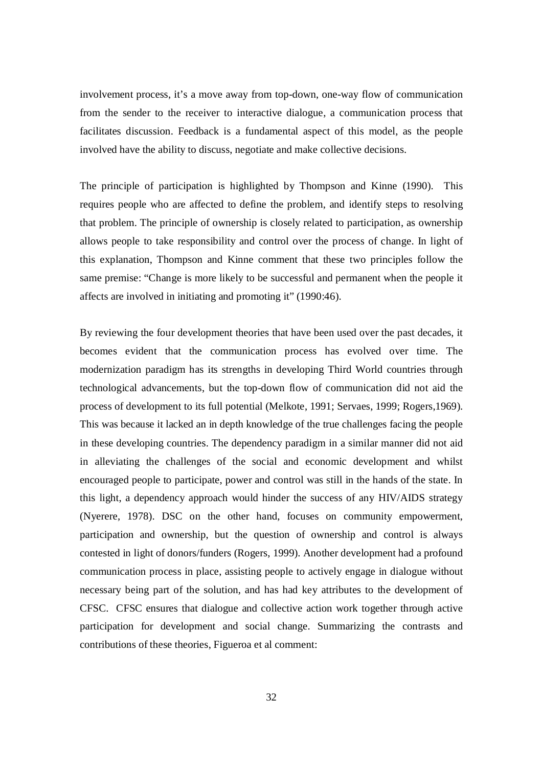involvement process, it's a move away from top-down, one-way flow of communication from the sender to the receiver to interactive dialogue, a communication process that facilitates discussion. Feedback is a fundamental aspect of this model, as the people involved have the ability to discuss, negotiate and make collective decisions.

The principle of participation is highlighted by Thompson and Kinne (1990). This requires people who are affected to define the problem, and identify steps to resolving that problem. The principle of ownership is closely related to participation, as ownership allows people to take responsibility and control over the process of change. In light of this explanation, Thompson and Kinne comment that these two principles follow the same premise: "Change is more likely to be successful and permanent when the people it affects are involved in initiating and promoting it" (1990:46).

By reviewing the four development theories that have been used over the past decades, it becomes evident that the communication process has evolved over time. The modernization paradigm has its strengths in developing Third World countries through technological advancements, but the top-down flow of communication did not aid the process of development to its full potential (Melkote, 1991; Servaes, 1999; Rogers,1969). This was because it lacked an in depth knowledge of the true challenges facing the people in these developing countries. The dependency paradigm in a similar manner did not aid in alleviating the challenges of the social and economic development and whilst encouraged people to participate, power and control was still in the hands of the state. In this light, a dependency approach would hinder the success of any HIV/AIDS strategy (Nyerere, 1978). DSC on the other hand, focuses on community empowerment, participation and ownership, but the question of ownership and control is always contested in light of donors/funders (Rogers, 1999). Another development had a profound communication process in place, assisting people to actively engage in dialogue without necessary being part of the solution, and has had key attributes to the development of CFSC. CFSC ensures that dialogue and collective action work together through active participation for development and social change. Summarizing the contrasts and contributions of these theories, Figueroa et al comment: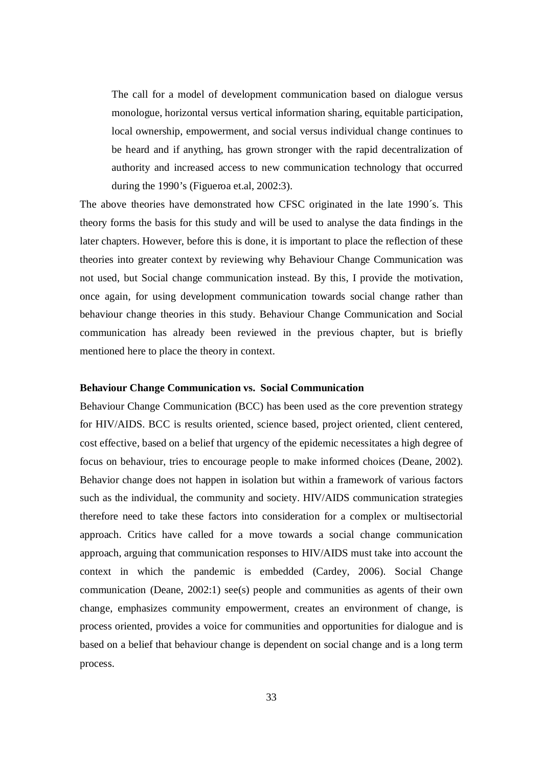The call for a model of development communication based on dialogue versus monologue, horizontal versus vertical information sharing, equitable participation, local ownership, empowerment, and social versus individual change continues to be heard and if anything, has grown stronger with the rapid decentralization of authority and increased access to new communication technology that occurred during the 1990's (Figueroa et.al, 2002:3).

The above theories have demonstrated how CFSC originated in the late 1990´s. This theory forms the basis for this study and will be used to analyse the data findings in the later chapters. However, before this is done, it is important to place the reflection of these theories into greater context by reviewing why Behaviour Change Communication was not used, but Social change communication instead. By this, I provide the motivation, once again, for using development communication towards social change rather than behaviour change theories in this study. Behaviour Change Communication and Social communication has already been reviewed in the previous chapter, but is briefly mentioned here to place the theory in context.

#### **Behaviour Change Communication vs. Social Communication**

Behaviour Change Communication (BCC) has been used as the core prevention strategy for HIV/AIDS. BCC is results oriented, science based, project oriented, client centered, cost effective, based on a belief that urgency of the epidemic necessitates a high degree of focus on behaviour, tries to encourage people to make informed choices (Deane, 2002). Behavior change does not happen in isolation but within a framework of various factors such as the individual, the community and society. HIV/AIDS communication strategies therefore need to take these factors into consideration for a complex or multisectorial approach. Critics have called for a move towards a social change communication approach, arguing that communication responses to HIV/AIDS must take into account the context in which the pandemic is embedded (Cardey, 2006). Social Change communication (Deane, 2002:1) see(s) people and communities as agents of their own change, emphasizes community empowerment, creates an environment of change, is process oriented, provides a voice for communities and opportunities for dialogue and is based on a belief that behaviour change is dependent on social change and is a long term process.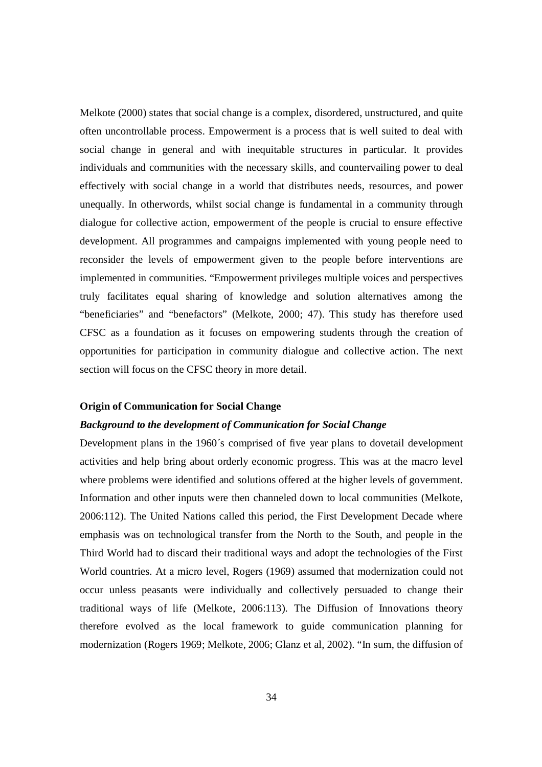Melkote (2000) states that social change is a complex, disordered, unstructured, and quite often uncontrollable process. Empowerment is a process that is well suited to deal with social change in general and with inequitable structures in particular. It provides individuals and communities with the necessary skills, and countervailing power to deal effectively with social change in a world that distributes needs, resources, and power unequally. In otherwords, whilst social change is fundamental in a community through dialogue for collective action, empowerment of the people is crucial to ensure effective development. All programmes and campaigns implemented with young people need to reconsider the levels of empowerment given to the people before interventions are implemented in communities. "Empowerment privileges multiple voices and perspectives truly facilitates equal sharing of knowledge and solution alternatives among the "beneficiaries" and "benefactors" (Melkote, 2000; 47). This study has therefore used CFSC as a foundation as it focuses on empowering students through the creation of opportunities for participation in community dialogue and collective action. The next section will focus on the CFSC theory in more detail.

#### **Origin of Communication for Social Change**

## *Background to the development of Communication for Social Change*

Development plans in the 1960´s comprised of five year plans to dovetail development activities and help bring about orderly economic progress. This was at the macro level where problems were identified and solutions offered at the higher levels of government. Information and other inputs were then channeled down to local communities (Melkote, 2006:112). The United Nations called this period, the First Development Decade where emphasis was on technological transfer from the North to the South, and people in the Third World had to discard their traditional ways and adopt the technologies of the First World countries. At a micro level, Rogers (1969) assumed that modernization could not occur unless peasants were individually and collectively persuaded to change their traditional ways of life (Melkote, 2006:113). The Diffusion of Innovations theory therefore evolved as the local framework to guide communication planning for modernization (Rogers 1969; Melkote, 2006; Glanz et al, 2002). "In sum, the diffusion of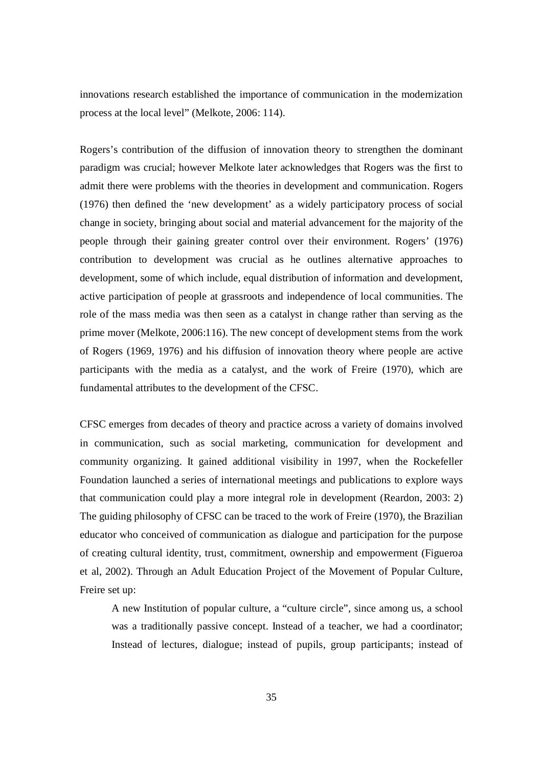innovations research established the importance of communication in the modernization process at the local level" (Melkote, 2006: 114).

Rogers's contribution of the diffusion of innovation theory to strengthen the dominant paradigm was crucial; however Melkote later acknowledges that Rogers was the first to admit there were problems with the theories in development and communication. Rogers (1976) then defined the 'new development' as a widely participatory process of social change in society, bringing about social and material advancement for the majority of the people through their gaining greater control over their environment. Rogers' (1976) contribution to development was crucial as he outlines alternative approaches to development, some of which include, equal distribution of information and development, active participation of people at grassroots and independence of local communities. The role of the mass media was then seen as a catalyst in change rather than serving as the prime mover (Melkote, 2006:116). The new concept of development stems from the work of Rogers (1969, 1976) and his diffusion of innovation theory where people are active participants with the media as a catalyst, and the work of Freire (1970), which are fundamental attributes to the development of the CFSC.

CFSC emerges from decades of theory and practice across a variety of domains involved in communication, such as social marketing, communication for development and community organizing. It gained additional visibility in 1997, when the Rockefeller Foundation launched a series of international meetings and publications to explore ways that communication could play a more integral role in development (Reardon, 2003: 2) The guiding philosophy of CFSC can be traced to the work of Freire (1970), the Brazilian educator who conceived of communication as dialogue and participation for the purpose of creating cultural identity, trust, commitment, ownership and empowerment (Figueroa et al, 2002). Through an Adult Education Project of the Movement of Popular Culture, Freire set up:

A new Institution of popular culture, a "culture circle", since among us, a school was a traditionally passive concept. Instead of a teacher, we had a coordinator; Instead of lectures, dialogue; instead of pupils, group participants; instead of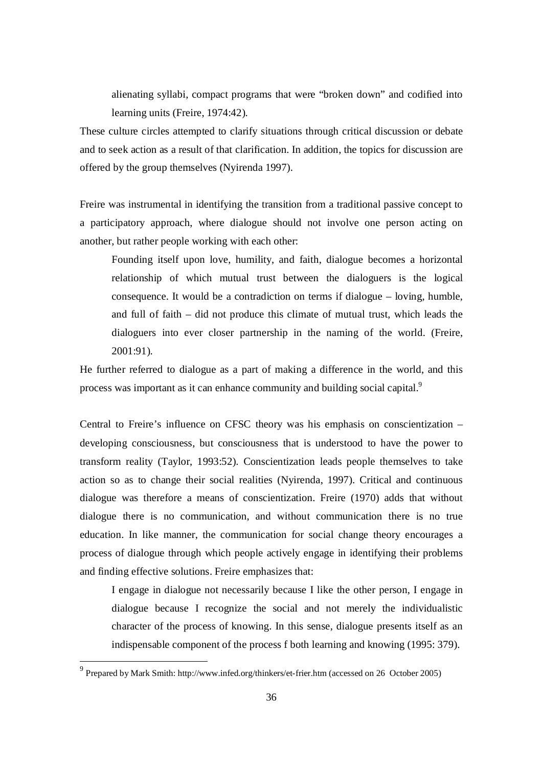alienating syllabi, compact programs that were "broken down" and codified into learning units (Freire, 1974:42).

These culture circles attempted to clarify situations through critical discussion or debate and to seek action as a result of that clarification. In addition, the topics for discussion are offered by the group themselves (Nyirenda 1997).

Freire was instrumental in identifying the transition from a traditional passive concept to a participatory approach, where dialogue should not involve one person acting on another, but rather people working with each other:

Founding itself upon love, humility, and faith, dialogue becomes a horizontal relationship of which mutual trust between the dialoguers is the logical consequence. It would be a contradiction on terms if dialogue – loving, humble, and full of faith – did not produce this climate of mutual trust, which leads the dialoguers into ever closer partnership in the naming of the world. (Freire, 2001:91).

He further referred to dialogue as a part of making a difference in the world, and this process was important as it can enhance community and building social capital.<sup>9</sup>

Central to Freire's influence on CFSC theory was his emphasis on conscientization – developing consciousness, but consciousness that is understood to have the power to transform reality (Taylor, 1993:52). Conscientization leads people themselves to take action so as to change their social realities (Nyirenda, 1997). Critical and continuous dialogue was therefore a means of conscientization. Freire (1970) adds that without dialogue there is no communication, and without communication there is no true education. In like manner, the communication for social change theory encourages a process of dialogue through which people actively engage in identifying their problems and finding effective solutions. Freire emphasizes that:

I engage in dialogue not necessarily because I like the other person, I engage in dialogue because I recognize the social and not merely the individualistic character of the process of knowing. In this sense, dialogue presents itself as an indispensable component of the process f both learning and knowing (1995: 379).

The sum of the set of the set of the set of the set of the set of the set of the set of the set of the set of the set of the set of the set of the set of the set of the set of the set of the set of the set of the set of th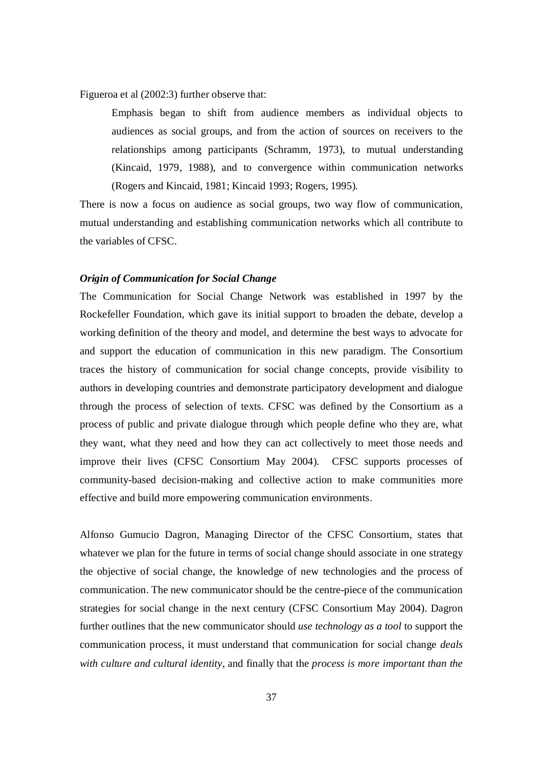Figueroa et al (2002:3) further observe that:

Emphasis began to shift from audience members as individual objects to audiences as social groups, and from the action of sources on receivers to the relationships among participants (Schramm, 1973), to mutual understanding (Kincaid, 1979, 1988), and to convergence within communication networks (Rogers and Kincaid, 1981; Kincaid 1993; Rogers, 1995).

There is now a focus on audience as social groups, two way flow of communication, mutual understanding and establishing communication networks which all contribute to the variables of CFSC.

### *Origin of Communication for Social Change*

The Communication for Social Change Network was established in 1997 by the Rockefeller Foundation, which gave its initial support to broaden the debate, develop a working definition of the theory and model, and determine the best ways to advocate for and support the education of communication in this new paradigm. The Consortium traces the history of communication for social change concepts, provide visibility to authors in developing countries and demonstrate participatory development and dialogue through the process of selection of texts. CFSC was defined by the Consortium as a process of public and private dialogue through which people define who they are, what they want, what they need and how they can act collectively to meet those needs and improve their lives (CFSC Consortium May 2004). CFSC supports processes of community-based decision-making and collective action to make communities more effective and build more empowering communication environments.

Alfonso Gumucio Dagron, Managing Director of the CFSC Consortium, states that whatever we plan for the future in terms of social change should associate in one strategy the objective of social change, the knowledge of new technologies and the process of communication. The new communicator should be the centre-piece of the communication strategies for social change in the next century (CFSC Consortium May 2004). Dagron further outlines that the new communicator should *use technology as a tool* to support the communication process, it must understand that communication for social change *deals with culture and cultural identity*, and finally that the *process is more important than the*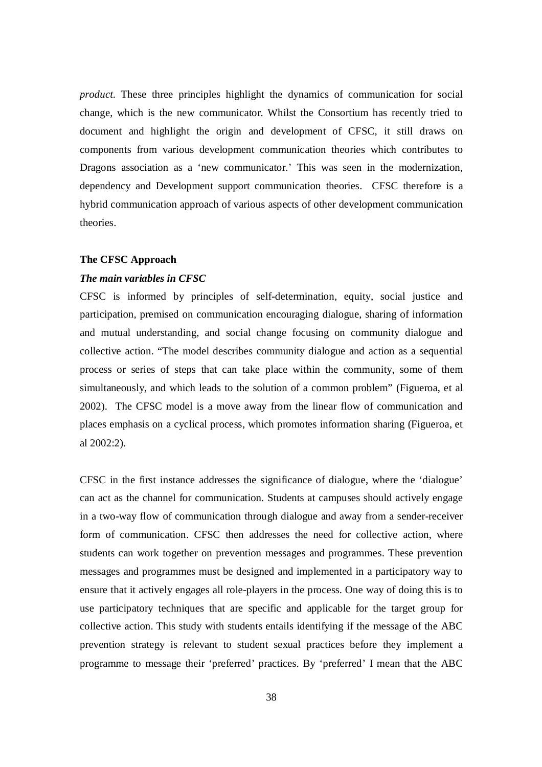*product.* These three principles highlight the dynamics of communication for social change, which is the new communicator. Whilst the Consortium has recently tried to document and highlight the origin and development of CFSC, it still draws on components from various development communication theories which contributes to Dragons association as a 'new communicator.' This was seen in the modernization, dependency and Development support communication theories. CFSC therefore is a hybrid communication approach of various aspects of other development communication theories.

### **The CFSC Approach**

## *The main variables in CFSC*

CFSC is informed by principles of self-determination, equity, social justice and participation, premised on communication encouraging dialogue, sharing of information and mutual understanding, and social change focusing on community dialogue and collective action. "The model describes community dialogue and action as a sequential process or series of steps that can take place within the community, some of them simultaneously, and which leads to the solution of a common problem" (Figueroa, et al 2002). The CFSC model is a move away from the linear flow of communication and places emphasis on a cyclical process, which promotes information sharing (Figueroa, et al 2002:2).

CFSC in the first instance addresses the significance of dialogue, where the 'dialogue' can act as the channel for communication. Students at campuses should actively engage in a two-way flow of communication through dialogue and away from a sender-receiver form of communication. CFSC then addresses the need for collective action, where students can work together on prevention messages and programmes. These prevention messages and programmes must be designed and implemented in a participatory way to ensure that it actively engages all role-players in the process. One way of doing this is to use participatory techniques that are specific and applicable for the target group for collective action. This study with students entails identifying if the message of the ABC prevention strategy is relevant to student sexual practices before they implement a programme to message their 'preferred' practices. By 'preferred' I mean that the ABC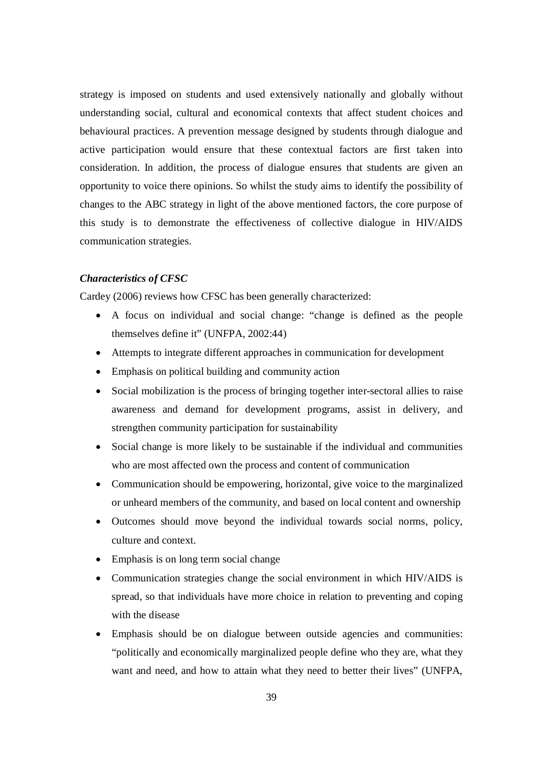strategy is imposed on students and used extensively nationally and globally without understanding social, cultural and economical contexts that affect student choices and behavioural practices. A prevention message designed by students through dialogue and active participation would ensure that these contextual factors are first taken into consideration. In addition, the process of dialogue ensures that students are given an opportunity to voice there opinions. So whilst the study aims to identify the possibility of changes to the ABC strategy in light of the above mentioned factors, the core purpose of this study is to demonstrate the effectiveness of collective dialogue in HIV/AIDS communication strategies.

#### *Characteristics of CFSC*

Cardey (2006) reviews how CFSC has been generally characterized:

- A focus on individual and social change: "change is defined as the people themselves define it" (UNFPA, 2002:44)
- Attempts to integrate different approaches in communication for development
- Emphasis on political building and community action
- Social mobilization is the process of bringing together inter-sectoral allies to raise awareness and demand for development programs, assist in delivery, and strengthen community participation for sustainability
- Social change is more likely to be sustainable if the individual and communities who are most affected own the process and content of communication
- Communication should be empowering, horizontal, give voice to the marginalized or unheard members of the community, and based on local content and ownership
- Outcomes should move beyond the individual towards social norms, policy, culture and context.
- Emphasis is on long term social change
- Communication strategies change the social environment in which HIV/AIDS is spread, so that individuals have more choice in relation to preventing and coping with the disease
- Emphasis should be on dialogue between outside agencies and communities: "politically and economically marginalized people define who they are, what they want and need, and how to attain what they need to better their lives" (UNFPA,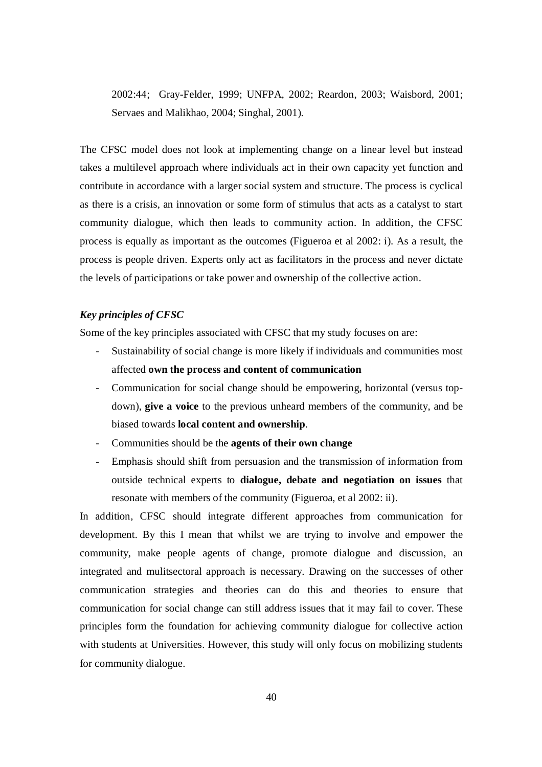2002:44; Gray-Felder, 1999; UNFPA, 2002; Reardon, 2003; Waisbord, 2001; Servaes and Malikhao, 2004; Singhal, 2001).

The CFSC model does not look at implementing change on a linear level but instead takes a multilevel approach where individuals act in their own capacity yet function and contribute in accordance with a larger social system and structure. The process is cyclical as there is a crisis, an innovation or some form of stimulus that acts as a catalyst to start community dialogue, which then leads to community action. In addition, the CFSC process is equally as important as the outcomes (Figueroa et al 2002: i). As a result, the process is people driven. Experts only act as facilitators in the process and never dictate the levels of participations or take power and ownership of the collective action.

## *Key principles of CFSC*

Some of the key principles associated with CFSC that my study focuses on are:

- Sustainability of social change is more likely if individuals and communities most affected **own the process and content of communication**
- Communication for social change should be empowering, horizontal (versus topdown), **give a voice** to the previous unheard members of the community, and be biased towards **local content and ownership**.
- Communities should be the **agents of their own change**
- Emphasis should shift from persuasion and the transmission of information from outside technical experts to **dialogue, debate and negotiation on issues** that resonate with members of the community (Figueroa, et al 2002: ii).

In addition, CFSC should integrate different approaches from communication for development. By this I mean that whilst we are trying to involve and empower the community, make people agents of change, promote dialogue and discussion, an integrated and mulitsectoral approach is necessary. Drawing on the successes of other communication strategies and theories can do this and theories to ensure that communication for social change can still address issues that it may fail to cover. These principles form the foundation for achieving community dialogue for collective action with students at Universities. However, this study will only focus on mobilizing students for community dialogue.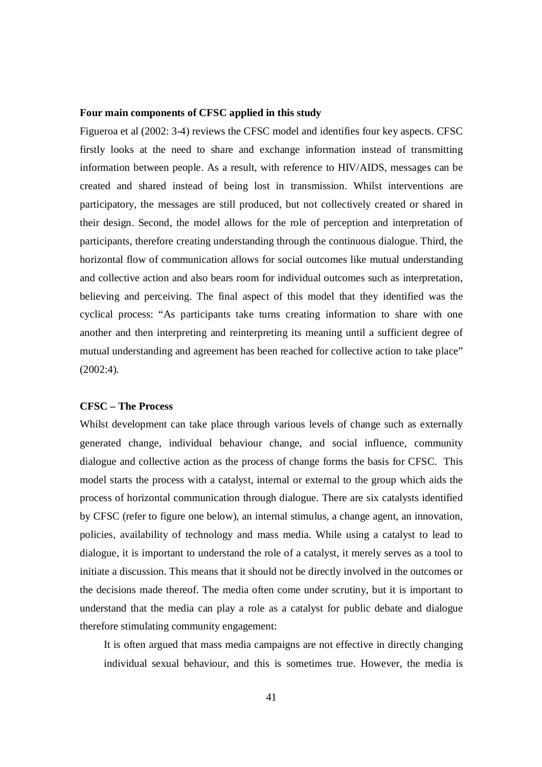#### **Four main components of CFSC applied in this study**

Figueroa et al (2002: 3-4) reviews the CFSC model and identifies four key aspects. CFSC firstly looks at the need to share and exchange information instead of transmitting information between people. As a result, with reference to HIV/AIDS, messages can be created and shared instead of being lost in transmission. Whilst interventions are participatory, the messages are still produced, but not collectively created or shared in their design. Second, the model allows for the role of perception and interpretation of participants, therefore creating understanding through the continuous dialogue. Third, the horizontal flow of communication allows for social outcomes like mutual understanding and collective action and also bears room for individual outcomes such as interpretation, believing and perceiving. The final aspect of this model that they identified was the cyclical process: "As participants take turns creating information to share with one another and then interpreting and reinterpreting its meaning until a sufficient degree of mutual understanding and agreement has been reached for collective action to take place" (2002:4).

## **CFSC – The Process**

Whilst development can take place through various levels of change such as externally generated change, individual behaviour change, and social influence, community dialogue and collective action as the process of change forms the basis for CFSC. This model starts the process with a catalyst, internal or external to the group which aids the process of horizontal communication through dialogue. There are six catalysts identified by CFSC (refer to figure one below), an internal stimulus, a change agent, an innovation, policies, availability of technology and mass media. While using a catalyst to lead to dialogue, it is important to understand the role of a catalyst, it merely serves as a tool to initiate a discussion. This means that it should not be directly involved in the outcomes or the decisions made thereof. The media often come under scrutiny, but it is important to understand that the media can play a role as a catalyst for public debate and dialogue therefore stimulating community engagement:

It is often argued that mass media campaigns are not effective in directly changing individual sexual behaviour, and this is sometimes true. However, the media is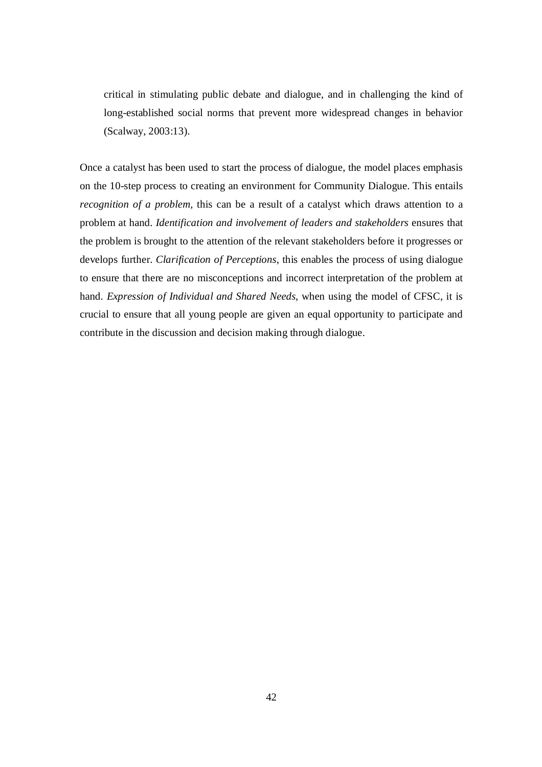critical in stimulating public debate and dialogue, and in challenging the kind of long-established social norms that prevent more widespread changes in behavior (Scalway, 2003:13).

Once a catalyst has been used to start the process of dialogue, the model places emphasis on the 10-step process to creating an environment for Community Dialogue. This entails *recognition of a problem,* this can be a result of a catalyst which draws attention to a problem at hand. *Identification and involvement of leaders and stakeholders* ensures that the problem is brought to the attention of the relevant stakeholders before it progresses or develops further. *Clarification of Perceptions*, this enables the process of using dialogue to ensure that there are no misconceptions and incorrect interpretation of the problem at hand. *Expression of Individual and Shared Needs*, when using the model of CFSC, it is crucial to ensure that all young people are given an equal opportunity to participate and contribute in the discussion and decision making through dialogue.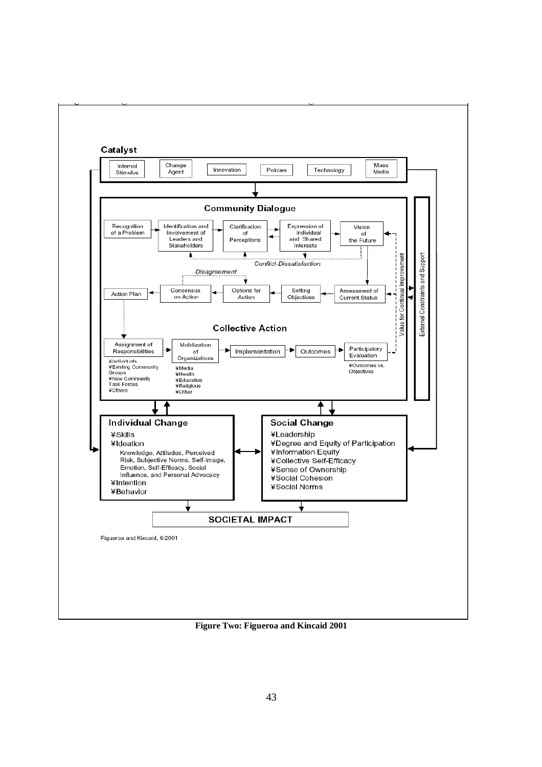

**Figure Two: Figueroa and Kincaid 2001**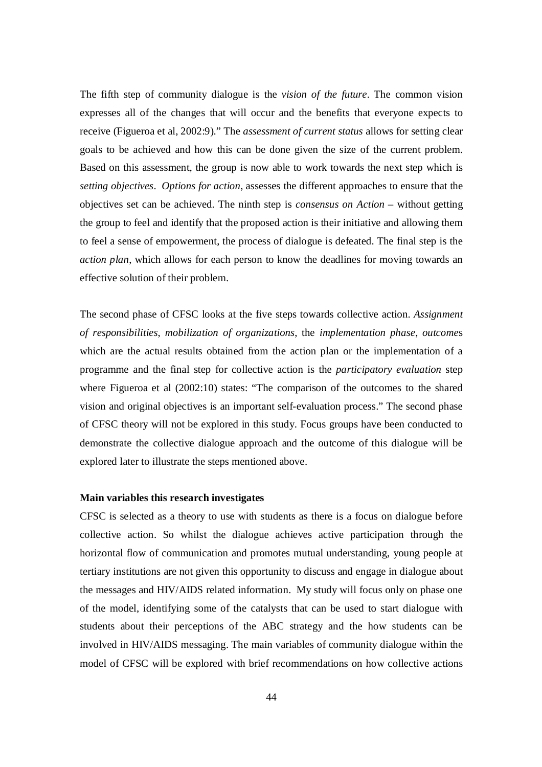The fifth step of community dialogue is the *vision of the future*. The common vision expresses all of the changes that will occur and the benefits that everyone expects to receive (Figueroa et al, 2002:9)." The *assessment of current status* allows for setting clear goals to be achieved and how this can be done given the size of the current problem. Based on this assessment, the group is now able to work towards the next step which is *setting objectives*. *Options for action*, assesses the different approaches to ensure that the objectives set can be achieved. The ninth step is *consensus on Action* – without getting the group to feel and identify that the proposed action is their initiative and allowing them to feel a sense of empowerment, the process of dialogue is defeated. The final step is the *action plan*, which allows for each person to know the deadlines for moving towards an effective solution of their problem.

The second phase of CFSC looks at the five steps towards collective action. *Assignment of responsibilities*, *mobilization of organizations*, the *implementation phase*, *outcome*s which are the actual results obtained from the action plan or the implementation of a programme and the final step for collective action is the *participatory evaluation* step where Figueroa et al  $(2002:10)$  states: "The comparison of the outcomes to the shared vision and original objectives is an important self-evaluation process." The second phase of CFSC theory will not be explored in this study. Focus groups have been conducted to demonstrate the collective dialogue approach and the outcome of this dialogue will be explored later to illustrate the steps mentioned above.

## **Main variables this research investigates**

CFSC is selected as a theory to use with students as there is a focus on dialogue before collective action. So whilst the dialogue achieves active participation through the horizontal flow of communication and promotes mutual understanding, young people at tertiary institutions are not given this opportunity to discuss and engage in dialogue about the messages and HIV/AIDS related information. My study will focus only on phase one of the model, identifying some of the catalysts that can be used to start dialogue with students about their perceptions of the ABC strategy and the how students can be involved in HIV/AIDS messaging. The main variables of community dialogue within the model of CFSC will be explored with brief recommendations on how collective actions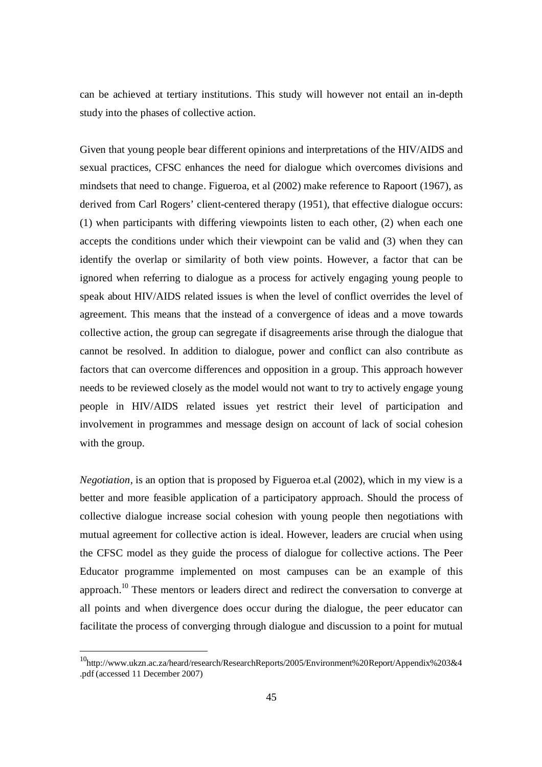can be achieved at tertiary institutions. This study will however not entail an in-depth study into the phases of collective action.

Given that young people bear different opinions and interpretations of the HIV/AIDS and sexual practices, CFSC enhances the need for dialogue which overcomes divisions and mindsets that need to change. Figueroa, et al (2002) make reference to Rapoort (1967), as derived from Carl Rogers' client-centered therapy (1951), that effective dialogue occurs: (1) when participants with differing viewpoints listen to each other, (2) when each one accepts the conditions under which their viewpoint can be valid and (3) when they can identify the overlap or similarity of both view points. However, a factor that can be ignored when referring to dialogue as a process for actively engaging young people to speak about HIV/AIDS related issues is when the level of conflict overrides the level of agreement. This means that the instead of a convergence of ideas and a move towards collective action, the group can segregate if disagreements arise through the dialogue that cannot be resolved. In addition to dialogue, power and conflict can also contribute as factors that can overcome differences and opposition in a group. This approach however needs to be reviewed closely as the model would not want to try to actively engage young people in HIV/AIDS related issues yet restrict their level of participation and involvement in programmes and message design on account of lack of social cohesion with the group.

*Negotiation,* is an option that is proposed by Figueroa et.al (2002), which in my view is a better and more feasible application of a participatory approach. Should the process of collective dialogue increase social cohesion with young people then negotiations with mutual agreement for collective action is ideal. However, leaders are crucial when using the CFSC model as they guide the process of dialogue for collective actions. The Peer Educator programme implemented on most campuses can be an example of this approach.<sup>10</sup> These mentors or leaders direct and redirect the conversation to converge at all points and when divergence does occur during the dialogue, the peer educator can facilitate the process of converging through dialogue and discussion to a point for mutual

-

<sup>10</sup>http://www.ukzn.ac.za/heard/research/ResearchReports/2005/Environment%20Report/Appendix%203&4 .pdf (accessed 11 December 2007)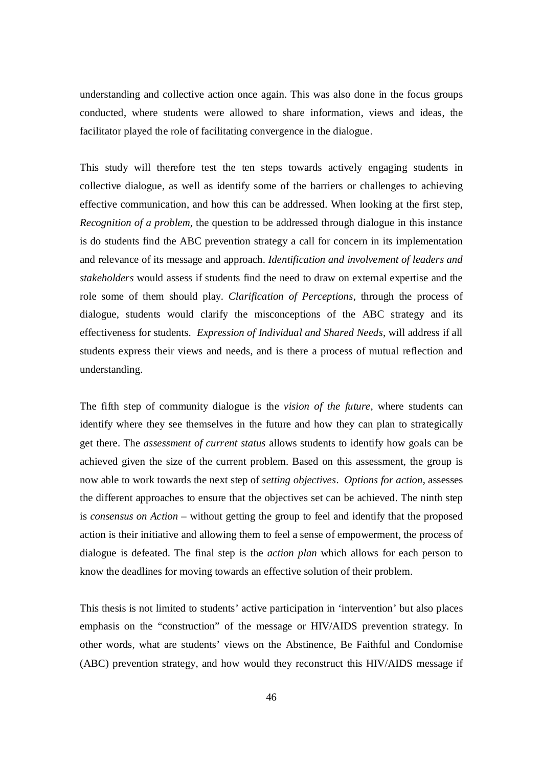understanding and collective action once again. This was also done in the focus groups conducted, where students were allowed to share information, views and ideas, the facilitator played the role of facilitating convergence in the dialogue.

This study will therefore test the ten steps towards actively engaging students in collective dialogue, as well as identify some of the barriers or challenges to achieving effective communication, and how this can be addressed. When looking at the first step, *Recognition of a problem,* the question to be addressed through dialogue in this instance is do students find the ABC prevention strategy a call for concern in its implementation and relevance of its message and approach. *Identification and involvement of leaders and stakeholders* would assess if students find the need to draw on external expertise and the role some of them should play. *Clarification of Perceptions*, through the process of dialogue, students would clarify the misconceptions of the ABC strategy and its effectiveness for students. *Expression of Individual and Shared Needs*, will address if all students express their views and needs, and is there a process of mutual reflection and understanding.

The fifth step of community dialogue is the *vision of the future*, where students can identify where they see themselves in the future and how they can plan to strategically get there. The *assessment of current status* allows students to identify how goals can be achieved given the size of the current problem. Based on this assessment, the group is now able to work towards the next step of *setting objectives*. *Options for action*, assesses the different approaches to ensure that the objectives set can be achieved. The ninth step is *consensus on Action* – without getting the group to feel and identify that the proposed action is their initiative and allowing them to feel a sense of empowerment, the process of dialogue is defeated. The final step is the *action plan* which allows for each person to know the deadlines for moving towards an effective solution of their problem.

This thesis is not limited to students' active participation in 'intervention' but also places emphasis on the "construction" of the message or HIV/AIDS prevention strategy. In other words, what are students' views on the Abstinence, Be Faithful and Condomise (ABC) prevention strategy, and how would they reconstruct this HIV/AIDS message if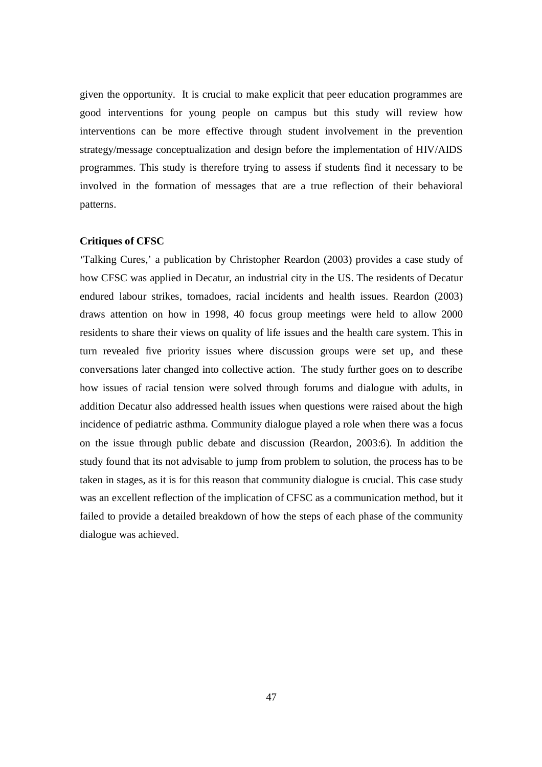given the opportunity. It is crucial to make explicit that peer education programmes are good interventions for young people on campus but this study will review how interventions can be more effective through student involvement in the prevention strategy/message conceptualization and design before the implementation of HIV/AIDS programmes. This study is therefore trying to assess if students find it necessary to be involved in the formation of messages that are a true reflection of their behavioral patterns.

## **Critiques of CFSC**

'Talking Cures,' a publication by Christopher Reardon (2003) provides a case study of how CFSC was applied in Decatur, an industrial city in the US. The residents of Decatur endured labour strikes, tornadoes, racial incidents and health issues. Reardon (2003) draws attention on how in 1998, 40 focus group meetings were held to allow 2000 residents to share their views on quality of life issues and the health care system. This in turn revealed five priority issues where discussion groups were set up, and these conversations later changed into collective action. The study further goes on to describe how issues of racial tension were solved through forums and dialogue with adults, in addition Decatur also addressed health issues when questions were raised about the high incidence of pediatric asthma. Community dialogue played a role when there was a focus on the issue through public debate and discussion (Reardon, 2003:6). In addition the study found that its not advisable to jump from problem to solution, the process has to be taken in stages, as it is for this reason that community dialogue is crucial. This case study was an excellent reflection of the implication of CFSC as a communication method, but it failed to provide a detailed breakdown of how the steps of each phase of the community dialogue was achieved.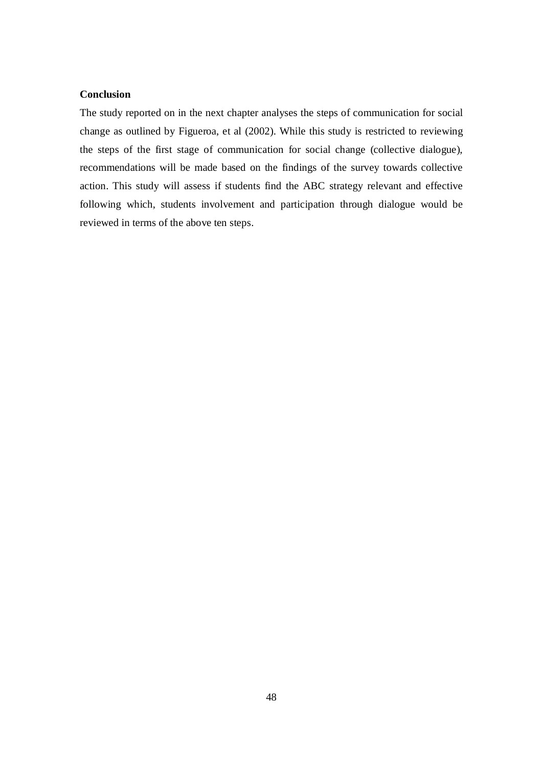# **Conclusion**

The study reported on in the next chapter analyses the steps of communication for social change as outlined by Figueroa, et al (2002). While this study is restricted to reviewing the steps of the first stage of communication for social change (collective dialogue), recommendations will be made based on the findings of the survey towards collective action. This study will assess if students find the ABC strategy relevant and effective following which, students involvement and participation through dialogue would be reviewed in terms of the above ten steps.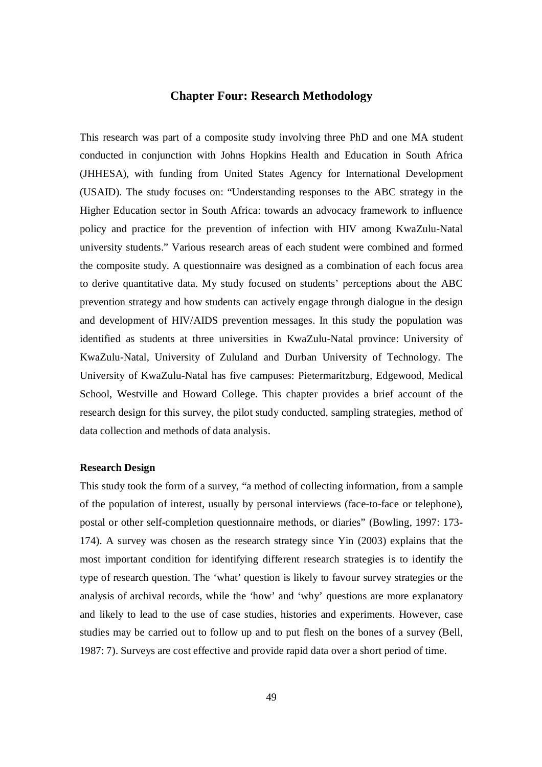# **Chapter Four: Research Methodology**

This research was part of a composite study involving three PhD and one MA student conducted in conjunction with Johns Hopkins Health and Education in South Africa (JHHESA), with funding from United States Agency for International Development (USAID). The study focuses on: "Understanding responses to the ABC strategy in the Higher Education sector in South Africa: towards an advocacy framework to influence policy and practice for the prevention of infection with HIV among KwaZulu-Natal university students." Various research areas of each student were combined and formed the composite study. A questionnaire was designed as a combination of each focus area to derive quantitative data. My study focused on students' perceptions about the ABC prevention strategy and how students can actively engage through dialogue in the design and development of HIV/AIDS prevention messages. In this study the population was identified as students at three universities in KwaZulu-Natal province: University of KwaZulu-Natal, University of Zululand and Durban University of Technology. The University of KwaZulu-Natal has five campuses: Pietermaritzburg, Edgewood, Medical School, Westville and Howard College. This chapter provides a brief account of the research design for this survey, the pilot study conducted, sampling strategies, method of data collection and methods of data analysis.

## **Research Design**

This study took the form of a survey, "a method of collecting information, from a sample of the population of interest, usually by personal interviews (face-to-face or telephone), postal or other self-completion questionnaire methods, or diaries" (Bowling, 1997: 173- 174). A survey was chosen as the research strategy since Yin (2003) explains that the most important condition for identifying different research strategies is to identify the type of research question. The 'what' question is likely to favour survey strategies or the analysis of archival records, while the 'how' and 'why' questions are more explanatory and likely to lead to the use of case studies, histories and experiments. However, case studies may be carried out to follow up and to put flesh on the bones of a survey (Bell, 1987: 7). Surveys are cost effective and provide rapid data over a short period of time.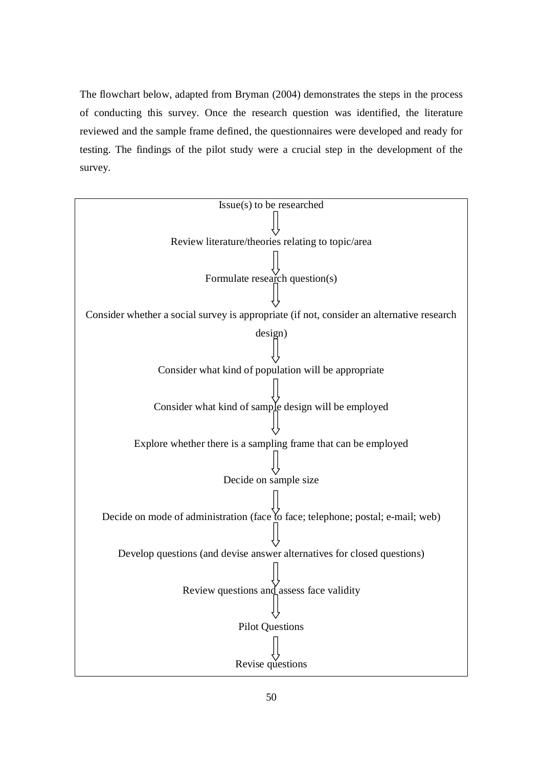The flowchart below, adapted from Bryman (2004) demonstrates the steps in the process of conducting this survey. Once the research question was identified, the literature reviewed and the sample frame defined, the questionnaires were developed and ready for testing. The findings of the pilot study were a crucial step in the development of the survey.

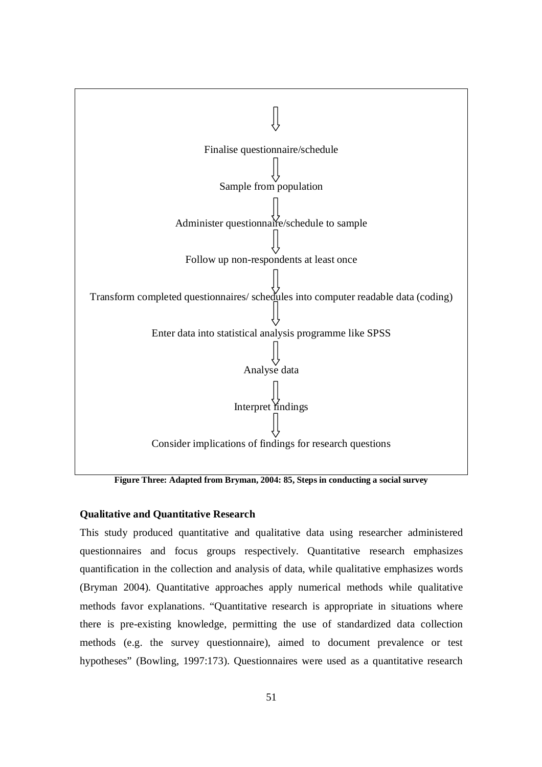

**Figure Three: Adapted from Bryman, 2004: 85, Steps in conducting a social survey**

## **Qualitative and Quantitative Research**

This study produced quantitative and qualitative data using researcher administered questionnaires and focus groups respectively. Quantitative research emphasizes quantification in the collection and analysis of data, while qualitative emphasizes words (Bryman 2004). Quantitative approaches apply numerical methods while qualitative methods favor explanations. "Quantitative research is appropriate in situations where there is pre-existing knowledge, permitting the use of standardized data collection methods (e.g. the survey questionnaire), aimed to document prevalence or test hypotheses" (Bowling, 1997:173). Questionnaires were used as a quantitative research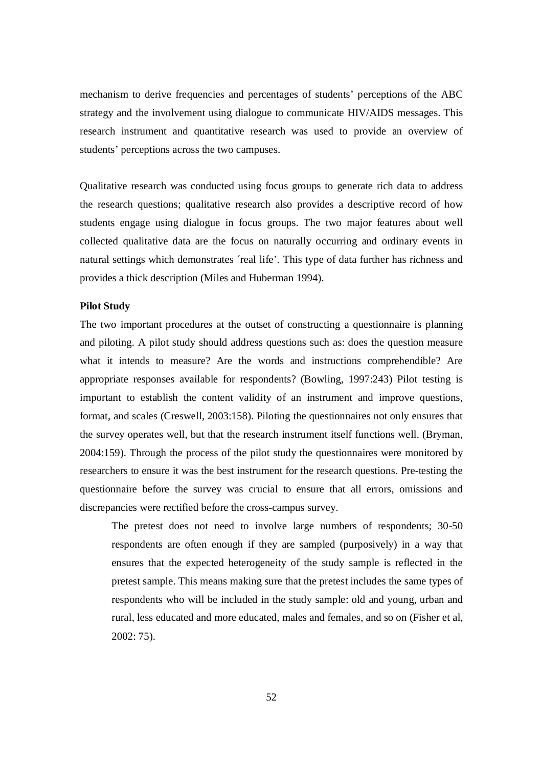mechanism to derive frequencies and percentages of students' perceptions of the ABC strategy and the involvement using dialogue to communicate HIV/AIDS messages. This research instrument and quantitative research was used to provide an overview of students' perceptions across the two campuses.

Qualitative research was conducted using focus groups to generate rich data to address the research questions; qualitative research also provides a descriptive record of how students engage using dialogue in focus groups. The two major features about well collected qualitative data are the focus on naturally occurring and ordinary events in natural settings which demonstrates 'real life'. This type of data further has richness and provides a thick description (Miles and Huberman 1994).

## **Pilot Study**

The two important procedures at the outset of constructing a questionnaire is planning and piloting. A pilot study should address questions such as: does the question measure what it intends to measure? Are the words and instructions comprehendible? Are appropriate responses available for respondents? (Bowling, 1997:243) Pilot testing is important to establish the content validity of an instrument and improve questions, format, and scales (Creswell, 2003:158). Piloting the questionnaires not only ensures that the survey operates well, but that the research instrument itself functions well. (Bryman, 2004:159). Through the process of the pilot study the questionnaires were monitored by researchers to ensure it was the best instrument for the research questions. Pre-testing the questionnaire before the survey was crucial to ensure that all errors, omissions and discrepancies were rectified before the cross-campus survey.

The pretest does not need to involve large numbers of respondents; 30-50 respondents are often enough if they are sampled (purposively) in a way that ensures that the expected heterogeneity of the study sample is reflected in the pretest sample. This means making sure that the pretest includes the same types of respondents who will be included in the study sample: old and young, urban and rural, less educated and more educated, males and females, and so on (Fisher et al, 2002: 75).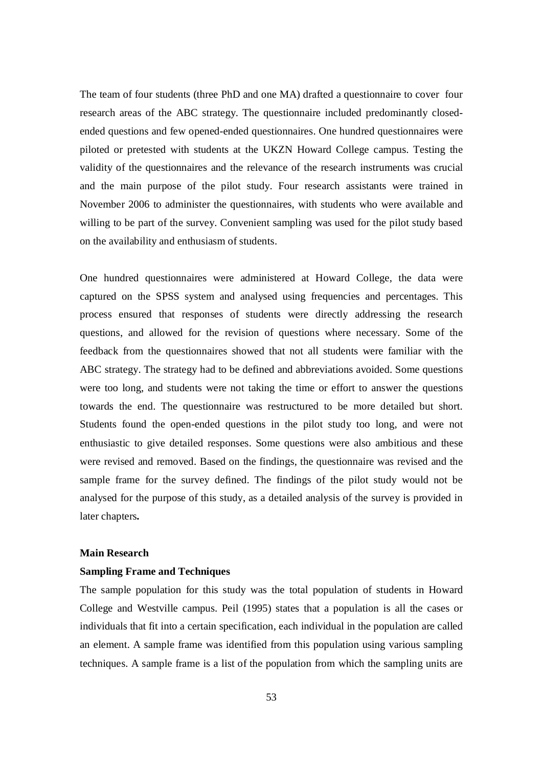The team of four students (three PhD and one MA) drafted a questionnaire to cover four research areas of the ABC strategy. The questionnaire included predominantly closedended questions and few opened-ended questionnaires. One hundred questionnaires were piloted or pretested with students at the UKZN Howard College campus. Testing the validity of the questionnaires and the relevance of the research instruments was crucial and the main purpose of the pilot study. Four research assistants were trained in November 2006 to administer the questionnaires, with students who were available and willing to be part of the survey. Convenient sampling was used for the pilot study based on the availability and enthusiasm of students.

One hundred questionnaires were administered at Howard College, the data were captured on the SPSS system and analysed using frequencies and percentages. This process ensured that responses of students were directly addressing the research questions, and allowed for the revision of questions where necessary. Some of the feedback from the questionnaires showed that not all students were familiar with the ABC strategy. The strategy had to be defined and abbreviations avoided. Some questions were too long, and students were not taking the time or effort to answer the questions towards the end. The questionnaire was restructured to be more detailed but short. Students found the open-ended questions in the pilot study too long, and were not enthusiastic to give detailed responses. Some questions were also ambitious and these were revised and removed. Based on the findings, the questionnaire was revised and the sample frame for the survey defined. The findings of the pilot study would not be analysed for the purpose of this study, as a detailed analysis of the survey is provided in later chapters*.*

#### **Main Research**

#### **Sampling Frame and Techniques**

The sample population for this study was the total population of students in Howard College and Westville campus. Peil (1995) states that a population is all the cases or individuals that fit into a certain specification, each individual in the population are called an element. A sample frame was identified from this population using various sampling techniques. A sample frame is a list of the population from which the sampling units are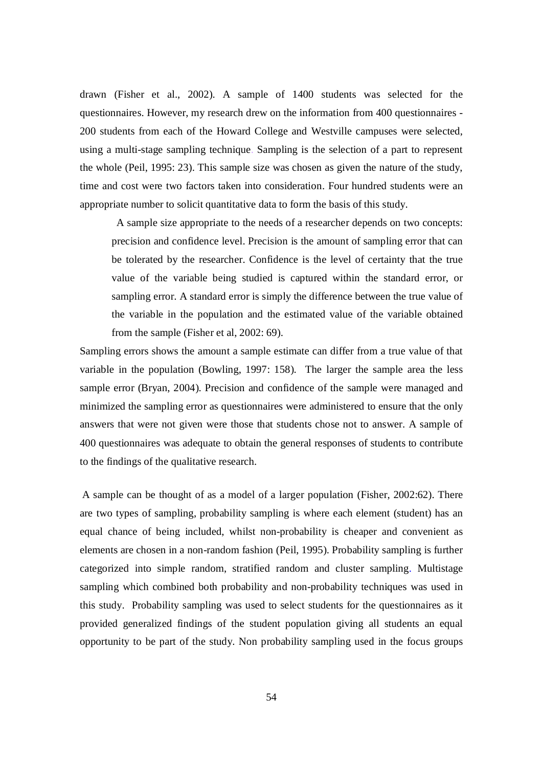drawn (Fisher et al., 2002). A sample of 1400 students was selected for the questionnaires. However, my research drew on the information from 400 questionnaires - 200 students from each of the Howard College and Westville campuses were selected, using a multi-stage sampling technique. Sampling is the selection of a part to represent the whole (Peil, 1995: 23). This sample size was chosen as given the nature of the study, time and cost were two factors taken into consideration. Four hundred students were an appropriate number to solicit quantitative data to form the basis of this study.

A sample size appropriate to the needs of a researcher depends on two concepts: precision and confidence level. Precision is the amount of sampling error that can be tolerated by the researcher. Confidence is the level of certainty that the true value of the variable being studied is captured within the standard error, or sampling error. A standard error is simply the difference between the true value of the variable in the population and the estimated value of the variable obtained from the sample (Fisher et al, 2002: 69).

Sampling errors shows the amount a sample estimate can differ from a true value of that variable in the population (Bowling, 1997: 158). The larger the sample area the less sample error (Bryan, 2004). Precision and confidence of the sample were managed and minimized the sampling error as questionnaires were administered to ensure that the only answers that were not given were those that students chose not to answer. A sample of 400 questionnaires was adequate to obtain the general responses of students to contribute to the findings of the qualitative research.

A sample can be thought of as a model of a larger population (Fisher, 2002:62). There are two types of sampling, probability sampling is where each element (student) has an equal chance of being included, whilst non-probability is cheaper and convenient as elements are chosen in a non-random fashion (Peil, 1995). Probability sampling is further categorized into simple random, stratified random and cluster sampling. Multistage sampling which combined both probability and non-probability techniques was used in this study. Probability sampling was used to select students for the questionnaires as it provided generalized findings of the student population giving all students an equal opportunity to be part of the study. Non probability sampling used in the focus groups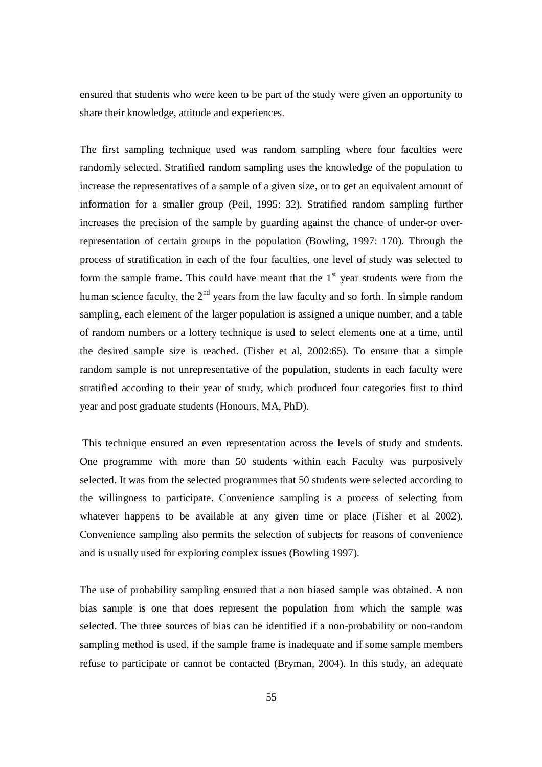ensured that students who were keen to be part of the study were given an opportunity to share their knowledge, attitude and experiences.

The first sampling technique used was random sampling where four faculties were randomly selected. Stratified random sampling uses the knowledge of the population to increase the representatives of a sample of a given size, or to get an equivalent amount of information for a smaller group (Peil, 1995: 32). Stratified random sampling further increases the precision of the sample by guarding against the chance of under-or overrepresentation of certain groups in the population (Bowling, 1997: 170). Through the process of stratification in each of the four faculties, one level of study was selected to form the sample frame. This could have meant that the  $1<sup>st</sup>$  year students were from the human science faculty, the  $2<sup>nd</sup>$  years from the law faculty and so forth. In simple random sampling, each element of the larger population is assigned a unique number, and a table of random numbers or a lottery technique is used to select elements one at a time, until the desired sample size is reached. (Fisher et al, 2002:65). To ensure that a simple random sample is not unrepresentative of the population, students in each faculty were stratified according to their year of study, which produced four categories first to third year and post graduate students (Honours, MA, PhD).

This technique ensured an even representation across the levels of study and students. One programme with more than 50 students within each Faculty was purposively selected. It was from the selected programmes that 50 students were selected according to the willingness to participate. Convenience sampling is a process of selecting from whatever happens to be available at any given time or place (Fisher et al 2002). Convenience sampling also permits the selection of subjects for reasons of convenience and is usually used for exploring complex issues (Bowling 1997).

The use of probability sampling ensured that a non biased sample was obtained. A non bias sample is one that does represent the population from which the sample was selected. The three sources of bias can be identified if a non-probability or non-random sampling method is used, if the sample frame is inadequate and if some sample members refuse to participate or cannot be contacted (Bryman, 2004). In this study, an adequate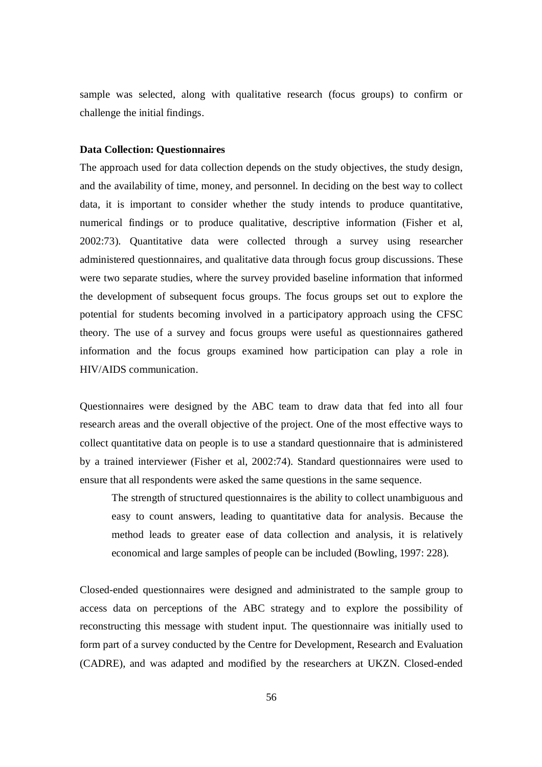sample was selected, along with qualitative research (focus groups) to confirm or challenge the initial findings.

### **Data Collection: Questionnaires**

The approach used for data collection depends on the study objectives, the study design, and the availability of time, money, and personnel. In deciding on the best way to collect data, it is important to consider whether the study intends to produce quantitative, numerical findings or to produce qualitative, descriptive information (Fisher et al, 2002:73). Quantitative data were collected through a survey using researcher administered questionnaires, and qualitative data through focus group discussions. These were two separate studies, where the survey provided baseline information that informed the development of subsequent focus groups. The focus groups set out to explore the potential for students becoming involved in a participatory approach using the CFSC theory. The use of a survey and focus groups were useful as questionnaires gathered information and the focus groups examined how participation can play a role in HIV/AIDS communication.

Questionnaires were designed by the ABC team to draw data that fed into all four research areas and the overall objective of the project. One of the most effective ways to collect quantitative data on people is to use a standard questionnaire that is administered by a trained interviewer (Fisher et al, 2002:74). Standard questionnaires were used to ensure that all respondents were asked the same questions in the same sequence.

The strength of structured questionnaires is the ability to collect unambiguous and easy to count answers, leading to quantitative data for analysis. Because the method leads to greater ease of data collection and analysis, it is relatively economical and large samples of people can be included (Bowling, 1997: 228).

Closed-ended questionnaires were designed and administrated to the sample group to access data on perceptions of the ABC strategy and to explore the possibility of reconstructing this message with student input. The questionnaire was initially used to form part of a survey conducted by the Centre for Development, Research and Evaluation (CADRE), and was adapted and modified by the researchers at UKZN. Closed-ended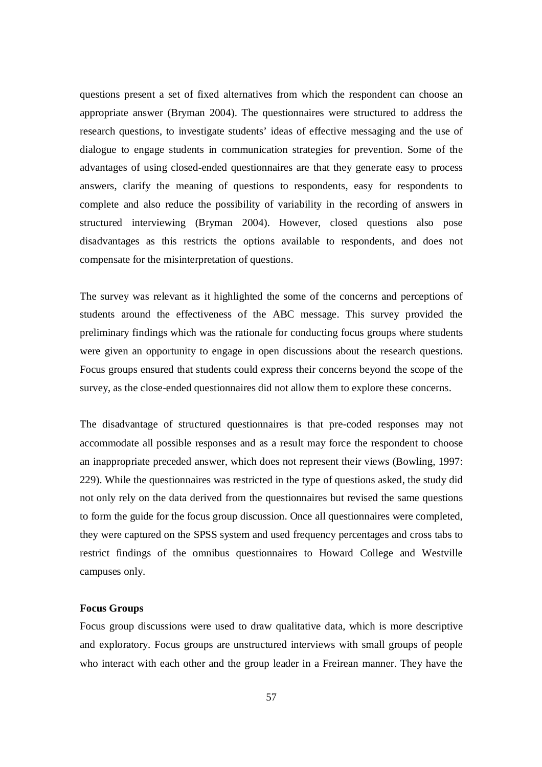questions present a set of fixed alternatives from which the respondent can choose an appropriate answer (Bryman 2004). The questionnaires were structured to address the research questions, to investigate students' ideas of effective messaging and the use of dialogue to engage students in communication strategies for prevention. Some of the advantages of using closed-ended questionnaires are that they generate easy to process answers, clarify the meaning of questions to respondents, easy for respondents to complete and also reduce the possibility of variability in the recording of answers in structured interviewing (Bryman 2004). However, closed questions also pose disadvantages as this restricts the options available to respondents, and does not compensate for the misinterpretation of questions.

The survey was relevant as it highlighted the some of the concerns and perceptions of students around the effectiveness of the ABC message. This survey provided the preliminary findings which was the rationale for conducting focus groups where students were given an opportunity to engage in open discussions about the research questions. Focus groups ensured that students could express their concerns beyond the scope of the survey, as the close-ended questionnaires did not allow them to explore these concerns.

The disadvantage of structured questionnaires is that pre-coded responses may not accommodate all possible responses and as a result may force the respondent to choose an inappropriate preceded answer, which does not represent their views (Bowling, 1997: 229). While the questionnaires was restricted in the type of questions asked, the study did not only rely on the data derived from the questionnaires but revised the same questions to form the guide for the focus group discussion. Once all questionnaires were completed, they were captured on the SPSS system and used frequency percentages and cross tabs to restrict findings of the omnibus questionnaires to Howard College and Westville campuses only.

### **Focus Groups**

Focus group discussions were used to draw qualitative data, which is more descriptive and exploratory. Focus groups are unstructured interviews with small groups of people who interact with each other and the group leader in a Freirean manner. They have the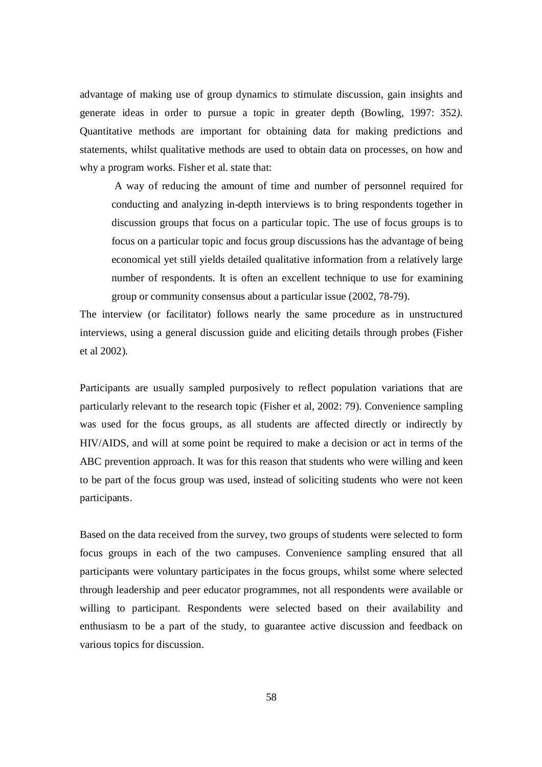advantage of making use of group dynamics to stimulate discussion, gain insights and generate ideas in order to pursue a topic in greater depth (Bowling, 1997: 352*).*  Quantitative methods are important for obtaining data for making predictions and statements, whilst qualitative methods are used to obtain data on processes, on how and why a program works. Fisher et al. state that:

 A way of reducing the amount of time and number of personnel required for conducting and analyzing in-depth interviews is to bring respondents together in discussion groups that focus on a particular topic. The use of focus groups is to focus on a particular topic and focus group discussions has the advantage of being economical yet still yields detailed qualitative information from a relatively large number of respondents. It is often an excellent technique to use for examining group or community consensus about a particular issue (2002, 78-79).

The interview (or facilitator) follows nearly the same procedure as in unstructured interviews, using a general discussion guide and eliciting details through probes (Fisher et al 2002).

Participants are usually sampled purposively to reflect population variations that are particularly relevant to the research topic (Fisher et al, 2002: 79). Convenience sampling was used for the focus groups, as all students are affected directly or indirectly by HIV/AIDS, and will at some point be required to make a decision or act in terms of the ABC prevention approach. It was for this reason that students who were willing and keen to be part of the focus group was used, instead of soliciting students who were not keen participants.

Based on the data received from the survey, two groups of students were selected to form focus groups in each of the two campuses. Convenience sampling ensured that all participants were voluntary participates in the focus groups, whilst some where selected through leadership and peer educator programmes, not all respondents were available or willing to participant. Respondents were selected based on their availability and enthusiasm to be a part of the study, to guarantee active discussion and feedback on various topics for discussion.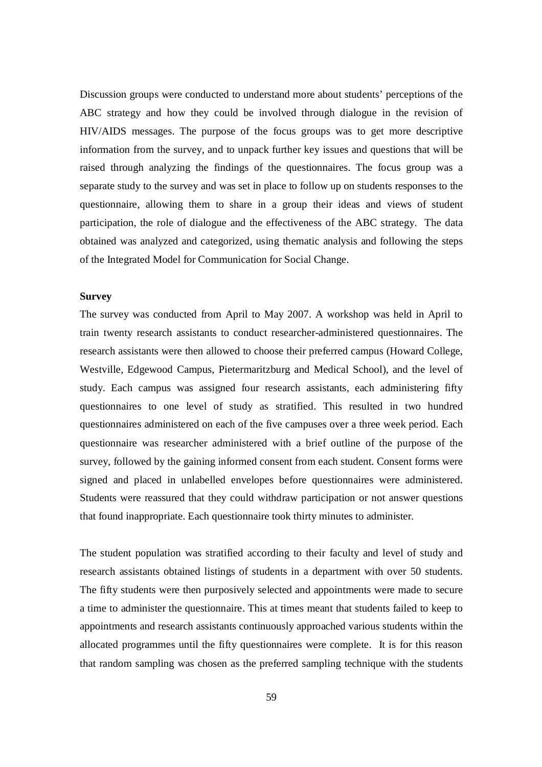Discussion groups were conducted to understand more about students' perceptions of the ABC strategy and how they could be involved through dialogue in the revision of HIV/AIDS messages. The purpose of the focus groups was to get more descriptive information from the survey, and to unpack further key issues and questions that will be raised through analyzing the findings of the questionnaires. The focus group was a separate study to the survey and was set in place to follow up on students responses to the questionnaire, allowing them to share in a group their ideas and views of student participation, the role of dialogue and the effectiveness of the ABC strategy. The data obtained was analyzed and categorized, using thematic analysis and following the steps of the Integrated Model for Communication for Social Change.

## **Survey**

The survey was conducted from April to May 2007. A workshop was held in April to train twenty research assistants to conduct researcher-administered questionnaires. The research assistants were then allowed to choose their preferred campus (Howard College, Westville, Edgewood Campus, Pietermaritzburg and Medical School), and the level of study. Each campus was assigned four research assistants, each administering fifty questionnaires to one level of study as stratified. This resulted in two hundred questionnaires administered on each of the five campuses over a three week period. Each questionnaire was researcher administered with a brief outline of the purpose of the survey, followed by the gaining informed consent from each student. Consent forms were signed and placed in unlabelled envelopes before questionnaires were administered. Students were reassured that they could withdraw participation or not answer questions that found inappropriate. Each questionnaire took thirty minutes to administer.

The student population was stratified according to their faculty and level of study and research assistants obtained listings of students in a department with over 50 students. The fifty students were then purposively selected and appointments were made to secure a time to administer the questionnaire. This at times meant that students failed to keep to appointments and research assistants continuously approached various students within the allocated programmes until the fifty questionnaires were complete. It is for this reason that random sampling was chosen as the preferred sampling technique with the students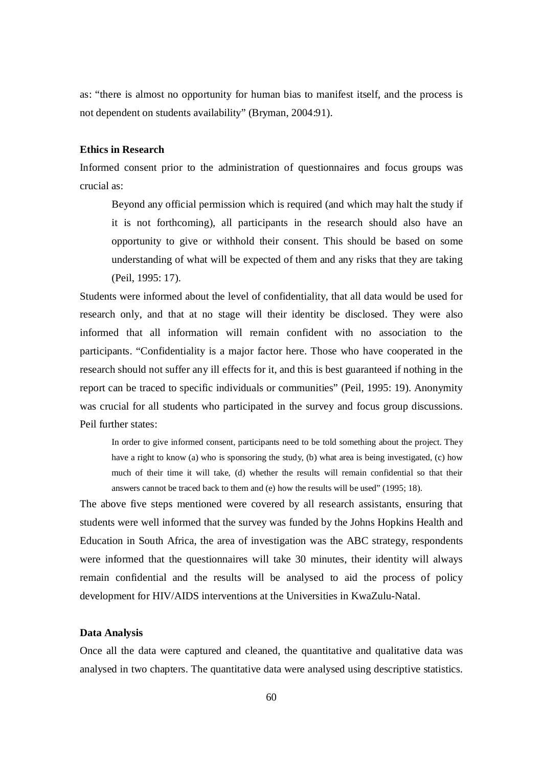as: "there is almost no opportunity for human bias to manifest itself, and the process is not dependent on students availability" (Bryman, 2004:91).

### **Ethics in Research**

Informed consent prior to the administration of questionnaires and focus groups was crucial as:

Beyond any official permission which is required (and which may halt the study if it is not forthcoming), all participants in the research should also have an opportunity to give or withhold their consent. This should be based on some understanding of what will be expected of them and any risks that they are taking (Peil, 1995: 17).

Students were informed about the level of confidentiality, that all data would be used for research only, and that at no stage will their identity be disclosed. They were also informed that all information will remain confident with no association to the participants. "Confidentiality is a major factor here. Those who have cooperated in the research should not suffer any ill effects for it, and this is best guaranteed if nothing in the report can be traced to specific individuals or communities" (Peil, 1995: 19). Anonymity was crucial for all students who participated in the survey and focus group discussions. Peil further states:

In order to give informed consent, participants need to be told something about the project. They have a right to know (a) who is sponsoring the study, (b) what area is being investigated, (c) how much of their time it will take, (d) whether the results will remain confidential so that their answers cannot be traced back to them and (e) how the results will be used" (1995; 18).

The above five steps mentioned were covered by all research assistants, ensuring that students were well informed that the survey was funded by the Johns Hopkins Health and Education in South Africa, the area of investigation was the ABC strategy, respondents were informed that the questionnaires will take 30 minutes, their identity will always remain confidential and the results will be analysed to aid the process of policy development for HIV/AIDS interventions at the Universities in KwaZulu-Natal.

## **Data Analysis**

Once all the data were captured and cleaned, the quantitative and qualitative data was analysed in two chapters. The quantitative data were analysed using descriptive statistics.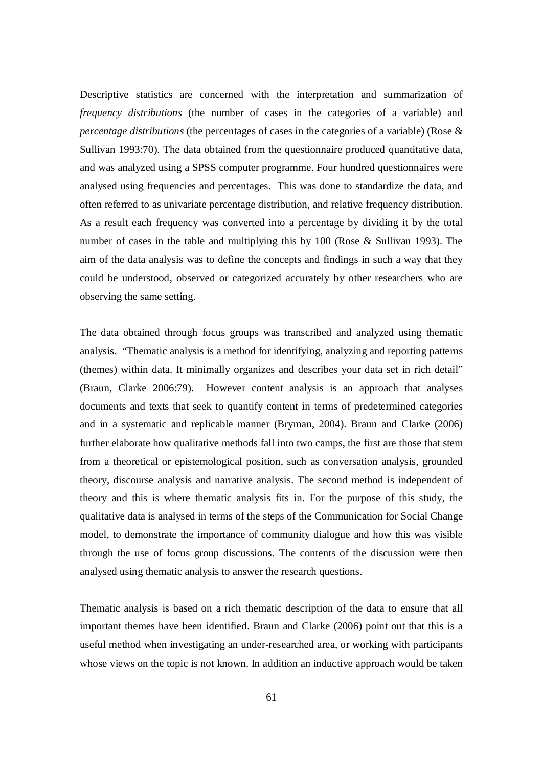Descriptive statistics are concerned with the interpretation and summarization of *frequency distributions* (the number of cases in the categories of a variable) and *percentage distributions* (the percentages of cases in the categories of a variable) (Rose & Sullivan 1993:70). The data obtained from the questionnaire produced quantitative data, and was analyzed using a SPSS computer programme. Four hundred questionnaires were analysed using frequencies and percentages. This was done to standardize the data, and often referred to as univariate percentage distribution, and relative frequency distribution. As a result each frequency was converted into a percentage by dividing it by the total number of cases in the table and multiplying this by 100 (Rose & Sullivan 1993). The aim of the data analysis was to define the concepts and findings in such a way that they could be understood, observed or categorized accurately by other researchers who are observing the same setting.

The data obtained through focus groups was transcribed and analyzed using thematic analysis. "Thematic analysis is a method for identifying, analyzing and reporting patterns (themes) within data. It minimally organizes and describes your data set in rich detail" (Braun, Clarke 2006:79). However content analysis is an approach that analyses documents and texts that seek to quantify content in terms of predetermined categories and in a systematic and replicable manner (Bryman, 2004). Braun and Clarke (2006) further elaborate how qualitative methods fall into two camps, the first are those that stem from a theoretical or epistemological position, such as conversation analysis, grounded theory, discourse analysis and narrative analysis. The second method is independent of theory and this is where thematic analysis fits in. For the purpose of this study, the qualitative data is analysed in terms of the steps of the Communication for Social Change model, to demonstrate the importance of community dialogue and how this was visible through the use of focus group discussions. The contents of the discussion were then analysed using thematic analysis to answer the research questions.

Thematic analysis is based on a rich thematic description of the data to ensure that all important themes have been identified. Braun and Clarke (2006) point out that this is a useful method when investigating an under-researched area, or working with participants whose views on the topic is not known. In addition an inductive approach would be taken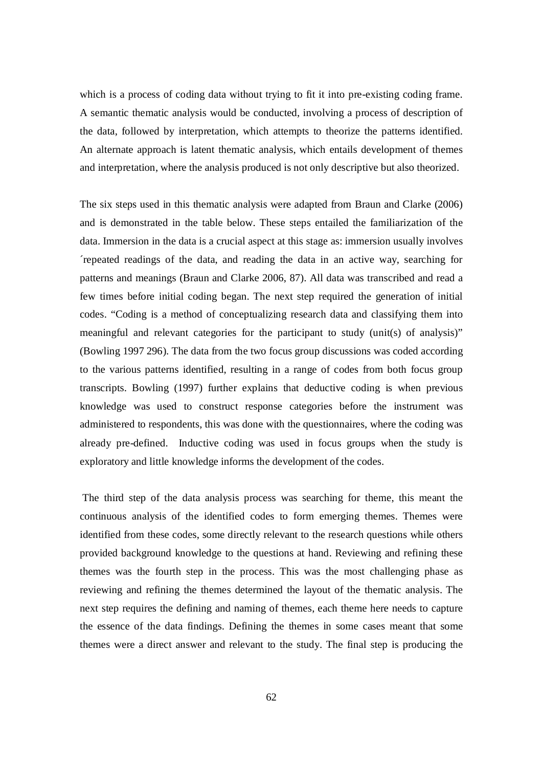which is a process of coding data without trying to fit it into pre-existing coding frame. A semantic thematic analysis would be conducted, involving a process of description of the data, followed by interpretation, which attempts to theorize the patterns identified. An alternate approach is latent thematic analysis, which entails development of themes and interpretation, where the analysis produced is not only descriptive but also theorized.

The six steps used in this thematic analysis were adapted from Braun and Clarke (2006) and is demonstrated in the table below. These steps entailed the familiarization of the data. Immersion in the data is a crucial aspect at this stage as: immersion usually involves ´repeated readings of the data, and reading the data in an active way, searching for patterns and meanings (Braun and Clarke 2006, 87). All data was transcribed and read a few times before initial coding began. The next step required the generation of initial codes. "Coding is a method of conceptualizing research data and classifying them into meaningful and relevant categories for the participant to study (unit(s) of analysis)" (Bowling 1997 296). The data from the two focus group discussions was coded according to the various patterns identified, resulting in a range of codes from both focus group transcripts. Bowling (1997) further explains that deductive coding is when previous knowledge was used to construct response categories before the instrument was administered to respondents, this was done with the questionnaires, where the coding was already pre-defined. Inductive coding was used in focus groups when the study is exploratory and little knowledge informs the development of the codes.

 The third step of the data analysis process was searching for theme, this meant the continuous analysis of the identified codes to form emerging themes. Themes were identified from these codes, some directly relevant to the research questions while others provided background knowledge to the questions at hand. Reviewing and refining these themes was the fourth step in the process. This was the most challenging phase as reviewing and refining the themes determined the layout of the thematic analysis. The next step requires the defining and naming of themes, each theme here needs to capture the essence of the data findings. Defining the themes in some cases meant that some themes were a direct answer and relevant to the study. The final step is producing the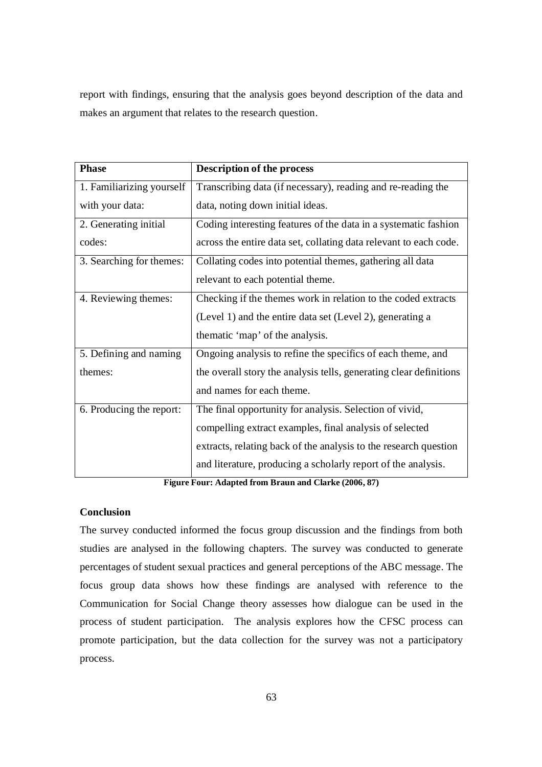report with findings, ensuring that the analysis goes beyond description of the data and makes an argument that relates to the research question.

| <b>Phase</b>              | <b>Description of the process</b>                                  |
|---------------------------|--------------------------------------------------------------------|
| 1. Familiarizing yourself | Transcribing data (if necessary), reading and re-reading the       |
| with your data:           | data, noting down initial ideas.                                   |
| 2. Generating initial     | Coding interesting features of the data in a systematic fashion    |
| codes:                    | across the entire data set, collating data relevant to each code.  |
| 3. Searching for themes:  | Collating codes into potential themes, gathering all data          |
|                           | relevant to each potential theme.                                  |
| 4. Reviewing themes:      | Checking if the themes work in relation to the coded extracts      |
|                           | (Level 1) and the entire data set (Level 2), generating a          |
|                           | the matic 'map' of the analysis.                                   |
| 5. Defining and naming    | Ongoing analysis to refine the specifics of each theme, and        |
| themes:                   | the overall story the analysis tells, generating clear definitions |
|                           | and names for each theme.                                          |
| 6. Producing the report:  | The final opportunity for analysis. Selection of vivid,            |
|                           | compelling extract examples, final analysis of selected            |
|                           | extracts, relating back of the analysis to the research question   |
|                           | and literature, producing a scholarly report of the analysis.      |

**Figure Four: Adapted from Braun and Clarke (2006, 87)**

## **Conclusion**

The survey conducted informed the focus group discussion and the findings from both studies are analysed in the following chapters. The survey was conducted to generate percentages of student sexual practices and general perceptions of the ABC message. The focus group data shows how these findings are analysed with reference to the Communication for Social Change theory assesses how dialogue can be used in the process of student participation. The analysis explores how the CFSC process can promote participation, but the data collection for the survey was not a participatory process.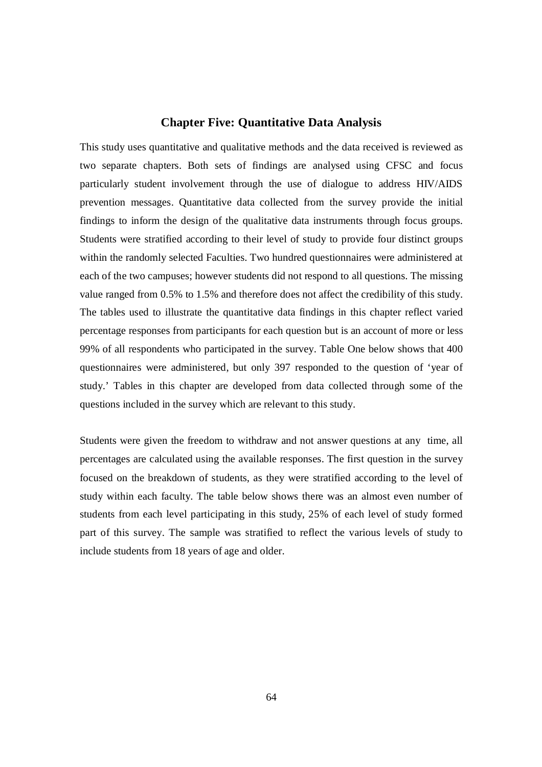# **Chapter Five: Quantitative Data Analysis**

This study uses quantitative and qualitative methods and the data received is reviewed as two separate chapters. Both sets of findings are analysed using CFSC and focus particularly student involvement through the use of dialogue to address HIV/AIDS prevention messages. Quantitative data collected from the survey provide the initial findings to inform the design of the qualitative data instruments through focus groups. Students were stratified according to their level of study to provide four distinct groups within the randomly selected Faculties. Two hundred questionnaires were administered at each of the two campuses; however students did not respond to all questions. The missing value ranged from 0.5% to 1.5% and therefore does not affect the credibility of this study. The tables used to illustrate the quantitative data findings in this chapter reflect varied percentage responses from participants for each question but is an account of more or less 99% of all respondents who participated in the survey. Table One below shows that 400 questionnaires were administered, but only 397 responded to the question of 'year of study.' Tables in this chapter are developed from data collected through some of the questions included in the survey which are relevant to this study.

Students were given the freedom to withdraw and not answer questions at any time, all percentages are calculated using the available responses. The first question in the survey focused on the breakdown of students, as they were stratified according to the level of study within each faculty. The table below shows there was an almost even number of students from each level participating in this study, 25% of each level of study formed part of this survey. The sample was stratified to reflect the various levels of study to include students from 18 years of age and older.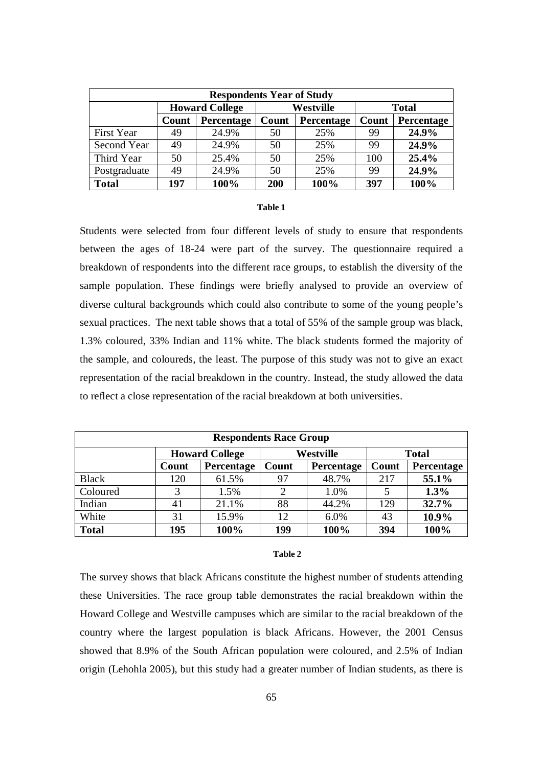| <b>Respondents Year of Study</b> |                       |            |           |            |              |            |  |  |  |  |
|----------------------------------|-----------------------|------------|-----------|------------|--------------|------------|--|--|--|--|
|                                  | <b>Howard College</b> |            | Westville |            | <b>Total</b> |            |  |  |  |  |
|                                  | Count                 | Percentage | Count     | Percentage | Count        | Percentage |  |  |  |  |
| <b>First Year</b>                | 49                    | 24.9%      | 50        | 25%        | 99           | 24.9%      |  |  |  |  |
| Second Year                      | 49                    | 24.9%      | 50        | 25%        | 99           | 24.9%      |  |  |  |  |
| Third Year                       | 50                    | 25.4%      | 50        | 25%        | 100          | 25.4%      |  |  |  |  |
| Postgraduate                     | 49                    | 24.9%      | 50        | 25%        | 99           | 24.9%      |  |  |  |  |
| <b>Total</b>                     | 197                   | 100%       | 200       | 100%       | 397          | 100%       |  |  |  |  |

#### **Table 1**

Students were selected from four different levels of study to ensure that respondents between the ages of 18-24 were part of the survey. The questionnaire required a breakdown of respondents into the different race groups, to establish the diversity of the sample population. These findings were briefly analysed to provide an overview of diverse cultural backgrounds which could also contribute to some of the young people's sexual practices. The next table shows that a total of 55% of the sample group was black, 1.3% coloured, 33% Indian and 11% white. The black students formed the majority of the sample, and coloureds, the least. The purpose of this study was not to give an exact representation of the racial breakdown in the country. Instead, the study allowed the data to reflect a close representation of the racial breakdown at both universities.

| <b>Respondents Race Group</b> |                       |            |           |            |              |            |  |  |  |
|-------------------------------|-----------------------|------------|-----------|------------|--------------|------------|--|--|--|
|                               | <b>Howard College</b> |            | Westville |            | <b>Total</b> |            |  |  |  |
|                               | Count                 | Percentage | Count     | Percentage | Count        | Percentage |  |  |  |
| <b>Black</b>                  | 120                   | 61.5%      | 97        | 48.7%      | 217          | 55.1%      |  |  |  |
| Coloured                      | 3                     | 1.5%       |           | 1.0%       |              | 1.3%       |  |  |  |
| Indian                        | 41                    | 21.1%      | 88        | 44.2%      | 129          | 32.7%      |  |  |  |
| White                         | 31                    | 15.9%      | 12        | 6.0%       | 43           | 10.9%      |  |  |  |
| <b>Total</b>                  | 195                   | 100%       | 199       | 100%       | 394          | 100%       |  |  |  |

#### **Table 2**

The survey shows that black Africans constitute the highest number of students attending these Universities. The race group table demonstrates the racial breakdown within the Howard College and Westville campuses which are similar to the racial breakdown of the country where the largest population is black Africans. However, the 2001 Census showed that 8.9% of the South African population were coloured, and 2.5% of Indian origin (Lehohla 2005), but this study had a greater number of Indian students, as there is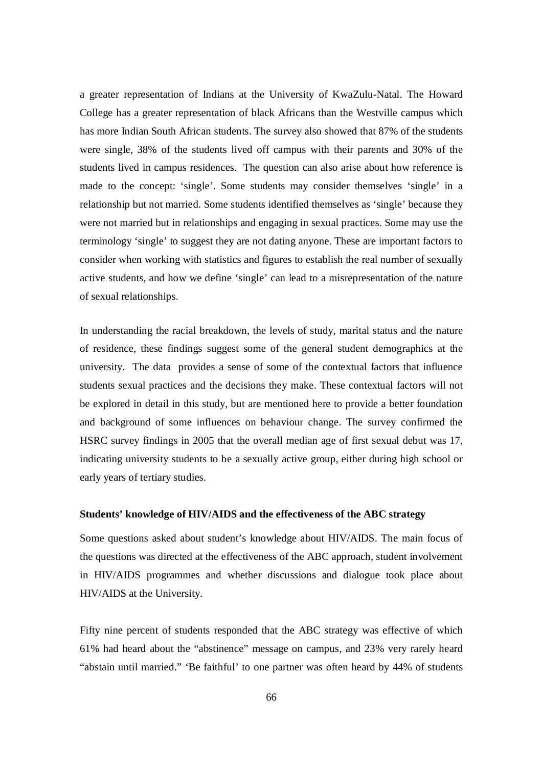a greater representation of Indians at the University of KwaZulu-Natal. The Howard College has a greater representation of black Africans than the Westville campus which has more Indian South African students. The survey also showed that 87% of the students were single, 38% of the students lived off campus with their parents and 30% of the students lived in campus residences. The question can also arise about how reference is made to the concept: 'single'. Some students may consider themselves 'single' in a relationship but not married. Some students identified themselves as 'single' because they were not married but in relationships and engaging in sexual practices. Some may use the terminology 'single' to suggest they are not dating anyone. These are important factors to consider when working with statistics and figures to establish the real number of sexually active students, and how we define 'single' can lead to a misrepresentation of the nature of sexual relationships.

In understanding the racial breakdown, the levels of study, marital status and the nature of residence, these findings suggest some of the general student demographics at the university. The data provides a sense of some of the contextual factors that influence students sexual practices and the decisions they make. These contextual factors will not be explored in detail in this study, but are mentioned here to provide a better foundation and background of some influences on behaviour change. The survey confirmed the HSRC survey findings in 2005 that the overall median age of first sexual debut was 17, indicating university students to be a sexually active group, either during high school or early years of tertiary studies.

## **Students' knowledge of HIV/AIDS and the effectiveness of the ABC strategy**

Some questions asked about student's knowledge about HIV/AIDS. The main focus of the questions was directed at the effectiveness of the ABC approach, student involvement in HIV/AIDS programmes and whether discussions and dialogue took place about HIV/AIDS at the University.

Fifty nine percent of students responded that the ABC strategy was effective of which 61% had heard about the "abstinence" message on campus, and 23% very rarely heard "abstain until married." 'Be faithful' to one partner was often heard by 44% of students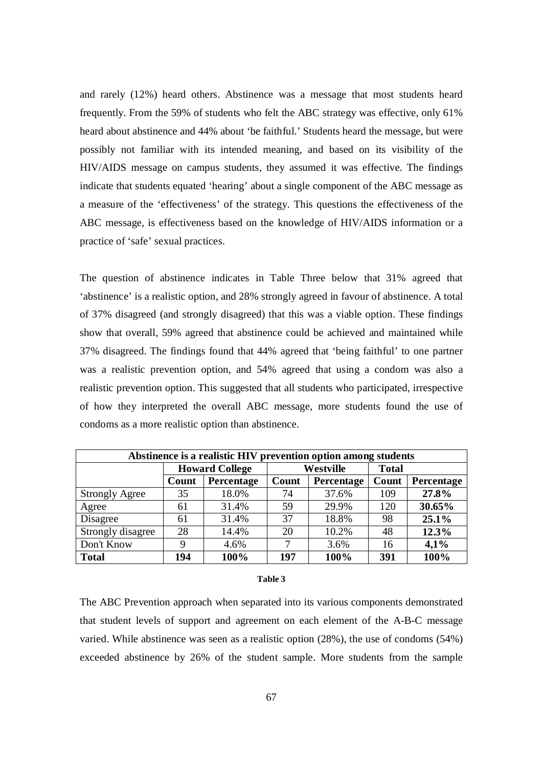and rarely (12%) heard others. Abstinence was a message that most students heard frequently. From the 59% of students who felt the ABC strategy was effective, only 61% heard about abstinence and 44% about 'be faithful.' Students heard the message, but were possibly not familiar with its intended meaning, and based on its visibility of the HIV/AIDS message on campus students, they assumed it was effective. The findings indicate that students equated 'hearing' about a single component of the ABC message as a measure of the 'effectiveness' of the strategy. This questions the effectiveness of the ABC message, is effectiveness based on the knowledge of HIV/AIDS information or a practice of 'safe' sexual practices.

The question of abstinence indicates in Table Three below that 31% agreed that 'abstinence' is a realistic option, and 28% strongly agreed in favour of abstinence. A total of 37% disagreed (and strongly disagreed) that this was a viable option. These findings show that overall, 59% agreed that abstinence could be achieved and maintained while 37% disagreed. The findings found that 44% agreed that 'being faithful' to one partner was a realistic prevention option, and 54% agreed that using a condom was also a realistic prevention option. This suggested that all students who participated, irrespective of how they interpreted the overall ABC message, more students found the use of condoms as a more realistic option than abstinence.

| Abstinence is a realistic HIV prevention option among students |                       |            |       |            |              |            |  |  |
|----------------------------------------------------------------|-----------------------|------------|-------|------------|--------------|------------|--|--|
|                                                                | <b>Howard College</b> |            |       | Westville  | <b>Total</b> |            |  |  |
|                                                                | Count                 | Percentage | Count | Percentage | Count        | Percentage |  |  |
| <b>Strongly Agree</b>                                          | 35                    | 18.0%      | 74    | 37.6%      | 109          | 27.8%      |  |  |
| Agree                                                          | 61                    | 31.4%      | 59    | 29.9%      | 120          | 30.65%     |  |  |
| Disagree                                                       | 61                    | 31.4%      | 37    | 18.8%      | 98           | 25.1%      |  |  |
| Strongly disagree                                              | 28                    | 14.4%      | 20    | 10.2%      | 48           | 12.3%      |  |  |
| Don't Know                                                     | 9                     | 4.6%       | ⇁     | 3.6%       | 16           | 4,1%       |  |  |
| <b>Total</b>                                                   | 194                   | 100%       | 197   | 100%       | 391          | 100%       |  |  |

#### **Table 3**

The ABC Prevention approach when separated into its various components demonstrated that student levels of support and agreement on each element of the A-B-C message varied. While abstinence was seen as a realistic option (28%), the use of condoms (54%) exceeded abstinence by 26% of the student sample. More students from the sample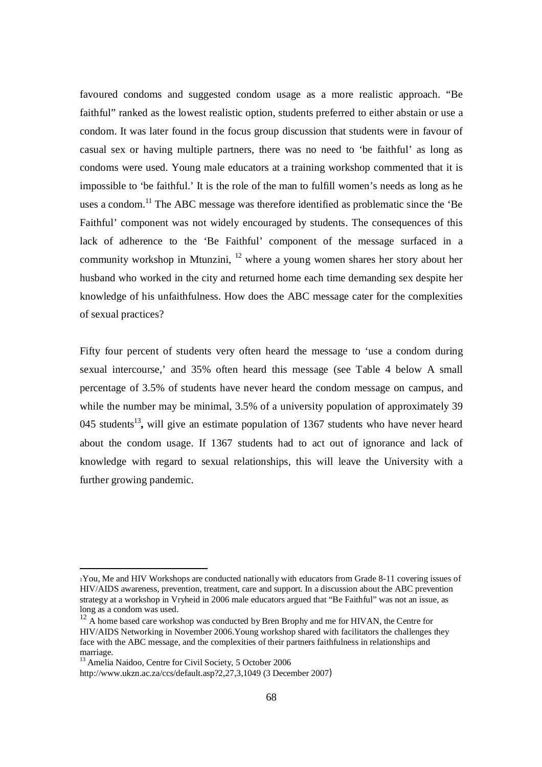favoured condoms and suggested condom usage as a more realistic approach. "Be faithful" ranked as the lowest realistic option, students preferred to either abstain or use a condom. It was later found in the focus group discussion that students were in favour of casual sex or having multiple partners, there was no need to 'be faithful' as long as condoms were used. Young male educators at a training workshop commented that it is impossible to 'be faithful.' It is the role of the man to fulfill women's needs as long as he uses a condom.<sup>11</sup> The ABC message was therefore identified as problematic since the 'Be Faithful' component was not widely encouraged by students. The consequences of this lack of adherence to the 'Be Faithful' component of the message surfaced in a community workshop in Mtunzini, <sup>12</sup> where a young women shares her story about her husband who worked in the city and returned home each time demanding sex despite her knowledge of his unfaithfulness. How does the ABC message cater for the complexities of sexual practices?

Fifty four percent of students very often heard the message to 'use a condom during sexual intercourse,' and 35% often heard this message (see Table 4 below A small percentage of 3.5% of students have never heard the condom message on campus, and while the number may be minimal, 3.5% of a university population of approximately 39 045 students<sup>13</sup>, will give an estimate population of 1367 students who have never heard about the condom usage. If 1367 students had to act out of ignorance and lack of knowledge with regard to sexual relationships, this will leave the University with a further growing pandemic.

<sup>1</sup>You, Me and HIV Workshops are conducted nationally with educators from Grade 8-11 covering issues of HIV/AIDS awareness, prevention, treatment, care and support. In a discussion about the ABC prevention strategy at a workshop in Vryheid in 2006 male educators argued that "Be Faithful" was not an issue, as long as a condom was used.

<sup>&</sup>lt;sup>12</sup> A home based care workshop was conducted by Bren Brophy and me for HIVAN, the Centre for HIV/AIDS Networking in November 2006.Young workshop shared with facilitators the challenges they face with the ABC message, and the complexities of their partners faithfulness in relationships and marriage.

<sup>&</sup>lt;sup>13</sup> Amelia Naidoo, Centre for Civil Society, 5 October 2006

http://www.ukzn.ac.za/ccs/default.asp?2,27,3,1049 (3 December 2007)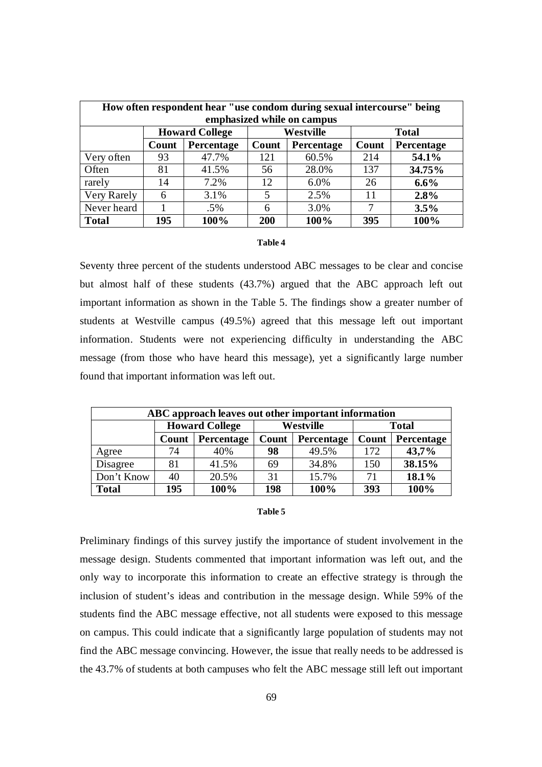| How often respondent hear "use condom during sexual intercourse" being<br>emphasized while on campus |       |                       |       |            |       |              |  |  |
|------------------------------------------------------------------------------------------------------|-------|-----------------------|-------|------------|-------|--------------|--|--|
|                                                                                                      |       | <b>Howard College</b> |       | Westville  |       | <b>Total</b> |  |  |
|                                                                                                      | Count | Percentage            | Count | Percentage | Count | Percentage   |  |  |
| Very often                                                                                           | 93    | 47.7%                 | 121   | 60.5%      | 214   | 54.1%        |  |  |
| Often                                                                                                | 81    | 41.5%                 | 56    | 28.0%      | 137   | 34.75%       |  |  |
| rarely                                                                                               | 14    | 7.2%                  | 12    | 6.0%       | 26    | $6.6\%$      |  |  |
| Very Rarely                                                                                          | 6     | 3.1%                  | 5     | 2.5%       | 11    | 2.8%         |  |  |
| Never heard                                                                                          |       | $.5\%$                | 6     | 3.0%       | 7     | 3.5%         |  |  |
| <b>Total</b>                                                                                         | 195   | 100%                  | 200   | 100%       | 395   | 100%         |  |  |

#### **Table 4**

Seventy three percent of the students understood ABC messages to be clear and concise but almost half of these students (43.7%) argued that the ABC approach left out important information as shown in the Table 5. The findings show a greater number of students at Westville campus (49.5%) agreed that this message left out important information. Students were not experiencing difficulty in understanding the ABC message (from those who have heard this message), yet a significantly large number found that important information was left out.

| ABC approach leaves out other important information |                       |            |                  |            |              |            |  |
|-----------------------------------------------------|-----------------------|------------|------------------|------------|--------------|------------|--|
|                                                     | <b>Howard College</b> |            | <b>Westville</b> |            | <b>Total</b> |            |  |
|                                                     | Count                 | Percentage | Count            | Percentage | Count        | Percentage |  |
| Agree                                               | 74                    | 40%        | 98               | 49.5%      | 172          | 43,7%      |  |
| Disagree                                            | 81                    | 41.5%      | 69               | 34.8%      | 150          | 38.15%     |  |
| Don't Know                                          | 40                    | 20.5%      | 31               | 15.7%      | 71           | 18.1%      |  |
| <b>Total</b>                                        | 195                   | 100%       | 198              | 100%       | 393          | 100%       |  |

#### **Table 5**

Preliminary findings of this survey justify the importance of student involvement in the message design. Students commented that important information was left out, and the only way to incorporate this information to create an effective strategy is through the inclusion of student's ideas and contribution in the message design. While 59% of the students find the ABC message effective, not all students were exposed to this message on campus. This could indicate that a significantly large population of students may not find the ABC message convincing. However, the issue that really needs to be addressed is the 43.7% of students at both campuses who felt the ABC message still left out important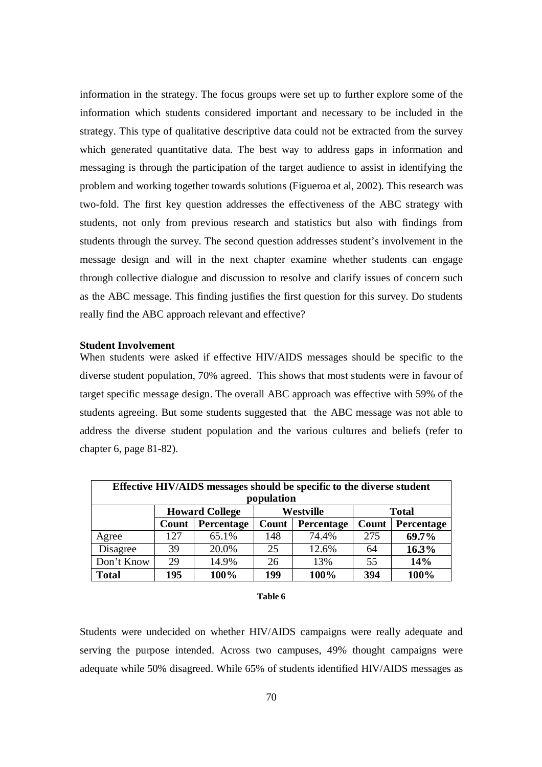information in the strategy. The focus groups were set up to further explore some of the information which students considered important and necessary to be included in the strategy. This type of qualitative descriptive data could not be extracted from the survey which generated quantitative data. The best way to address gaps in information and messaging is through the participation of the target audience to assist in identifying the problem and working together towards solutions (Figueroa et al, 2002). This research was two-fold. The first key question addresses the effectiveness of the ABC strategy with students, not only from previous research and statistics but also with findings from students through the survey. The second question addresses student's involvement in the message design and will in the next chapter examine whether students can engage through collective dialogue and discussion to resolve and clarify issues of concern such as the ABC message. This finding justifies the first question for this survey. Do students really find the ABC approach relevant and effective?

### **Student Involvement**

When students were asked if effective HIV/AIDS messages should be specific to the diverse student population, 70% agreed. This shows that most students were in favour of target specific message design. The overall ABC approach was effective with 59% of the students agreeing. But some students suggested that the ABC message was not able to address the diverse student population and the various cultures and beliefs (refer to chapter 6, page 81-82).

| Effective HIV/AIDS messages should be specific to the diverse student<br>population |       |                       |       |            |       |              |  |  |
|-------------------------------------------------------------------------------------|-------|-----------------------|-------|------------|-------|--------------|--|--|
|                                                                                     |       | <b>Howard College</b> |       | Westville  |       | <b>Total</b> |  |  |
|                                                                                     | Count | Percentage            | Count | Percentage | Count | Percentage   |  |  |
| Agree                                                                               | 127   | 65.1%                 | 148   | 74.4%      | 275   | 69.7%        |  |  |
| Disagree                                                                            | 39    | 20.0%                 | 25    | 12.6%      | 64    | 16.3%        |  |  |
| Don't Know                                                                          | 29    | 14.9%                 | 26    | 13%        | 55    | 14%          |  |  |
| <b>Total</b>                                                                        | 195   | 100%                  | 199   | 100%       | 394   | 100%         |  |  |

#### **Table 6**

Students were undecided on whether HIV/AIDS campaigns were really adequate and serving the purpose intended. Across two campuses, 49% thought campaigns were adequate while 50% disagreed. While 65% of students identified HIV/AIDS messages as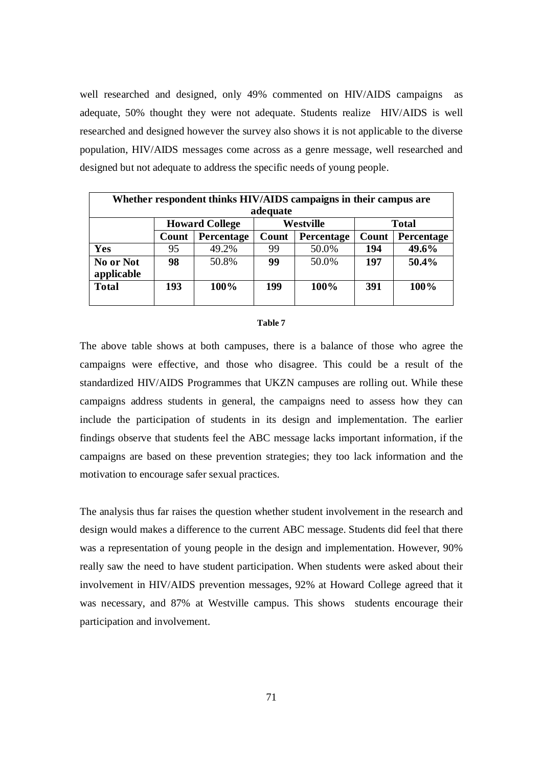well researched and designed, only 49% commented on HIV/AIDS campaigns as adequate, 50% thought they were not adequate. Students realize HIV/AIDS is well researched and designed however the survey also shows it is not applicable to the diverse population, HIV/AIDS messages come across as a genre message, well researched and designed but not adequate to address the specific needs of young people.

|                         | Whether respondent thinks HIV/AIDS campaigns in their campus are |                       |       |            |       |              |  |  |  |
|-------------------------|------------------------------------------------------------------|-----------------------|-------|------------|-------|--------------|--|--|--|
|                         | adequate                                                         |                       |       |            |       |              |  |  |  |
|                         |                                                                  | <b>Howard College</b> |       | Westville  |       | <b>Total</b> |  |  |  |
|                         | Count                                                            | Percentage            | Count | Percentage | Count | Percentage   |  |  |  |
| <b>Yes</b>              | 95                                                               | 49.2%                 | 99    | 50.0%      | 194   | 49.6%        |  |  |  |
| No or Not<br>applicable | 98                                                               | 50.8%                 | 99    | 50.0%      | 197   | 50.4%        |  |  |  |
| <b>Total</b>            | 193                                                              | 100%                  | 199   | 100%       | 391   | 100%         |  |  |  |

#### **Table 7**

The above table shows at both campuses, there is a balance of those who agree the campaigns were effective, and those who disagree. This could be a result of the standardized HIV/AIDS Programmes that UKZN campuses are rolling out. While these campaigns address students in general, the campaigns need to assess how they can include the participation of students in its design and implementation. The earlier findings observe that students feel the ABC message lacks important information, if the campaigns are based on these prevention strategies; they too lack information and the motivation to encourage safer sexual practices.

The analysis thus far raises the question whether student involvement in the research and design would makes a difference to the current ABC message. Students did feel that there was a representation of young people in the design and implementation. However, 90% really saw the need to have student participation. When students were asked about their involvement in HIV/AIDS prevention messages, 92% at Howard College agreed that it was necessary, and 87% at Westville campus. This shows students encourage their participation and involvement.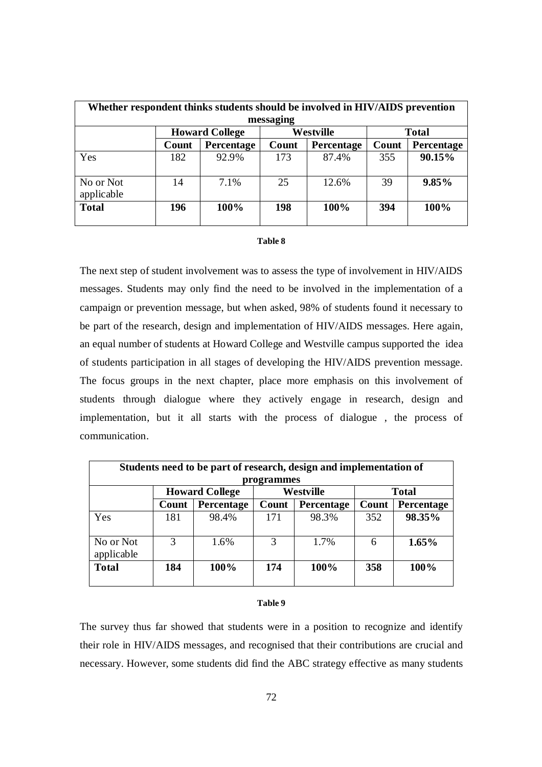|                         | Whether respondent thinks students should be involved in HIV/AIDS prevention |                       |           |            |       |              |  |  |
|-------------------------|------------------------------------------------------------------------------|-----------------------|-----------|------------|-------|--------------|--|--|
|                         |                                                                              |                       | messaging |            |       |              |  |  |
|                         |                                                                              | <b>Howard College</b> |           | Westville  |       | <b>Total</b> |  |  |
|                         | Count                                                                        | Percentage            | Count     | Percentage | Count | Percentage   |  |  |
| Yes                     | 182                                                                          | 92.9%                 | 173       | 87.4%      | 355   | 90.15%       |  |  |
| No or Not<br>applicable | 14                                                                           | 7.1%                  | 25        | 12.6%      | 39    | 9.85%        |  |  |
| <b>Total</b>            | 196                                                                          | 100%                  | 198       | 100%       | 394   | 100%         |  |  |

#### **Table 8**

The next step of student involvement was to assess the type of involvement in HIV/AIDS messages. Students may only find the need to be involved in the implementation of a campaign or prevention message, but when asked, 98% of students found it necessary to be part of the research, design and implementation of HIV/AIDS messages. Here again, an equal number of students at Howard College and Westville campus supported the idea of students participation in all stages of developing the HIV/AIDS prevention message. The focus groups in the next chapter, place more emphasis on this involvement of students through dialogue where they actively engage in research, design and implementation, but it all starts with the process of dialogue , the process of communication.

| Students need to be part of research, design and implementation of<br>programmes |       |            |       |                   |       |            |  |  |
|----------------------------------------------------------------------------------|-------|------------|-------|-------------------|-------|------------|--|--|
| Westville<br><b>Howard College</b><br><b>Total</b>                               |       |            |       |                   |       |            |  |  |
|                                                                                  | Count | Percentage | Count | <b>Percentage</b> | Count | Percentage |  |  |
| Yes                                                                              | 181   | 98.4%      | 171   | 98.3%             | 352   | 98.35%     |  |  |
| No or Not<br>applicable                                                          | 3     | 1.6%       | 3     | 1.7%              | 6     | 1.65%      |  |  |
| <b>Total</b>                                                                     | 184   | 100%       | 174   | 100%              | 358   | 100%       |  |  |

#### **Table 9**

The survey thus far showed that students were in a position to recognize and identify their role in HIV/AIDS messages, and recognised that their contributions are crucial and necessary. However, some students did find the ABC strategy effective as many students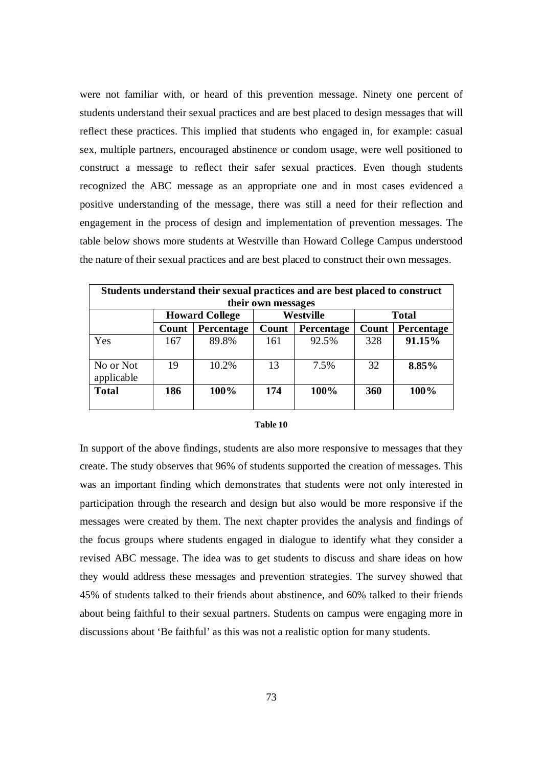were not familiar with, or heard of this prevention message. Ninety one percent of students understand their sexual practices and are best placed to design messages that will reflect these practices. This implied that students who engaged in, for example: casual sex, multiple partners, encouraged abstinence or condom usage, were well positioned to construct a message to reflect their safer sexual practices. Even though students recognized the ABC message as an appropriate one and in most cases evidenced a positive understanding of the message, there was still a need for their reflection and engagement in the process of design and implementation of prevention messages. The table below shows more students at Westville than Howard College Campus understood the nature of their sexual practices and are best placed to construct their own messages.

| Students understand their sexual practices and are best placed to construct<br>their own messages |       |                       |       |            |       |              |  |  |
|---------------------------------------------------------------------------------------------------|-------|-----------------------|-------|------------|-------|--------------|--|--|
|                                                                                                   |       | <b>Howard College</b> |       | Westville  |       | <b>Total</b> |  |  |
|                                                                                                   | Count | Percentage            | Count | Percentage | Count | Percentage   |  |  |
| Yes                                                                                               | 167   | 89.8%                 | 161   | 92.5%      | 328   | 91.15%       |  |  |
| No or Not<br>applicable                                                                           | 19    | 10.2%                 | 13    | 7.5%       | 32    | 8.85%        |  |  |
| <b>Total</b>                                                                                      | 186   | 100%                  | 174   | 100%       | 360   | 100%         |  |  |

#### **Table 10**

In support of the above findings, students are also more responsive to messages that they create. The study observes that 96% of students supported the creation of messages. This was an important finding which demonstrates that students were not only interested in participation through the research and design but also would be more responsive if the messages were created by them. The next chapter provides the analysis and findings of the focus groups where students engaged in dialogue to identify what they consider a revised ABC message. The idea was to get students to discuss and share ideas on how they would address these messages and prevention strategies. The survey showed that 45% of students talked to their friends about abstinence, and 60% talked to their friends about being faithful to their sexual partners. Students on campus were engaging more in discussions about 'Be faithful' as this was not a realistic option for many students.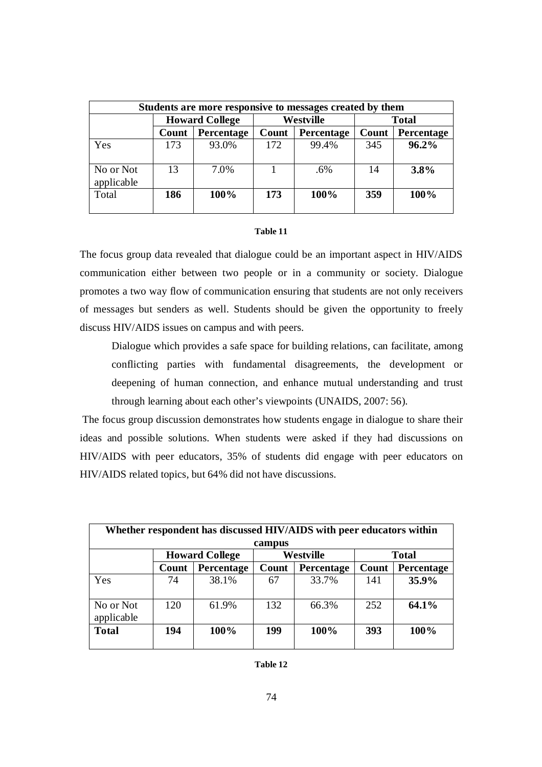| Students are more responsive to messages created by them |                       |            |                  |            |              |            |  |
|----------------------------------------------------------|-----------------------|------------|------------------|------------|--------------|------------|--|
|                                                          | <b>Howard College</b> |            | <b>Westville</b> |            | <b>Total</b> |            |  |
|                                                          | Count                 | Percentage | Count            | Percentage | Count        | Percentage |  |
| Yes                                                      | 173                   | 93.0%      | 172              | 99.4%      | 345          | 96.2%      |  |
| No or Not<br>applicable                                  | 13                    | 7.0%       |                  | .6%        | 14           | 3.8%       |  |
| Total                                                    | 186                   | $100\%$    | 173              | 100%       | 359          | 100%       |  |

#### **Table 11**

The focus group data revealed that dialogue could be an important aspect in HIV/AIDS communication either between two people or in a community or society. Dialogue promotes a two way flow of communication ensuring that students are not only receivers of messages but senders as well. Students should be given the opportunity to freely discuss HIV/AIDS issues on campus and with peers.

Dialogue which provides a safe space for building relations, can facilitate, among conflicting parties with fundamental disagreements, the development or deepening of human connection, and enhance mutual understanding and trust through learning about each other's viewpoints (UNAIDS, 2007: 56).

 The focus group discussion demonstrates how students engage in dialogue to share their ideas and possible solutions. When students were asked if they had discussions on HIV/AIDS with peer educators, 35% of students did engage with peer educators on HIV/AIDS related topics, but 64% did not have discussions.

| Whether respondent has discussed HIV/AIDS with peer educators within<br>campus |       |                       |       |            |       |              |  |  |
|--------------------------------------------------------------------------------|-------|-----------------------|-------|------------|-------|--------------|--|--|
|                                                                                |       | <b>Howard College</b> |       | Westville  |       | <b>Total</b> |  |  |
|                                                                                | Count | Percentage            | Count | Percentage | Count | Percentage   |  |  |
| Yes                                                                            | 74    | 38.1%                 | 67    | 33.7%      | 141   | 35.9%        |  |  |
| No or Not<br>applicable                                                        | 120   | 61.9%                 | 132   | 66.3%      | 252   | 64.1%        |  |  |
| <b>Total</b>                                                                   | 194   | 100%                  | 199   | 100%       | 393   | 100%         |  |  |

#### **Table 12**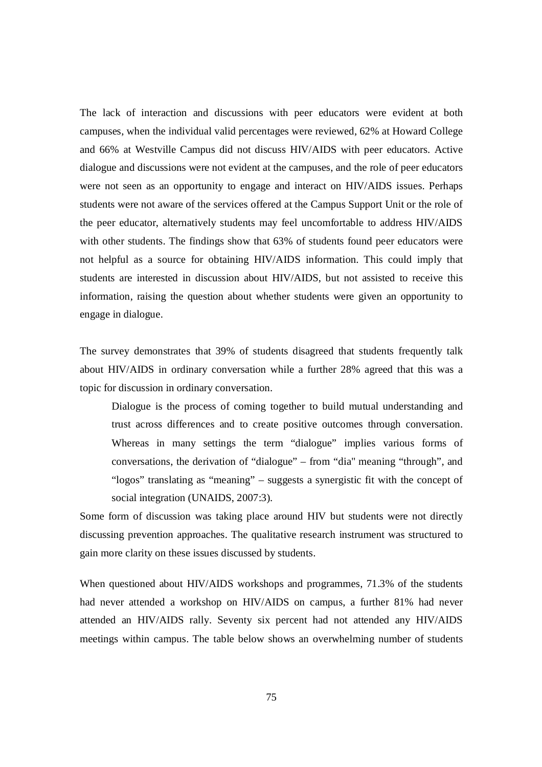The lack of interaction and discussions with peer educators were evident at both campuses, when the individual valid percentages were reviewed, 62% at Howard College and 66% at Westville Campus did not discuss HIV/AIDS with peer educators. Active dialogue and discussions were not evident at the campuses, and the role of peer educators were not seen as an opportunity to engage and interact on HIV/AIDS issues. Perhaps students were not aware of the services offered at the Campus Support Unit or the role of the peer educator, alternatively students may feel uncomfortable to address HIV/AIDS with other students. The findings show that 63% of students found peer educators were not helpful as a source for obtaining HIV/AIDS information. This could imply that students are interested in discussion about HIV/AIDS, but not assisted to receive this information, raising the question about whether students were given an opportunity to engage in dialogue.

The survey demonstrates that 39% of students disagreed that students frequently talk about HIV/AIDS in ordinary conversation while a further 28% agreed that this was a topic for discussion in ordinary conversation.

Dialogue is the process of coming together to build mutual understanding and trust across differences and to create positive outcomes through conversation. Whereas in many settings the term "dialogue" implies various forms of conversations, the derivation of "dialogue" – from "dia" meaning "through", and "logos" translating as "meaning" – suggests a synergistic fit with the concept of social integration (UNAIDS, 2007:3).

Some form of discussion was taking place around HIV but students were not directly discussing prevention approaches. The qualitative research instrument was structured to gain more clarity on these issues discussed by students.

When questioned about HIV/AIDS workshops and programmes, 71.3% of the students had never attended a workshop on HIV/AIDS on campus, a further 81% had never attended an HIV/AIDS rally. Seventy six percent had not attended any HIV/AIDS meetings within campus. The table below shows an overwhelming number of students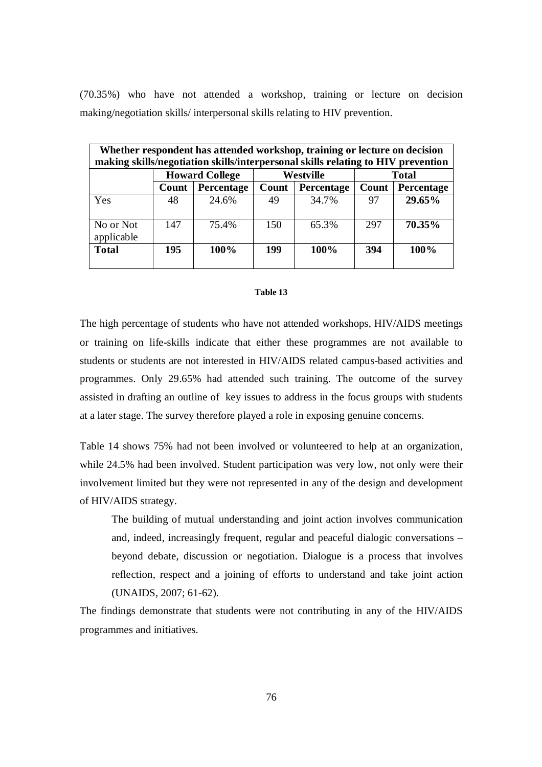(70.35%) who have not attended a workshop, training or lecture on decision making/negotiation skills/ interpersonal skills relating to HIV prevention.

| Whether respondent has attended workshop, training or lecture on decision<br>making skills/negotiation skills/interpersonal skills relating to HIV prevention |                       |            |       |            |       |              |  |
|---------------------------------------------------------------------------------------------------------------------------------------------------------------|-----------------------|------------|-------|------------|-------|--------------|--|
|                                                                                                                                                               | <b>Howard College</b> |            |       | Westville  |       | <b>Total</b> |  |
|                                                                                                                                                               | Count                 | Percentage | Count | Percentage | Count | Percentage   |  |
| Yes                                                                                                                                                           | 48                    | 24.6%      | 49    | 34.7%      | 97    | 29.65%       |  |
| No or Not<br>applicable                                                                                                                                       | 147                   | 75.4%      | 150   | 65.3%      | 297   | 70.35%       |  |
| <b>Total</b>                                                                                                                                                  | 195                   | 100%       | 199   | 100%       | 394   | 100%         |  |

### **Table 13**

The high percentage of students who have not attended workshops, HIV/AIDS meetings or training on life-skills indicate that either these programmes are not available to students or students are not interested in HIV/AIDS related campus-based activities and programmes. Only 29.65% had attended such training. The outcome of the survey assisted in drafting an outline of key issues to address in the focus groups with students at a later stage. The survey therefore played a role in exposing genuine concerns.

Table 14 shows 75% had not been involved or volunteered to help at an organization, while 24.5% had been involved. Student participation was very low, not only were their involvement limited but they were not represented in any of the design and development of HIV/AIDS strategy.

The building of mutual understanding and joint action involves communication and, indeed, increasingly frequent, regular and peaceful dialogic conversations – beyond debate, discussion or negotiation. Dialogue is a process that involves reflection, respect and a joining of efforts to understand and take joint action (UNAIDS, 2007; 61-62).

The findings demonstrate that students were not contributing in any of the HIV/AIDS programmes and initiatives.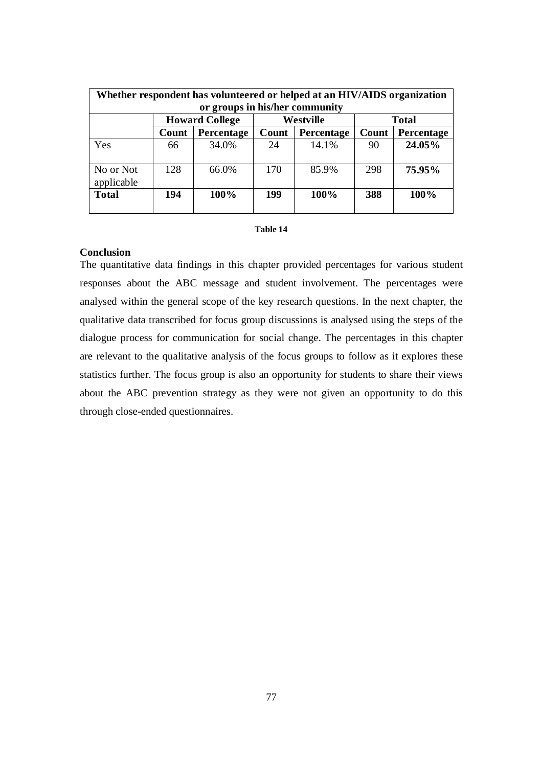| Whether respondent has volunteered or helped at an HIV/AIDS organization<br>or groups in his/her community |       |                       |       |                  |       |              |  |  |
|------------------------------------------------------------------------------------------------------------|-------|-----------------------|-------|------------------|-------|--------------|--|--|
|                                                                                                            |       | <b>Howard College</b> |       | <b>Westville</b> |       | <b>Total</b> |  |  |
|                                                                                                            | Count | Percentage            | Count | Percentage       | Count | Percentage   |  |  |
| Yes                                                                                                        | 66    | 34.0%                 | 24    | 14.1%            | 90    | 24.05%       |  |  |
| No or Not<br>applicable                                                                                    | 128   | 66.0%                 | 170   | 85.9%            | 298   | 75.95%       |  |  |
| <b>Total</b>                                                                                               | 194   | $100\%$               | 199   | 100%             | 388   | 100%         |  |  |

| anĸ |  |
|-----|--|
|     |  |

# **Conclusion**

The quantitative data findings in this chapter provided percentages for various student responses about the ABC message and student involvement. The percentages were analysed within the general scope of the key research questions. In the next chapter, the qualitative data transcribed for focus group discussions is analysed using the steps of the dialogue process for communication for social change. The percentages in this chapter are relevant to the qualitative analysis of the focus groups to follow as it explores these statistics further. The focus group is also an opportunity for students to share their views about the ABC prevention strategy as they were not given an opportunity to do this through close-ended questionnaires.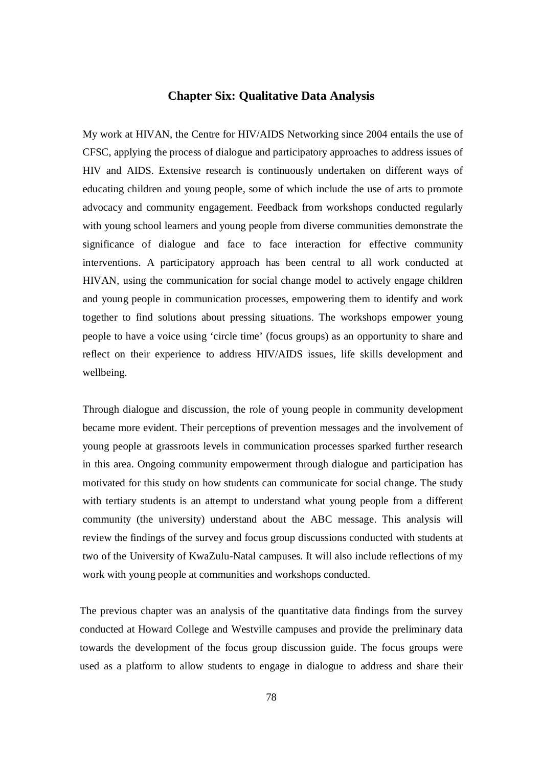# **Chapter Six: Qualitative Data Analysis**

My work at HIVAN, the Centre for HIV/AIDS Networking since 2004 entails the use of CFSC, applying the process of dialogue and participatory approaches to address issues of HIV and AIDS. Extensive research is continuously undertaken on different ways of educating children and young people, some of which include the use of arts to promote advocacy and community engagement. Feedback from workshops conducted regularly with young school learners and young people from diverse communities demonstrate the significance of dialogue and face to face interaction for effective community interventions. A participatory approach has been central to all work conducted at HIVAN, using the communication for social change model to actively engage children and young people in communication processes, empowering them to identify and work together to find solutions about pressing situations. The workshops empower young people to have a voice using 'circle time' (focus groups) as an opportunity to share and reflect on their experience to address HIV/AIDS issues, life skills development and wellbeing.

Through dialogue and discussion, the role of young people in community development became more evident. Their perceptions of prevention messages and the involvement of young people at grassroots levels in communication processes sparked further research in this area. Ongoing community empowerment through dialogue and participation has motivated for this study on how students can communicate for social change. The study with tertiary students is an attempt to understand what young people from a different community (the university) understand about the ABC message. This analysis will review the findings of the survey and focus group discussions conducted with students at two of the University of KwaZulu-Natal campuses. It will also include reflections of my work with young people at communities and workshops conducted.

The previous chapter was an analysis of the quantitative data findings from the survey conducted at Howard College and Westville campuses and provide the preliminary data towards the development of the focus group discussion guide. The focus groups were used as a platform to allow students to engage in dialogue to address and share their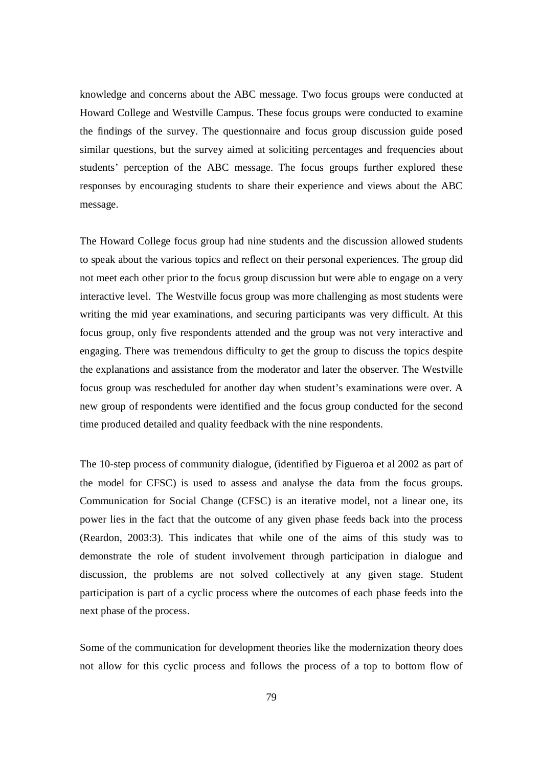knowledge and concerns about the ABC message. Two focus groups were conducted at Howard College and Westville Campus. These focus groups were conducted to examine the findings of the survey. The questionnaire and focus group discussion guide posed similar questions, but the survey aimed at soliciting percentages and frequencies about students' perception of the ABC message. The focus groups further explored these responses by encouraging students to share their experience and views about the ABC message.

The Howard College focus group had nine students and the discussion allowed students to speak about the various topics and reflect on their personal experiences. The group did not meet each other prior to the focus group discussion but were able to engage on a very interactive level. The Westville focus group was more challenging as most students were writing the mid year examinations, and securing participants was very difficult. At this focus group, only five respondents attended and the group was not very interactive and engaging. There was tremendous difficulty to get the group to discuss the topics despite the explanations and assistance from the moderator and later the observer. The Westville focus group was rescheduled for another day when student's examinations were over. A new group of respondents were identified and the focus group conducted for the second time produced detailed and quality feedback with the nine respondents.

The 10-step process of community dialogue, (identified by Figueroa et al 2002 as part of the model for CFSC) is used to assess and analyse the data from the focus groups. Communication for Social Change (CFSC) is an iterative model, not a linear one, its power lies in the fact that the outcome of any given phase feeds back into the process (Reardon, 2003:3). This indicates that while one of the aims of this study was to demonstrate the role of student involvement through participation in dialogue and discussion, the problems are not solved collectively at any given stage. Student participation is part of a cyclic process where the outcomes of each phase feeds into the next phase of the process.

Some of the communication for development theories like the modernization theory does not allow for this cyclic process and follows the process of a top to bottom flow of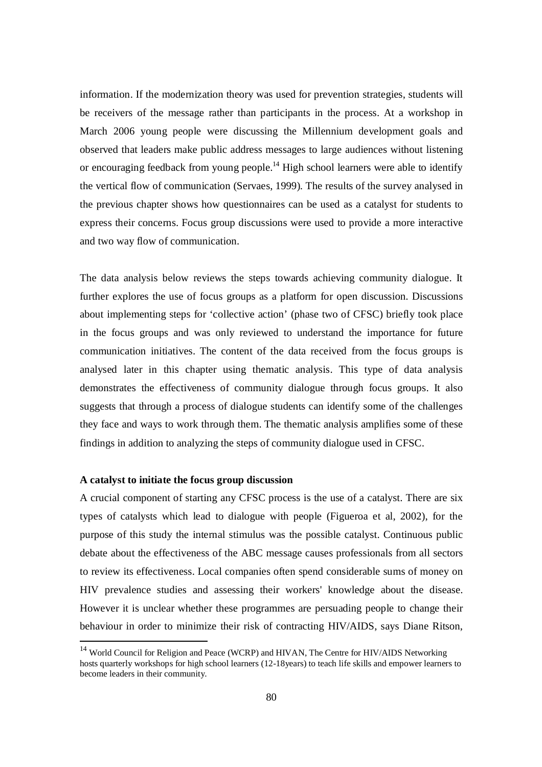information. If the modernization theory was used for prevention strategies, students will be receivers of the message rather than participants in the process. At a workshop in March 2006 young people were discussing the Millennium development goals and observed that leaders make public address messages to large audiences without listening or encouraging feedback from young people.<sup>14</sup> High school learners were able to identify the vertical flow of communication (Servaes, 1999). The results of the survey analysed in the previous chapter shows how questionnaires can be used as a catalyst for students to express their concerns. Focus group discussions were used to provide a more interactive and two way flow of communication.

The data analysis below reviews the steps towards achieving community dialogue. It further explores the use of focus groups as a platform for open discussion. Discussions about implementing steps for 'collective action' (phase two of CFSC) briefly took place in the focus groups and was only reviewed to understand the importance for future communication initiatives. The content of the data received from the focus groups is analysed later in this chapter using thematic analysis. This type of data analysis demonstrates the effectiveness of community dialogue through focus groups. It also suggests that through a process of dialogue students can identify some of the challenges they face and ways to work through them. The thematic analysis amplifies some of these findings in addition to analyzing the steps of community dialogue used in CFSC.

### **A catalyst to initiate the focus group discussion**

-

A crucial component of starting any CFSC process is the use of a catalyst. There are six types of catalysts which lead to dialogue with people (Figueroa et al, 2002), for the purpose of this study the internal stimulus was the possible catalyst. Continuous public debate about the effectiveness of the ABC message causes professionals from all sectors to review its effectiveness. Local companies often spend considerable sums of money on HIV prevalence studies and assessing their workers' knowledge about the disease. However it is unclear whether these programmes are persuading people to change their behaviour in order to minimize their risk of contracting HIV/AIDS, says Diane Ritson,

<sup>&</sup>lt;sup>14</sup> World Council for Religion and Peace (WCRP) and HIVAN, The Centre for HIV/AIDS Networking hosts quarterly workshops for high school learners (12-18years) to teach life skills and empower learners to become leaders in their community.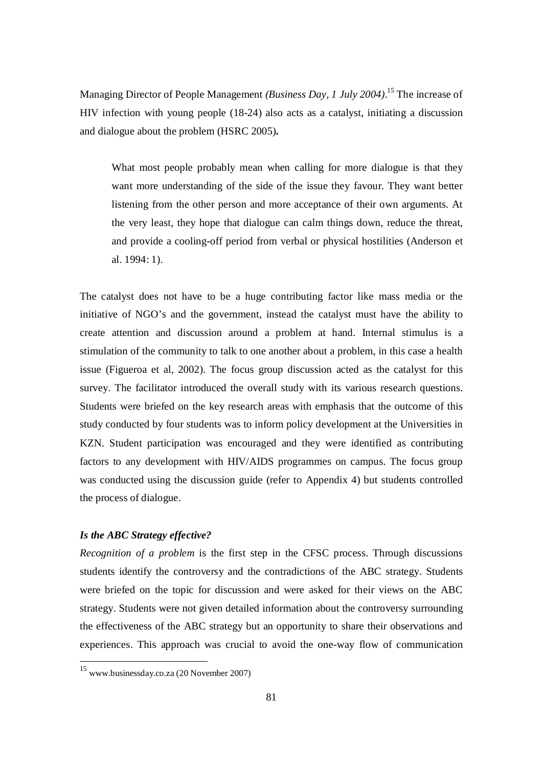Managing Director of People Management *(Business Day, 1 July 2004)*. <sup>15</sup> The increase of HIV infection with young people (18-24) also acts as a catalyst, initiating a discussion and dialogue about the problem (HSRC 2005)**.** 

What most people probably mean when calling for more dialogue is that they want more understanding of the side of the issue they favour. They want better listening from the other person and more acceptance of their own arguments. At the very least, they hope that dialogue can calm things down, reduce the threat, and provide a cooling-off period from verbal or physical hostilities (Anderson et al. 1994: 1).

The catalyst does not have to be a huge contributing factor like mass media or the initiative of NGO's and the government, instead the catalyst must have the ability to create attention and discussion around a problem at hand. Internal stimulus is a stimulation of the community to talk to one another about a problem, in this case a health issue (Figueroa et al, 2002). The focus group discussion acted as the catalyst for this survey. The facilitator introduced the overall study with its various research questions. Students were briefed on the key research areas with emphasis that the outcome of this study conducted by four students was to inform policy development at the Universities in KZN. Student participation was encouraged and they were identified as contributing factors to any development with HIV/AIDS programmes on campus. The focus group was conducted using the discussion guide (refer to Appendix 4) but students controlled the process of dialogue.

## *Is the ABC Strategy effective?*

*Recognition of a problem* is the first step in the CFSC process. Through discussions students identify the controversy and the contradictions of the ABC strategy. Students were briefed on the topic for discussion and were asked for their views on the ABC strategy. Students were not given detailed information about the controversy surrounding the effectiveness of the ABC strategy but an opportunity to share their observations and experiences. This approach was crucial to avoid the one-way flow of communication

<sup>15</sup> www.businessday.co.za (20 November 2007)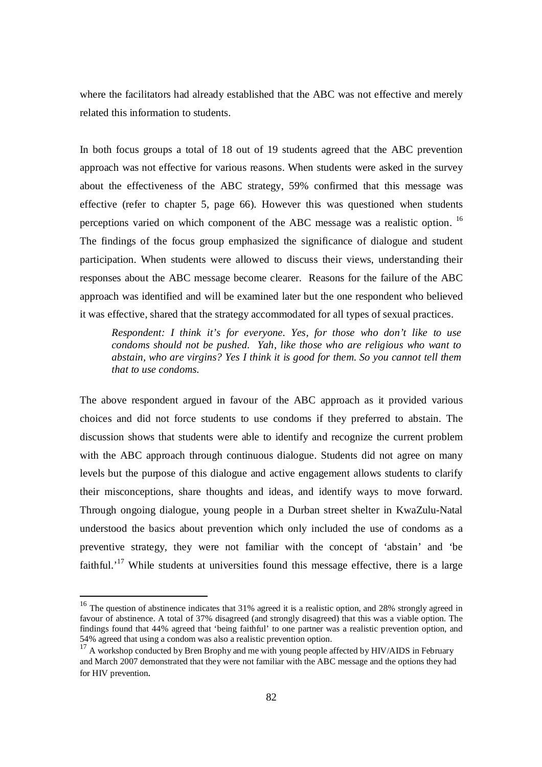where the facilitators had already established that the ABC was not effective and merely related this information to students.

In both focus groups a total of 18 out of 19 students agreed that the ABC prevention approach was not effective for various reasons. When students were asked in the survey about the effectiveness of the ABC strategy, 59% confirmed that this message was effective (refer to chapter 5, page 66). However this was questioned when students perceptions varied on which component of the ABC message was a realistic option. <sup>16</sup> The findings of the focus group emphasized the significance of dialogue and student participation. When students were allowed to discuss their views, understanding their responses about the ABC message become clearer. Reasons for the failure of the ABC approach was identified and will be examined later but the one respondent who believed it was effective, shared that the strategy accommodated for all types of sexual practices.

*Respondent: I think it's for everyone. Yes, for those who don't like to use condoms should not be pushed. Yah, like those who are religious who want to abstain, who are virgins? Yes I think it is good for them. So you cannot tell them that to use condoms.*

The above respondent argued in favour of the ABC approach as it provided various choices and did not force students to use condoms if they preferred to abstain. The discussion shows that students were able to identify and recognize the current problem with the ABC approach through continuous dialogue. Students did not agree on many levels but the purpose of this dialogue and active engagement allows students to clarify their misconceptions, share thoughts and ideas, and identify ways to move forward. Through ongoing dialogue, young people in a Durban street shelter in KwaZulu-Natal understood the basics about prevention which only included the use of condoms as a preventive strategy, they were not familiar with the concept of 'abstain' and 'be faithful.<sup>'17</sup> While students at universities found this message effective, there is a large

<sup>&</sup>lt;sup>16</sup> The question of abstinence indicates that 31% agreed it is a realistic option, and 28% strongly agreed in favour of abstinence. A total of 37% disagreed (and strongly disagreed) that this was a viable option. The findings found that 44% agreed that 'being faithful' to one partner was a realistic prevention option, and 54% agreed that using a condom was also a realistic prevention option.

 $17 A$  workshop conducted by Bren Brophy and me with young people affected by HIV/AIDS in February and March 2007 demonstrated that they were not familiar with the ABC message and the options they had for HIV prevention.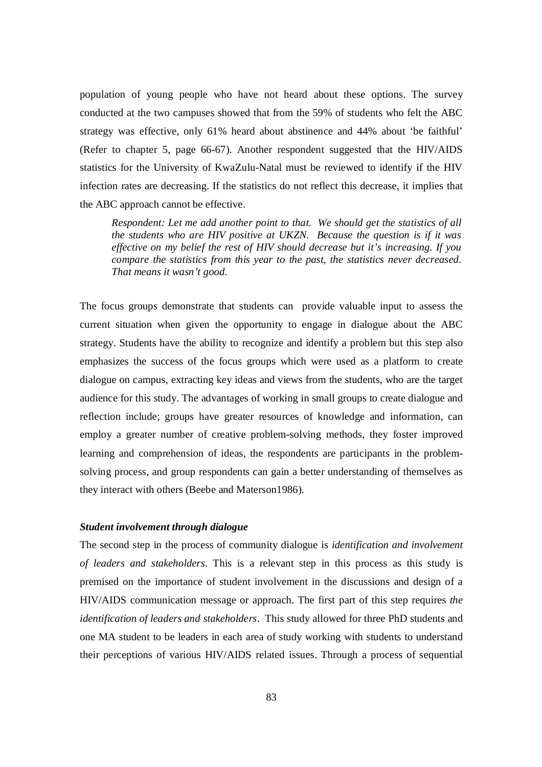population of young people who have not heard about these options. The survey conducted at the two campuses showed that from the 59% of students who felt the ABC strategy was effective, only 61% heard about abstinence and 44% about 'be faithful' (Refer to chapter 5, page 66-67). Another respondent suggested that the HIV/AIDS statistics for the University of KwaZulu-Natal must be reviewed to identify if the HIV infection rates are decreasing. If the statistics do not reflect this decrease, it implies that the ABC approach cannot be effective.

*Respondent: Let me add another point to that. We should get the statistics of all the students who are HIV positive at UKZN. Because the question is if it was effective on my belief the rest of HIV should decrease but it's increasing. If you compare the statistics from this year to the past, the statistics never decreased. That means it wasn't good.*

The focus groups demonstrate that students can provide valuable input to assess the current situation when given the opportunity to engage in dialogue about the ABC strategy. Students have the ability to recognize and identify a problem but this step also emphasizes the success of the focus groups which were used as a platform to create dialogue on campus, extracting key ideas and views from the students, who are the target audience for this study. The advantages of working in small groups to create dialogue and reflection include; groups have greater resources of knowledge and information, can employ a greater number of creative problem-solving methods, they foster improved learning and comprehension of ideas, the respondents are participants in the problemsolving process, and group respondents can gain a better understanding of themselves as they interact with others (Beebe and Materson1986).

### *Student involvement through dialogue*

The second step in the process of community dialogue is *identification and involvement of leaders and stakeholders.* This is a relevant step in this process as this study is premised on the importance of student involvement in the discussions and design of a HIV/AIDS communication message or approach. The first part of this step requires *the identification of leaders and stakeholders*. This study allowed for three PhD students and one MA student to be leaders in each area of study working with students to understand their perceptions of various HIV/AIDS related issues. Through a process of sequential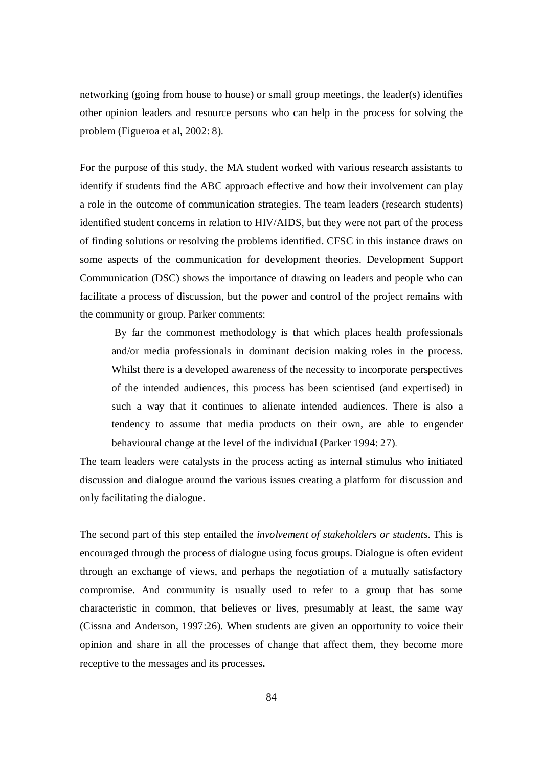networking (going from house to house) or small group meetings, the leader(s) identifies other opinion leaders and resource persons who can help in the process for solving the problem (Figueroa et al, 2002: 8).

For the purpose of this study, the MA student worked with various research assistants to identify if students find the ABC approach effective and how their involvement can play a role in the outcome of communication strategies. The team leaders (research students) identified student concerns in relation to HIV/AIDS, but they were not part of the process of finding solutions or resolving the problems identified. CFSC in this instance draws on some aspects of the communication for development theories. Development Support Communication (DSC) shows the importance of drawing on leaders and people who can facilitate a process of discussion, but the power and control of the project remains with the community or group. Parker comments:

By far the commonest methodology is that which places health professionals and/or media professionals in dominant decision making roles in the process. Whilst there is a developed awareness of the necessity to incorporate perspectives of the intended audiences, this process has been scientised (and expertised) in such a way that it continues to alienate intended audiences. There is also a tendency to assume that media products on their own, are able to engender behavioural change at the level of the individual (Parker 1994: 27).

The team leaders were catalysts in the process acting as internal stimulus who initiated discussion and dialogue around the various issues creating a platform for discussion and only facilitating the dialogue.

The second part of this step entailed the *involvement of stakeholders or students*. This is encouraged through the process of dialogue using focus groups. Dialogue is often evident through an exchange of views, and perhaps the negotiation of a mutually satisfactory compromise. And community is usually used to refer to a group that has some characteristic in common, that believes or lives, presumably at least, the same way (Cissna and Anderson, 1997:26). When students are given an opportunity to voice their opinion and share in all the processes of change that affect them, they become more receptive to the messages and its processes**.**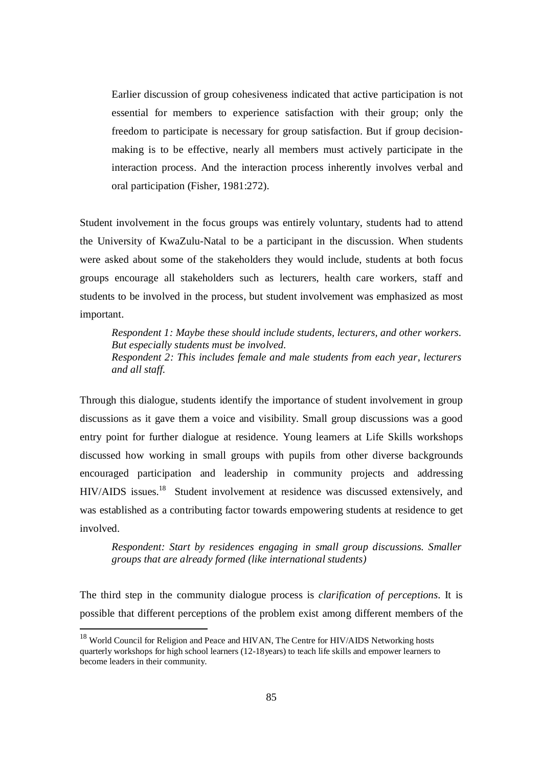Earlier discussion of group cohesiveness indicated that active participation is not essential for members to experience satisfaction with their group; only the freedom to participate is necessary for group satisfaction. But if group decisionmaking is to be effective, nearly all members must actively participate in the interaction process. And the interaction process inherently involves verbal and oral participation (Fisher, 1981:272).

Student involvement in the focus groups was entirely voluntary, students had to attend the University of KwaZulu-Natal to be a participant in the discussion. When students were asked about some of the stakeholders they would include, students at both focus groups encourage all stakeholders such as lecturers, health care workers, staff and students to be involved in the process, but student involvement was emphasized as most important.

*Respondent 1: Maybe these should include students, lecturers, and other workers. But especially students must be involved. Respondent 2: This includes female and male students from each year, lecturers and all staff.*

Through this dialogue, students identify the importance of student involvement in group discussions as it gave them a voice and visibility. Small group discussions was a good entry point for further dialogue at residence. Young learners at Life Skills workshops discussed how working in small groups with pupils from other diverse backgrounds encouraged participation and leadership in community projects and addressing HIV/AIDS issues.<sup>18</sup> Student involvement at residence was discussed extensively, and was established as a contributing factor towards empowering students at residence to get involved.

*Respondent: Start by residences engaging in small group discussions. Smaller groups that are already formed (like international students)*

The third step in the community dialogue process is *clarification of perceptions*. It is possible that different perceptions of the problem exist among different members of the

<sup>&</sup>lt;sup>18</sup> World Council for Religion and Peace and HIVAN, The Centre for HIV/AIDS Networking hosts quarterly workshops for high school learners (12-18years) to teach life skills and empower learners to become leaders in their community.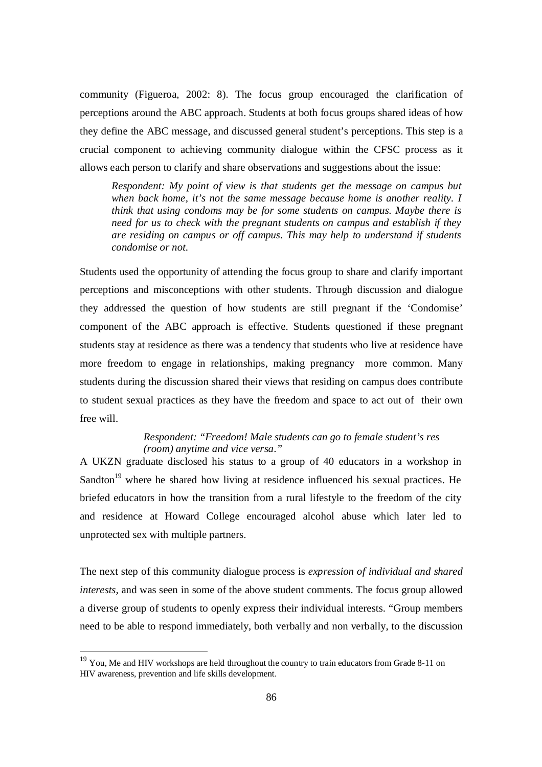community (Figueroa, 2002: 8). The focus group encouraged the clarification of perceptions around the ABC approach. Students at both focus groups shared ideas of how they define the ABC message, and discussed general student's perceptions. This step is a crucial component to achieving community dialogue within the CFSC process as it allows each person to clarify and share observations and suggestions about the issue:

*Respondent: My point of view is that students get the message on campus but when back home, it's not the same message because home is another reality. I think that using condoms may be for some students on campus. Maybe there is need for us to check with the pregnant students on campus and establish if they are residing on campus or off campus. This may help to understand if students condomise or not.*

Students used the opportunity of attending the focus group to share and clarify important perceptions and misconceptions with other students. Through discussion and dialogue they addressed the question of how students are still pregnant if the 'Condomise' component of the ABC approach is effective. Students questioned if these pregnant students stay at residence as there was a tendency that students who live at residence have more freedom to engage in relationships, making pregnancy more common. Many students during the discussion shared their views that residing on campus does contribute to student sexual practices as they have the freedom and space to act out of their own free will.

# *Respondent: "Freedom! Male students can go to female student's res (room) anytime and vice versa."*

A UKZN graduate disclosed his status to a group of 40 educators in a workshop in Sandton<sup>19</sup> where he shared how living at residence influenced his sexual practices. He briefed educators in how the transition from a rural lifestyle to the freedom of the city and residence at Howard College encouraged alcohol abuse which later led to unprotected sex with multiple partners.

The next step of this community dialogue process is *expression of individual and shared interests,* and was seen in some of the above student comments. The focus group allowed a diverse group of students to openly express their individual interests. "Group members need to be able to respond immediately, both verbally and non verbally, to the discussion

 $19$  You, Me and HIV workshops are held throughout the country to train educators from Grade 8-11 on HIV awareness, prevention and life skills development.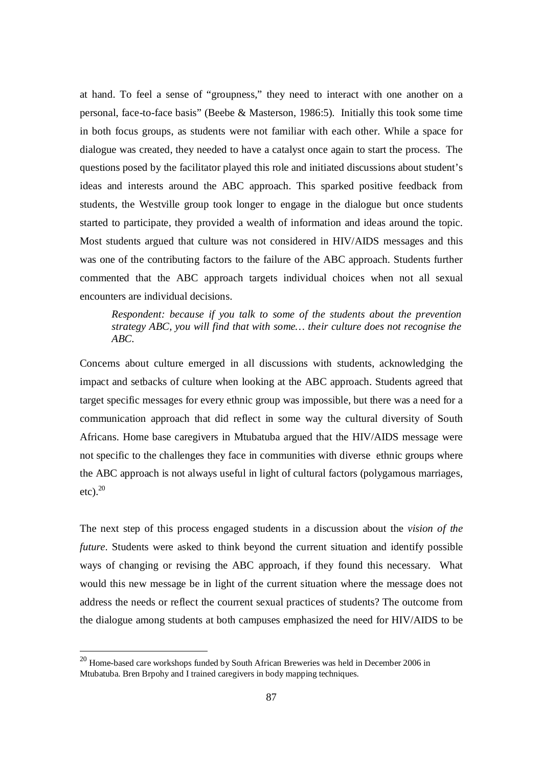at hand. To feel a sense of "groupness," they need to interact with one another on a personal, face-to-face basis" (Beebe & Masterson, 1986:5). Initially this took some time in both focus groups, as students were not familiar with each other. While a space for dialogue was created, they needed to have a catalyst once again to start the process. The questions posed by the facilitator played this role and initiated discussions about student's ideas and interests around the ABC approach. This sparked positive feedback from students, the Westville group took longer to engage in the dialogue but once students started to participate, they provided a wealth of information and ideas around the topic. Most students argued that culture was not considered in HIV/AIDS messages and this was one of the contributing factors to the failure of the ABC approach. Students further commented that the ABC approach targets individual choices when not all sexual encounters are individual decisions.

# *Respondent: because if you talk to some of the students about the prevention strategy ABC, you will find that with some… their culture does not recognise the ABC.*

Concerns about culture emerged in all discussions with students, acknowledging the impact and setbacks of culture when looking at the ABC approach. Students agreed that target specific messages for every ethnic group was impossible, but there was a need for a communication approach that did reflect in some way the cultural diversity of South Africans. Home base caregivers in Mtubatuba argued that the HIV/AIDS message were not specific to the challenges they face in communities with diverse ethnic groups where the ABC approach is not always useful in light of cultural factors (polygamous marriages, etc). $^{20}$ 

The next step of this process engaged students in a discussion about the *vision of the future*. Students were asked to think beyond the current situation and identify possible ways of changing or revising the ABC approach, if they found this necessary. What would this new message be in light of the current situation where the message does not address the needs or reflect the courrent sexual practices of students? The outcome from the dialogue among students at both campuses emphasized the need for HIV/AIDS to be

 $^{20}$  Home-based care workshops funded by South African Breweries was held in December 2006 in Mtubatuba. Bren Brpohy and I trained caregivers in body mapping techniques.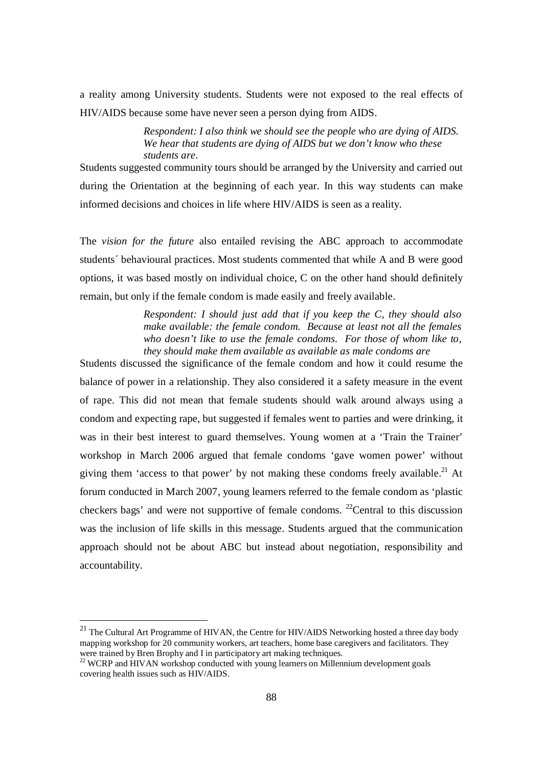a reality among University students. Students were not exposed to the real effects of HIV/AIDS because some have never seen a person dying from AIDS.

> *Respondent: I also think we should see the people who are dying of AIDS. We hear that students are dying of AIDS but we don't know who these students are.*

Students suggested community tours should be arranged by the University and carried out during the Orientation at the beginning of each year. In this way students can make informed decisions and choices in life where HIV/AIDS is seen as a reality.

The *vision for the future* also entailed revising the ABC approach to accommodate students´ behavioural practices. Most students commented that while A and B were good options, it was based mostly on individual choice, C on the other hand should definitely remain, but only if the female condom is made easily and freely available.

> *Respondent: I should just add that if you keep the C, they should also make available: the female condom. Because at least not all the females who doesn't like to use the female condoms. For those of whom like to, they should make them available as available as male condoms are*

Students discussed the significance of the female condom and how it could resume the balance of power in a relationship. They also considered it a safety measure in the event of rape. This did not mean that female students should walk around always using a condom and expecting rape, but suggested if females went to parties and were drinking, it was in their best interest to guard themselves. Young women at a 'Train the Trainer' workshop in March 2006 argued that female condoms 'gave women power' without giving them 'access to that power' by not making these condoms freely available.<sup>21</sup> At forum conducted in March 2007, young learners referred to the female condom as 'plastic checkers bags' and were not supportive of female condoms. <sup>22</sup>Central to this discussion was the inclusion of life skills in this message. Students argued that the communication approach should not be about ABC but instead about negotiation, responsibility and accountability.

<sup>&</sup>lt;sup>21</sup> The Cultural Art Programme of HIVAN, the Centre for HIV/AIDS Networking hosted a three day body mapping workshop for 20 community workers, art teachers, home base caregivers and facilitators. They were trained by Bren Brophy and I in participatory art making techniques.

<sup>&</sup>lt;sup>22</sup> WCRP and HIVAN workshop conducted with young learners on Millennium development goals covering health issues such as HIV/AIDS.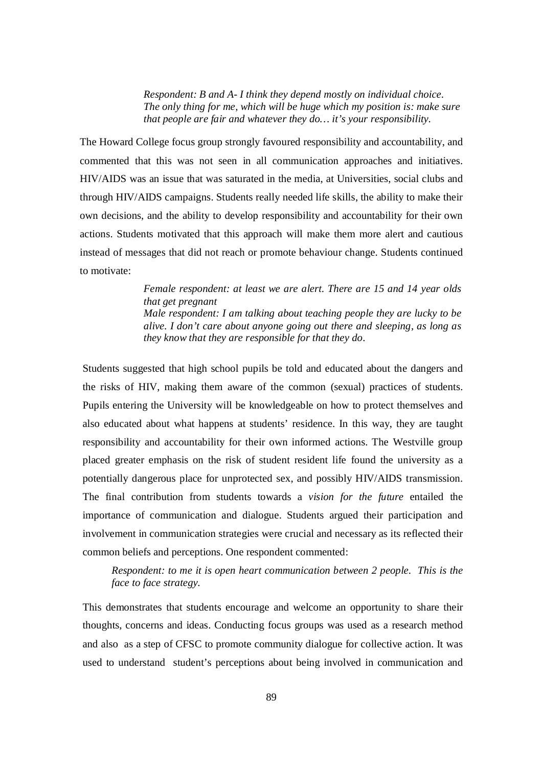*Respondent: B and A- I think they depend mostly on individual choice. The only thing for me, which will be huge which my position is: make sure that people are fair and whatever they do… it's your responsibility.*

The Howard College focus group strongly favoured responsibility and accountability, and commented that this was not seen in all communication approaches and initiatives. HIV/AIDS was an issue that was saturated in the media, at Universities, social clubs and through HIV/AIDS campaigns. Students really needed life skills, the ability to make their own decisions, and the ability to develop responsibility and accountability for their own actions. Students motivated that this approach will make them more alert and cautious instead of messages that did not reach or promote behaviour change. Students continued to motivate:

> *Female respondent: at least we are alert. There are 15 and 14 year olds that get pregnant Male respondent: I am talking about teaching people they are lucky to be alive. I don't care about anyone going out there and sleeping, as long as they know that they are responsible for that they do.*

Students suggested that high school pupils be told and educated about the dangers and the risks of HIV, making them aware of the common (sexual) practices of students. Pupils entering the University will be knowledgeable on how to protect themselves and also educated about what happens at students' residence. In this way, they are taught responsibility and accountability for their own informed actions. The Westville group placed greater emphasis on the risk of student resident life found the university as a potentially dangerous place for unprotected sex, and possibly HIV/AIDS transmission. The final contribution from students towards a *vision for the future* entailed the importance of communication and dialogue. Students argued their participation and involvement in communication strategies were crucial and necessary as its reflected their common beliefs and perceptions. One respondent commented:

*Respondent: to me it is open heart communication between 2 people. This is the face to face strategy.* 

This demonstrates that students encourage and welcome an opportunity to share their thoughts, concerns and ideas. Conducting focus groups was used as a research method and also as a step of CFSC to promote community dialogue for collective action. It was used to understand student's perceptions about being involved in communication and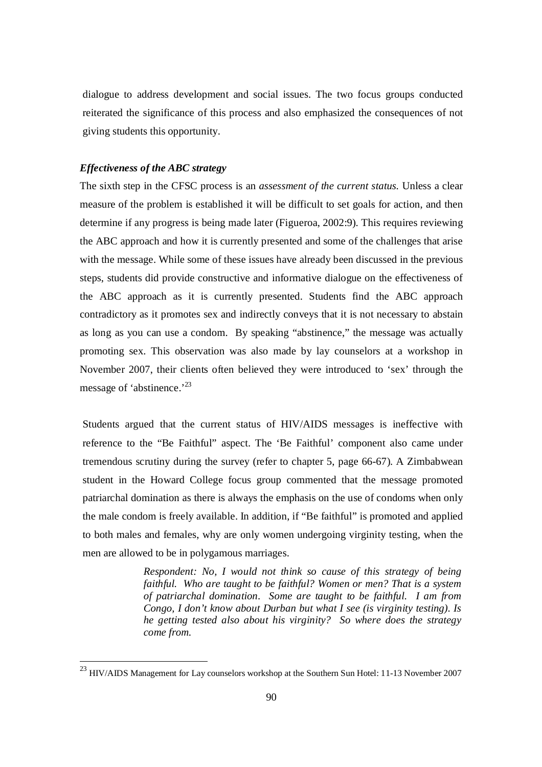dialogue to address development and social issues. The two focus groups conducted reiterated the significance of this process and also emphasized the consequences of not giving students this opportunity.

# *Effectiveness of the ABC strategy*

-

The sixth step in the CFSC process is an *assessment of the current status.* Unless a clear measure of the problem is established it will be difficult to set goals for action, and then determine if any progress is being made later (Figueroa, 2002:9). This requires reviewing the ABC approach and how it is currently presented and some of the challenges that arise with the message. While some of these issues have already been discussed in the previous steps, students did provide constructive and informative dialogue on the effectiveness of the ABC approach as it is currently presented. Students find the ABC approach contradictory as it promotes sex and indirectly conveys that it is not necessary to abstain as long as you can use a condom. By speaking "abstinence," the message was actually promoting sex. This observation was also made by lay counselors at a workshop in November 2007, their clients often believed they were introduced to 'sex' through the message of 'abstinence.'<sup>23</sup>

Students argued that the current status of HIV/AIDS messages is ineffective with reference to the "Be Faithful" aspect. The 'Be Faithful' component also came under tremendous scrutiny during the survey (refer to chapter 5, page 66-67). A Zimbabwean student in the Howard College focus group commented that the message promoted patriarchal domination as there is always the emphasis on the use of condoms when only the male condom is freely available. In addition, if "Be faithful" is promoted and applied to both males and females, why are only women undergoing virginity testing, when the men are allowed to be in polygamous marriages.

> *Respondent: No, I would not think so cause of this strategy of being faithful. Who are taught to be faithful? Women or men? That is a system of patriarchal domination. Some are taught to be faithful. I am from Congo, I don't know about Durban but what I see (is virginity testing). Is he getting tested also about his virginity? So where does the strategy come from.*

 $^{23}$  HIV/AIDS Management for Lay counselors workshop at the Southern Sun Hotel: 11-13 November 2007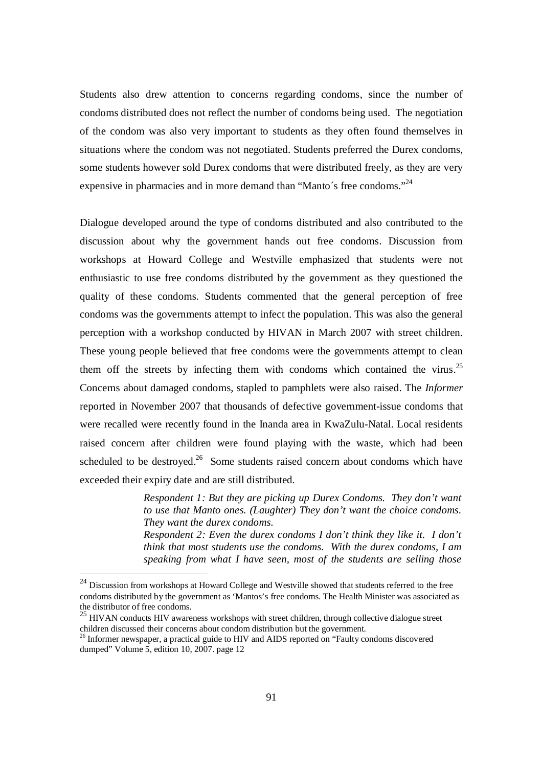Students also drew attention to concerns regarding condoms, since the number of condoms distributed does not reflect the number of condoms being used. The negotiation of the condom was also very important to students as they often found themselves in situations where the condom was not negotiated. Students preferred the Durex condoms, some students however sold Durex condoms that were distributed freely, as they are very expensive in pharmacies and in more demand than "Manto's free condoms."<sup>24</sup>

Dialogue developed around the type of condoms distributed and also contributed to the discussion about why the government hands out free condoms. Discussion from workshops at Howard College and Westville emphasized that students were not enthusiastic to use free condoms distributed by the government as they questioned the quality of these condoms. Students commented that the general perception of free condoms was the governments attempt to infect the population. This was also the general perception with a workshop conducted by HIVAN in March 2007 with street children. These young people believed that free condoms were the governments attempt to clean them off the streets by infecting them with condoms which contained the virus.<sup>25</sup> Concerns about damaged condoms, stapled to pamphlets were also raised. The *Informer* reported in November 2007 that thousands of defective government-issue condoms that were recalled were recently found in the Inanda area in KwaZulu-Natal. Local residents raised concern after children were found playing with the waste, which had been scheduled to be destroyed.<sup>26</sup> Some students raised concern about condoms which have exceeded their expiry date and are still distributed.

> *Respondent 1: But they are picking up Durex Condoms. They don't want to use that Manto ones. (Laughter) They don't want the choice condoms. They want the durex condoms.*

> *Respondent 2: Even the durex condoms I don't think they like it. I don't think that most students use the condoms. With the durex condoms, I am speaking from what I have seen, most of the students are selling those*

 $24$  Discussion from workshops at Howard College and Westville showed that students referred to the free condoms distributed by the government as 'Mantos's free condoms. The Health Minister was associated as the distributor of free condoms.

 $^{25}$  HIVAN conducts HIV awareness workshops with street children, through collective dialogue street children discussed their concerns about condom distribution but the government.

<sup>&</sup>lt;sup>26</sup> Informer newspaper, a practical guide to HIV and AIDS reported on "Faulty condoms discovered dumped" Volume 5, edition 10, 2007. page 12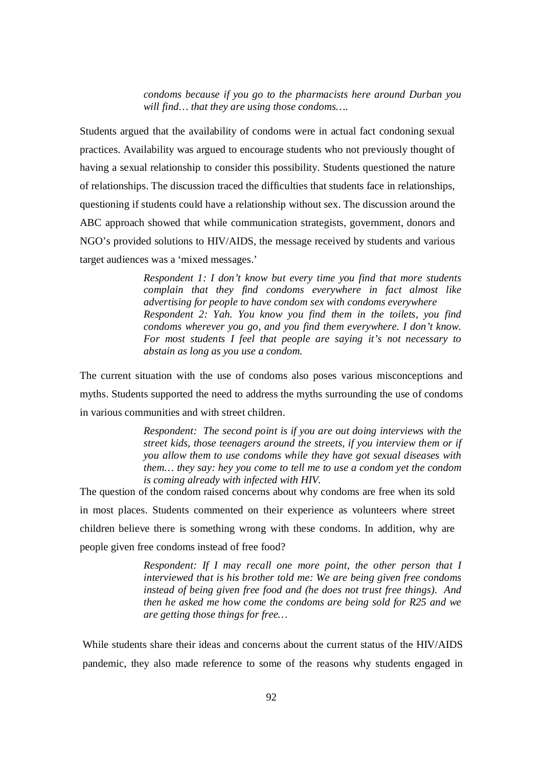*condoms because if you go to the pharmacists here around Durban you will find… that they are using those condoms….*

Students argued that the availability of condoms were in actual fact condoning sexual practices. Availability was argued to encourage students who not previously thought of having a sexual relationship to consider this possibility. Students questioned the nature of relationships. The discussion traced the difficulties that students face in relationships, questioning if students could have a relationship without sex. The discussion around the ABC approach showed that while communication strategists, government, donors and NGO's provided solutions to HIV/AIDS, the message received by students and various target audiences was a 'mixed messages.'

> *Respondent 1: I don't know but every time you find that more students complain that they find condoms everywhere in fact almost like advertising for people to have condom sex with condoms everywhere Respondent 2: Yah. You know you find them in the toilets, you find condoms wherever you go, and you find them everywhere. I don't know. For most students I feel that people are saying it's not necessary to abstain as long as you use a condom.*

The current situation with the use of condoms also poses various misconceptions and myths. Students supported the need to address the myths surrounding the use of condoms in various communities and with street children.

> *Respondent: The second point is if you are out doing interviews with the street kids, those teenagers around the streets, if you interview them or if you allow them to use condoms while they have got sexual diseases with them… they say: hey you come to tell me to use a condom yet the condom is coming already with infected with HIV.*

The question of the condom raised concerns about why condoms are free when its sold in most places. Students commented on their experience as volunteers where street children believe there is something wrong with these condoms. In addition, why are people given free condoms instead of free food?

> *Respondent: If I may recall one more point, the other person that I interviewed that is his brother told me: We are being given free condoms instead of being given free food and (he does not trust free things). And then he asked me how come the condoms are being sold for R25 and we are getting those things for free…*

While students share their ideas and concerns about the current status of the HIV/AIDS pandemic, they also made reference to some of the reasons why students engaged in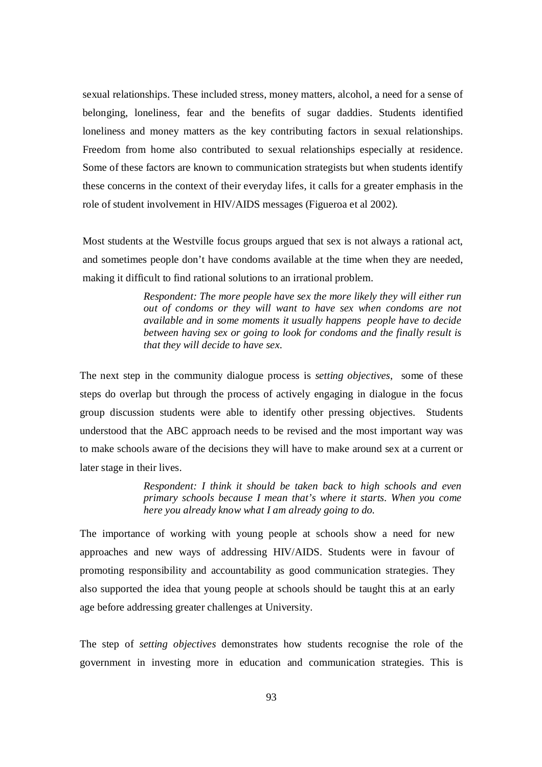sexual relationships. These included stress, money matters, alcohol, a need for a sense of belonging, loneliness, fear and the benefits of sugar daddies. Students identified loneliness and money matters as the key contributing factors in sexual relationships. Freedom from home also contributed to sexual relationships especially at residence. Some of these factors are known to communication strategists but when students identify these concerns in the context of their everyday lifes, it calls for a greater emphasis in the role of student involvement in HIV/AIDS messages (Figueroa et al 2002).

Most students at the Westville focus groups argued that sex is not always a rational act, and sometimes people don't have condoms available at the time when they are needed, making it difficult to find rational solutions to an irrational problem.

> *Respondent: The more people have sex the more likely they will either run out of condoms or they will want to have sex when condoms are not available and in some moments it usually happens people have to decide between having sex or going to look for condoms and the finally result is that they will decide to have sex.*

The next step in the community dialogue process is *setting objectives*, some of these steps do overlap but through the process of actively engaging in dialogue in the focus group discussion students were able to identify other pressing objectives. Students understood that the ABC approach needs to be revised and the most important way was to make schools aware of the decisions they will have to make around sex at a current or later stage in their lives.

> *Respondent: I think it should be taken back to high schools and even primary schools because I mean that's where it starts. When you come here you already know what I am already going to do.*

The importance of working with young people at schools show a need for new approaches and new ways of addressing HIV/AIDS. Students were in favour of promoting responsibility and accountability as good communication strategies. They also supported the idea that young people at schools should be taught this at an early age before addressing greater challenges at University.

The step of *setting objectives* demonstrates how students recognise the role of the government in investing more in education and communication strategies. This is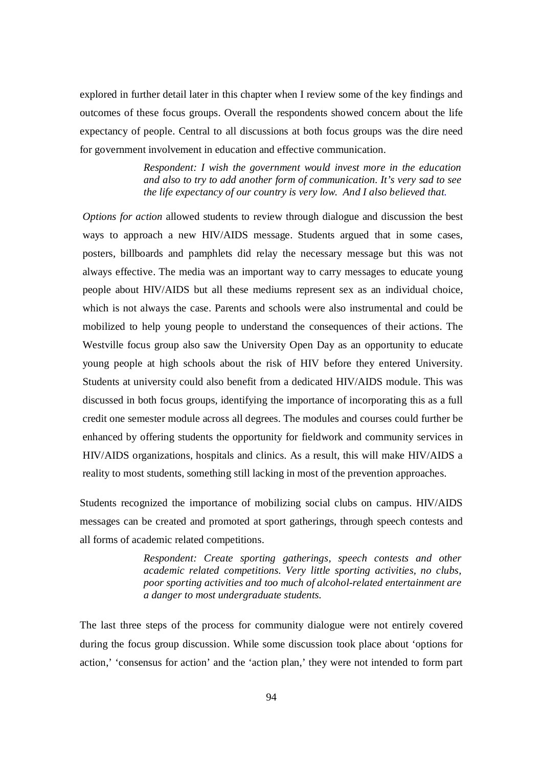explored in further detail later in this chapter when I review some of the key findings and outcomes of these focus groups. Overall the respondents showed concern about the life expectancy of people. Central to all discussions at both focus groups was the dire need for government involvement in education and effective communication.

> *Respondent: I wish the government would invest more in the education and also to try to add another form of communication. It's very sad to see the life expectancy of our country is very low. And I also believed that.*

*Options for action* allowed students to review through dialogue and discussion the best ways to approach a new HIV/AIDS message. Students argued that in some cases, posters, billboards and pamphlets did relay the necessary message but this was not always effective. The media was an important way to carry messages to educate young people about HIV/AIDS but all these mediums represent sex as an individual choice, which is not always the case. Parents and schools were also instrumental and could be mobilized to help young people to understand the consequences of their actions. The Westville focus group also saw the University Open Day as an opportunity to educate young people at high schools about the risk of HIV before they entered University. Students at university could also benefit from a dedicated HIV/AIDS module. This was discussed in both focus groups, identifying the importance of incorporating this as a full credit one semester module across all degrees. The modules and courses could further be enhanced by offering students the opportunity for fieldwork and community services in HIV/AIDS organizations, hospitals and clinics. As a result, this will make HIV/AIDS a reality to most students, something still lacking in most of the prevention approaches.

Students recognized the importance of mobilizing social clubs on campus. HIV/AIDS messages can be created and promoted at sport gatherings, through speech contests and all forms of academic related competitions.

> *Respondent: Create sporting gatherings, speech contests and other academic related competitions. Very little sporting activities, no clubs, poor sporting activities and too much of alcohol-related entertainment are a danger to most undergraduate students.*

The last three steps of the process for community dialogue were not entirely covered during the focus group discussion. While some discussion took place about 'options for action,' 'consensus for action' and the 'action plan,' they were not intended to form part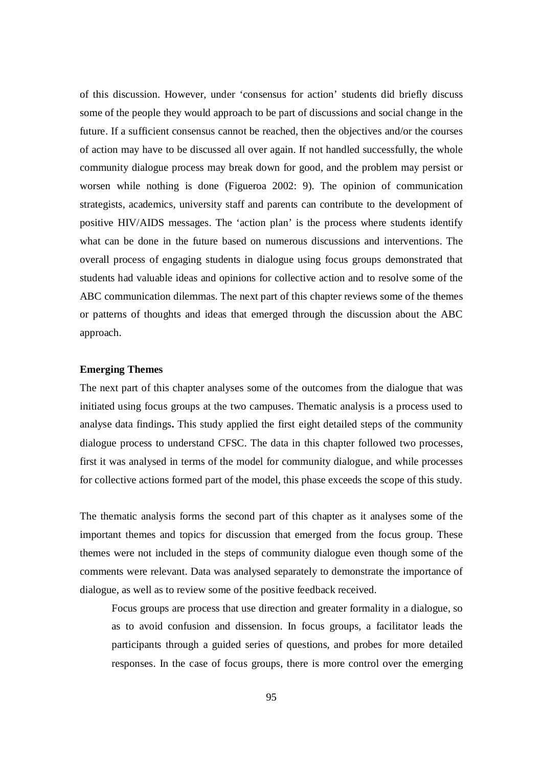of this discussion. However, under 'consensus for action' students did briefly discuss some of the people they would approach to be part of discussions and social change in the future. If a sufficient consensus cannot be reached, then the objectives and/or the courses of action may have to be discussed all over again. If not handled successfully, the whole community dialogue process may break down for good, and the problem may persist or worsen while nothing is done (Figueroa 2002: 9). The opinion of communication strategists, academics, university staff and parents can contribute to the development of positive HIV/AIDS messages. The 'action plan' is the process where students identify what can be done in the future based on numerous discussions and interventions. The overall process of engaging students in dialogue using focus groups demonstrated that students had valuable ideas and opinions for collective action and to resolve some of the ABC communication dilemmas. The next part of this chapter reviews some of the themes or patterns of thoughts and ideas that emerged through the discussion about the ABC approach.

# **Emerging Themes**

The next part of this chapter analyses some of the outcomes from the dialogue that was initiated using focus groups at the two campuses. Thematic analysis is a process used to analyse data findings**.** This study applied the first eight detailed steps of the community dialogue process to understand CFSC. The data in this chapter followed two processes, first it was analysed in terms of the model for community dialogue, and while processes for collective actions formed part of the model, this phase exceeds the scope of this study.

The thematic analysis forms the second part of this chapter as it analyses some of the important themes and topics for discussion that emerged from the focus group. These themes were not included in the steps of community dialogue even though some of the comments were relevant. Data was analysed separately to demonstrate the importance of dialogue, as well as to review some of the positive feedback received.

Focus groups are process that use direction and greater formality in a dialogue, so as to avoid confusion and dissension. In focus groups, a facilitator leads the participants through a guided series of questions, and probes for more detailed responses. In the case of focus groups, there is more control over the emerging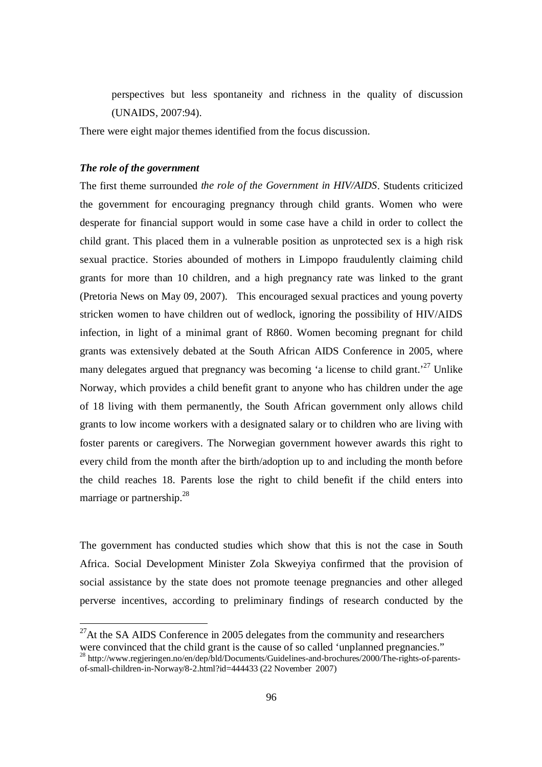perspectives but less spontaneity and richness in the quality of discussion (UNAIDS, 2007:94).

There were eight major themes identified from the focus discussion.

## *The role of the government*

-

The first theme surrounded *the role of the Government in HIV/AIDS*. Students criticized the government for encouraging pregnancy through child grants. Women who were desperate for financial support would in some case have a child in order to collect the child grant. This placed them in a vulnerable position as unprotected sex is a high risk sexual practice. Stories abounded of mothers in Limpopo fraudulently claiming child grants for more than 10 children, and a high pregnancy rate was linked to the grant (Pretoria News on May 09, 2007). This encouraged sexual practices and young poverty stricken women to have children out of wedlock, ignoring the possibility of HIV/AIDS infection, in light of a minimal grant of R860. Women becoming pregnant for child grants was extensively debated at the South African AIDS Conference in 2005, where many delegates argued that pregnancy was becoming 'a license to child grant.<sup>27</sup> Unlike Norway, which provides a child benefit grant to anyone who has children under the age of 18 living with them permanently, the South African government only allows child grants to low income workers with a designated salary or to children who are living with foster parents or caregivers. The Norwegian government however awards this right to every child from the month after the birth/adoption up to and including the month before the child reaches 18. Parents lose the right to child benefit if the child enters into marriage or partnership. $^{28}$ 

The government has conducted studies which show that this is not the case in South Africa. Social Development Minister Zola Skweyiya confirmed that the provision of social assistance by the state does not promote teenage pregnancies and other alleged perverse incentives, according to preliminary findings of research conducted by the

<sup>28</sup> http://www.regjeringen.no/en/dep/bld/Documents/Guidelines-and-brochures/2000/The-rights-of-parentsof-small-children-in-Norway/8-2.html?id=444433 (22 November 2007)

 $^{27}$ At the SA AIDS Conference in 2005 delegates from the community and researchers were convinced that the child grant is the cause of so called 'unplanned pregnancies."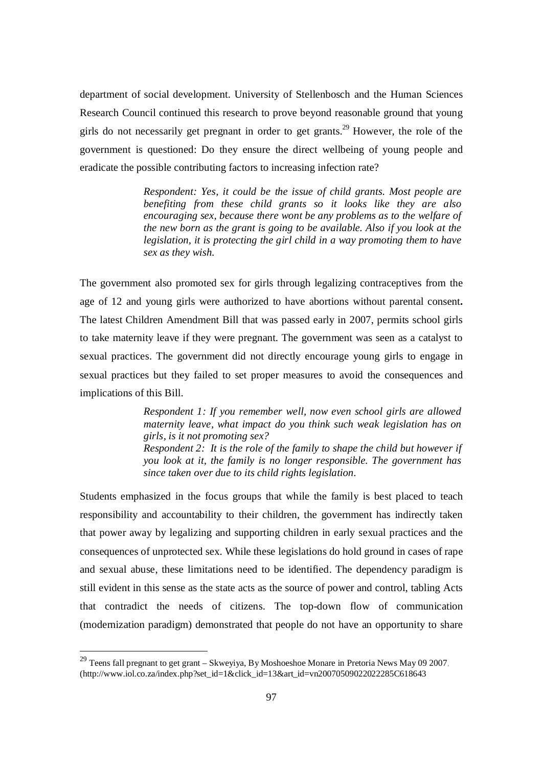department of social development. University of Stellenbosch and the Human Sciences Research Council continued this research to prove beyond reasonable ground that young girls do not necessarily get pregnant in order to get grants.<sup>29</sup> However, the role of the government is questioned: Do they ensure the direct wellbeing of young people and eradicate the possible contributing factors to increasing infection rate?

> *Respondent: Yes, it could be the issue of child grants. Most people are benefiting from these child grants so it looks like they are also encouraging sex, because there wont be any problems as to the welfare of the new born as the grant is going to be available. Also if you look at the legislation, it is protecting the girl child in a way promoting them to have sex as they wish.*

The government also promoted sex for girls through legalizing contraceptives from the age of 12 and young girls were authorized to have abortions without parental consent**.** The latest Children Amendment Bill that was passed early in 2007, permits school girls to take maternity leave if they were pregnant. The government was seen as a catalyst to sexual practices. The government did not directly encourage young girls to engage in sexual practices but they failed to set proper measures to avoid the consequences and implications of this Bill.

> *Respondent 1: If you remember well, now even school girls are allowed maternity leave, what impact do you think such weak legislation has on girls, is it not promoting sex? Respondent 2: It is the role of the family to shape the child but however if you look at it, the family is no longer responsible. The government has since taken over due to its child rights legislation.*

Students emphasized in the focus groups that while the family is best placed to teach responsibility and accountability to their children, the government has indirectly taken that power away by legalizing and supporting children in early sexual practices and the consequences of unprotected sex. While these legislations do hold ground in cases of rape and sexual abuse, these limitations need to be identified. The dependency paradigm is still evident in this sense as the state acts as the source of power and control, tabling Acts that contradict the needs of citizens. The top-down flow of communication (modernization paradigm) demonstrated that people do not have an opportunity to share

<sup>&</sup>lt;sup>29</sup> Teens fall pregnant to get grant – Skweyiya, By Moshoeshoe Monare in Pretoria News May 09 2007, (http://www.iol.co.za/index.php?set\_id=1&click\_id=13&art\_id=vn20070509022022285C618643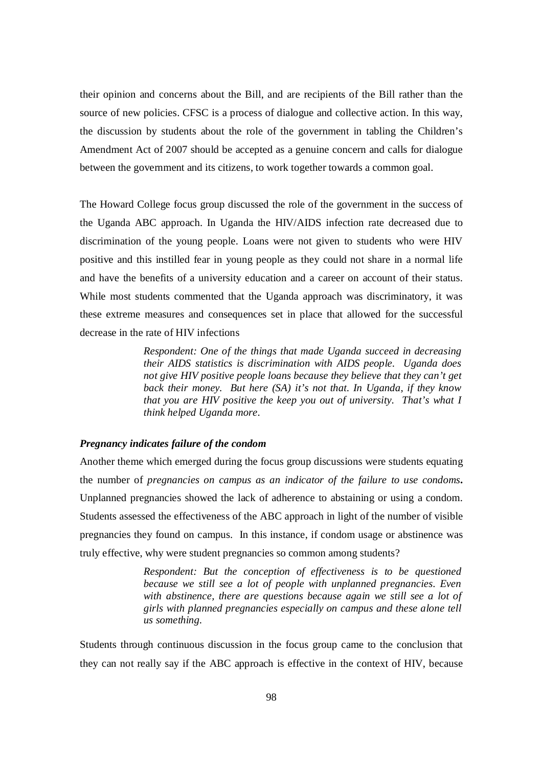their opinion and concerns about the Bill, and are recipients of the Bill rather than the source of new policies. CFSC is a process of dialogue and collective action. In this way, the discussion by students about the role of the government in tabling the Children's Amendment Act of 2007 should be accepted as a genuine concern and calls for dialogue between the government and its citizens, to work together towards a common goal.

The Howard College focus group discussed the role of the government in the success of the Uganda ABC approach. In Uganda the HIV/AIDS infection rate decreased due to discrimination of the young people. Loans were not given to students who were HIV positive and this instilled fear in young people as they could not share in a normal life and have the benefits of a university education and a career on account of their status. While most students commented that the Uganda approach was discriminatory, it was these extreme measures and consequences set in place that allowed for the successful decrease in the rate of HIV infections

> *Respondent: One of the things that made Uganda succeed in decreasing their AIDS statistics is discrimination with AIDS people. Uganda does not give HIV positive people loans because they believe that they can't get back their money. But here (SA) it's not that. In Uganda, if they know that you are HIV positive the keep you out of university. That's what I think helped Uganda more.*

## *Pregnancy indicates failure of the condom*

Another theme which emerged during the focus group discussions were students equating the number of *pregnancies on campus as an indicator of the failure to use condoms***.**  Unplanned pregnancies showed the lack of adherence to abstaining or using a condom. Students assessed the effectiveness of the ABC approach in light of the number of visible pregnancies they found on campus. In this instance, if condom usage or abstinence was truly effective, why were student pregnancies so common among students?

> *Respondent: But the conception of effectiveness is to be questioned because we still see a lot of people with unplanned pregnancies. Even*  with abstinence, there are questions because again we still see a lot of *girls with planned pregnancies especially on campus and these alone tell us something.*

Students through continuous discussion in the focus group came to the conclusion that they can not really say if the ABC approach is effective in the context of HIV, because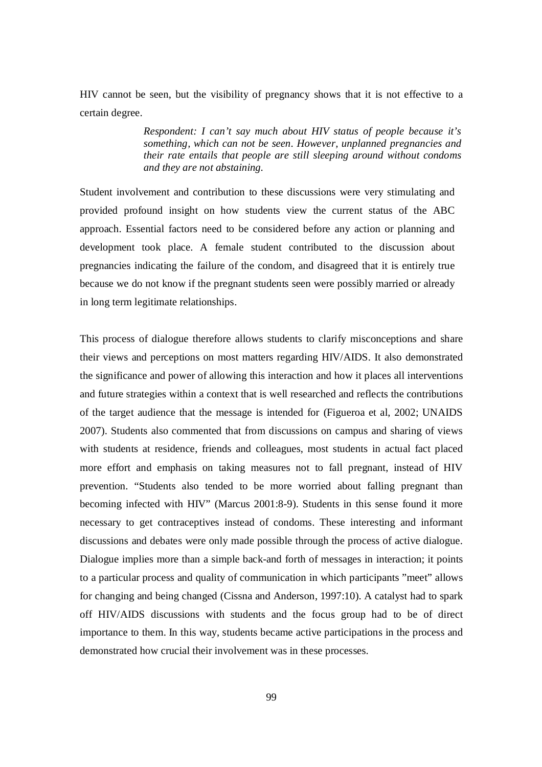HIV cannot be seen, but the visibility of pregnancy shows that it is not effective to a certain degree.

> *Respondent: I can't say much about HIV status of people because it's something, which can not be seen. However, unplanned pregnancies and their rate entails that people are still sleeping around without condoms and they are not abstaining.*

Student involvement and contribution to these discussions were very stimulating and provided profound insight on how students view the current status of the ABC approach. Essential factors need to be considered before any action or planning and development took place. A female student contributed to the discussion about pregnancies indicating the failure of the condom, and disagreed that it is entirely true because we do not know if the pregnant students seen were possibly married or already in long term legitimate relationships.

This process of dialogue therefore allows students to clarify misconceptions and share their views and perceptions on most matters regarding HIV/AIDS. It also demonstrated the significance and power of allowing this interaction and how it places all interventions and future strategies within a context that is well researched and reflects the contributions of the target audience that the message is intended for (Figueroa et al, 2002; UNAIDS 2007). Students also commented that from discussions on campus and sharing of views with students at residence, friends and colleagues, most students in actual fact placed more effort and emphasis on taking measures not to fall pregnant, instead of HIV prevention. "Students also tended to be more worried about falling pregnant than becoming infected with HIV" (Marcus 2001:8-9). Students in this sense found it more necessary to get contraceptives instead of condoms. These interesting and informant discussions and debates were only made possible through the process of active dialogue. Dialogue implies more than a simple back-and forth of messages in interaction; it points to a particular process and quality of communication in which participants "meet" allows for changing and being changed (Cissna and Anderson, 1997:10). A catalyst had to spark off HIV/AIDS discussions with students and the focus group had to be of direct importance to them. In this way, students became active participations in the process and demonstrated how crucial their involvement was in these processes.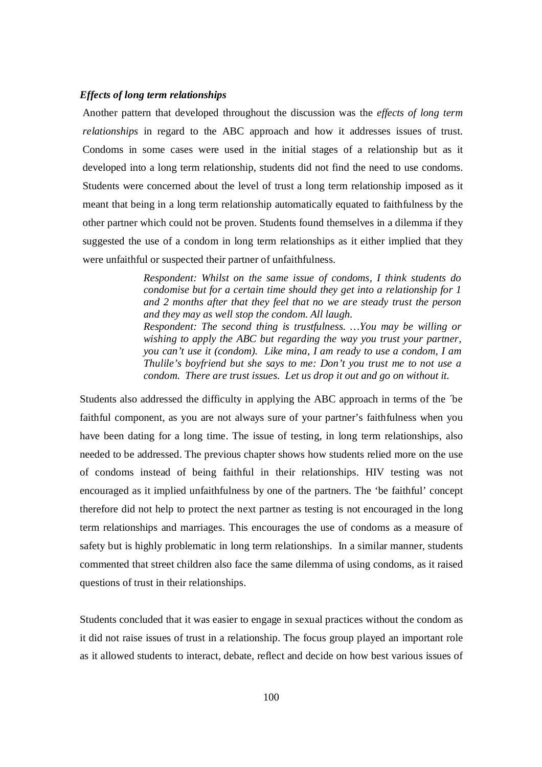# *Effects of long term relationships*

Another pattern that developed throughout the discussion was the *effects of long term relationships* in regard to the ABC approach and how it addresses issues of trust. Condoms in some cases were used in the initial stages of a relationship but as it developed into a long term relationship, students did not find the need to use condoms. Students were concerned about the level of trust a long term relationship imposed as it meant that being in a long term relationship automatically equated to faithfulness by the other partner which could not be proven. Students found themselves in a dilemma if they suggested the use of a condom in long term relationships as it either implied that they were unfaithful or suspected their partner of unfaithfulness.

> *Respondent: Whilst on the same issue of condoms, I think students do condomise but for a certain time should they get into a relationship for 1 and 2 months after that they feel that no we are steady trust the person and they may as well stop the condom. All laugh. Respondent: The second thing is trustfulness. …You may be willing or*

> *wishing to apply the ABC but regarding the way you trust your partner, you can't use it (condom). Like mina, I am ready to use a condom, I am Thulile's boyfriend but she says to me: Don't you trust me to not use a condom. There are trust issues. Let us drop it out and go on without it.*

Students also addressed the difficulty in applying the ABC approach in terms of the ´be faithful component, as you are not always sure of your partner's faithfulness when you have been dating for a long time. The issue of testing, in long term relationships, also needed to be addressed. The previous chapter shows how students relied more on the use of condoms instead of being faithful in their relationships. HIV testing was not encouraged as it implied unfaithfulness by one of the partners. The 'be faithful' concept therefore did not help to protect the next partner as testing is not encouraged in the long term relationships and marriages. This encourages the use of condoms as a measure of safety but is highly problematic in long term relationships. In a similar manner, students commented that street children also face the same dilemma of using condoms, as it raised questions of trust in their relationships.

Students concluded that it was easier to engage in sexual practices without the condom as it did not raise issues of trust in a relationship. The focus group played an important role as it allowed students to interact, debate, reflect and decide on how best various issues of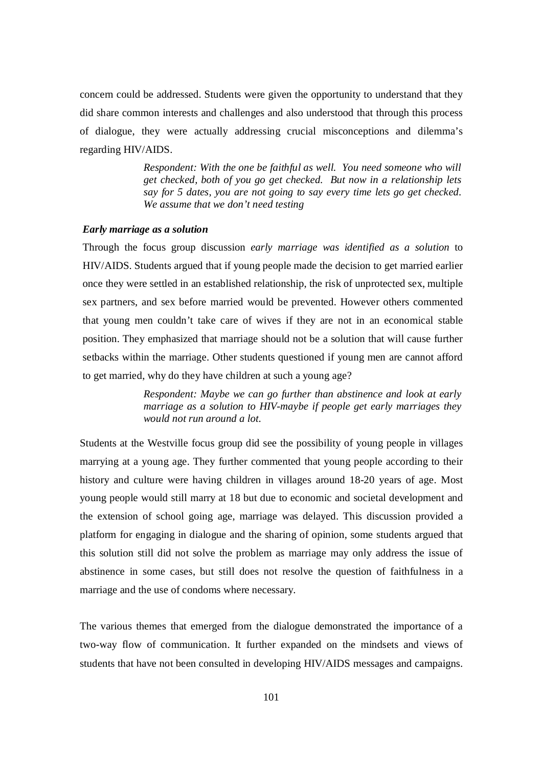concern could be addressed. Students were given the opportunity to understand that they did share common interests and challenges and also understood that through this process of dialogue, they were actually addressing crucial misconceptions and dilemma's regarding HIV/AIDS.

> *Respondent: With the one be faithful as well. You need someone who will get checked, both of you go get checked. But now in a relationship lets say for 5 dates, you are not going to say every time lets go get checked. We assume that we don't need testing*

### *Early marriage as a solution*

Through the focus group discussion *early marriage was identified as a solution* to HIV/AIDS. Students argued that if young people made the decision to get married earlier once they were settled in an established relationship, the risk of unprotected sex, multiple sex partners, and sex before married would be prevented. However others commented that young men couldn't take care of wives if they are not in an economical stable position. They emphasized that marriage should not be a solution that will cause further setbacks within the marriage. Other students questioned if young men are cannot afford to get married, why do they have children at such a young age?

> *Respondent: Maybe we can go further than abstinence and look at early marriage as a solution to HIV-maybe if people get early marriages they would not run around a lot.*

Students at the Westville focus group did see the possibility of young people in villages marrying at a young age. They further commented that young people according to their history and culture were having children in villages around 18-20 years of age. Most young people would still marry at 18 but due to economic and societal development and the extension of school going age, marriage was delayed. This discussion provided a platform for engaging in dialogue and the sharing of opinion, some students argued that this solution still did not solve the problem as marriage may only address the issue of abstinence in some cases, but still does not resolve the question of faithfulness in a marriage and the use of condoms where necessary.

The various themes that emerged from the dialogue demonstrated the importance of a two-way flow of communication. It further expanded on the mindsets and views of students that have not been consulted in developing HIV/AIDS messages and campaigns.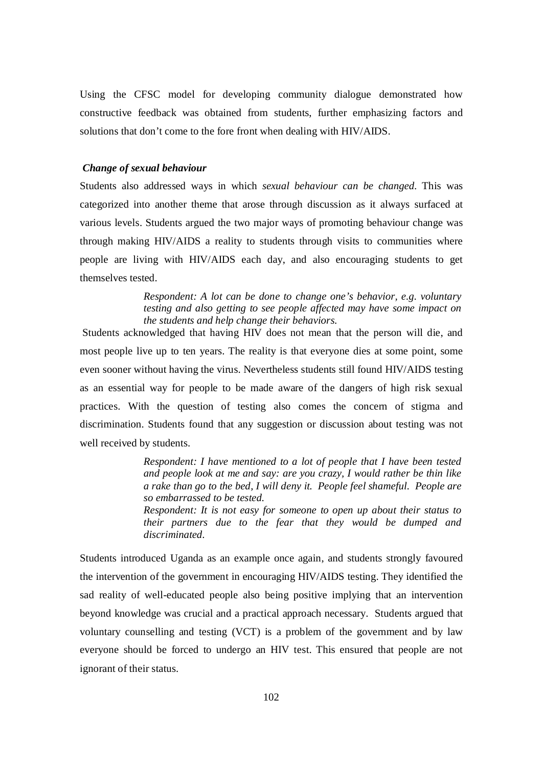Using the CFSC model for developing community dialogue demonstrated how constructive feedback was obtained from students, further emphasizing factors and solutions that don't come to the fore front when dealing with HIV/AIDS.

# *Change of sexual behaviour*

Students also addressed ways in which *sexual behaviour can be changed.* This was categorized into another theme that arose through discussion as it always surfaced at various levels. Students argued the two major ways of promoting behaviour change was through making HIV/AIDS a reality to students through visits to communities where people are living with HIV/AIDS each day, and also encouraging students to get themselves tested.

> *Respondent: A lot can be done to change one's behavior, e.g. voluntary testing and also getting to see people affected may have some impact on the students and help change their behaviors.*

Students acknowledged that having HIV does not mean that the person will die, and most people live up to ten years. The reality is that everyone dies at some point, some even sooner without having the virus. Nevertheless students still found HIV/AIDS testing as an essential way for people to be made aware of the dangers of high risk sexual practices. With the question of testing also comes the concern of stigma and discrimination. Students found that any suggestion or discussion about testing was not well received by students.

> *Respondent: I have mentioned to a lot of people that I have been tested and people look at me and say: are you crazy, I would rather be thin like a rake than go to the bed, I will deny it. People feel shameful. People are so embarrassed to be tested.*

> *Respondent: It is not easy for someone to open up about their status to their partners due to the fear that they would be dumped and discriminated.*

Students introduced Uganda as an example once again, and students strongly favoured the intervention of the government in encouraging HIV/AIDS testing. They identified the sad reality of well-educated people also being positive implying that an intervention beyond knowledge was crucial and a practical approach necessary. Students argued that voluntary counselling and testing (VCT) is a problem of the government and by law everyone should be forced to undergo an HIV test. This ensured that people are not ignorant of their status.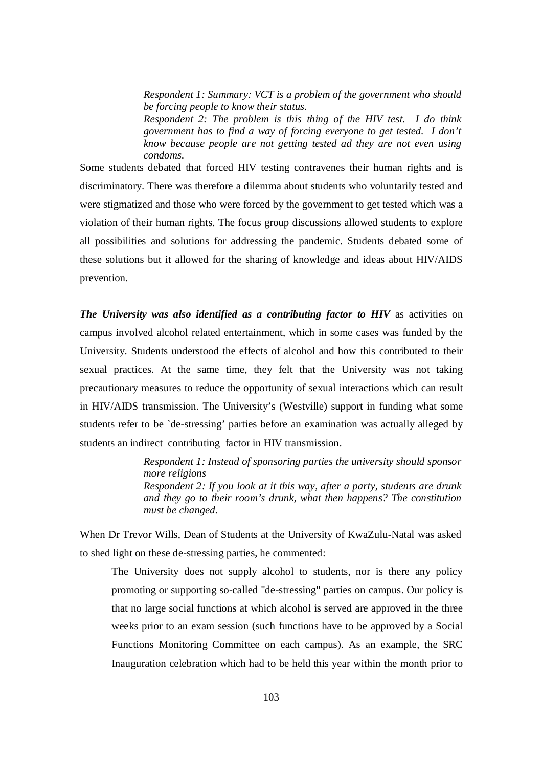*Respondent 1: Summary: VCT is a problem of the government who should be forcing people to know their status.* 

*Respondent 2: The problem is this thing of the HIV test. I do think government has to find a way of forcing everyone to get tested. I don't know because people are not getting tested ad they are not even using condoms.* 

Some students debated that forced HIV testing contravenes their human rights and is discriminatory. There was therefore a dilemma about students who voluntarily tested and were stigmatized and those who were forced by the government to get tested which was a violation of their human rights. The focus group discussions allowed students to explore all possibilities and solutions for addressing the pandemic. Students debated some of these solutions but it allowed for the sharing of knowledge and ideas about HIV/AIDS prevention.

*The University was also identified as a contributing factor to HIV* as activities on campus involved alcohol related entertainment, which in some cases was funded by the University. Students understood the effects of alcohol and how this contributed to their sexual practices. At the same time, they felt that the University was not taking precautionary measures to reduce the opportunity of sexual interactions which can result in HIV/AIDS transmission. The University's (Westville) support in funding what some students refer to be `de-stressing' parties before an examination was actually alleged by students an indirect contributing factor in HIV transmission.

> *Respondent 1: Instead of sponsoring parties the university should sponsor more religions Respondent 2: If you look at it this way, after a party, students are drunk and they go to their room's drunk, what then happens? The constitution must be changed.*

When Dr Trevor Wills, Dean of Students at the University of KwaZulu-Natal was asked to shed light on these de-stressing parties, he commented:

The University does not supply alcohol to students, nor is there any policy promoting or supporting so-called "de-stressing" parties on campus. Our policy is that no large social functions at which alcohol is served are approved in the three weeks prior to an exam session (such functions have to be approved by a Social Functions Monitoring Committee on each campus). As an example, the SRC Inauguration celebration which had to be held this year within the month prior to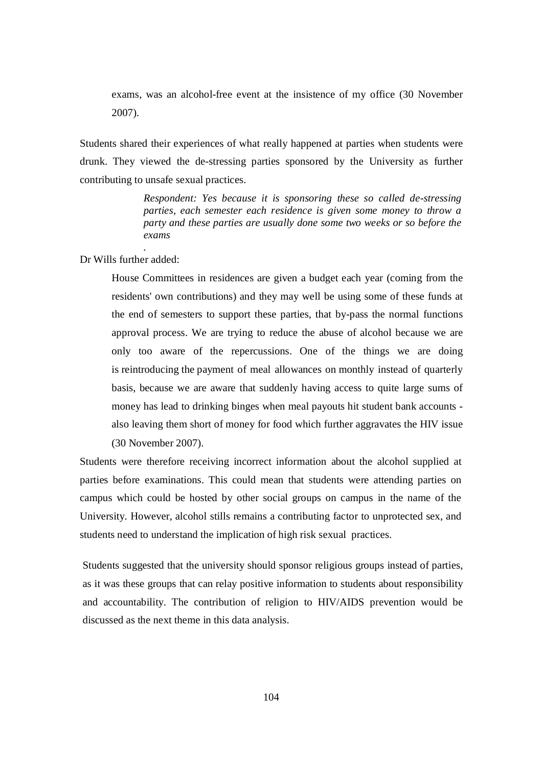exams, was an alcohol-free event at the insistence of my office (30 November 2007).

Students shared their experiences of what really happened at parties when students were drunk. They viewed the de-stressing parties sponsored by the University as further contributing to unsafe sexual practices.

> *Respondent: Yes because it is sponsoring these so called de-stressing parties, each semester each residence is given some money to throw a party and these parties are usually done some two weeks or so before the exams*

Dr Wills further added:

*.*

House Committees in residences are given a budget each year (coming from the residents' own contributions) and they may well be using some of these funds at the end of semesters to support these parties, that by-pass the normal functions approval process. We are trying to reduce the abuse of alcohol because we are only too aware of the repercussions. One of the things we are doing is reintroducing the payment of meal allowances on monthly instead of quarterly basis, because we are aware that suddenly having access to quite large sums of money has lead to drinking binges when meal payouts hit student bank accounts also leaving them short of money for food which further aggravates the HIV issue (30 November 2007).

Students were therefore receiving incorrect information about the alcohol supplied at parties before examinations. This could mean that students were attending parties on campus which could be hosted by other social groups on campus in the name of the University. However, alcohol stills remains a contributing factor to unprotected sex, and students need to understand the implication of high risk sexual practices.

Students suggested that the university should sponsor religious groups instead of parties, as it was these groups that can relay positive information to students about responsibility and accountability. The contribution of religion to HIV/AIDS prevention would be discussed as the next theme in this data analysis.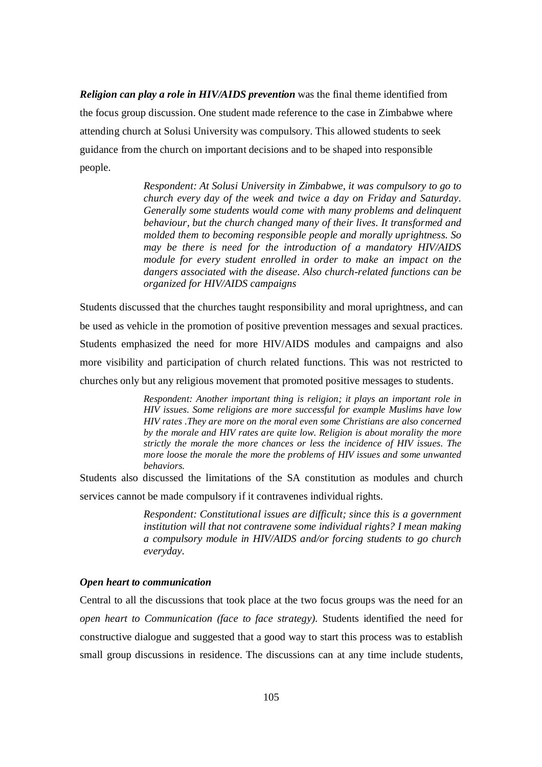*Religion can play a role in HIV/AIDS prevention* was the final theme identified from the focus group discussion. One student made reference to the case in Zimbabwe where attending church at Solusi University was compulsory. This allowed students to seek guidance from the church on important decisions and to be shaped into responsible people.

> *Respondent: At Solusi University in Zimbabwe, it was compulsory to go to church every day of the week and twice a day on Friday and Saturday. Generally some students would come with many problems and delinquent behaviour, but the church changed many of their lives. It transformed and molded them to becoming responsible people and morally uprightness. So may be there is need for the introduction of a mandatory HIV/AIDS module for every student enrolled in order to make an impact on the dangers associated with the disease. Also church-related functions can be organized for HIV/AIDS campaigns*

Students discussed that the churches taught responsibility and moral uprightness, and can be used as vehicle in the promotion of positive prevention messages and sexual practices. Students emphasized the need for more HIV/AIDS modules and campaigns and also more visibility and participation of church related functions. This was not restricted to churches only but any religious movement that promoted positive messages to students.

> *Respondent: Another important thing is religion; it plays an important role in HIV issues. Some religions are more successful for example Muslims have low HIV rates .They are more on the moral even some Christians are also concerned by the morale and HIV rates are quite low. Religion is about morality the more strictly the morale the more chances or less the incidence of HIV issues. The more loose the morale the more the problems of HIV issues and some unwanted behaviors.*

Students also discussed the limitations of the SA constitution as modules and church services cannot be made compulsory if it contravenes individual rights.

> *Respondent: Constitutional issues are difficult; since this is a government institution will that not contravene some individual rights? I mean making a compulsory module in HIV/AIDS and/or forcing students to go church everyday.*

#### *Open heart to communication*

Central to all the discussions that took place at the two focus groups was the need for an *open heart to Communication (face to face strategy).* Students identified the need for constructive dialogue and suggested that a good way to start this process was to establish small group discussions in residence. The discussions can at any time include students,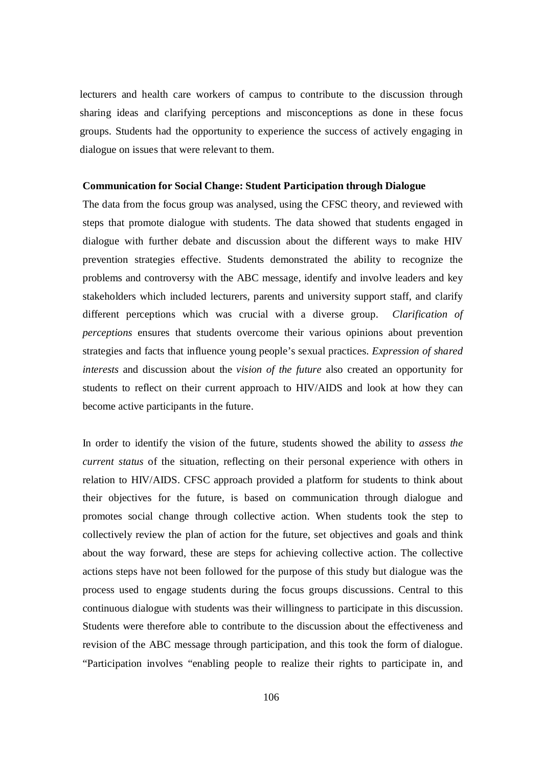lecturers and health care workers of campus to contribute to the discussion through sharing ideas and clarifying perceptions and misconceptions as done in these focus groups. Students had the opportunity to experience the success of actively engaging in dialogue on issues that were relevant to them.

#### **Communication for Social Change: Student Participation through Dialogue**

The data from the focus group was analysed, using the CFSC theory, and reviewed with steps that promote dialogue with students. The data showed that students engaged in dialogue with further debate and discussion about the different ways to make HIV prevention strategies effective. Students demonstrated the ability to recognize the problems and controversy with the ABC message, identify and involve leaders and key stakeholders which included lecturers, parents and university support staff, and clarify different perceptions which was crucial with a diverse group. *Clarification of perceptions* ensures that students overcome their various opinions about prevention strategies and facts that influence young people's sexual practices. *Expression of shared interests* and discussion about the *vision of the future* also created an opportunity for students to reflect on their current approach to HIV/AIDS and look at how they can become active participants in the future.

In order to identify the vision of the future, students showed the ability to *assess the current status* of the situation, reflecting on their personal experience with others in relation to HIV/AIDS. CFSC approach provided a platform for students to think about their objectives for the future, is based on communication through dialogue and promotes social change through collective action. When students took the step to collectively review the plan of action for the future, set objectives and goals and think about the way forward, these are steps for achieving collective action. The collective actions steps have not been followed for the purpose of this study but dialogue was the process used to engage students during the focus groups discussions. Central to this continuous dialogue with students was their willingness to participate in this discussion. Students were therefore able to contribute to the discussion about the effectiveness and revision of the ABC message through participation, and this took the form of dialogue. "Participation involves "enabling people to realize their rights to participate in, and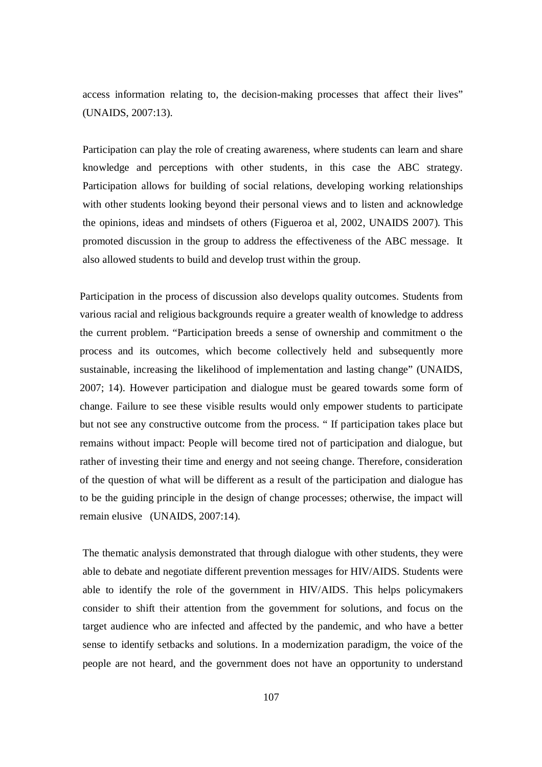access information relating to, the decision-making processes that affect their lives" (UNAIDS, 2007:13).

Participation can play the role of creating awareness, where students can learn and share knowledge and perceptions with other students, in this case the ABC strategy. Participation allows for building of social relations, developing working relationships with other students looking beyond their personal views and to listen and acknowledge the opinions, ideas and mindsets of others (Figueroa et al, 2002, UNAIDS 2007). This promoted discussion in the group to address the effectiveness of the ABC message. It also allowed students to build and develop trust within the group.

Participation in the process of discussion also develops quality outcomes. Students from various racial and religious backgrounds require a greater wealth of knowledge to address the current problem. "Participation breeds a sense of ownership and commitment o the process and its outcomes, which become collectively held and subsequently more sustainable, increasing the likelihood of implementation and lasting change" (UNAIDS, 2007; 14). However participation and dialogue must be geared towards some form of change. Failure to see these visible results would only empower students to participate but not see any constructive outcome from the process. " If participation takes place but remains without impact: People will become tired not of participation and dialogue, but rather of investing their time and energy and not seeing change. Therefore, consideration of the question of what will be different as a result of the participation and dialogue has to be the guiding principle in the design of change processes; otherwise, the impact will remain elusive (UNAIDS, 2007:14).

The thematic analysis demonstrated that through dialogue with other students, they were able to debate and negotiate different prevention messages for HIV/AIDS. Students were able to identify the role of the government in HIV/AIDS. This helps policymakers consider to shift their attention from the government for solutions, and focus on the target audience who are infected and affected by the pandemic, and who have a better sense to identify setbacks and solutions. In a modernization paradigm, the voice of the people are not heard, and the government does not have an opportunity to understand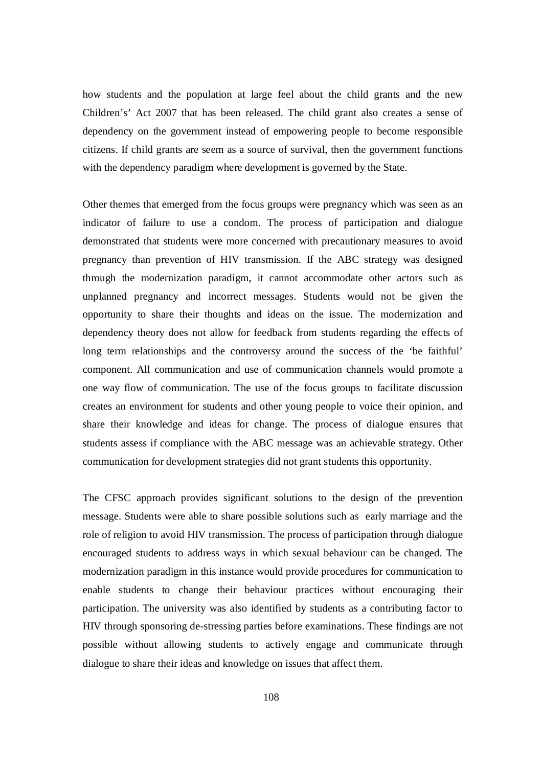how students and the population at large feel about the child grants and the new Children's' Act 2007 that has been released. The child grant also creates a sense of dependency on the government instead of empowering people to become responsible citizens. If child grants are seem as a source of survival, then the government functions with the dependency paradigm where development is governed by the State.

Other themes that emerged from the focus groups were pregnancy which was seen as an indicator of failure to use a condom. The process of participation and dialogue demonstrated that students were more concerned with precautionary measures to avoid pregnancy than prevention of HIV transmission. If the ABC strategy was designed through the modernization paradigm, it cannot accommodate other actors such as unplanned pregnancy and incorrect messages. Students would not be given the opportunity to share their thoughts and ideas on the issue. The modernization and dependency theory does not allow for feedback from students regarding the effects of long term relationships and the controversy around the success of the 'be faithful' component. All communication and use of communication channels would promote a one way flow of communication. The use of the focus groups to facilitate discussion creates an environment for students and other young people to voice their opinion, and share their knowledge and ideas for change. The process of dialogue ensures that students assess if compliance with the ABC message was an achievable strategy. Other communication for development strategies did not grant students this opportunity.

The CFSC approach provides significant solutions to the design of the prevention message. Students were able to share possible solutions such as early marriage and the role of religion to avoid HIV transmission. The process of participation through dialogue encouraged students to address ways in which sexual behaviour can be changed. The modernization paradigm in this instance would provide procedures for communication to enable students to change their behaviour practices without encouraging their participation. The university was also identified by students as a contributing factor to HIV through sponsoring de-stressing parties before examinations. These findings are not possible without allowing students to actively engage and communicate through dialogue to share their ideas and knowledge on issues that affect them.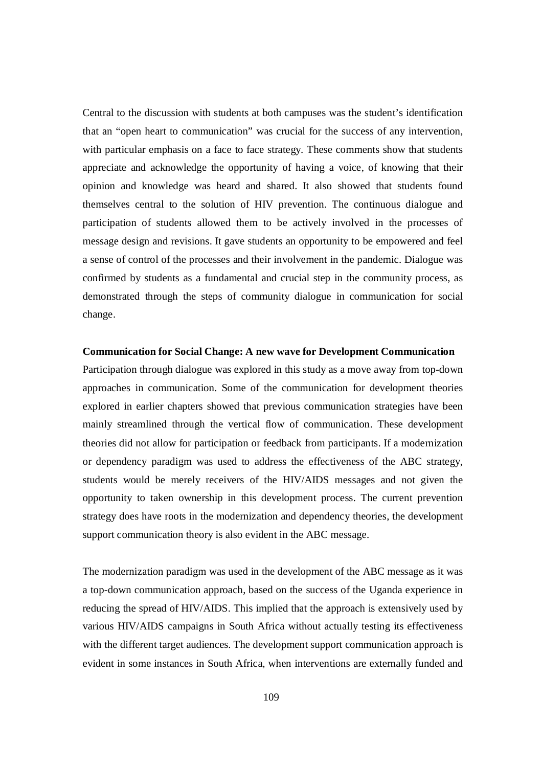Central to the discussion with students at both campuses was the student's identification that an "open heart to communication" was crucial for the success of any intervention, with particular emphasis on a face to face strategy. These comments show that students appreciate and acknowledge the opportunity of having a voice, of knowing that their opinion and knowledge was heard and shared. It also showed that students found themselves central to the solution of HIV prevention. The continuous dialogue and participation of students allowed them to be actively involved in the processes of message design and revisions. It gave students an opportunity to be empowered and feel a sense of control of the processes and their involvement in the pandemic. Dialogue was confirmed by students as a fundamental and crucial step in the community process, as demonstrated through the steps of community dialogue in communication for social change.

#### **Communication for Social Change: A new wave for Development Communication**

Participation through dialogue was explored in this study as a move away from top-down approaches in communication. Some of the communication for development theories explored in earlier chapters showed that previous communication strategies have been mainly streamlined through the vertical flow of communication. These development theories did not allow for participation or feedback from participants. If a modernization or dependency paradigm was used to address the effectiveness of the ABC strategy, students would be merely receivers of the HIV/AIDS messages and not given the opportunity to taken ownership in this development process. The current prevention strategy does have roots in the modernization and dependency theories, the development support communication theory is also evident in the ABC message.

The modernization paradigm was used in the development of the ABC message as it was a top-down communication approach, based on the success of the Uganda experience in reducing the spread of HIV/AIDS. This implied that the approach is extensively used by various HIV/AIDS campaigns in South Africa without actually testing its effectiveness with the different target audiences. The development support communication approach is evident in some instances in South Africa, when interventions are externally funded and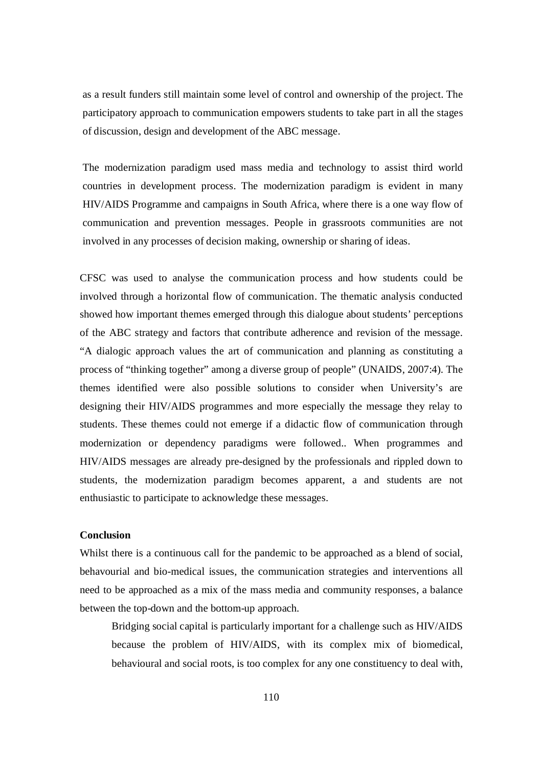as a result funders still maintain some level of control and ownership of the project. The participatory approach to communication empowers students to take part in all the stages of discussion, design and development of the ABC message.

The modernization paradigm used mass media and technology to assist third world countries in development process. The modernization paradigm is evident in many HIV/AIDS Programme and campaigns in South Africa, where there is a one way flow of communication and prevention messages. People in grassroots communities are not involved in any processes of decision making, ownership or sharing of ideas.

CFSC was used to analyse the communication process and how students could be involved through a horizontal flow of communication. The thematic analysis conducted showed how important themes emerged through this dialogue about students' perceptions of the ABC strategy and factors that contribute adherence and revision of the message. "A dialogic approach values the art of communication and planning as constituting a process of "thinking together" among a diverse group of people" (UNAIDS, 2007:4). The themes identified were also possible solutions to consider when University's are designing their HIV/AIDS programmes and more especially the message they relay to students. These themes could not emerge if a didactic flow of communication through modernization or dependency paradigms were followed.. When programmes and HIV/AIDS messages are already pre-designed by the professionals and rippled down to students, the modernization paradigm becomes apparent, a and students are not enthusiastic to participate to acknowledge these messages.

### **Conclusion**

Whilst there is a continuous call for the pandemic to be approached as a blend of social, behavourial and bio-medical issues, the communication strategies and interventions all need to be approached as a mix of the mass media and community responses, a balance between the top-down and the bottom-up approach.

Bridging social capital is particularly important for a challenge such as HIV/AIDS because the problem of HIV/AIDS, with its complex mix of biomedical, behavioural and social roots, is too complex for any one constituency to deal with,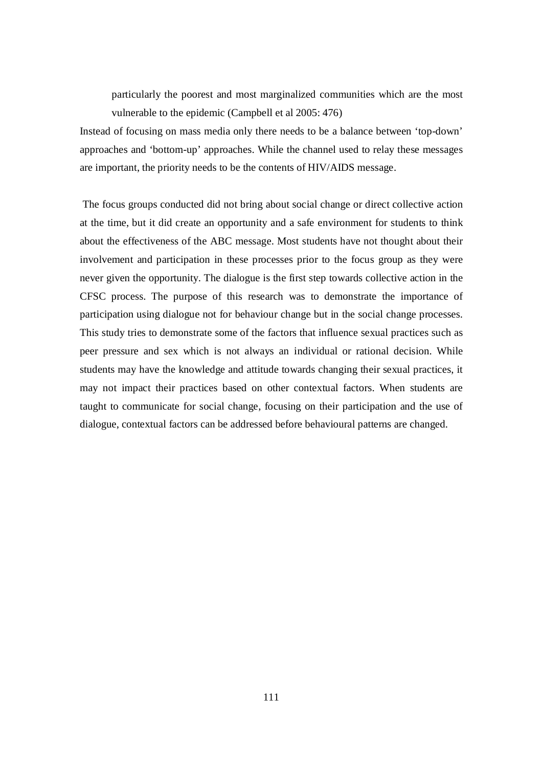particularly the poorest and most marginalized communities which are the most vulnerable to the epidemic (Campbell et al 2005: 476)

Instead of focusing on mass media only there needs to be a balance between 'top-down' approaches and 'bottom-up' approaches. While the channel used to relay these messages are important, the priority needs to be the contents of HIV/AIDS message.

The focus groups conducted did not bring about social change or direct collective action at the time, but it did create an opportunity and a safe environment for students to think about the effectiveness of the ABC message. Most students have not thought about their involvement and participation in these processes prior to the focus group as they were never given the opportunity. The dialogue is the first step towards collective action in the CFSC process. The purpose of this research was to demonstrate the importance of participation using dialogue not for behaviour change but in the social change processes. This study tries to demonstrate some of the factors that influence sexual practices such as peer pressure and sex which is not always an individual or rational decision. While students may have the knowledge and attitude towards changing their sexual practices, it may not impact their practices based on other contextual factors. When students are taught to communicate for social change, focusing on their participation and the use of dialogue, contextual factors can be addressed before behavioural patterns are changed.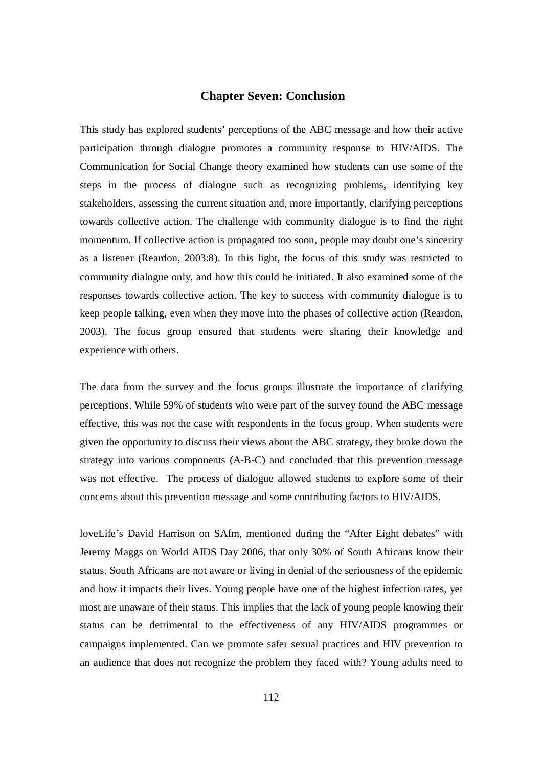### **Chapter Seven: Conclusion**

This study has explored students' perceptions of the ABC message and how their active participation through dialogue promotes a community response to HIV/AIDS. The Communication for Social Change theory examined how students can use some of the steps in the process of dialogue such as recognizing problems, identifying key stakeholders, assessing the current situation and, more importantly, clarifying perceptions towards collective action. The challenge with community dialogue is to find the right momentum. If collective action is propagated too soon, people may doubt one's sincerity as a listener (Reardon, 2003:8). In this light, the focus of this study was restricted to community dialogue only, and how this could be initiated. It also examined some of the responses towards collective action. The key to success with community dialogue is to keep people talking, even when they move into the phases of collective action (Reardon, 2003). The focus group ensured that students were sharing their knowledge and experience with others.

The data from the survey and the focus groups illustrate the importance of clarifying perceptions. While 59% of students who were part of the survey found the ABC message effective, this was not the case with respondents in the focus group. When students were given the opportunity to discuss their views about the ABC strategy, they broke down the strategy into various components (A-B-C) and concluded that this prevention message was not effective. The process of dialogue allowed students to explore some of their concerns about this prevention message and some contributing factors to HIV/AIDS.

loveLife's David Harrison on SAfm, mentioned during the "After Eight debates" with Jeremy Maggs on World AIDS Day 2006, that only 30% of South Africans know their status. South Africans are not aware or living in denial of the seriousness of the epidemic and how it impacts their lives. Young people have one of the highest infection rates, yet most are unaware of their status. This implies that the lack of young people knowing their status can be detrimental to the effectiveness of any HIV/AIDS programmes or campaigns implemented. Can we promote safer sexual practices and HIV prevention to an audience that does not recognize the problem they faced with? Young adults need to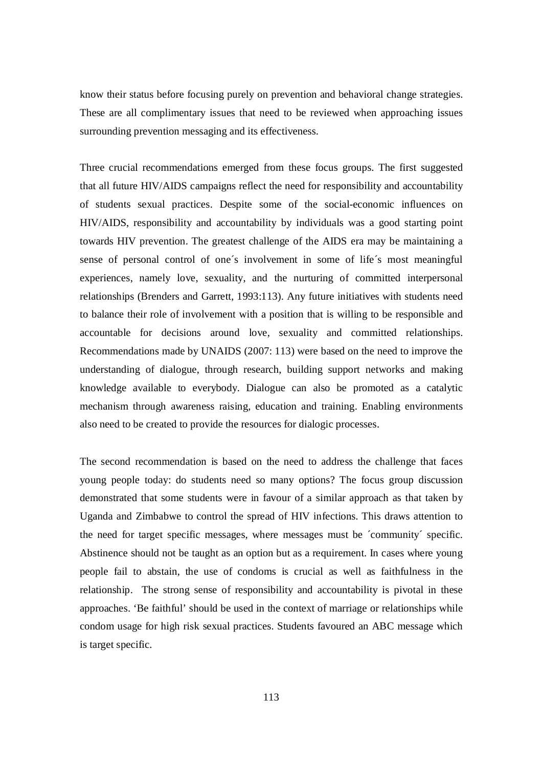know their status before focusing purely on prevention and behavioral change strategies. These are all complimentary issues that need to be reviewed when approaching issues surrounding prevention messaging and its effectiveness.

Three crucial recommendations emerged from these focus groups. The first suggested that all future HIV/AIDS campaigns reflect the need for responsibility and accountability of students sexual practices. Despite some of the social-economic influences on HIV/AIDS, responsibility and accountability by individuals was a good starting point towards HIV prevention. The greatest challenge of the AIDS era may be maintaining a sense of personal control of one´s involvement in some of life´s most meaningful experiences, namely love, sexuality, and the nurturing of committed interpersonal relationships (Brenders and Garrett, 1993:113). Any future initiatives with students need to balance their role of involvement with a position that is willing to be responsible and accountable for decisions around love, sexuality and committed relationships. Recommendations made by UNAIDS (2007: 113) were based on the need to improve the understanding of dialogue, through research, building support networks and making knowledge available to everybody. Dialogue can also be promoted as a catalytic mechanism through awareness raising, education and training. Enabling environments also need to be created to provide the resources for dialogic processes.

The second recommendation is based on the need to address the challenge that faces young people today: do students need so many options? The focus group discussion demonstrated that some students were in favour of a similar approach as that taken by Uganda and Zimbabwe to control the spread of HIV infections. This draws attention to the need for target specific messages, where messages must be ´community´ specific. Abstinence should not be taught as an option but as a requirement. In cases where young people fail to abstain, the use of condoms is crucial as well as faithfulness in the relationship. The strong sense of responsibility and accountability is pivotal in these approaches. 'Be faithful' should be used in the context of marriage or relationships while condom usage for high risk sexual practices. Students favoured an ABC message which is target specific.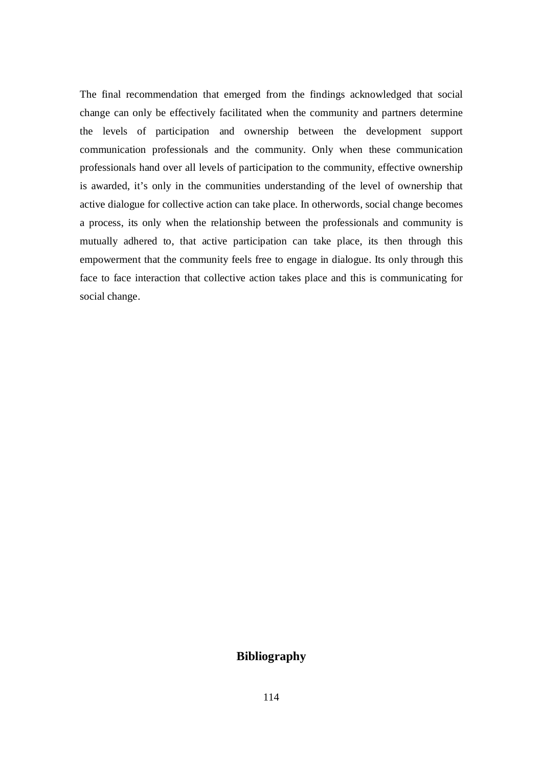The final recommendation that emerged from the findings acknowledged that social change can only be effectively facilitated when the community and partners determine the levels of participation and ownership between the development support communication professionals and the community. Only when these communication professionals hand over all levels of participation to the community, effective ownership is awarded, it's only in the communities understanding of the level of ownership that active dialogue for collective action can take place. In otherwords, social change becomes a process, its only when the relationship between the professionals and community is mutually adhered to, that active participation can take place, its then through this empowerment that the community feels free to engage in dialogue. Its only through this face to face interaction that collective action takes place and this is communicating for social change.

### **Bibliography**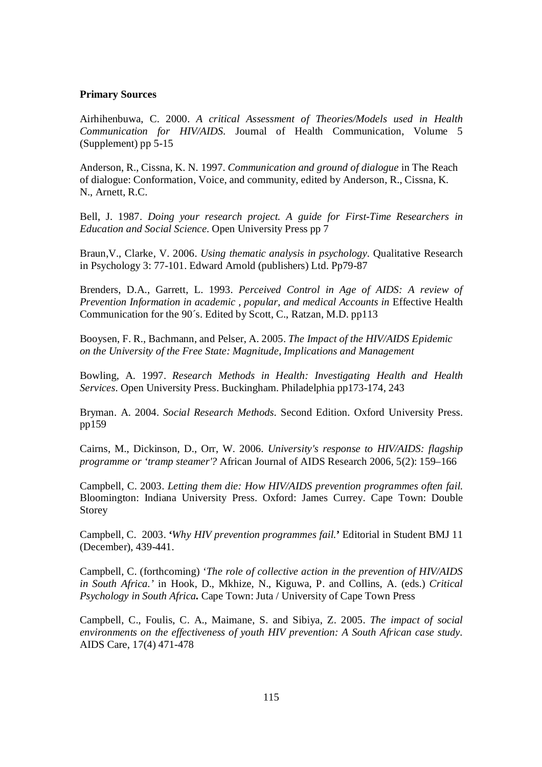#### **Primary Sources**

Airhihenbuwa, C. 2000. *A critical Assessment of Theories/Models used in Health Communication for HIV/AIDS.* Journal of Health Communication, Volume 5 (Supplement) pp 5-15

Anderson, R., Cissna, K. N. 1997. *Communication and ground of dialogue* in The Reach of dialogue: Conformation, Voice, and community, edited by Anderson, R., Cissna, K. N., Arnett, R.C.

Bell, J. 1987. *Doing your research project. A guide for First-Time Researchers in Education and Social Science.* Open University Press pp 7

Braun,V., Clarke, V. 2006. *Using thematic analysis in psychology.* Qualitative Research in Psychology 3: 77-101. Edward Arnold (publishers) Ltd. Pp79-87

Brenders, D.A., Garrett, L. 1993. *Perceived Control in Age of AIDS: A review of Prevention Information in academic, popular, and medical Accounts in Effective Health* Communication for the 90´s. Edited by Scott, C., Ratzan, M.D. pp113

Booysen, F. R., Bachmann, and Pelser, A. 2005. *The Impact of the HIV/AIDS Epidemic on the University of the Free State: Magnitude, Implications and Management*

Bowling, A. 1997. *Research Methods in Health: Investigating Health and Health Services.* Open University Press. Buckingham. Philadelphia pp173-174, 243

Bryman. A. 2004. *Social Research Methods.* Second Edition. Oxford University Press. pp159

Cairns, M., Dickinson, D., Orr, W. 2006. *University's response to HIV/AIDS: flagship programme or 'tramp steamer'?* African Journal of AIDS Research 2006, 5(2): 159–166

Campbell, C. 2003. *Letting them die: How HIV/AIDS prevention programmes often fail.* Bloomington: Indiana University Press. Oxford: James Currey. Cape Town: Double Storey

Campbell, C. 2003. **'***Why HIV prevention programmes fail.***'** Editorial in Student BMJ 11 (December), 439-441.

Campbell, C. (forthcoming) '*The role of collective action in the prevention of HIV/AIDS in South Africa.'* in Hook, D., Mkhize, N., Kiguwa, P. and Collins, A. (eds.) *Critical Psychology in South Africa.* Cape Town: Juta / University of Cape Town Press

Campbell, C., Foulis, C. A., Maimane, S. and Sibiya, Z. 2005. *The impact of social environments on the effectiveness of youth HIV prevention: A South African case study.* AIDS Care, 17(4) 471-478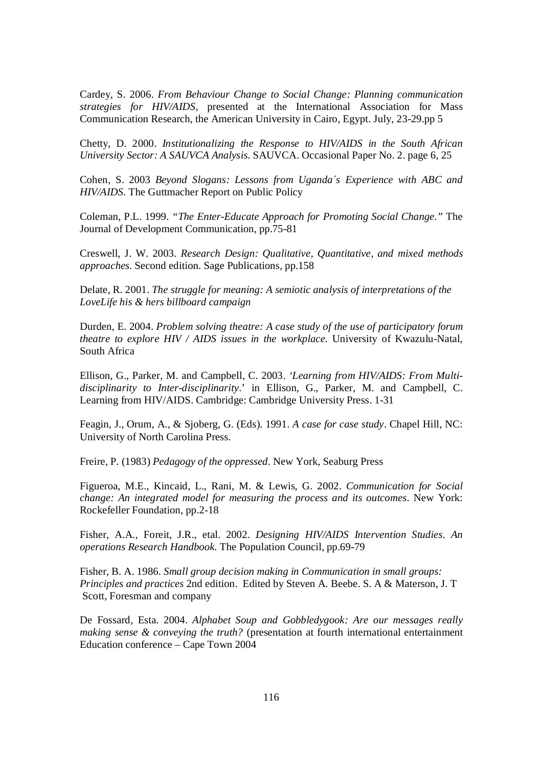Cardey, S. 2006. *From Behaviour Change to Social Change: Planning communication strategies for HIV/AIDS,* presented at the International Association for Mass Communication Research, the American University in Cairo, Egypt. July, 23-29.pp 5

Chetty, D. 2000. *Institutionalizing the Response to HIV/AIDS in the South African University Sector: A SAUVCA Analysis.* SAUVCA. Occasional Paper No. 2. page 6, 25

Cohen, S. 2003 *Beyond Slogans: Lessons from Uganda´s Experience with ABC and HIV/AIDS.* The Guttmacher Report on Public Policy

Coleman, P.L. 1999. *"The Enter-Educate Approach for Promoting Social Change."* The Journal of Development Communication, pp.75-81

Creswell, J. W. 2003. *Research Design: Qualitative, Quantitative, and mixed methods approaches.* Second edition. Sage Publications, pp.158

Delate, R. 2001. *The struggle for meaning: A semiotic analysis of interpretations of the LoveLife his & hers billboard campaign*

Durden, E. 2004. *Problem solving theatre: A case study of the use of participatory forum theatre to explore HIV / AIDS issues in the workplace.* University of Kwazulu-Natal, South Africa

Ellison, G., Parker, M. and Campbell, C. 2003. *'Learning from HIV/AIDS: From Multidisciplinarity to Inter-disciplinarity*.' in Ellison, G., Parker, M. and Campbell, C. Learning from HIV/AIDS. Cambridge: Cambridge University Press. 1-31

Feagin, J., Orum, A., & Sjoberg, G. (Eds). 1991. *A case for case study*. Chapel Hill, NC: University of North Carolina Press.

Freire, P. (1983) *Pedagogy of the oppressed*. New York, Seaburg Press

Figueroa, M.E., Kincaid, L., Rani, M. & Lewis, G. 2002. *Communication for Social change: An integrated model for measuring the process and its outcomes*. New York: Rockefeller Foundation, pp.2-18

Fisher, A.A., Foreit, J.R., etal. 2002. *Designing HIV/AIDS Intervention Studies. An operations Research Handbook.* The Population Council, pp.69-79

Fisher, B. A. 1986. *Small group decision making in Communication in small groups: Principles and practices* 2nd edition. Edited by Steven A. Beebe. S. A & Materson, J. T Scott, Foresman and company

De Fossard, Esta. 2004. *Alphabet Soup and Gobbledygook: Are our messages really making sense & conveying the truth?* (presentation at fourth international entertainment Education conference – Cape Town 2004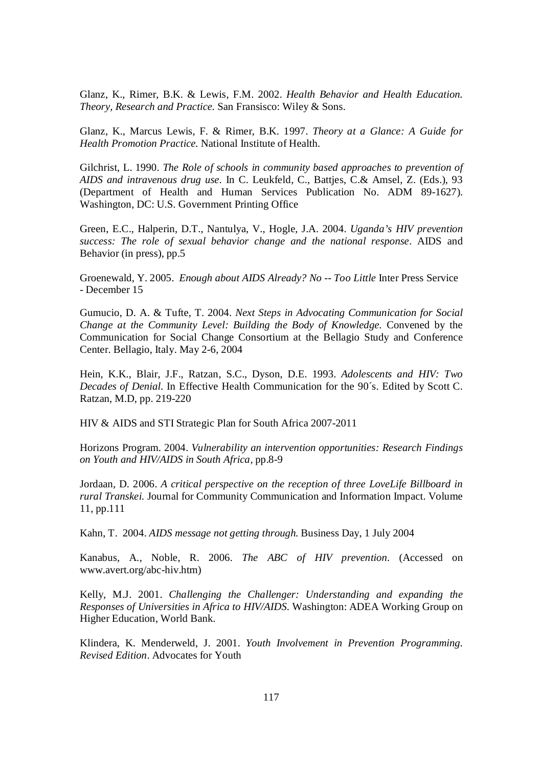Glanz, K., Rimer, B.K. & Lewis, F.M. 2002. *Health Behavior and Health Education. Theory, Research and Practice.* San Fransisco: Wiley & Sons.

Glanz, K., Marcus Lewis, F. & Rimer, B.K. 1997. *Theory at a Glance: A Guide for Health Promotion Practice.* National Institute of Health.

Gilchrist, L. 1990. *The Role of schools in community based approaches to prevention of AIDS and intravenous drug use.* In C. Leukfeld, C., Battjes, C.& Amsel, Z. (Eds.), 93 (Department of Health and Human Services Publication No. ADM 89-1627). Washington, DC: U.S. Government Printing Office

Green, E.C., Halperin, D.T., Nantulya, V., Hogle, J.A. 2004. *Uganda's HIV prevention success: The role of sexual behavior change and the national response*. AIDS and Behavior (in press), pp.5

Groenewald, Y. 2005. *Enough about AIDS Already? No -- Too Little* Inter Press Service - December 15

Gumucio, D. A. & Tufte, T. 2004. *Next Steps in Advocating Communication for Social Change at the Community Level: Building the Body of Knowledge.* Convened by the Communication for Social Change Consortium at the Bellagio Study and Conference Center. Bellagio, Italy. May 2-6, 2004

Hein, K.K., Blair, J.F., Ratzan, S.C., Dyson, D.E. 1993. *Adolescents and HIV: Two Decades of Denial.* In Effective Health Communication for the 90´s. Edited by Scott C. Ratzan, M.D, pp. 219-220

HIV & AIDS and STI Strategic Plan for South Africa 2007-2011

Horizons Program. 2004. *Vulnerability an intervention opportunities: Research Findings on Youth and HIV/AIDS in South Africa,* pp.8-9

Jordaan, D. 2006. *A critical perspective on the reception of three LoveLife Billboard in rural Transkei.* Journal for Community Communication and Information Impact. Volume 11, pp.111

Kahn, T. 2004. *AIDS message not getting through.* Business Day, 1 July 2004

Kanabus, A., Noble, R. 2006. *The ABC of HIV prevention*. (Accessed on www.avert.org/abc-hiv.htm)

Kelly, M.J. 2001. *Challenging the Challenger: Understanding and expanding the Responses of Universities in Africa to HIV/AIDS.* Washington: ADEA Working Group on Higher Education, World Bank.

Klindera, K. Menderweld, J. 2001. *Youth Involvement in Prevention Programming. Revised Edition*. Advocates for Youth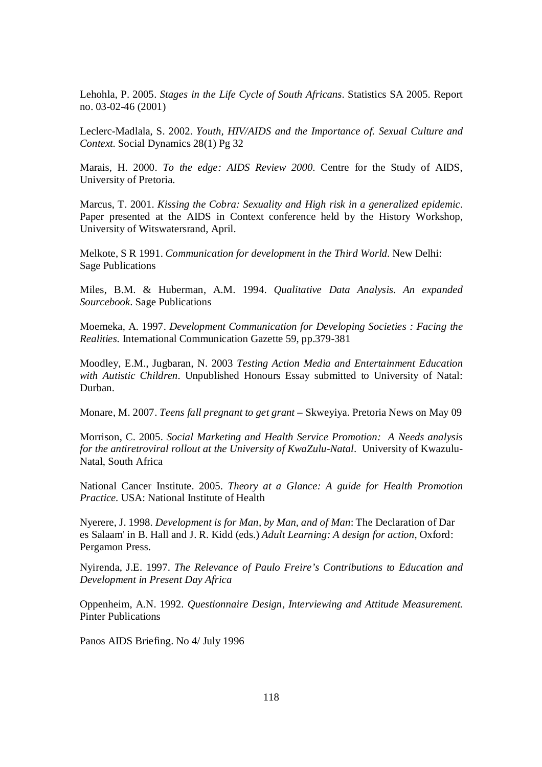Lehohla, P. 2005. *Stages in the Life Cycle of South Africans*. Statistics SA 2005. Report no. 03-02-46 (2001)

Leclerc-Madlala, S. 2002. *Youth, HIV/AIDS and the Importance of. Sexual Culture and Context.* Social Dynamics 28(1) Pg 32

Marais, H. 2000. *To the edge: AIDS Review 2000.* Centre for the Study of AIDS, University of Pretoria.

Marcus, T. 2001. *Kissing the Cobra: Sexuality and High risk in a generalized epidemic*. Paper presented at the AIDS in Context conference held by the History Workshop, University of Witswatersrand, April.

Melkote, S R 1991. *Communication for development in the Third World*. New Delhi: Sage Publications

Miles, B.M. & Huberman, A.M. 1994. *Qualitative Data Analysis. An expanded Sourcebook.* Sage Publications

Moemeka, A. 1997. *Development Communication for Developing Societies : Facing the Realities.* International Communication Gazette 59, pp.379-381

Moodley, E.M., Jugbaran, N. 2003 *Testing Action Media and Entertainment Education with Autistic Children.* Unpublished Honours Essay submitted to University of Natal: Durban.

Monare, M. 2007. *Teens fall pregnant to get grant* – Skweyiya. Pretoria News on May 09

Morrison, C. 2005. *Social Marketing and Health Service Promotion: A Needs analysis for the antiretroviral rollout at the University of KwaZulu-Natal*. University of Kwazulu-Natal, South Africa

National Cancer Institute. 2005. *Theory at a Glance: A guide for Health Promotion Practice.* USA: National Institute of Health

Nyerere, J. 1998. *Development is for Man, by Man, and of Man*: The Declaration of Dar es Salaam' in B. Hall and J. R. Kidd (eds.) *Adult Learning: A design for action*, Oxford: Pergamon Press.

Nyirenda, J.E. 1997. *The Relevance of Paulo Freire's Contributions to Education and Development in Present Day Africa*

Oppenheim, A.N. 1992. *Questionnaire Design, Interviewing and Attitude Measurement.* Pinter Publications

Panos AIDS Briefing. No 4/ July 1996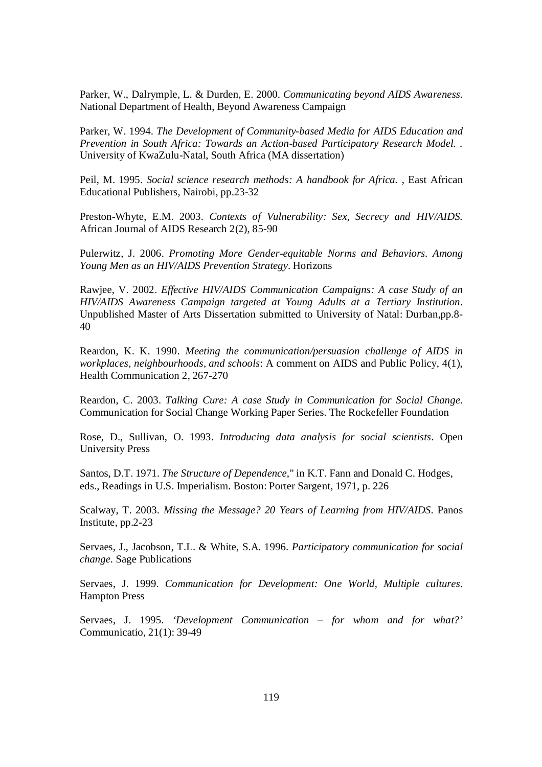Parker, W., Dalrymple, L. & Durden, E. 2000. *Communicating beyond AIDS Awareness.* National Department of Health, Beyond Awareness Campaign

Parker, W. 1994. *The Development of Community-based Media for AIDS Education and Prevention in South Africa: Towards an Action-based Participatory Research Model. .*  University of KwaZulu-Natal, South Africa (MA dissertation)

Peil, M. 1995. *Social science research methods: A handbook for Africa.* , East African Educational Publishers, Nairobi, pp.23-32

Preston-Whyte, E.M. 2003. *Contexts of Vulnerability: Sex, Secrecy and HIV/AIDS.* African Journal of AIDS Research 2(2), 85-90

Pulerwitz, J. 2006. *Promoting More Gender-equitable Norms and Behaviors. Among Young Men as an HIV/AIDS Prevention Strategy*. Horizons

Rawjee, V. 2002. *Effective HIV/AIDS Communication Campaigns: A case Study of an HIV/AIDS Awareness Campaign targeted at Young Adults at a Tertiary Institution*. Unpublished Master of Arts Dissertation submitted to University of Natal: Durban,pp.8- 40

Reardon, K. K. 1990. *Meeting the communication/persuasion challenge of AIDS in workplaces, neighbourhoods, and schools*: A comment on AIDS and Public Policy, 4(1), Health Communication 2, 267-270

Reardon, C. 2003. *Talking Cure: A case Study in Communication for Social Change.* Communication for Social Change Working Paper Series. The Rockefeller Foundation

Rose, D., Sullivan, O. 1993. *Introducing data analysis for social scientists*. Open University Press

Santos, D.T. 1971. *The Structure of Dependence*," in K.T. Fann and Donald C. Hodges, eds., Readings in U.S. Imperialism. Boston: Porter Sargent, 1971, p. 226

Scalway, T. 2003. *Missing the Message? 20 Years of Learning from HIV/AIDS*. Panos Institute, pp.2-23

Servaes, J., Jacobson, T.L. & White, S.A. 1996. *Participatory communication for social change.* Sage Publications

Servaes, J. 1999. *Communication for Development: One World, Multiple cultures*. Hampton Press

Servaes, J. 1995. *'Development Communication – for whom and for what?'* Communicatio, 21(1): 39-49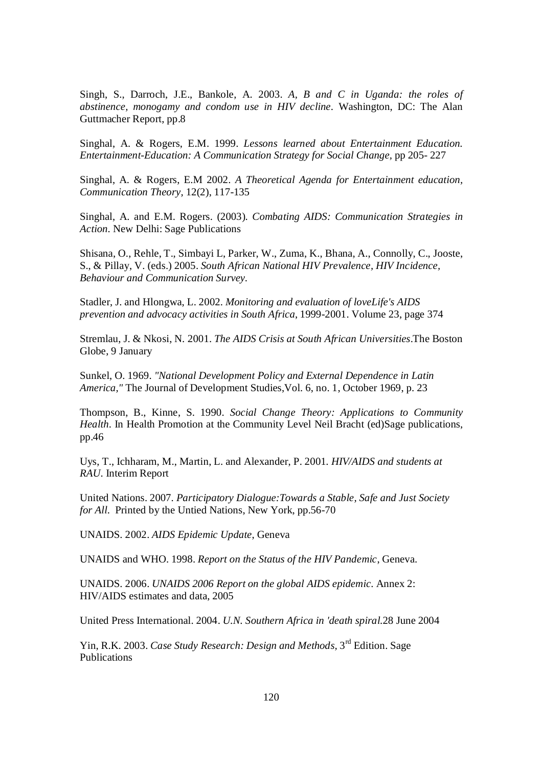Singh, S., Darroch, J.E., Bankole, A. 2003. *A, B and C in Uganda: the roles of abstinence, monogamy and condom use in HIV decline.* Washington, DC: The Alan Guttmacher Report, pp.8

Singhal, A. & Rogers, E.M. 1999. *Lessons learned about Entertainment Education. Entertainment-Education: A Communication Strategy for Social Change,* pp 205- 227

Singhal, A. & Rogers, E.M 2002. *A Theoretical Agenda for Entertainment education, Communication Theory,* 12(2), 117-135

Singhal, A. and E.M. Rogers. (2003). *Combating AIDS: Communication Strategies in Action.* New Delhi: Sage Publications

Shisana, O., Rehle, T., Simbayi L, Parker, W., Zuma, K., Bhana, A., Connolly, C., Jooste, S., & Pillay, V. (eds.) 2005. *South African National HIV Prevalence, HIV Incidence, Behaviour and Communication Survey.*

Stadler, J. and Hlongwa, L. 2002. *Monitoring and evaluation of loveLife's AIDS prevention and advocacy activities in South Africa*, 1999-2001. Volume 23, page 374

Stremlau, J. & Nkosi, N. 2001. *The AIDS Crisis at South African Universities*.The Boston Globe, 9 January

Sunkel, O. 1969. *"National Development Policy and External Dependence in Latin America,"* The Journal of Development Studies,Vol. 6, no. 1, October 1969, p. 23

Thompson, B., Kinne, S. 1990. *Social Change Theory: Applications to Community Health*. In Health Promotion at the Community Level Neil Bracht (ed)Sage publications, pp.46

Uys, T., Ichharam, M., Martin, L. and Alexander, P. 2001*. HIV/AIDS and students at RAU*. Interim Report

United Nations. 2007*. Participatory Dialogue:Towards a Stable, Safe and Just Society for All.* Printed by the Untied Nations, New York, pp.56-70

UNAIDS. 2002. *AIDS Epidemic Update*, Geneva

UNAIDS and WHO. 1998. *Report on the Status of the HIV Pandemic*, Geneva.

UNAIDS. 2006. *UNAIDS 2006 Report on the global AIDS epidemic.* Annex 2: HIV/AIDS estimates and data, 2005

United Press International. 2004. *U.N. Southern Africa in 'death spiral.*28 June 2004

Yin, R.K. 2003. *Case Study Research: Design and Methods*, 3<sup>rd</sup> Edition. Sage Publications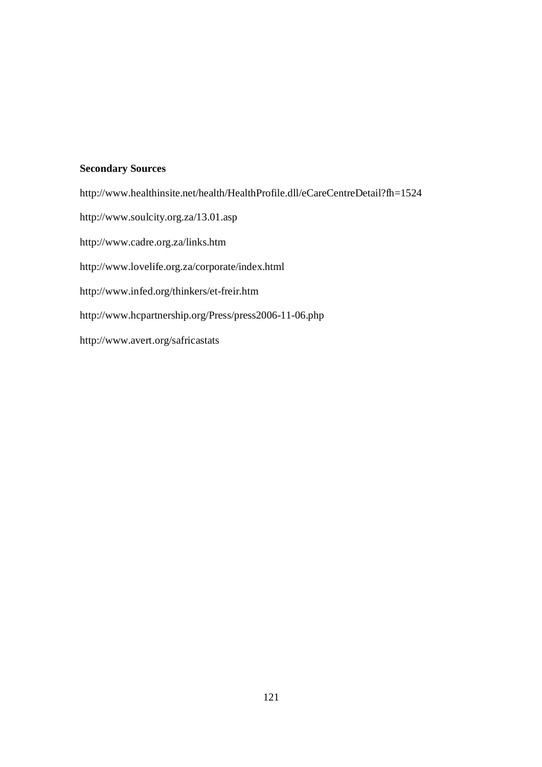### **Secondary Sources**

http://www.healthinsite.net/health/HealthProfile.dll/eCareCentreDetail?fh=1524 http://www.soulcity.org.za/13.01.asp http://www.cadre.org.za/links.htm http://www.lovelife.org.za/corporate/index.html http://www.infed.org/thinkers/et-freir.htm http://www.hcpartnership.org/Press/press2006-11-06.php http://www.avert.org/safricastats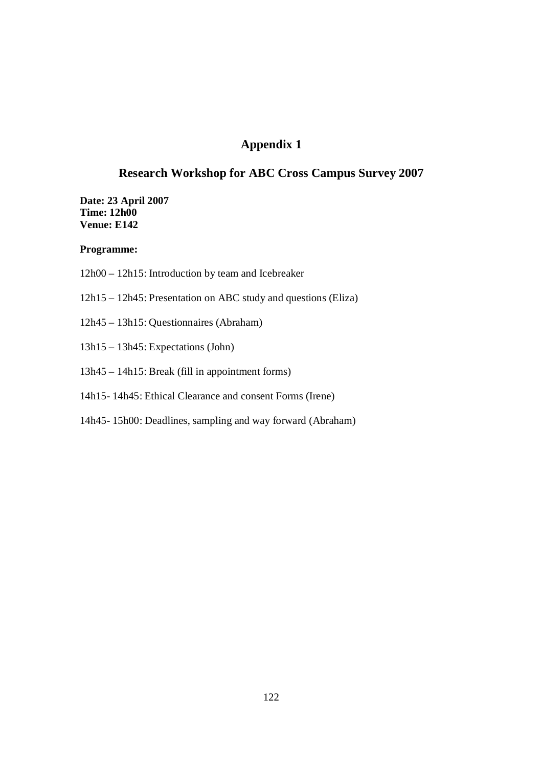# **Appendix 1**

### **Research Workshop for ABC Cross Campus Survey 2007**

**Date: 23 April 2007 Time: 12h00 Venue: E142**

#### **Programme:**

- 12h00 12h15: Introduction by team and Icebreaker
- 12h15 12h45: Presentation on ABC study and questions (Eliza)
- 12h45 13h15: Questionnaires (Abraham)
- 13h15 13h45: Expectations (John)
- 13h45 14h15: Break (fill in appointment forms)
- 14h15- 14h45: Ethical Clearance and consent Forms (Irene)
- 14h45- 15h00: Deadlines, sampling and way forward (Abraham)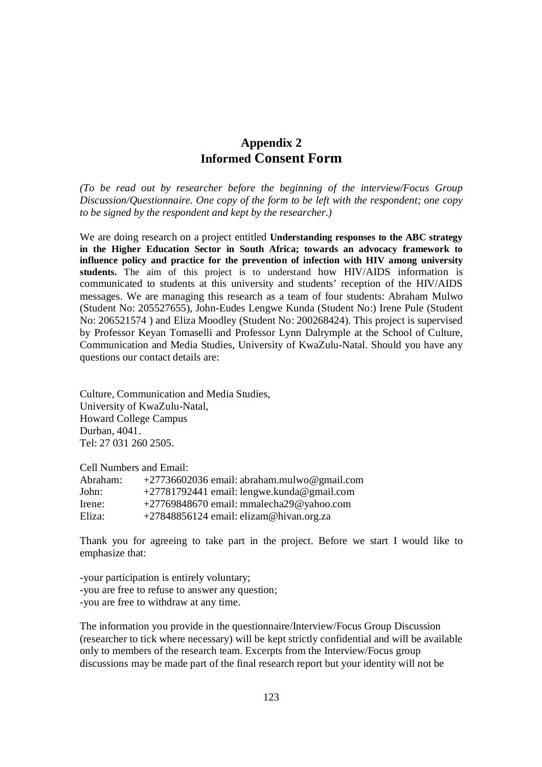# **Appendix 2 Informed Consent Form**

*(To be read out by researcher before the beginning of the interview/Focus Group Discussion/Questionnaire. One copy of the form to be left with the respondent; one copy to be signed by the respondent and kept by the researcher.)*

We are doing research on a project entitled **Understanding responses to the ABC strategy in the Higher Education Sector in South Africa; towards an advocacy framework to influence policy and practice for the prevention of infection with HIV among university students.** The aim of this project is to understand how HIV/AIDS information is communicated to students at this university and students' reception of the HIV/AIDS messages. We are managing this research as a team of four students: Abraham Mulwo (Student No: 205527655), John-Eudes Lengwe Kunda (Student No:) Irene Pule (Student No: 206521574 ) and Eliza Moodley (Student No: 200268424). This project is supervised by Professor Keyan Tomaselli and Professor Lynn Dalrymple at the School of Culture, Communication and Media Studies, University of KwaZulu-Natal. Should you have any questions our contact details are:

Culture, Communication and Media Studies, University of KwaZulu-Natal, Howard College Campus Durban, 4041. Tel: 27 031 260 2505.

Cell Numbers and Email:

| Abraham: | $+27736602036$ email: abraham.mulwo@gmail.com |
|----------|-----------------------------------------------|
| John:    | $+27781792441$ email: lengwe.kunda@gmail.com  |
| Irene:   | $+27769848670$ email: mmalecha29@yahoo.com    |
| Eliza:   | +27848856124 email: elizam@hivan.org.za       |

Thank you for agreeing to take part in the project. Before we start I would like to emphasize that:

-your participation is entirely voluntary; -you are free to refuse to answer any question; -you are free to withdraw at any time.

The information you provide in the questionnaire/Interview/Focus Group Discussion (researcher to tick where necessary) will be kept strictly confidential and will be available only to members of the research team. Excerpts from the Interview/Focus group discussions may be made part of the final research report but your identity will not be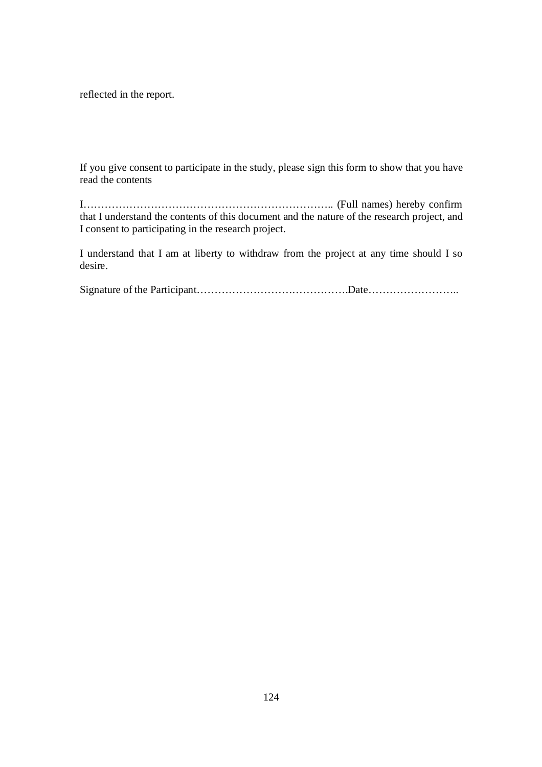reflected in the report.

If you give consent to participate in the study, please sign this form to show that you have read the contents

I…………………………………………………………….. (Full names) hereby confirm that I understand the contents of this document and the nature of the research project, and I consent to participating in the research project.

I understand that I am at liberty to withdraw from the project at any time should I so desire.

Signature of the Participant…………………………………….Date……………………..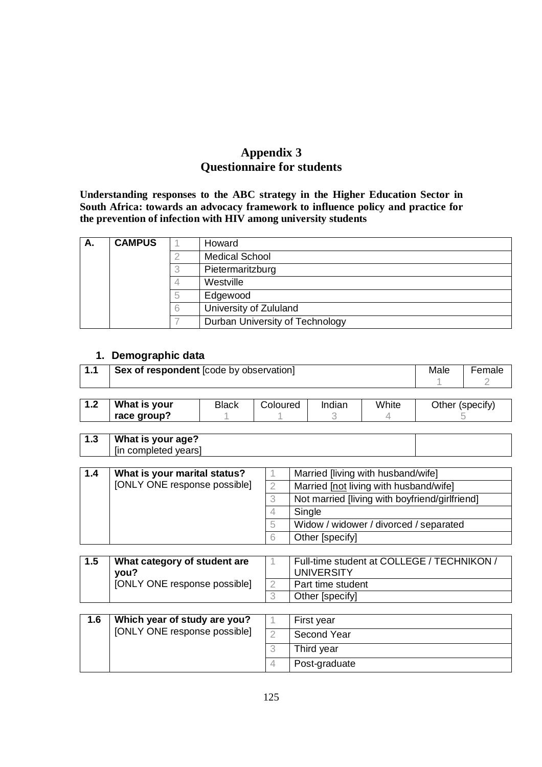# **Appendix 3 Questionnaire for students**

**Understanding responses to the ABC strategy in the Higher Education Sector in South Africa: towards an advocacy framework to influence policy and practice for the prevention of infection with HIV among university students**

| А. | <b>CAMPUS</b> | Howard                          |
|----|---------------|---------------------------------|
|    |               | <b>Medical School</b>           |
|    |               | Pietermaritzburg                |
|    |               | Westville                       |
|    |               | Edgewood                        |
|    |               | University of Zululand          |
|    |               | Durban University of Technology |

### **1. Demographic data**

| 1.1 | Sex of respondent [code by observation] | Male         | Female   |        |       |  |                 |
|-----|-----------------------------------------|--------------|----------|--------|-------|--|-----------------|
| 1.2 | What is your<br>race group?             | <b>Black</b> | Coloured | Indian | White |  | Other (specify) |

| ∣ 1.3 | What is your age?    |  |
|-------|----------------------|--|
|       | [in completed years] |  |

| 1.4 | What is your marital status? |   | Married [living with husband/wife]             |
|-----|------------------------------|---|------------------------------------------------|
|     | [ONLY ONE response possible] |   | Married [not living with husband/wife]         |
|     |                              |   | Not married [living with boyfriend/girlfriend] |
|     |                              |   | Single                                         |
|     |                              | b | Widow / widower / divorced / separated         |
|     |                              |   | Other [specify]                                |

| What category of student are<br>vou? | Full-time student at COLLEGE / TECHNIKON /<br>UNIVERSITY |
|--------------------------------------|----------------------------------------------------------|
| [ONLY ONE response possible]         | Part time student                                        |
|                                      | Other [specify]                                          |

| 1.6 | Which year of study are you? | First year    |            |
|-----|------------------------------|---------------|------------|
|     | [ONLY ONE response possible] | Second Year   |            |
|     |                              |               | Third year |
|     |                              | Post-graduate |            |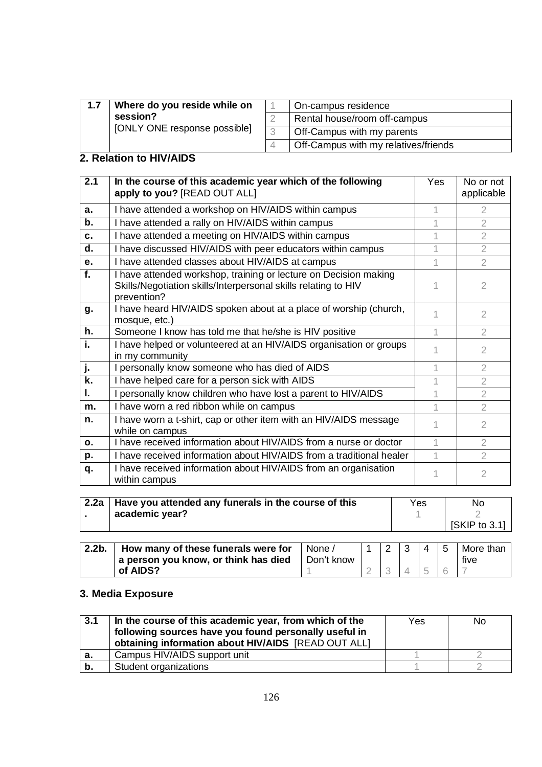| 1.7 | Where do you reside while on |  | On-campus residence                  |
|-----|------------------------------|--|--------------------------------------|
|     | session?                     |  | Rental house/room off-campus         |
|     | [ONLY ONE response possible] |  | Off-Campus with my parents           |
|     |                              |  | Off-Campus with my relatives/friends |

# **2. Relation to HIV/AIDS**

| 2.1            | In the course of this academic year which of the following<br>apply to you? [READ OUT ALL]                                                        | Yes | No or not<br>applicable |
|----------------|---------------------------------------------------------------------------------------------------------------------------------------------------|-----|-------------------------|
| a.             | I have attended a workshop on HIV/AIDS within campus                                                                                              |     | $\overline{2}$          |
| b.             | I have attended a rally on HIV/AIDS within campus                                                                                                 |     | $\overline{2}$          |
| C.             | I have attended a meeting on HIV/AIDS within campus                                                                                               |     | $\overline{2}$          |
| d.             | I have discussed HIV/AIDS with peer educators within campus                                                                                       |     | $\mathcal{P}$           |
| е.             | I have attended classes about HIV/AIDS at campus                                                                                                  |     | $\overline{2}$          |
| f.             | I have attended workshop, training or lecture on Decision making<br>Skills/Negotiation skills/Interpersonal skills relating to HIV<br>prevention? |     | $\overline{2}$          |
| g.             | I have heard HIV/AIDS spoken about at a place of worship (church,<br>mosque, etc.)                                                                |     | $\mathcal{P}$           |
| h.             | Someone I know has told me that he/she is HIV positive                                                                                            |     | $\overline{2}$          |
| i.             | I have helped or volunteered at an HIV/AIDS organisation or groups<br>in my community                                                             |     | 2                       |
| j.             | personally know someone who has died of AIDS                                                                                                      |     | 2                       |
| k.             | I have helped care for a person sick with AIDS                                                                                                    |     | $\overline{2}$          |
| I.             | I personally know children who have lost a parent to HIV/AIDS                                                                                     |     | $\overline{2}$          |
| m.             | I have worn a red ribbon while on campus                                                                                                          |     | $\overline{2}$          |
| n.             | I have worn a t-shirt, cap or other item with an HIV/AIDS message<br>while on campus                                                              |     | 2                       |
| $\mathbf{o}$ . | I have received information about HIV/AIDS from a nurse or doctor                                                                                 |     | $\mathcal{P}$           |
| p.             | I have received information about HIV/AIDS from a traditional healer                                                                              |     | $\mathcal{P}$           |
| q.             | I have received information about HIV/AIDS from an organisation<br>within campus                                                                  |     | $\overline{2}$          |

| 2.2a   Have you attended any funerals in the course of this | Yes | No             |
|-------------------------------------------------------------|-----|----------------|
| academic year?                                              |     |                |
|                                                             |     | $ISKIP$ to 3.1 |

| $2.2b$ . | How many of these funerals were for  | None /     |  | - 3 | Δ | 5 | More than |
|----------|--------------------------------------|------------|--|-----|---|---|-----------|
|          | a person you know, or think has died | Don't know |  |     |   |   | five      |
|          | of AIDS?                             |            |  |     |   |   |           |

# **3. Media Exposure**

| 3.1 | In the course of this academic year, from which of the<br>following sources have you found personally useful in<br>obtaining information about HIV/AIDS [READ OUT ALL] | Yes | No. |
|-----|------------------------------------------------------------------------------------------------------------------------------------------------------------------------|-----|-----|
| а.  | Campus HIV/AIDS support unit                                                                                                                                           |     |     |
| b.  | Student organizations                                                                                                                                                  |     |     |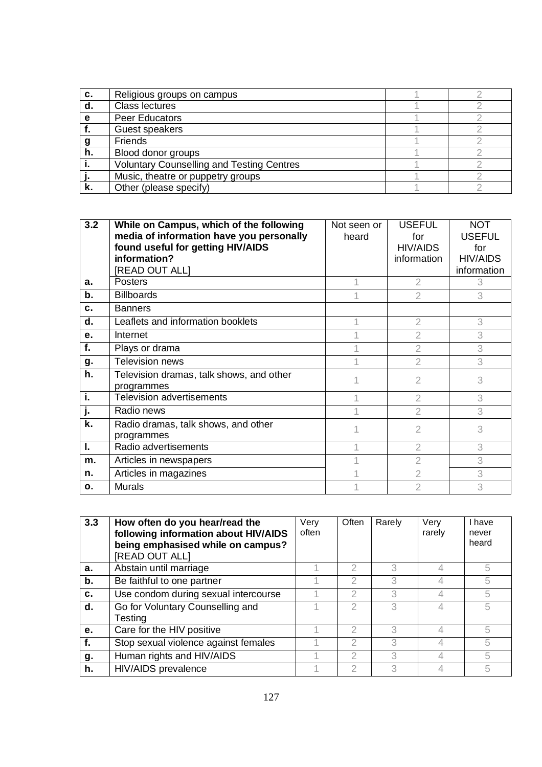| c. | Religious groups on campus                       |  |
|----|--------------------------------------------------|--|
| d. | <b>Class lectures</b>                            |  |
| е  | Peer Educators                                   |  |
|    | Guest speakers                                   |  |
|    | <b>Friends</b>                                   |  |
| h. | Blood donor groups                               |  |
|    | <b>Voluntary Counselling and Testing Centres</b> |  |
|    | Music, theatre or puppetry groups                |  |
| ĸ. | Other (please specify)                           |  |

| 3.2 | While on Campus, which of the following<br>media of information have you personally<br>found useful for getting HIV/AIDS<br>information?<br>[READ OUT ALL] | Not seen or<br>heard | <b>USEFUL</b><br>for<br><b>HIV/AIDS</b><br>information | <b>NOT</b><br><b>USEFUL</b><br>for<br><b>HIV/AIDS</b><br>information |
|-----|------------------------------------------------------------------------------------------------------------------------------------------------------------|----------------------|--------------------------------------------------------|----------------------------------------------------------------------|
| а.  | Posters                                                                                                                                                    |                      | $\overline{2}$                                         | 3                                                                    |
| b.  | <b>Billboards</b>                                                                                                                                          |                      | $\overline{2}$                                         | 3                                                                    |
| C.  | <b>Banners</b>                                                                                                                                             |                      |                                                        |                                                                      |
| d.  | Leaflets and information booklets                                                                                                                          |                      | 2                                                      | 3                                                                    |
| e.  | Internet                                                                                                                                                   |                      | $\overline{2}$                                         | 3                                                                    |
| f.  | Plays or drama                                                                                                                                             |                      | $\overline{2}$                                         | 3                                                                    |
| g.  | <b>Television news</b>                                                                                                                                     |                      | $\overline{2}$                                         | 3                                                                    |
| h.  | Television dramas, talk shows, and other<br>programmes                                                                                                     |                      | $\overline{2}$                                         | 3                                                                    |
| i.  | <b>Television advertisements</b>                                                                                                                           |                      | $\overline{2}$                                         | 3                                                                    |
|     | Radio news                                                                                                                                                 |                      | $\mathcal{D}$                                          | 3                                                                    |
| k.  | Radio dramas, talk shows, and other<br>programmes                                                                                                          |                      | $\mathfrak{D}$                                         | 3                                                                    |
| I.  | Radio advertisements                                                                                                                                       |                      | 2                                                      | 3                                                                    |
| m.  | Articles in newspapers                                                                                                                                     |                      | 2                                                      | 3                                                                    |
| n.  | Articles in magazines                                                                                                                                      |                      | $\overline{2}$                                         | 3                                                                    |
| 0.  | <b>Murals</b>                                                                                                                                              |                      | $\overline{2}$                                         | 3                                                                    |

| 3.3 | How often do you hear/read the<br>following information about HIV/AIDS<br>being emphasised while on campus?<br>[READ OUT ALL] | Very<br>often | Often         | Rarely | Very<br>rarely | I have<br>never<br>heard |
|-----|-------------------------------------------------------------------------------------------------------------------------------|---------------|---------------|--------|----------------|--------------------------|
| a.  | Abstain until marriage                                                                                                        |               |               | 3      |                | 5                        |
| b.  | Be faithful to one partner                                                                                                    |               | 2             | 3      |                | 5                        |
| c.  | Use condom during sexual intercourse                                                                                          |               | 2             | 3      |                | 5                        |
| d.  | Go for Voluntary Counselling and<br>Testing                                                                                   |               | $\mathcal{D}$ | 3      |                | 5                        |
| е.  | Care for the HIV positive                                                                                                     |               | 2             | 3      |                | 5                        |
| f.  | Stop sexual violence against females                                                                                          |               | 2             | 3      |                | 5                        |
| g.  | Human rights and HIV/AIDS                                                                                                     |               | 2             | 3      |                | 5                        |
| h.  | HIV/AIDS prevalence                                                                                                           |               | 2             | 3      |                | 5                        |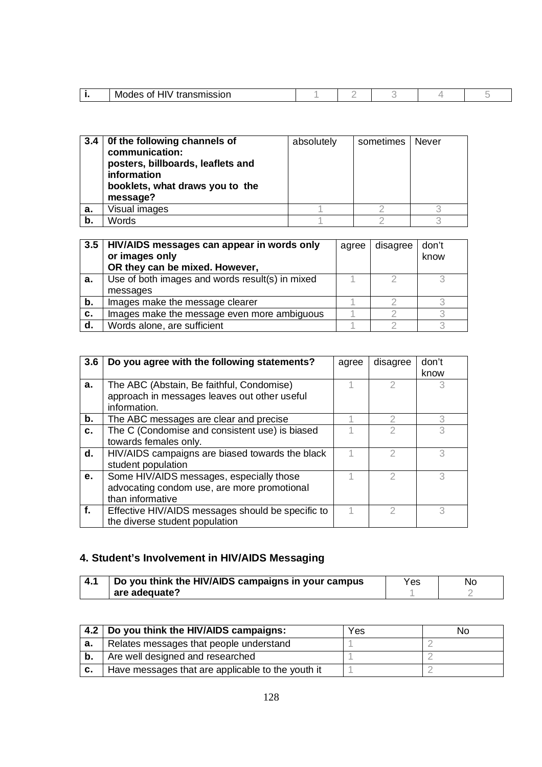| . . | $\cdots$<br>MO<br>.<br>וטוכפווי<br><u>ян</u><br>.<br>_ _ _ _ |  |  |  |
|-----|--------------------------------------------------------------|--|--|--|
|     |                                                              |  |  |  |

| 3.4 | Of the following channels of<br>communication:<br>posters, billboards, leaflets and<br>information<br>booklets, what draws you to the<br>message? | absolutely | sometimes | Never |
|-----|---------------------------------------------------------------------------------------------------------------------------------------------------|------------|-----------|-------|
| a.  | Visual images                                                                                                                                     |            |           |       |
| b.  | Words                                                                                                                                             |            |           |       |

| 3.5 | HIV/AIDS messages can appear in words only<br>or images only<br>OR they can be mixed. However, | agree | disagree | don't<br>know |
|-----|------------------------------------------------------------------------------------------------|-------|----------|---------------|
| а.  | Use of both images and words result(s) in mixed<br>messages                                    |       |          |               |
| b.  | Images make the message clearer                                                                |       |          |               |
| c.  | Images make the message even more ambiguous                                                    |       |          |               |
| d.  | Words alone, are sufficient                                                                    |       |          |               |

| 3.6 | Do you agree with the following statements?       | agree | disagree | don't |
|-----|---------------------------------------------------|-------|----------|-------|
|     |                                                   |       |          | know  |
| a.  | The ABC (Abstain, Be faithful, Condomise)         |       |          |       |
|     | approach in messages leaves out other useful      |       |          |       |
|     | information.                                      |       |          |       |
| b.  | The ABC messages are clear and precise            |       | 2        | 3     |
| c.  | The C (Condomise and consistent use) is biased    |       |          | 3     |
|     | towards females only.                             |       |          |       |
| d.  | HIV/AIDS campaigns are biased towards the black   |       | 2        | 3     |
|     | student population                                |       |          |       |
| e.  | Some HIV/AIDS messages, especially those          |       | 2        | 3     |
|     | advocating condom use, are more promotional       |       |          |       |
|     | than informative                                  |       |          |       |
| f.  | Effective HIV/AIDS messages should be specific to |       |          | 3     |
|     | the diverse student population                    |       |          |       |

# **4. Student's Involvement in HIV/AIDS Messaging**

| -4.1 | Do you think the HIV/AIDS campaigns in your campus | Yes | No |
|------|----------------------------------------------------|-----|----|
|      | are adequate?                                      |     |    |

|    | 4.2   Do you think the HIV/AIDS campaigns:        | Yes | NΟ |
|----|---------------------------------------------------|-----|----|
| а. | Relates messages that people understand           |     |    |
| b. | Are well designed and researched                  |     |    |
| c. | Have messages that are applicable to the youth it |     |    |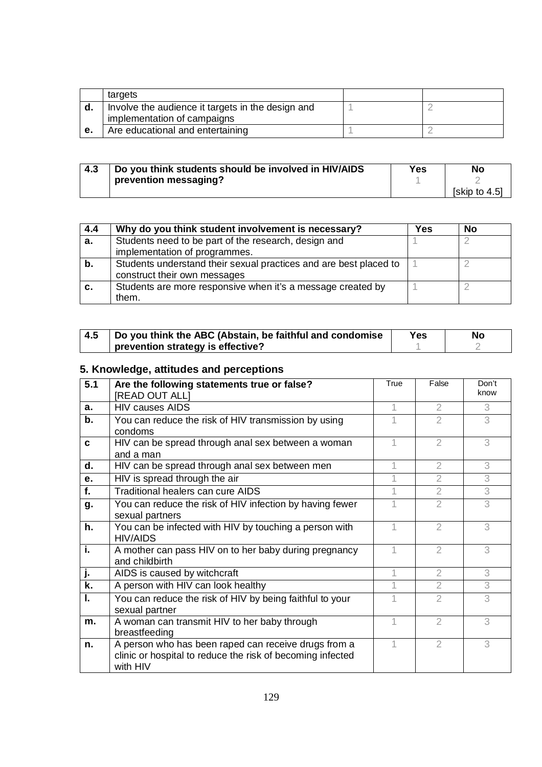|    | targets                                           |  |
|----|---------------------------------------------------|--|
| d. | Involve the audience it targets in the design and |  |
|    | implementation of campaigns                       |  |
| е. | Are educational and entertaining                  |  |

| 4.3 | Do you think students should be involved in HIV/AIDS | Yes | No            |
|-----|------------------------------------------------------|-----|---------------|
|     | prevention messaging?                                |     |               |
|     |                                                      |     | [skip to 4.5] |

| 4.4 | Why do you think student involvement is necessary?                | Yes | <b>No</b> |
|-----|-------------------------------------------------------------------|-----|-----------|
| а.  | Students need to be part of the research, design and              |     |           |
|     | implementation of programmes.                                     |     |           |
| b.  | Students understand their sexual practices and are best placed to |     |           |
|     | construct their own messages                                      |     |           |
| С.  | Students are more responsive when it's a message created by       |     |           |
|     | them.                                                             |     |           |

| 4.5 | Do you think the ABC (Abstain, be faithful and condomise | Yes | No |
|-----|----------------------------------------------------------|-----|----|
|     | prevention strategy is effective?                        |     |    |

# **5. Knowledge, attitudes and perceptions**

| 5.1         | Are the following statements true or false?                                                                                    | True | False          | Don't |
|-------------|--------------------------------------------------------------------------------------------------------------------------------|------|----------------|-------|
|             | <b>[READ OUT ALL]</b>                                                                                                          |      |                | know  |
| $a_{\cdot}$ | <b>HIV causes AIDS</b>                                                                                                         |      | 2              | 3     |
| b.          | You can reduce the risk of HIV transmission by using<br>condoms                                                                |      | $\overline{2}$ | 3     |
| C           | HIV can be spread through anal sex between a woman<br>and a man                                                                |      | $\overline{2}$ | 3     |
| d.          | HIV can be spread through anal sex between men                                                                                 |      | 2              | 3     |
| e.          | HIV is spread through the air                                                                                                  |      | $\overline{2}$ | 3     |
| f.          | Traditional healers can cure AIDS                                                                                              |      | $\overline{2}$ | 3     |
| g.          | You can reduce the risk of HIV infection by having fewer<br>sexual partners                                                    |      | $\overline{2}$ | 3     |
| h.          | You can be infected with HIV by touching a person with<br>HIV/AIDS                                                             |      | $\mathfrak{2}$ | 3     |
| i.          | A mother can pass HIV on to her baby during pregnancy<br>and childbirth                                                        |      | $\mathfrak{2}$ | 3     |
| j.          | AIDS is caused by witchcraft                                                                                                   |      | $\overline{2}$ | 3     |
| k.          | A person with HIV can look healthy                                                                                             |      | $\overline{2}$ | 3     |
| I.          | You can reduce the risk of HIV by being faithful to your<br>sexual partner                                                     |      | $\overline{2}$ | 3     |
| m.          | A woman can transmit HIV to her baby through<br>breastfeeding                                                                  |      | $\overline{2}$ | 3     |
| n.          | A person who has been raped can receive drugs from a<br>clinic or hospital to reduce the risk of becoming infected<br>with HIV |      | 2              | 3     |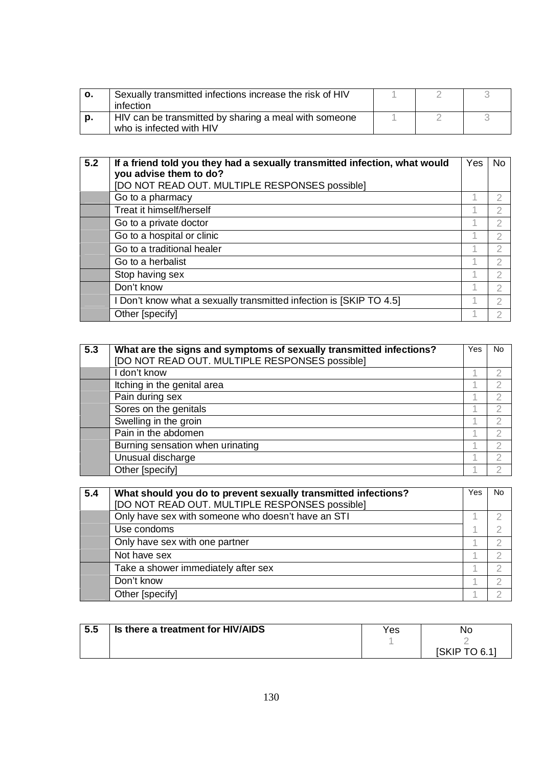| о. | Sexually transmitted infections increase the risk of HIV<br>infection             |  |  |
|----|-----------------------------------------------------------------------------------|--|--|
| p. | HIV can be transmitted by sharing a meal with someone<br>who is infected with HIV |  |  |

| 5.2 | If a friend told you they had a sexually transmitted infection, what would<br>you advise them to do? | Yes | No. |
|-----|------------------------------------------------------------------------------------------------------|-----|-----|
|     | [DO NOT READ OUT. MULTIPLE RESPONSES possible]                                                       |     |     |
|     | Go to a pharmacy                                                                                     |     |     |
|     | Treat it himself/herself                                                                             |     | 2   |
|     | Go to a private doctor                                                                               |     | 2   |
|     | Go to a hospital or clinic                                                                           | 1   |     |
|     | Go to a traditional healer                                                                           |     |     |
|     | Go to a herbalist                                                                                    |     | 2   |
|     | Stop having sex                                                                                      |     | 2   |
|     | Don't know                                                                                           |     |     |
|     | I Don't know what a sexually transmitted infection is [SKIP TO 4.5]                                  |     |     |
|     | Other [specify]                                                                                      |     |     |

| 5.3 | What are the signs and symptoms of sexually transmitted infections?<br>[DO NOT READ OUT. MULTIPLE RESPONSES possible] | Yes | No             |
|-----|-----------------------------------------------------------------------------------------------------------------------|-----|----------------|
|     | I don't know                                                                                                          | и   | 2              |
|     | Itching in the genital area                                                                                           |     | 2              |
|     | Pain during sex                                                                                                       |     | 2              |
|     | Sores on the genitals                                                                                                 |     | 2              |
|     | Swelling in the groin                                                                                                 |     | 2              |
|     | Pain in the abdomen                                                                                                   |     | 2              |
|     | Burning sensation when urinating                                                                                      | А   | $\overline{2}$ |
|     | Unusual discharge                                                                                                     |     | 2              |
|     | Other [specify]                                                                                                       |     | っ              |

| 5.4 | What should you do to prevent sexually transmitted infections? | Yes | No |
|-----|----------------------------------------------------------------|-----|----|
|     | [DO NOT READ OUT. MULTIPLE RESPONSES possible]                 |     |    |
|     | Only have sex with someone who doesn't have an STI             |     |    |
|     | Use condoms                                                    |     |    |
|     | Only have sex with one partner                                 |     |    |
|     | Not have sex                                                   |     |    |
|     | Take a shower immediately after sex                            |     |    |
|     | Don't know                                                     |     |    |
|     | Other [specify]                                                |     |    |

| 5.5 | Is there a treatment for HIV/AIDS | Yes | Νo            |
|-----|-----------------------------------|-----|---------------|
|     |                                   |     |               |
|     |                                   |     | 'SKIP<br>TOR1 |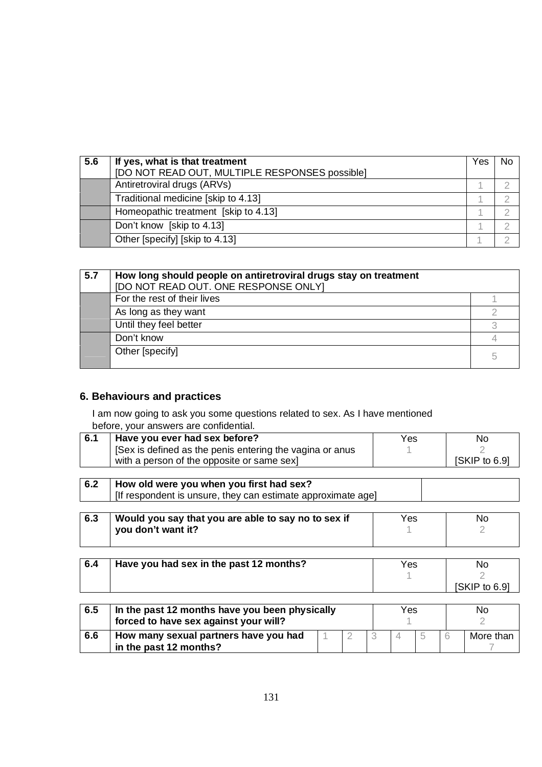| 5.6 | If yes, what is that treatment                 | Yes | <b>Nc</b> |
|-----|------------------------------------------------|-----|-----------|
|     | [DO NOT READ OUT, MULTIPLE RESPONSES possible] |     |           |
|     | Antiretroviral drugs (ARVs)                    |     |           |
|     | Traditional medicine [skip to 4.13]            |     |           |
|     | Homeopathic treatment [skip to 4.13]           |     |           |
|     | Don't know [skip to 4.13]                      |     |           |
|     | Other [specify] [skip to 4.13]                 |     |           |

| 5.7 | How long should people on antiretroviral drugs stay on treatment<br>[DO NOT READ OUT. ONE RESPONSE ONLY] |   |
|-----|----------------------------------------------------------------------------------------------------------|---|
|     | For the rest of their lives                                                                              |   |
|     | As long as they want                                                                                     |   |
|     | Until they feel better                                                                                   |   |
|     | Don't know                                                                                               |   |
|     | Other [specify]                                                                                          | 5 |

# **6. Behaviours and practices**

I am now going to ask you some questions related to sex. As I have mentioned before, your answers are confidential.

| 6.1 | Have you ever had sex before?                                | Yes | No            |
|-----|--------------------------------------------------------------|-----|---------------|
|     | [Sex is defined as the penis entering the vagina or anus     |     |               |
|     | with a person of the opposite or same sex]                   |     | [SKIP to 6.9] |
|     |                                                              |     |               |
| 6.2 | How old were you when you first had sex?                     |     |               |
|     | [If respondent is unsure, they can estimate approximate age] |     |               |

| 6.3<br>Would you say that you are able to say no to sex if | Yes | No |
|------------------------------------------------------------|-----|----|
| you don't want it?                                         |     |    |

| 6.4 | Have you had sex in the past 12 months? | Yes | No            |
|-----|-----------------------------------------|-----|---------------|
|     |                                         |     |               |
|     |                                         |     | [SKIP to 6.9] |

| 6.5 | forced to have sex against your will?                           | In the past 12 months have you been physically |  |  | Yes |  |  | No        |  |
|-----|-----------------------------------------------------------------|------------------------------------------------|--|--|-----|--|--|-----------|--|
| 6.6 | How many sexual partners have you had<br>in the past 12 months? |                                                |  |  |     |  |  | More than |  |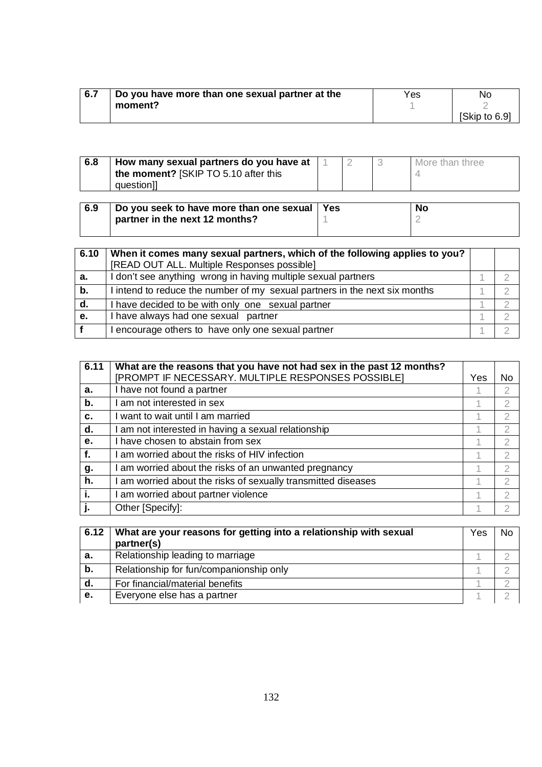| 6.7 | Do you have more than one sexual partner at the | Yes | No.           |
|-----|-------------------------------------------------|-----|---------------|
|     | moment?                                         |     |               |
|     |                                                 |     | [Skip to 6.9] |

| the moment? [SKIP TO 5.10 after this<br>questionll | 6.8 | How many sexual partners do you have at |  | More than three |
|----------------------------------------------------|-----|-----------------------------------------|--|-----------------|
|                                                    |     |                                         |  |                 |
|                                                    |     |                                         |  |                 |

| 6.9 | Do you seek to have more than one sexual   Yes | <b>No</b> |
|-----|------------------------------------------------|-----------|
|     | partner in the next 12 months?                 |           |
|     |                                                |           |

| 6.10 | When it comes many sexual partners, which of the following applies to you? |  |
|------|----------------------------------------------------------------------------|--|
|      | [READ OUT ALL. Multiple Responses possible]                                |  |
| a.   | I don't see anything wrong in having multiple sexual partners              |  |
| b.   | I intend to reduce the number of my sexual partners in the next six months |  |
| d.   | I have decided to be with only one sexual partner                          |  |
| е.   | I have always had one sexual partner                                       |  |
|      | encourage others to have only one sexual partner                           |  |

| 6.11 | What are the reasons that you have not had sex in the past 12 months?<br>[PROMPT IF NECESSARY. MULTIPLE RESPONSES POSSIBLE] | Yes | No             |
|------|-----------------------------------------------------------------------------------------------------------------------------|-----|----------------|
| а.   | I have not found a partner                                                                                                  |     | 2              |
| b.   | am not interested in sex                                                                                                    |     | 2              |
| C.   | want to wait until I am married                                                                                             |     | 2              |
| d.   | am not interested in having a sexual relationship                                                                           |     | 2              |
| e.   | have chosen to abstain from sex                                                                                             |     | 2              |
| f.   | am worried about the risks of HIV infection                                                                                 |     | $\overline{2}$ |
| g.   | am worried about the risks of an unwanted pregnancy                                                                         | 1   | 2              |
| h.   | am worried about the risks of sexually transmitted diseases                                                                 | 4   | $\mathcal{D}$  |
| j.   | am worried about partner violence                                                                                           | 4   | $\overline{2}$ |
|      | Other [Specify]:                                                                                                            |     | 2              |

| 6.12 | What are your reasons for getting into a relationship with sexual<br>partner(s) | Yes | Nc |
|------|---------------------------------------------------------------------------------|-----|----|
| а.   | Relationship leading to marriage                                                |     |    |
| b.   | Relationship for fun/companionship only                                         |     |    |
| d.   | For financial/material benefits                                                 |     |    |
| e.   | Everyone else has a partner                                                     |     |    |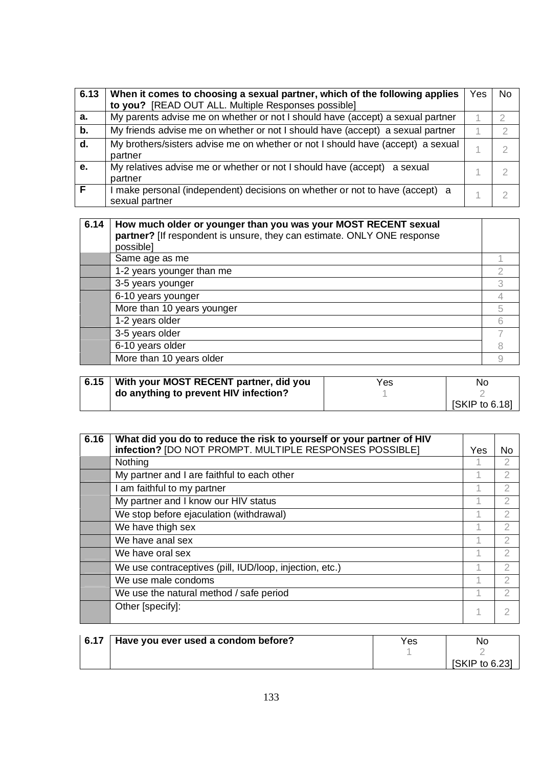| 6.13 | When it comes to choosing a sexual partner, which of the following applies                     | Yes | No |
|------|------------------------------------------------------------------------------------------------|-----|----|
|      | to you? [READ OUT ALL. Multiple Responses possible]                                            |     |    |
| a.   | My parents advise me on whether or not I should have (accept) a sexual partner                 |     |    |
| b.   | My friends advise me on whether or not I should have (accept) a sexual partner                 |     |    |
| d.   | My brothers/sisters advise me on whether or not I should have (accept) a sexual<br>partner     |     |    |
| e.   | My relatives advise me or whether or not I should have (accept) a sexual<br>partner            |     |    |
| Е    | I make personal (independent) decisions on whether or not to have (accept) a<br>sexual partner |     |    |

| 6.14 | How much older or younger than you was your MOST RECENT sexual<br>partner? [If respondent is unsure, they can estimate. ONLY ONE response<br>possible] |   |
|------|--------------------------------------------------------------------------------------------------------------------------------------------------------|---|
|      | Same age as me                                                                                                                                         |   |
|      | 1-2 years younger than me                                                                                                                              |   |
|      | 3-5 years younger                                                                                                                                      |   |
|      | 6-10 years younger                                                                                                                                     |   |
|      | More than 10 years younger                                                                                                                             | 5 |
|      | 1-2 years older                                                                                                                                        | 6 |
|      | 3-5 years older                                                                                                                                        |   |
|      | 6-10 years older                                                                                                                                       |   |
|      | More than 10 years older                                                                                                                               |   |

| 6.15   With your MOST RECENT partner, did you | Yes | No             |
|-----------------------------------------------|-----|----------------|
| do anything to prevent HIV infection?         |     |                |
|                                               |     | [SKIP to 6.18] |

| 6.16 | What did you do to reduce the risk to yourself or your partner of HIV<br>infection? [DO NOT PROMPT. MULTIPLE RESPONSES POSSIBLE] | Yes | No             |
|------|----------------------------------------------------------------------------------------------------------------------------------|-----|----------------|
|      | Nothing                                                                                                                          |     | 2              |
|      | My partner and I are faithful to each other                                                                                      | 1   | 2              |
|      | I am faithful to my partner                                                                                                      |     | $\mathfrak{D}$ |
|      | My partner and I know our HIV status                                                                                             |     | $\overline{2}$ |
|      | We stop before ejaculation (withdrawal)                                                                                          |     | $\mathfrak{D}$ |
|      | We have thigh sex                                                                                                                |     | 2              |
|      | We have anal sex                                                                                                                 |     | 2              |
|      | We have oral sex                                                                                                                 | 1   | 2              |
|      | We use contraceptives (pill, IUD/loop, injection, etc.)                                                                          | и   | $\mathcal{P}$  |
|      | We use male condoms                                                                                                              |     | $\overline{2}$ |
|      | We use the natural method / safe period                                                                                          |     | 2              |
|      | Other [specify]:                                                                                                                 | 1   |                |

|  | 6.17 Have you ever used a condom before? | Yes | No             |
|--|------------------------------------------|-----|----------------|
|  |                                          |     |                |
|  |                                          |     | [SKIP to 6.23] |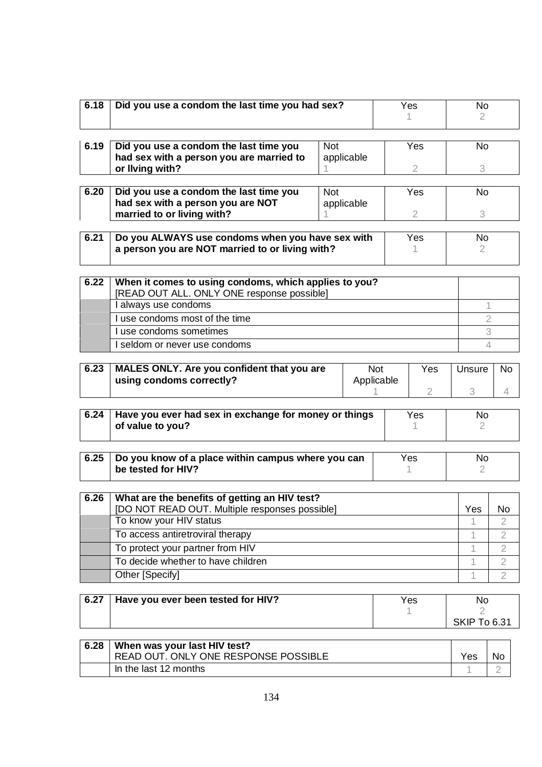| 6.18 | Did you use a condom the last time you had sex?                                                                   |                               |            |                | Yes            | <b>No</b><br>2. |                |
|------|-------------------------------------------------------------------------------------------------------------------|-------------------------------|------------|----------------|----------------|-----------------|----------------|
| 6.19 | Did you use a condom the last time you                                                                            | <b>Not</b>                    |            |                | Yes            | <b>No</b>       |                |
|      | had sex with a person you are married to<br>or Ilving with?                                                       |                               | applicable |                | $\overline{2}$ | 3               |                |
|      |                                                                                                                   |                               |            |                |                |                 |                |
| 6.20 | Did you use a condom the last time you<br>had sex with a person you are NOT                                       | <b>Not</b>                    | applicable |                | Yes            | No              |                |
|      | married to or living with?                                                                                        |                               |            |                | $\overline{2}$ | 3               |                |
| 6.21 | Do you ALWAYS use condoms when you have sex with<br><b>Yes</b><br>a person you are NOT married to or living with? |                               |            | <b>No</b><br>2 |                |                 |                |
| 6.22 | When it comes to using condoms, which applies to you?<br>[READ OUT ALL. ONLY ONE response possible]               |                               |            |                |                |                 |                |
|      | I always use condoms                                                                                              |                               |            |                |                | 1               |                |
|      | I use condoms most of the time                                                                                    |                               |            |                |                | $\overline{2}$  |                |
|      | I use condoms sometimes                                                                                           |                               |            |                |                | 3               |                |
|      | I seldom or never use condoms                                                                                     |                               |            |                |                | 4               |                |
| 6.23 | MALES ONLY. Are you confident that you are<br>using condoms correctly?                                            | Not<br>Yes<br>Applicable<br>2 |            |                | Unsure<br>3    | <b>No</b><br>4  |                |
| 6.24 | Have you ever had sex in exchange for money or things<br>of value to you?                                         |                               |            |                | Yes            | No.<br>2        |                |
| 6.25 | Do you know of a place within campus where you can<br>be tested for HIV?                                          |                               |            |                | Yes            | No<br>2         |                |
|      |                                                                                                                   |                               |            |                |                |                 |                |
| 6.26 | What are the benefits of getting an HIV test?                                                                     |                               |            |                |                |                 |                |
|      | [DO NOT READ OUT. Multiple responses possible]<br>To know your HIV status                                         |                               |            |                |                | Yes<br>1        | No<br>2        |
|      | To access antiretroviral therapy                                                                                  |                               |            |                |                | 1               | $\overline{2}$ |
|      | To protect your partner from HIV                                                                                  |                               |            |                |                | 1               | $\overline{2}$ |
|      | To decide whether to have children                                                                                |                               |            |                |                | 1               | $\overline{2}$ |
|      | Other [Specify]                                                                                                   |                               |            |                |                | 1               | $\overline{2}$ |
|      |                                                                                                                   |                               |            |                |                |                 |                |
| 6.27 | Have you ever been tested for HIV?                                                                                |                               |            |                | Yes            | No              |                |

| 6.28 | When was your last HIV test?<br>READ OUT. ONLY ONE RESPONSE POSSIBLE | <b>Yes</b> | No |
|------|----------------------------------------------------------------------|------------|----|
|      | In the last 12 months                                                |            |    |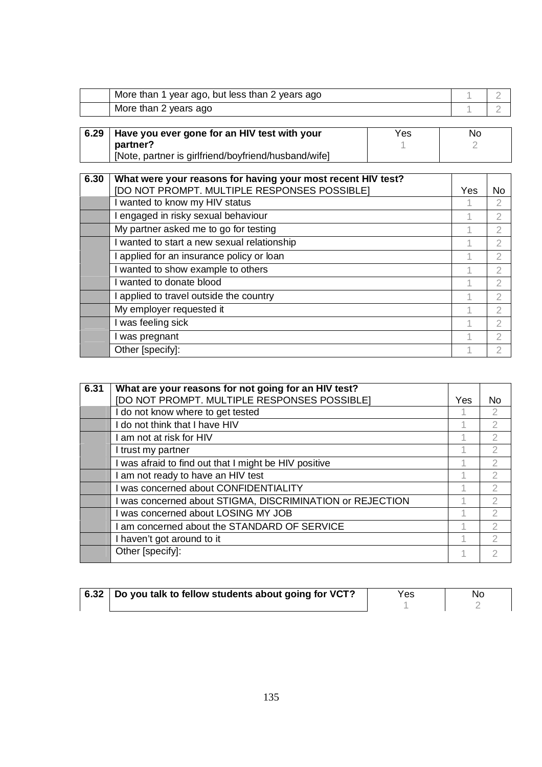| More than 1 year ago, but less than 2 years ago |  |
|-------------------------------------------------|--|
| More than 2 years ago                           |  |
|                                                 |  |

| 6.29 Have you ever gone for an HIV test with your    | Yes | No |
|------------------------------------------------------|-----|----|
| partner?                                             |     |    |
| [Note, partner is girlfriend/boyfriend/husband/wife] |     |    |

| 6.30 | What were your reasons for having your most recent HIV test? |     |                |
|------|--------------------------------------------------------------|-----|----------------|
|      | [DO NOT PROMPT. MULTIPLE RESPONSES POSSIBLE]                 | Yes | No             |
|      | I wanted to know my HIV status                               |     | 2              |
|      | I engaged in risky sexual behaviour                          |     | 2              |
|      | My partner asked me to go for testing                        |     | 2              |
|      | I wanted to start a new sexual relationship                  | 1   | 2              |
|      | I applied for an insurance policy or loan                    | 4   | $\overline{2}$ |
|      | I wanted to show example to others                           |     | $\mathfrak{D}$ |
|      | I wanted to donate blood                                     | 1   | 2              |
|      | I applied to travel outside the country                      | 1   | $\overline{2}$ |
|      | My employer requested it                                     | 1   | $\overline{2}$ |
|      | I was feeling sick                                           | 1   | $\overline{2}$ |
|      | I was pregnant                                               | 1   | $\mathcal{P}$  |
|      | Other [specify]:                                             |     | 2              |

| 6.31 | What are your reasons for not going for an HIV test?      |     |                |
|------|-----------------------------------------------------------|-----|----------------|
|      | [DO NOT PROMPT. MULTIPLE RESPONSES POSSIBLE]              | Yes | No.            |
|      | I do not know where to get tested                         |     | $\mathfrak{D}$ |
|      | I do not think that I have HIV                            |     | $\overline{2}$ |
|      | I am not at risk for HIV                                  |     | $\overline{2}$ |
|      | I trust my partner                                        |     | $\overline{2}$ |
|      | I was afraid to find out that I might be HIV positive     |     | $\overline{2}$ |
|      | am not ready to have an HIV test                          |     | $\overline{2}$ |
|      | I was concerned about CONFIDENTIALITY                     |     | $\overline{2}$ |
|      | I was concerned about STIGMA, DISCRIMINATION or REJECTION |     | $\overline{2}$ |
|      | was concerned about LOSING MY JOB                         |     | $\overline{2}$ |
|      | am concerned about the STANDARD OF SERVICE                |     | $\overline{2}$ |
|      | I haven't got around to it                                |     | $\overline{2}$ |
|      | Other [specify]:                                          |     | 2              |

| 6.32   Do you talk to fellow students about going for VCT? | ⊻es | No |
|------------------------------------------------------------|-----|----|
|                                                            |     |    |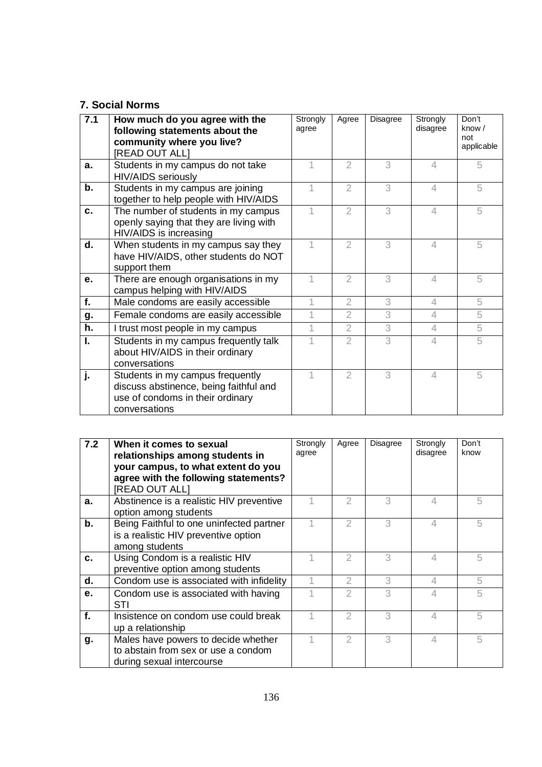### **7. Social Norms**

| 7.1         | How much do you agree with the<br>following statements about the<br>community where you live?<br>[READ OUT ALL]                 | Strongly<br>agree | Agree          | Disagree | Strongly<br>disagree     | Don't<br>know $/$<br>not<br>applicable |
|-------------|---------------------------------------------------------------------------------------------------------------------------------|-------------------|----------------|----------|--------------------------|----------------------------------------|
| $a_{\cdot}$ | Students in my campus do not take<br><b>HIV/AIDS</b> seriously                                                                  |                   | $\overline{2}$ | 3        | $\Delta$                 | 5                                      |
| b.          | Students in my campus are joining<br>together to help people with HIV/AIDS                                                      |                   | $\overline{2}$ | 3        | $\overline{\mathcal{A}}$ | 5                                      |
| C.          | The number of students in my campus<br>openly saying that they are living with<br>HIV/AIDS is increasing                        |                   | $\overline{2}$ | 3        | 4                        | 5                                      |
| d.          | When students in my campus say they<br>have HIV/AIDS, other students do NOT<br>support them                                     | 1                 | $\mathfrak{D}$ | 3        | $\overline{\mathcal{A}}$ | 5                                      |
| e.          | There are enough organisations in my<br>campus helping with HIV/AIDS                                                            |                   | $\overline{2}$ | 3        | $\Delta$                 | 5                                      |
| f.          | Male condoms are easily accessible                                                                                              | 1                 | $\overline{2}$ | 3        | 4                        | 5                                      |
| g.          | Female condoms are easily accessible                                                                                            | 1                 | $\overline{2}$ | 3        | $\overline{4}$           | 5                                      |
| h.          | I trust most people in my campus                                                                                                |                   | $\overline{2}$ | 3        | $\overline{4}$           | 5                                      |
| I.          | Students in my campus frequently talk<br>about HIV/AIDS in their ordinary<br>conversations                                      |                   | 2              | 3        | 4                        | 5                                      |
| j.          | Students in my campus frequently<br>discuss abstinence, being faithful and<br>use of condoms in their ordinary<br>conversations |                   | $\overline{2}$ | 3        | $\Delta$                 | 5                                      |

| 7.2 | When it comes to sexual<br>relationships among students in<br>your campus, to what extent do you<br>agree with the following statements?<br>[READ OUT ALL] | Strongly<br>agree | Agree          | <b>Disagree</b> | Strongly<br>disagree     | Don't<br>know |
|-----|------------------------------------------------------------------------------------------------------------------------------------------------------------|-------------------|----------------|-----------------|--------------------------|---------------|
| a.  | Abstinence is a realistic HIV preventive<br>option among students                                                                                          |                   |                | 3               | 4                        | 5             |
| b.  | Being Faithful to one uninfected partner<br>is a realistic HIV preventive option<br>among students                                                         |                   | $\mathfrak{D}$ | 3               | $\overline{\mathcal{A}}$ | 5             |
| c.  | Using Condom is a realistic HIV<br>preventive option among students                                                                                        |                   |                | 3               | 4                        | 5             |
| d.  | Condom use is associated with infidelity                                                                                                                   |                   | 2              | 3               | $\overline{\mathcal{A}}$ | 5             |
| е.  | Condom use is associated with having<br>STI                                                                                                                |                   | 2              | 3               | 4                        | 5             |
| f.  | Insistence on condom use could break<br>up a relationship                                                                                                  |                   | $\mathcal{P}$  | 3               | $\Delta$                 | 5             |
| g.  | Males have powers to decide whether<br>to abstain from sex or use a condom<br>during sexual intercourse                                                    |                   | 2              | 3               | $\overline{\mathcal{A}}$ | 5             |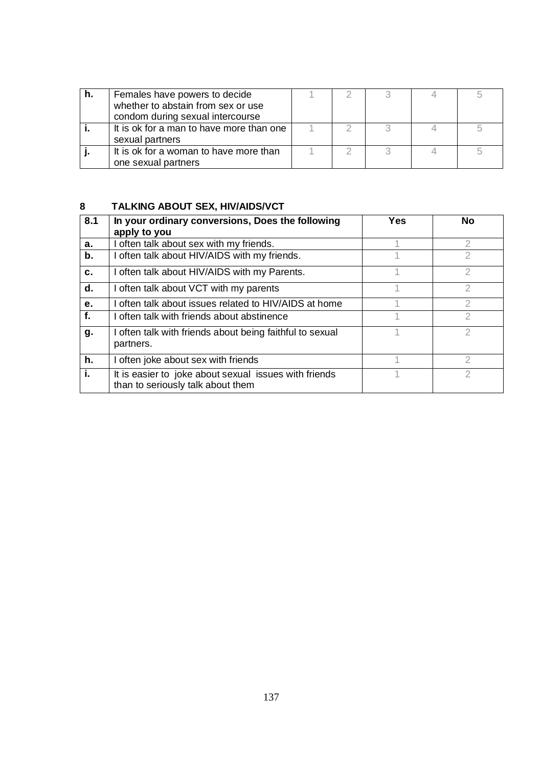| h. | Females have powers to decide            |  |  |  |
|----|------------------------------------------|--|--|--|
|    | whether to abstain from sex or use       |  |  |  |
|    | condom during sexual intercourse         |  |  |  |
|    | It is ok for a man to have more than one |  |  |  |
|    | sexual partners                          |  |  |  |
|    | It is ok for a woman to have more than   |  |  |  |
|    | one sexual partners                      |  |  |  |

## **8 TALKING ABOUT SEX, HIV/AIDS/VCT**

| 8.1 | In your ordinary conversions, Does the following                                           | Yes | <b>No</b> |
|-----|--------------------------------------------------------------------------------------------|-----|-----------|
| a.  | apply to you<br>I often talk about sex with my friends.                                    |     | 2         |
| b.  | I often talk about HIV/AIDS with my friends.                                               |     | 2         |
| c.  | I often talk about HIV/AIDS with my Parents.                                               |     | 2         |
| d.  | I often talk about VCT with my parents                                                     |     | 2         |
| е.  | I often talk about issues related to HIV/AIDS at home                                      |     | 2         |
| f.  | I often talk with friends about abstinence                                                 |     | 2         |
| g.  | I often talk with friends about being faithful to sexual<br>partners.                      |     |           |
| h.  | I often joke about sex with friends                                                        |     | 2         |
| i.  | It is easier to joke about sexual issues with friends<br>than to seriously talk about them |     | 2         |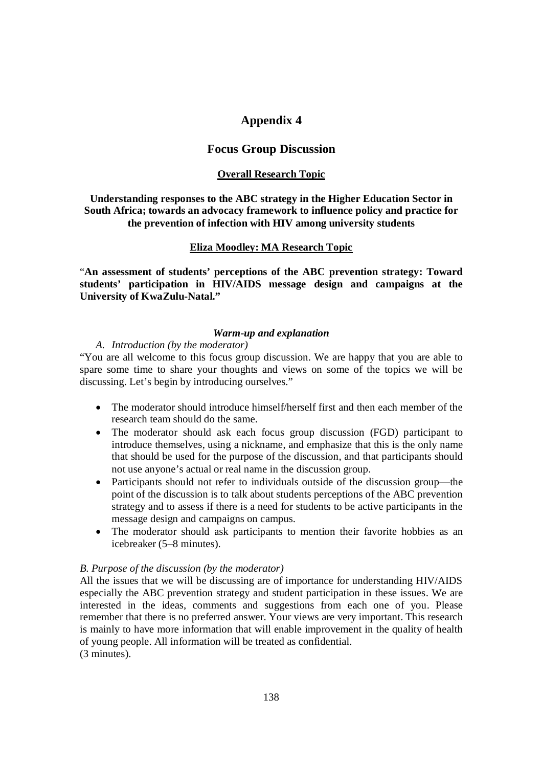### **Appendix 4**

### **Focus Group Discussion**

#### **Overall Research Topic**

### **Understanding responses to the ABC strategy in the Higher Education Sector in South Africa; towards an advocacy framework to influence policy and practice for the prevention of infection with HIV among university students**

#### **Eliza Moodley: MA Research Topic**

"**An assessment of students' perceptions of the ABC prevention strategy: Toward students' participation in HIV/AIDS message design and campaigns at the University of KwaZulu-Natal."**

#### *Warm-up and explanation*

### *A. Introduction (by the moderator)*

"You are all welcome to this focus group discussion. We are happy that you are able to spare some time to share your thoughts and views on some of the topics we will be discussing. Let's begin by introducing ourselves."

- The moderator should introduce himself/herself first and then each member of the research team should do the same.
- The moderator should ask each focus group discussion (FGD) participant to introduce themselves, using a nickname, and emphasize that this is the only name that should be used for the purpose of the discussion, and that participants should not use anyone's actual or real name in the discussion group.
- Participants should not refer to individuals outside of the discussion group—the point of the discussion is to talk about students perceptions of the ABC prevention strategy and to assess if there is a need for students to be active participants in the message design and campaigns on campus.
- The moderator should ask participants to mention their favorite hobbies as an icebreaker (5–8 minutes).

#### *B. Purpose of the discussion (by the moderator)*

All the issues that we will be discussing are of importance for understanding HIV/AIDS especially the ABC prevention strategy and student participation in these issues. We are interested in the ideas, comments and suggestions from each one of you. Please remember that there is no preferred answer. Your views are very important. This research is mainly to have more information that will enable improvement in the quality of health of young people. All information will be treated as confidential. (3 minutes).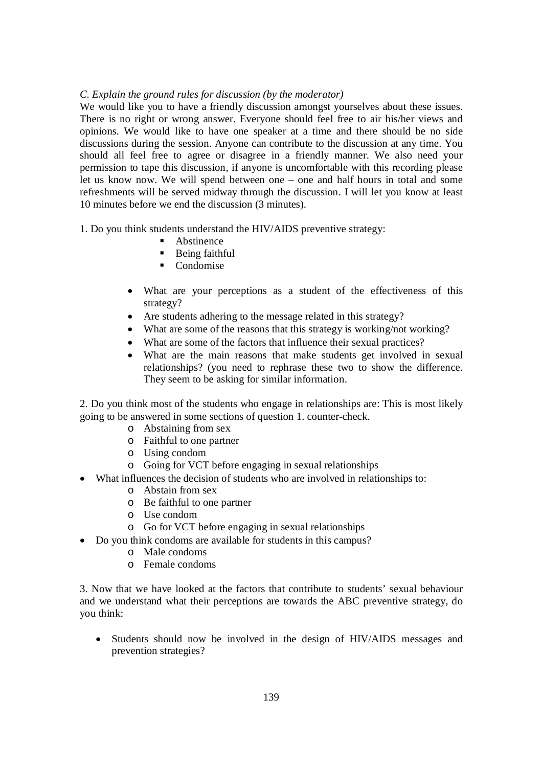### *C. Explain the ground rules for discussion (by the moderator)*

We would like you to have a friendly discussion amongst yourselves about these issues. There is no right or wrong answer. Everyone should feel free to air his/her views and opinions. We would like to have one speaker at a time and there should be no side discussions during the session. Anyone can contribute to the discussion at any time. You should all feel free to agree or disagree in a friendly manner. We also need your permission to tape this discussion, if anyone is uncomfortable with this recording please let us know now. We will spend between one – one and half hours in total and some refreshments will be served midway through the discussion. I will let you know at least 10 minutes before we end the discussion (3 minutes).

1. Do you think students understand the HIV/AIDS preventive strategy:

- Abstinence
- **Being faithful**
- Condomise
- What are your perceptions as a student of the effectiveness of this strategy?
- Are students adhering to the message related in this strategy?
- What are some of the reasons that this strategy is working/not working?
- What are some of the factors that influence their sexual practices?
- What are the main reasons that make students get involved in sexual relationships? (you need to rephrase these two to show the difference. They seem to be asking for similar information.

2. Do you think most of the students who engage in relationships are: This is most likely going to be answered in some sections of question 1. counter-check.

- o Abstaining from sex
- o Faithful to one partner
- o Using condom
- o Going for VCT before engaging in sexual relationships
- What influences the decision of students who are involved in relationships to:
	- o Abstain from sex
	- o Be faithful to one partner
	- o Use condom
	- o Go for VCT before engaging in sexual relationships
- Do you think condoms are available for students in this campus?
	- o Male condoms
	- o Female condoms

3. Now that we have looked at the factors that contribute to students' sexual behaviour and we understand what their perceptions are towards the ABC preventive strategy, do you think:

 Students should now be involved in the design of HIV/AIDS messages and prevention strategies?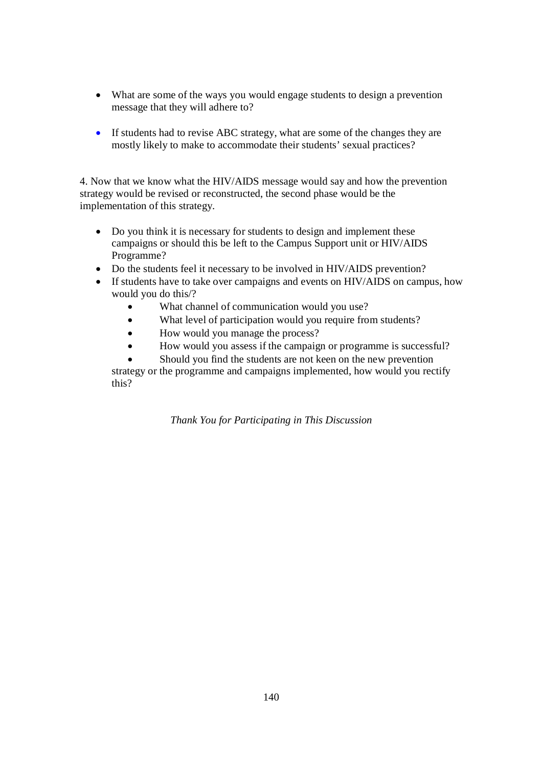- What are some of the ways you would engage students to design a prevention message that they will adhere to?
- If students had to revise ABC strategy, what are some of the changes they are mostly likely to make to accommodate their students' sexual practices?

4. Now that we know what the HIV/AIDS message would say and how the prevention strategy would be revised or reconstructed, the second phase would be the implementation of this strategy.

- Do you think it is necessary for students to design and implement these campaigns or should this be left to the Campus Support unit or HIV/AIDS Programme?
- Do the students feel it necessary to be involved in HIV/AIDS prevention?
- If students have to take over campaigns and events on HIV/AIDS on campus, how would you do this/?
	- What channel of communication would you use?
	- What level of participation would you require from students?
	- How would you manage the process?
	- How would you assess if the campaign or programme is successful?
	- Should you find the students are not keen on the new prevention

strategy or the programme and campaigns implemented, how would you rectify this?

*Thank You for Participating in This Discussion*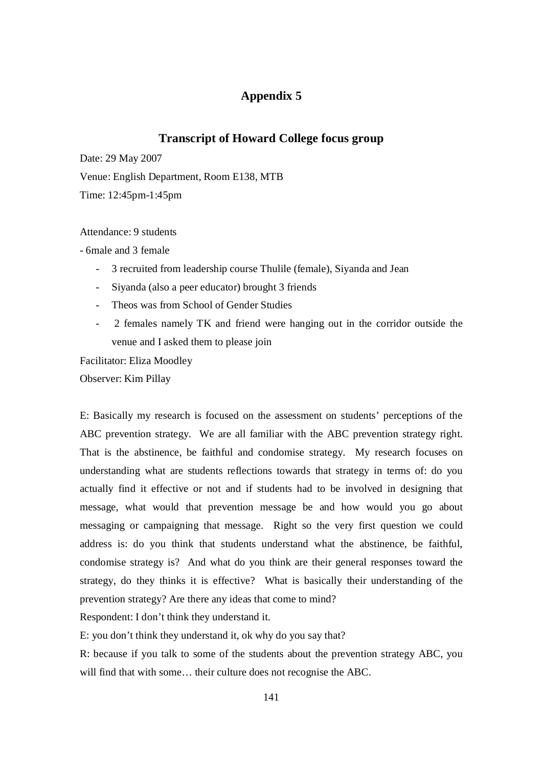# **Appendix 5**

### **Transcript of Howard College focus group**

Date: 29 May 2007

Venue: English Department, Room E138, MTB

Time: 12:45pm-1:45pm

Attendance: 9 students

- 6male and 3 female

- 3 recruited from leadership course Thulile (female), Siyanda and Jean
- Siyanda (also a peer educator) brought 3 friends
- Theos was from School of Gender Studies
- 2 females namely TK and friend were hanging out in the corridor outside the venue and I asked them to please join

Facilitator: Eliza Moodley

Observer: Kim Pillay

E: Basically my research is focused on the assessment on students' perceptions of the ABC prevention strategy. We are all familiar with the ABC prevention strategy right. That is the abstinence, be faithful and condomise strategy. My research focuses on understanding what are students reflections towards that strategy in terms of: do you actually find it effective or not and if students had to be involved in designing that message, what would that prevention message be and how would you go about messaging or campaigning that message. Right so the very first question we could address is: do you think that students understand what the abstinence, be faithful, condomise strategy is? And what do you think are their general responses toward the strategy, do they thinks it is effective? What is basically their understanding of the prevention strategy? Are there any ideas that come to mind?

Respondent: I don't think they understand it.

E: you don't think they understand it, ok why do you say that?

R: because if you talk to some of the students about the prevention strategy ABC, you will find that with some… their culture does not recognise the ABC.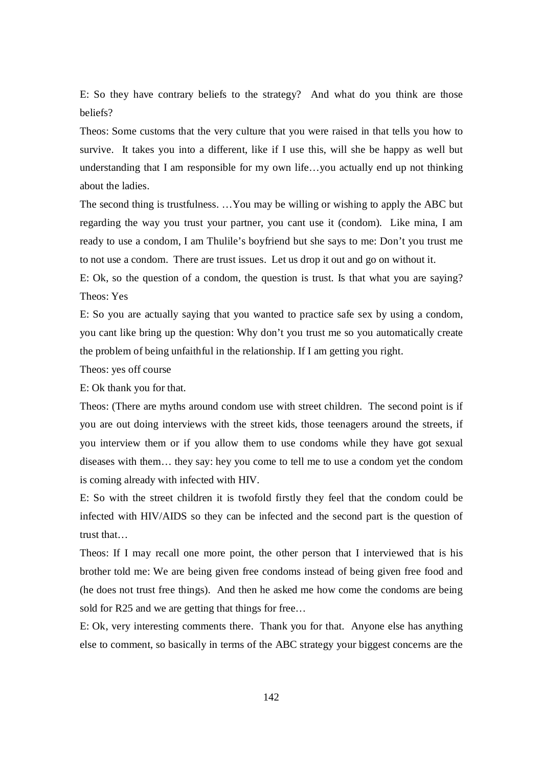E: So they have contrary beliefs to the strategy? And what do you think are those beliefs?

Theos: Some customs that the very culture that you were raised in that tells you how to survive. It takes you into a different, like if I use this, will she be happy as well but understanding that I am responsible for my own life…you actually end up not thinking about the ladies.

The second thing is trustfulness. …You may be willing or wishing to apply the ABC but regarding the way you trust your partner, you cant use it (condom). Like mina, I am ready to use a condom, I am Thulile's boyfriend but she says to me: Don't you trust me to not use a condom. There are trust issues. Let us drop it out and go on without it.

E: Ok, so the question of a condom, the question is trust. Is that what you are saying? Theos: Yes

E: So you are actually saying that you wanted to practice safe sex by using a condom, you cant like bring up the question: Why don't you trust me so you automatically create the problem of being unfaithful in the relationship. If I am getting you right.

Theos: yes off course

E: Ok thank you for that.

Theos: (There are myths around condom use with street children. The second point is if you are out doing interviews with the street kids, those teenagers around the streets, if you interview them or if you allow them to use condoms while they have got sexual diseases with them… they say: hey you come to tell me to use a condom yet the condom is coming already with infected with HIV.

E: So with the street children it is twofold firstly they feel that the condom could be infected with HIV/AIDS so they can be infected and the second part is the question of trust that…

Theos: If I may recall one more point, the other person that I interviewed that is his brother told me: We are being given free condoms instead of being given free food and (he does not trust free things). And then he asked me how come the condoms are being sold for R25 and we are getting that things for free…

E: Ok, very interesting comments there. Thank you for that. Anyone else has anything else to comment, so basically in terms of the ABC strategy your biggest concerns are the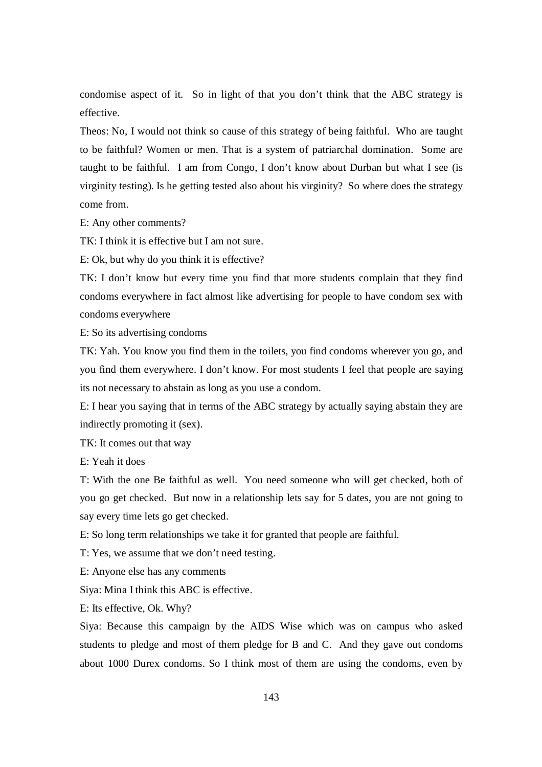condomise aspect of it. So in light of that you don't think that the ABC strategy is effective.

Theos: No, I would not think so cause of this strategy of being faithful. Who are taught to be faithful? Women or men. That is a system of patriarchal domination. Some are taught to be faithful. I am from Congo, I don't know about Durban but what I see (is virginity testing). Is he getting tested also about his virginity? So where does the strategy come from.

E: Any other comments?

TK: I think it is effective but I am not sure.

E: Ok, but why do you think it is effective?

TK: I don't know but every time you find that more students complain that they find condoms everywhere in fact almost like advertising for people to have condom sex with condoms everywhere

E: So its advertising condoms

TK: Yah. You know you find them in the toilets, you find condoms wherever you go, and you find them everywhere. I don't know. For most students I feel that people are saying its not necessary to abstain as long as you use a condom.

E: I hear you saying that in terms of the ABC strategy by actually saying abstain they are indirectly promoting it (sex).

TK: It comes out that way

E: Yeah it does

T: With the one Be faithful as well. You need someone who will get checked, both of you go get checked. But now in a relationship lets say for 5 dates, you are not going to say every time lets go get checked.

E: So long term relationships we take it for granted that people are faithful.

T: Yes, we assume that we don't need testing.

E: Anyone else has any comments

Siya: Mina I think this ABC is effective.

E: Its effective, Ok. Why?

Siya: Because this campaign by the AIDS Wise which was on campus who asked students to pledge and most of them pledge for B and C. And they gave out condoms about 1000 Durex condoms. So I think most of them are using the condoms, even by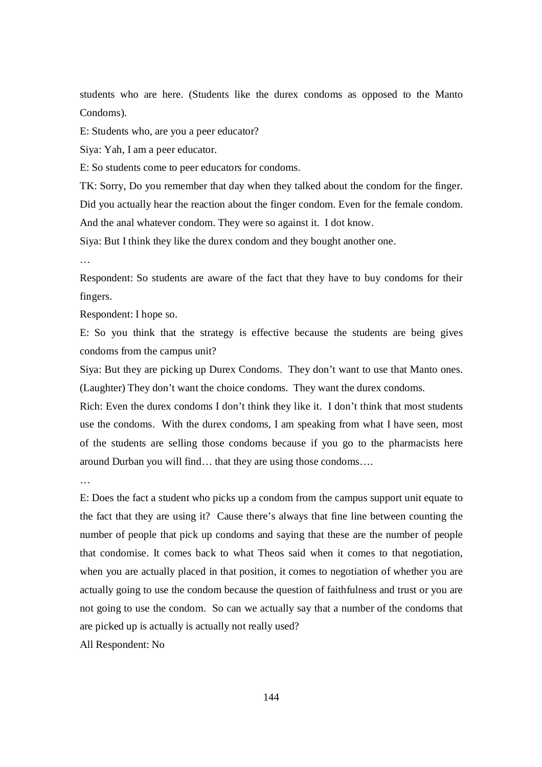students who are here. (Students like the durex condoms as opposed to the Manto Condoms).

E: Students who, are you a peer educator?

Siya: Yah, I am a peer educator.

E: So students come to peer educators for condoms.

TK: Sorry, Do you remember that day when they talked about the condom for the finger. Did you actually hear the reaction about the finger condom. Even for the female condom. And the anal whatever condom. They were so against it. I dot know.

Siya: But I think they like the durex condom and they bought another one.

…

Respondent: So students are aware of the fact that they have to buy condoms for their fingers.

Respondent: I hope so.

E: So you think that the strategy is effective because the students are being gives condoms from the campus unit?

Siya: But they are picking up Durex Condoms. They don't want to use that Manto ones. (Laughter) They don't want the choice condoms. They want the durex condoms.

Rich: Even the durex condoms I don't think they like it. I don't think that most students use the condoms. With the durex condoms, I am speaking from what I have seen, most of the students are selling those condoms because if you go to the pharmacists here around Durban you will find… that they are using those condoms….

…

E: Does the fact a student who picks up a condom from the campus support unit equate to the fact that they are using it? Cause there's always that fine line between counting the number of people that pick up condoms and saying that these are the number of people that condomise. It comes back to what Theos said when it comes to that negotiation, when you are actually placed in that position, it comes to negotiation of whether you are actually going to use the condom because the question of faithfulness and trust or you are not going to use the condom. So can we actually say that a number of the condoms that are picked up is actually is actually not really used?

All Respondent: No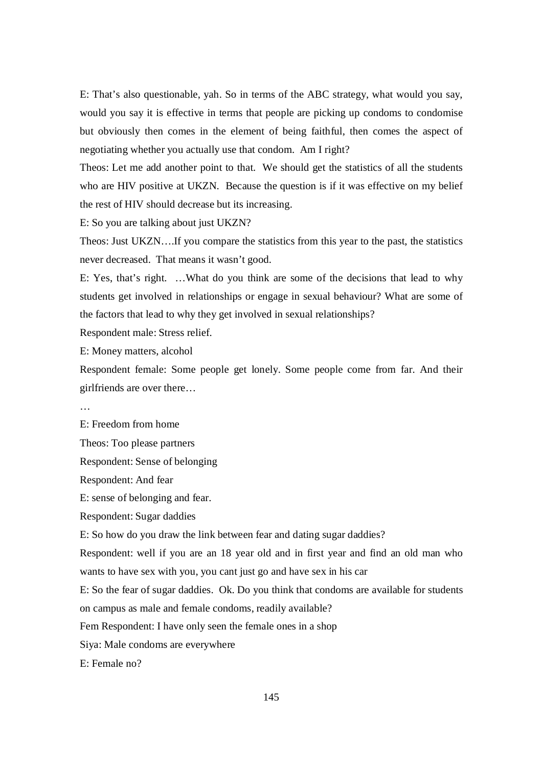E: That's also questionable, yah. So in terms of the ABC strategy, what would you say, would you say it is effective in terms that people are picking up condoms to condomise but obviously then comes in the element of being faithful, then comes the aspect of negotiating whether you actually use that condom. Am I right?

Theos: Let me add another point to that. We should get the statistics of all the students who are HIV positive at UKZN. Because the question is if it was effective on my belief the rest of HIV should decrease but its increasing.

E: So you are talking about just UKZN?

Theos: Just UKZN….If you compare the statistics from this year to the past, the statistics never decreased. That means it wasn't good.

E: Yes, that's right. …What do you think are some of the decisions that lead to why students get involved in relationships or engage in sexual behaviour? What are some of the factors that lead to why they get involved in sexual relationships?

Respondent male: Stress relief.

E: Money matters, alcohol

Respondent female: Some people get lonely. Some people come from far. And their girlfriends are over there…

…

E: Freedom from home

Theos: Too please partners

Respondent: Sense of belonging

Respondent: And fear

E: sense of belonging and fear.

Respondent: Sugar daddies

E: So how do you draw the link between fear and dating sugar daddies?

Respondent: well if you are an 18 year old and in first year and find an old man who wants to have sex with you, you cant just go and have sex in his car

E: So the fear of sugar daddies. Ok. Do you think that condoms are available for students on campus as male and female condoms, readily available?

Fem Respondent: I have only seen the female ones in a shop

Siya: Male condoms are everywhere

E: Female no?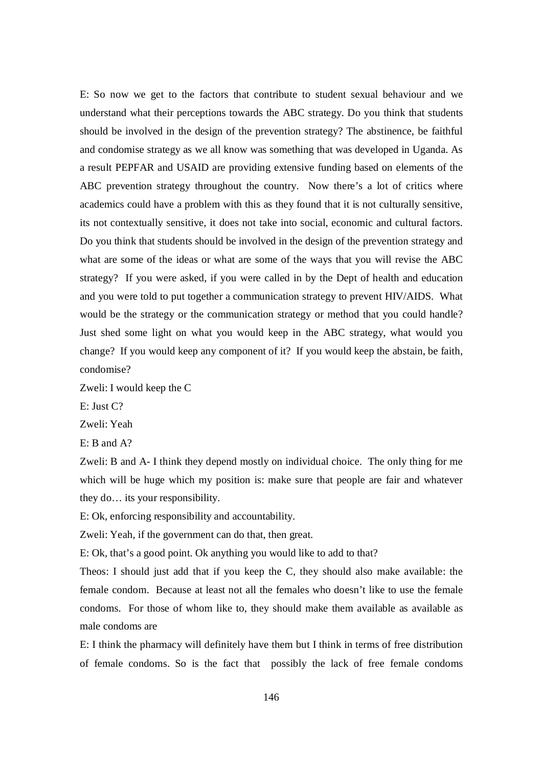E: So now we get to the factors that contribute to student sexual behaviour and we understand what their perceptions towards the ABC strategy. Do you think that students should be involved in the design of the prevention strategy? The abstinence, be faithful and condomise strategy as we all know was something that was developed in Uganda. As a result PEPFAR and USAID are providing extensive funding based on elements of the ABC prevention strategy throughout the country. Now there's a lot of critics where academics could have a problem with this as they found that it is not culturally sensitive, its not contextually sensitive, it does not take into social, economic and cultural factors. Do you think that students should be involved in the design of the prevention strategy and what are some of the ideas or what are some of the ways that you will revise the ABC strategy? If you were asked, if you were called in by the Dept of health and education and you were told to put together a communication strategy to prevent HIV/AIDS. What would be the strategy or the communication strategy or method that you could handle? Just shed some light on what you would keep in the ABC strategy, what would you change? If you would keep any component of it? If you would keep the abstain, be faith, condomise?

Zweli: I would keep the C

E: Just C?

Zweli: Yeah

E: B and A?

Zweli: B and A- I think they depend mostly on individual choice. The only thing for me which will be huge which my position is: make sure that people are fair and whatever they do… its your responsibility.

E: Ok, enforcing responsibility and accountability.

Zweli: Yeah, if the government can do that, then great.

E: Ok, that's a good point. Ok anything you would like to add to that?

Theos: I should just add that if you keep the C, they should also make available: the female condom. Because at least not all the females who doesn't like to use the female condoms. For those of whom like to, they should make them available as available as male condoms are

E: I think the pharmacy will definitely have them but I think in terms of free distribution of female condoms. So is the fact that possibly the lack of free female condoms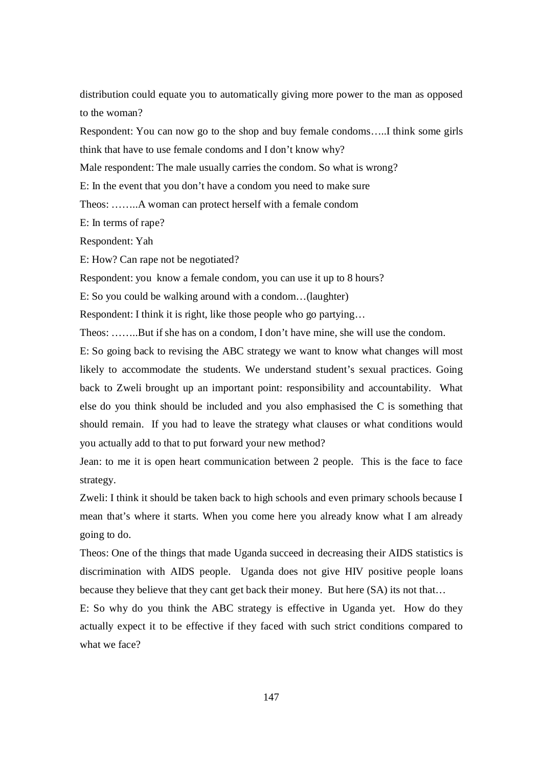distribution could equate you to automatically giving more power to the man as opposed to the woman?

Respondent: You can now go to the shop and buy female condoms…..I think some girls think that have to use female condoms and I don't know why?

Male respondent: The male usually carries the condom. So what is wrong?

E: In the event that you don't have a condom you need to make sure

Theos: ……..A woman can protect herself with a female condom

E: In terms of rape?

Respondent: Yah

E: How? Can rape not be negotiated?

Respondent: you know a female condom, you can use it up to 8 hours?

E: So you could be walking around with a condom…(laughter)

Respondent: I think it is right, like those people who go partying…

Theos: ……..But if she has on a condom, I don't have mine, she will use the condom.

E: So going back to revising the ABC strategy we want to know what changes will most likely to accommodate the students. We understand student's sexual practices. Going back to Zweli brought up an important point: responsibility and accountability. What else do you think should be included and you also emphasised the C is something that should remain. If you had to leave the strategy what clauses or what conditions would you actually add to that to put forward your new method?

Jean: to me it is open heart communication between 2 people. This is the face to face strategy.

Zweli: I think it should be taken back to high schools and even primary schools because I mean that's where it starts. When you come here you already know what I am already going to do.

Theos: One of the things that made Uganda succeed in decreasing their AIDS statistics is discrimination with AIDS people. Uganda does not give HIV positive people loans because they believe that they cant get back their money. But here (SA) its not that…

E: So why do you think the ABC strategy is effective in Uganda yet. How do they actually expect it to be effective if they faced with such strict conditions compared to what we face?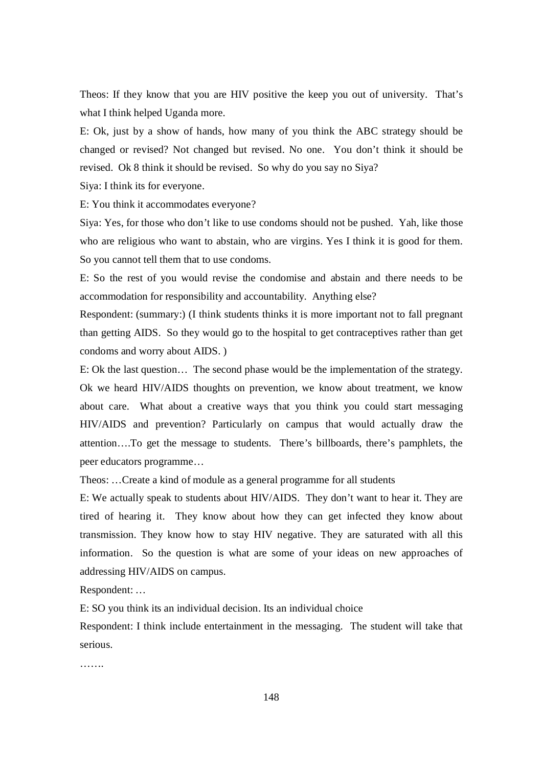Theos: If they know that you are HIV positive the keep you out of university. That's what I think helped Uganda more.

E: Ok, just by a show of hands, how many of you think the ABC strategy should be changed or revised? Not changed but revised. No one. You don't think it should be revised. Ok 8 think it should be revised. So why do you say no Siya?

Siya: I think its for everyone.

E: You think it accommodates everyone?

Siya: Yes, for those who don't like to use condoms should not be pushed. Yah, like those who are religious who want to abstain, who are virgins. Yes I think it is good for them. So you cannot tell them that to use condoms.

E: So the rest of you would revise the condomise and abstain and there needs to be accommodation for responsibility and accountability. Anything else?

Respondent: (summary:) (I think students thinks it is more important not to fall pregnant than getting AIDS. So they would go to the hospital to get contraceptives rather than get condoms and worry about AIDS. )

E: Ok the last question… The second phase would be the implementation of the strategy. Ok we heard HIV/AIDS thoughts on prevention, we know about treatment, we know about care. What about a creative ways that you think you could start messaging HIV/AIDS and prevention? Particularly on campus that would actually draw the attention….To get the message to students. There's billboards, there's pamphlets, the peer educators programme…

Theos: …Create a kind of module as a general programme for all students

E: We actually speak to students about HIV/AIDS. They don't want to hear it. They are tired of hearing it. They know about how they can get infected they know about transmission. They know how to stay HIV negative. They are saturated with all this information. So the question is what are some of your ideas on new approaches of addressing HIV/AIDS on campus.

Respondent: …

E: SO you think its an individual decision. Its an individual choice

Respondent: I think include entertainment in the messaging. The student will take that serious.

…….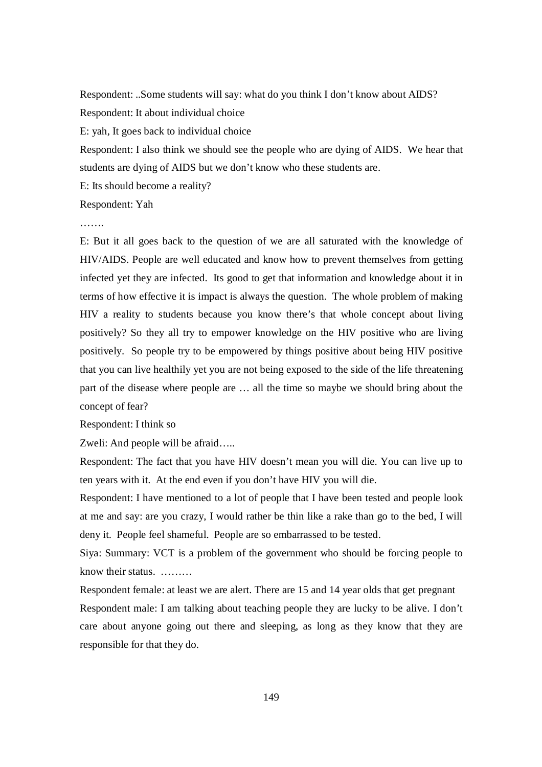Respondent: ..Some students will say: what do you think I don't know about AIDS? Respondent: It about individual choice

E: yah, It goes back to individual choice

Respondent: I also think we should see the people who are dying of AIDS. We hear that students are dying of AIDS but we don't know who these students are.

E: Its should become a reality?

Respondent: Yah

…….

E: But it all goes back to the question of we are all saturated with the knowledge of HIV/AIDS. People are well educated and know how to prevent themselves from getting infected yet they are infected. Its good to get that information and knowledge about it in terms of how effective it is impact is always the question. The whole problem of making HIV a reality to students because you know there's that whole concept about living positively? So they all try to empower knowledge on the HIV positive who are living positively. So people try to be empowered by things positive about being HIV positive that you can live healthily yet you are not being exposed to the side of the life threatening part of the disease where people are … all the time so maybe we should bring about the concept of fear?

Respondent: I think so

Zweli: And people will be afraid…..

Respondent: The fact that you have HIV doesn't mean you will die. You can live up to ten years with it. At the end even if you don't have HIV you will die.

Respondent: I have mentioned to a lot of people that I have been tested and people look at me and say: are you crazy, I would rather be thin like a rake than go to the bed, I will deny it. People feel shameful. People are so embarrassed to be tested.

Siya: Summary: VCT is a problem of the government who should be forcing people to know their status. ………

Respondent female: at least we are alert. There are 15 and 14 year olds that get pregnant Respondent male: I am talking about teaching people they are lucky to be alive. I don't care about anyone going out there and sleeping, as long as they know that they are responsible for that they do.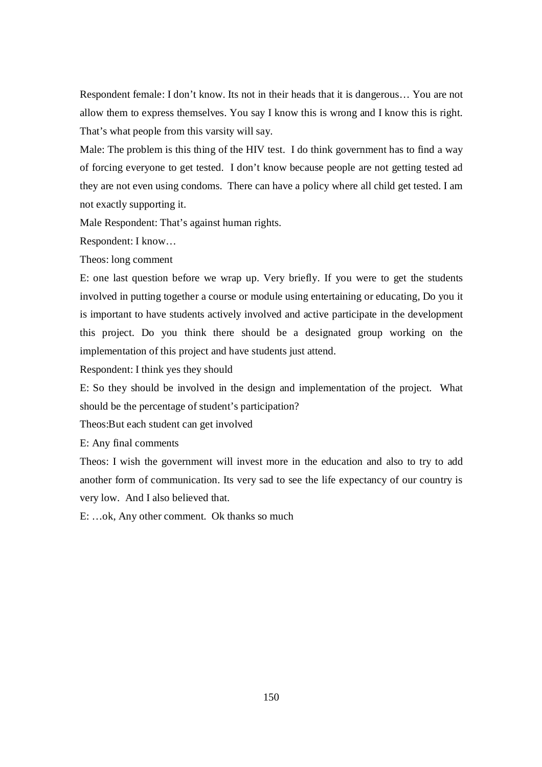Respondent female: I don't know. Its not in their heads that it is dangerous… You are not allow them to express themselves. You say I know this is wrong and I know this is right. That's what people from this varsity will say.

Male: The problem is this thing of the HIV test. I do think government has to find a way of forcing everyone to get tested. I don't know because people are not getting tested ad they are not even using condoms. There can have a policy where all child get tested. I am not exactly supporting it.

Male Respondent: That's against human rights.

Respondent: I know…

Theos: long comment

E: one last question before we wrap up. Very briefly. If you were to get the students involved in putting together a course or module using entertaining or educating, Do you it is important to have students actively involved and active participate in the development this project. Do you think there should be a designated group working on the implementation of this project and have students just attend.

Respondent: I think yes they should

E: So they should be involved in the design and implementation of the project. What should be the percentage of student's participation?

Theos:But each student can get involved

E: Any final comments

Theos: I wish the government will invest more in the education and also to try to add another form of communication. Its very sad to see the life expectancy of our country is very low. And I also believed that.

E: …ok, Any other comment. Ok thanks so much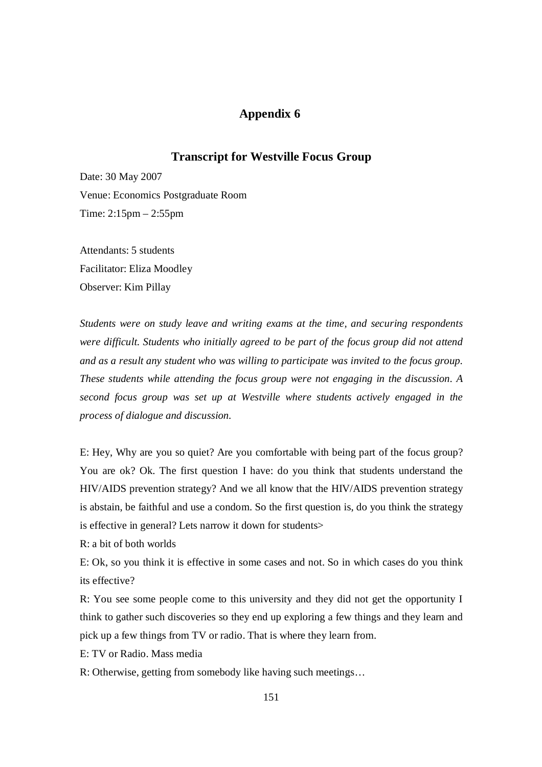## **Appendix 6**

## **Transcript for Westville Focus Group**

Date: 30 May 2007 Venue: Economics Postgraduate Room Time: 2:15pm – 2:55pm

Attendants: 5 students Facilitator: Eliza Moodley Observer: Kim Pillay

*Students were on study leave and writing exams at the time, and securing respondents were difficult. Students who initially agreed to be part of the focus group did not attend and as a result any student who was willing to participate was invited to the focus group. These students while attending the focus group were not engaging in the discussion. A second focus group was set up at Westville where students actively engaged in the process of dialogue and discussion.* 

E: Hey, Why are you so quiet? Are you comfortable with being part of the focus group? You are ok? Ok. The first question I have: do you think that students understand the HIV/AIDS prevention strategy? And we all know that the HIV/AIDS prevention strategy is abstain, be faithful and use a condom. So the first question is, do you think the strategy is effective in general? Lets narrow it down for students>

R: a bit of both worlds

E: Ok, so you think it is effective in some cases and not. So in which cases do you think its effective?

R: You see some people come to this university and they did not get the opportunity I think to gather such discoveries so they end up exploring a few things and they learn and pick up a few things from TV or radio. That is where they learn from.

E: TV or Radio. Mass media

R: Otherwise, getting from somebody like having such meetings…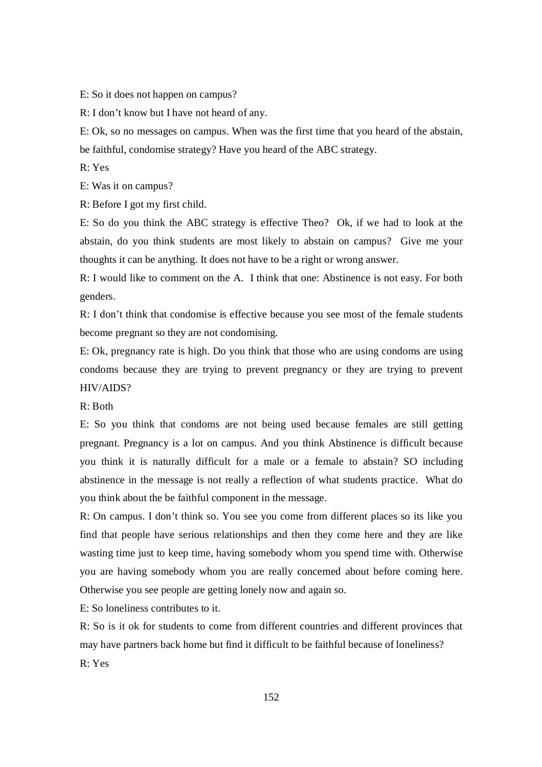E: So it does not happen on campus?

R: I don't know but I have not heard of any.

E: Ok, so no messages on campus. When was the first time that you heard of the abstain, be faithful, condomise strategy? Have you heard of the ABC strategy.

R: Yes

E: Was it on campus?

R: Before I got my first child.

E: So do you think the ABC strategy is effective Theo? Ok, if we had to look at the abstain, do you think students are most likely to abstain on campus? Give me your thoughts it can be anything. It does not have to be a right or wrong answer.

R: I would like to comment on the A. I think that one: Abstinence is not easy. For both genders.

R: I don't think that condomise is effective because you see most of the female students become pregnant so they are not condomising.

E: Ok, pregnancy rate is high. Do you think that those who are using condoms are using condoms because they are trying to prevent pregnancy or they are trying to prevent HIV/AIDS?

R: Both

E: So you think that condoms are not being used because females are still getting pregnant. Pregnancy is a lot on campus. And you think Abstinence is difficult because you think it is naturally difficult for a male or a female to abstain? SO including abstinence in the message is not really a reflection of what students practice. What do you think about the be faithful component in the message.

R: On campus. I don't think so. You see you come from different places so its like you find that people have serious relationships and then they come here and they are like wasting time just to keep time, having somebody whom you spend time with. Otherwise you are having somebody whom you are really concerned about before coming here. Otherwise you see people are getting lonely now and again so.

E: So loneliness contributes to it.

R: So is it ok for students to come from different countries and different provinces that may have partners back home but find it difficult to be faithful because of loneliness?  $R \cdot Y_{PS}$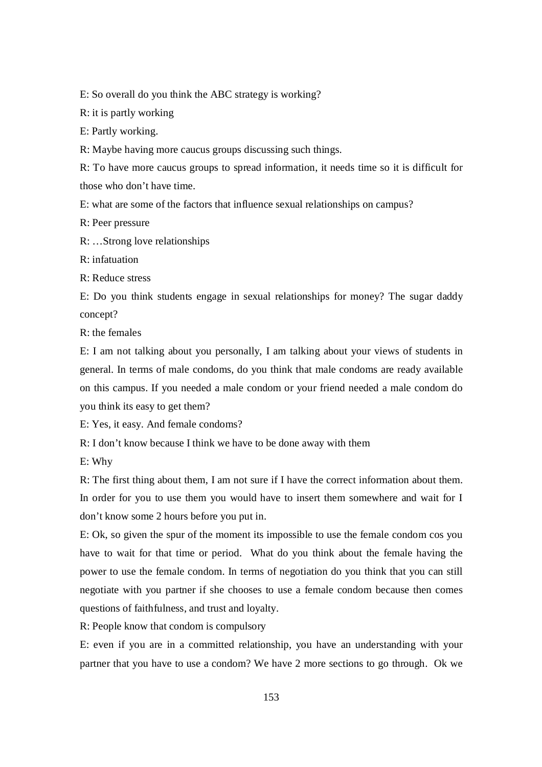E: So overall do you think the ABC strategy is working?

R: it is partly working

E: Partly working.

R: Maybe having more caucus groups discussing such things.

R: To have more caucus groups to spread information, it needs time so it is difficult for those who don't have time.

E: what are some of the factors that influence sexual relationships on campus?

R: Peer pressure

R: …Strong love relationships

R: infatuation

R: Reduce stress

E: Do you think students engage in sexual relationships for money? The sugar daddy concept?

R: the females

E: I am not talking about you personally, I am talking about your views of students in general. In terms of male condoms, do you think that male condoms are ready available on this campus. If you needed a male condom or your friend needed a male condom do you think its easy to get them?

E: Yes, it easy. And female condoms?

R: I don't know because I think we have to be done away with them

E: Why

R: The first thing about them, I am not sure if I have the correct information about them. In order for you to use them you would have to insert them somewhere and wait for I don't know some 2 hours before you put in.

E: Ok, so given the spur of the moment its impossible to use the female condom cos you have to wait for that time or period. What do you think about the female having the power to use the female condom. In terms of negotiation do you think that you can still negotiate with you partner if she chooses to use a female condom because then comes questions of faithfulness, and trust and loyalty.

R: People know that condom is compulsory

E: even if you are in a committed relationship, you have an understanding with your partner that you have to use a condom? We have 2 more sections to go through. Ok we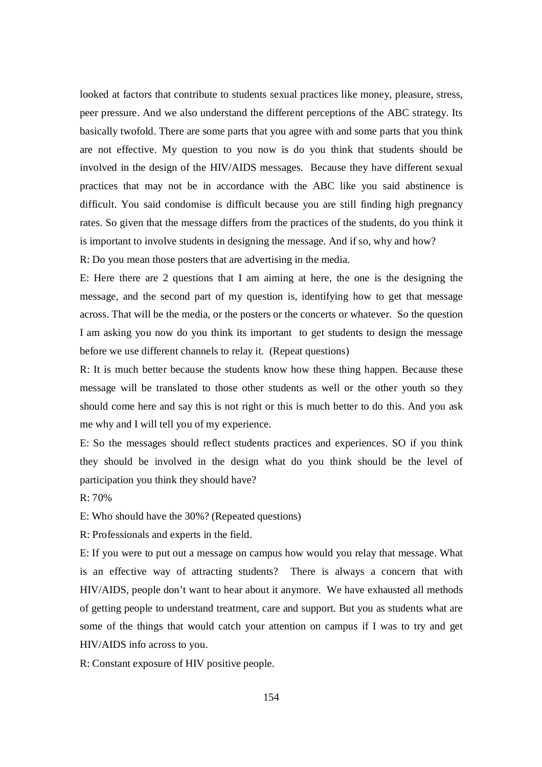looked at factors that contribute to students sexual practices like money, pleasure, stress, peer pressure. And we also understand the different perceptions of the ABC strategy. Its basically twofold. There are some parts that you agree with and some parts that you think are not effective. My question to you now is do you think that students should be involved in the design of the HIV/AIDS messages. Because they have different sexual practices that may not be in accordance with the ABC like you said abstinence is difficult. You said condomise is difficult because you are still finding high pregnancy rates. So given that the message differs from the practices of the students, do you think it is important to involve students in designing the message. And if so, why and how?

R: Do you mean those posters that are advertising in the media.

E: Here there are 2 questions that I am aiming at here, the one is the designing the message, and the second part of my question is, identifying how to get that message across. That will be the media, or the posters or the concerts or whatever. So the question I am asking you now do you think its important to get students to design the message before we use different channels to relay it. (Repeat questions)

R: It is much better because the students know how these thing happen. Because these message will be translated to those other students as well or the other youth so they should come here and say this is not right or this is much better to do this. And you ask me why and I will tell you of my experience.

E: So the messages should reflect students practices and experiences. SO if you think they should be involved in the design what do you think should be the level of participation you think they should have?

R: 70%

E: Who should have the 30%? (Repeated questions)

R: Professionals and experts in the field.

E: If you were to put out a message on campus how would you relay that message. What is an effective way of attracting students? There is always a concern that with HIV/AIDS, people don't want to hear about it anymore. We have exhausted all methods of getting people to understand treatment, care and support. But you as students what are some of the things that would catch your attention on campus if I was to try and get HIV/AIDS info across to you.

R: Constant exposure of HIV positive people.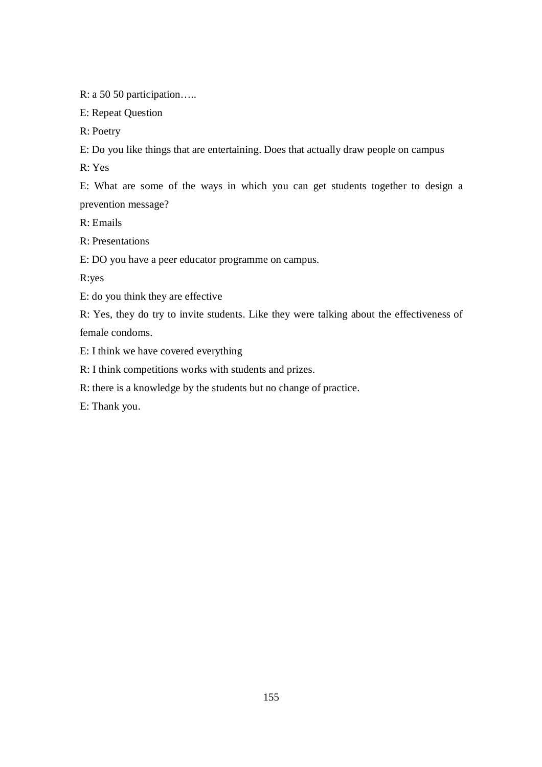R: a 50 50 participation…..

E: Repeat Question

R: Poetry

E: Do you like things that are entertaining. Does that actually draw people on campus

R: Yes

E: What are some of the ways in which you can get students together to design a prevention message?

R: Emails

R: Presentations

E: DO you have a peer educator programme on campus.

R:yes

E: do you think they are effective

R: Yes, they do try to invite students. Like they were talking about the effectiveness of female condoms.

E: I think we have covered everything

R: I think competitions works with students and prizes.

R: there is a knowledge by the students but no change of practice.

E: Thank you.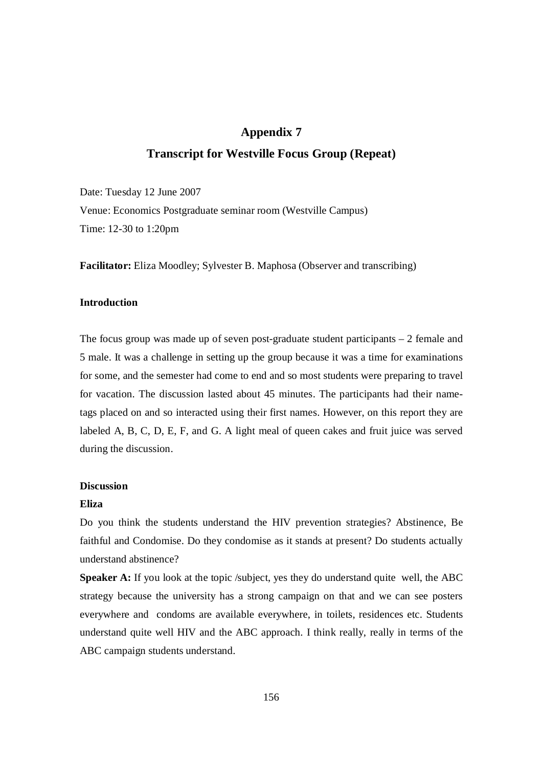### **Appendix 7**

## **Transcript for Westville Focus Group (Repeat)**

Date: Tuesday 12 June 2007 Venue: Economics Postgraduate seminar room (Westville Campus) Time: 12-30 to 1:20pm

**Facilitator:** Eliza Moodley; Sylvester B. Maphosa (Observer and transcribing)

### **Introduction**

The focus group was made up of seven post-graduate student participants – 2 female and 5 male. It was a challenge in setting up the group because it was a time for examinations for some, and the semester had come to end and so most students were preparing to travel for vacation. The discussion lasted about 45 minutes. The participants had their nametags placed on and so interacted using their first names. However, on this report they are labeled A, B, C, D, E, F, and G. A light meal of queen cakes and fruit juice was served during the discussion.

#### **Discussion**

#### **Eliza**

Do you think the students understand the HIV prevention strategies? Abstinence, Be faithful and Condomise. Do they condomise as it stands at present? Do students actually understand abstinence?

**Speaker A:** If you look at the topic /subject, yes they do understand quite well, the ABC strategy because the university has a strong campaign on that and we can see posters everywhere and condoms are available everywhere, in toilets, residences etc. Students understand quite well HIV and the ABC approach. I think really, really in terms of the ABC campaign students understand.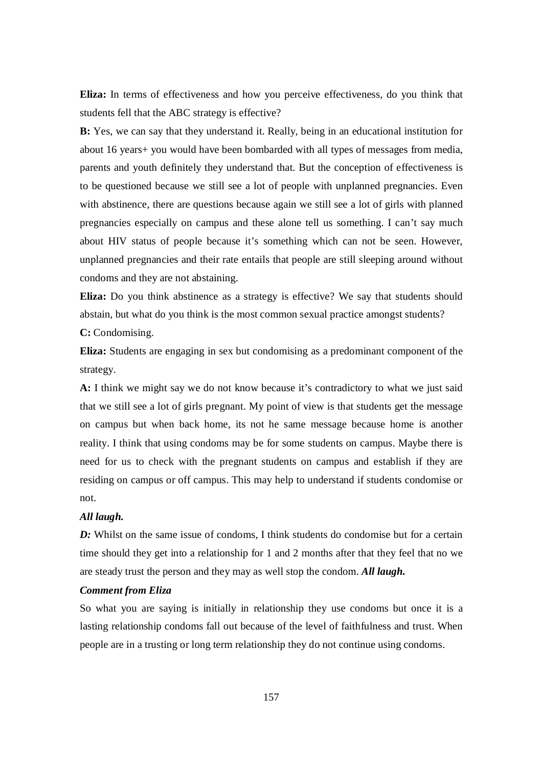**Eliza:** In terms of effectiveness and how you perceive effectiveness, do you think that students fell that the ABC strategy is effective?

**B:** Yes, we can say that they understand it. Really, being in an educational institution for about 16 years+ you would have been bombarded with all types of messages from media, parents and youth definitely they understand that. But the conception of effectiveness is to be questioned because we still see a lot of people with unplanned pregnancies. Even with abstinence, there are questions because again we still see a lot of girls with planned pregnancies especially on campus and these alone tell us something. I can't say much about HIV status of people because it's something which can not be seen. However, unplanned pregnancies and their rate entails that people are still sleeping around without condoms and they are not abstaining.

**Eliza:** Do you think abstinence as a strategy is effective? We say that students should abstain, but what do you think is the most common sexual practice amongst students? **C:** Condomising.

**Eliza:** Students are engaging in sex but condomising as a predominant component of the strategy.

**A:** I think we might say we do not know because it's contradictory to what we just said that we still see a lot of girls pregnant. My point of view is that students get the message on campus but when back home, its not he same message because home is another reality. I think that using condoms may be for some students on campus. Maybe there is need for us to check with the pregnant students on campus and establish if they are residing on campus or off campus. This may help to understand if students condomise or not.

### *All laugh.*

*D*: Whilst on the same issue of condoms, I think students do condomise but for a certain time should they get into a relationship for 1 and 2 months after that they feel that no we are steady trust the person and they may as well stop the condom. *All laugh.* 

#### *Comment from Eliza*

So what you are saying is initially in relationship they use condoms but once it is a lasting relationship condoms fall out because of the level of faithfulness and trust. When people are in a trusting or long term relationship they do not continue using condoms.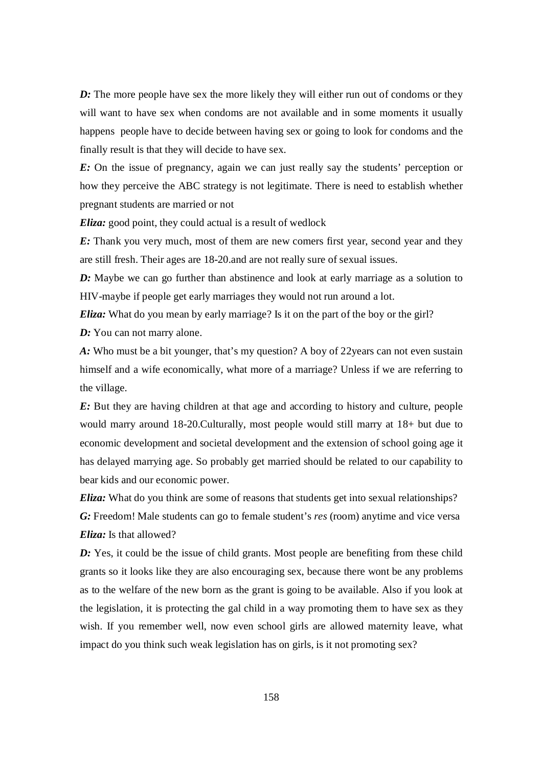*D*: The more people have sex the more likely they will either run out of condoms or they will want to have sex when condoms are not available and in some moments it usually happens people have to decide between having sex or going to look for condoms and the finally result is that they will decide to have sex.

*E*: On the issue of pregnancy, again we can just really say the students' perception or how they perceive the ABC strategy is not legitimate. There is need to establish whether pregnant students are married or not

*Eliza:* good point, they could actual is a result of wedlock

*E:* Thank you very much, most of them are new comers first year, second year and they are still fresh. Their ages are 18-20.and are not really sure of sexual issues.

*D*: Maybe we can go further than abstinence and look at early marriage as a solution to HIV-maybe if people get early marriages they would not run around a lot.

*Eliza:* What do you mean by early marriage? Is it on the part of the boy or the girl? *D:* You can not marry alone.

*A:* Who must be a bit younger, that's my question? A boy of 22years can not even sustain himself and a wife economically, what more of a marriage? Unless if we are referring to the village.

*E:* But they are having children at that age and according to history and culture, people would marry around 18-20.Culturally, most people would still marry at 18+ but due to economic development and societal development and the extension of school going age it has delayed marrying age. So probably get married should be related to our capability to bear kids and our economic power.

*Eliza*: What do you think are some of reasons that students get into sexual relationships? *G:* Freedom! Male students can go to female student's *res* (room) anytime and vice versa *Eliza:* Is that allowed?

**D:** Yes, it could be the issue of child grants. Most people are benefiting from these child grants so it looks like they are also encouraging sex, because there wont be any problems as to the welfare of the new born as the grant is going to be available. Also if you look at the legislation, it is protecting the gal child in a way promoting them to have sex as they wish. If you remember well, now even school girls are allowed maternity leave, what impact do you think such weak legislation has on girls, is it not promoting sex?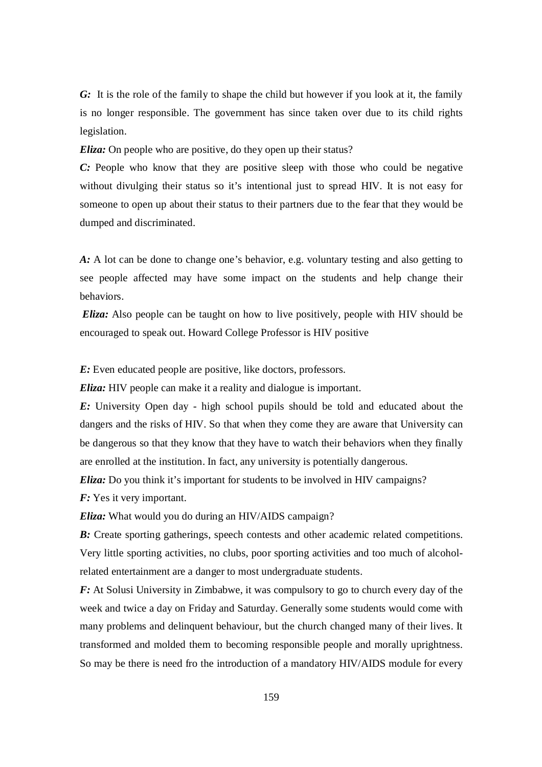*G:* It is the role of the family to shape the child but however if you look at it, the family is no longer responsible. The government has since taken over due to its child rights legislation.

*Eliza*: On people who are positive, do they open up their status?

*C*: People who know that they are positive sleep with those who could be negative without divulging their status so it's intentional just to spread HIV. It is not easy for someone to open up about their status to their partners due to the fear that they would be dumped and discriminated.

*A:* A lot can be done to change one's behavior, e.g. voluntary testing and also getting to see people affected may have some impact on the students and help change their behaviors.

*Eliza:* Also people can be taught on how to live positively, people with HIV should be encouraged to speak out. Howard College Professor is HIV positive

*E:* Even educated people are positive, like doctors, professors.

*Eliza:* HIV people can make it a reality and dialogue is important.

*E:* University Open day - high school pupils should be told and educated about the dangers and the risks of HIV. So that when they come they are aware that University can be dangerous so that they know that they have to watch their behaviors when they finally are enrolled at the institution. In fact, any university is potentially dangerous.

*Eliza*: Do you think it's important for students to be involved in HIV campaigns?

*F:* Yes it very important.

*Eliza:* What would you do during an HIV/AIDS campaign?

**B:** Create sporting gatherings, speech contests and other academic related competitions. Very little sporting activities, no clubs, poor sporting activities and too much of alcoholrelated entertainment are a danger to most undergraduate students.

*F:* At Solusi University in Zimbabwe, it was compulsory to go to church every day of the week and twice a day on Friday and Saturday. Generally some students would come with many problems and delinquent behaviour, but the church changed many of their lives. It transformed and molded them to becoming responsible people and morally uprightness. So may be there is need fro the introduction of a mandatory HIV/AIDS module for every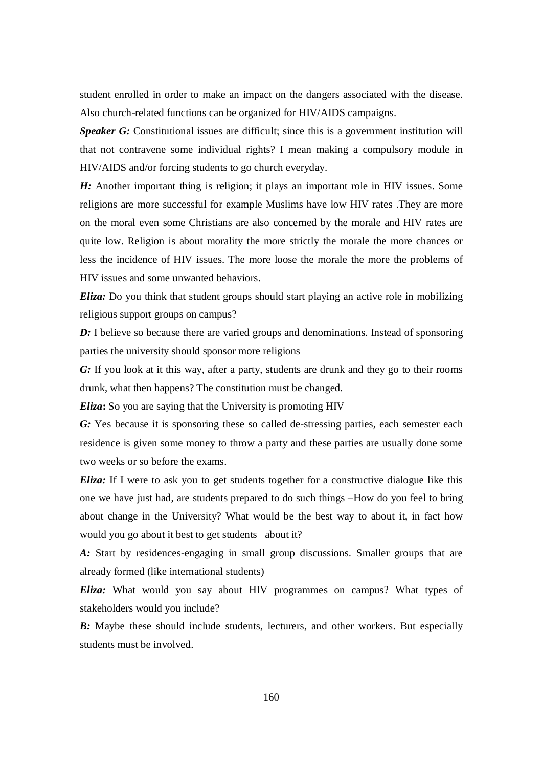student enrolled in order to make an impact on the dangers associated with the disease. Also church-related functions can be organized for HIV/AIDS campaigns.

**Speaker G:** Constitutional issues are difficult; since this is a government institution will that not contravene some individual rights? I mean making a compulsory module in HIV/AIDS and/or forcing students to go church everyday.

*H*: Another important thing is religion; it plays an important role in HIV issues. Some religions are more successful for example Muslims have low HIV rates .They are more on the moral even some Christians are also concerned by the morale and HIV rates are quite low. Religion is about morality the more strictly the morale the more chances or less the incidence of HIV issues. The more loose the morale the more the problems of HIV issues and some unwanted behaviors.

*Eliza*: Do you think that student groups should start playing an active role in mobilizing religious support groups on campus?

*D:* I believe so because there are varied groups and denominations. Instead of sponsoring parties the university should sponsor more religions

*G:* If you look at it this way, after a party, students are drunk and they go to their rooms drunk, what then happens? The constitution must be changed.

*Eliza***:** So you are saying that the University is promoting HIV

*G:* Yes because it is sponsoring these so called de-stressing parties, each semester each residence is given some money to throw a party and these parties are usually done some two weeks or so before the exams.

*Eliza:* If I were to ask you to get students together for a constructive dialogue like this one we have just had, are students prepared to do such things –How do you feel to bring about change in the University? What would be the best way to about it, in fact how would you go about it best to get students about it?

*A:* Start by residences-engaging in small group discussions. Smaller groups that are already formed (like international students)

*Eliza:* What would you say about HIV programmes on campus? What types of stakeholders would you include?

*B:* Maybe these should include students, lecturers, and other workers. But especially students must be involved.